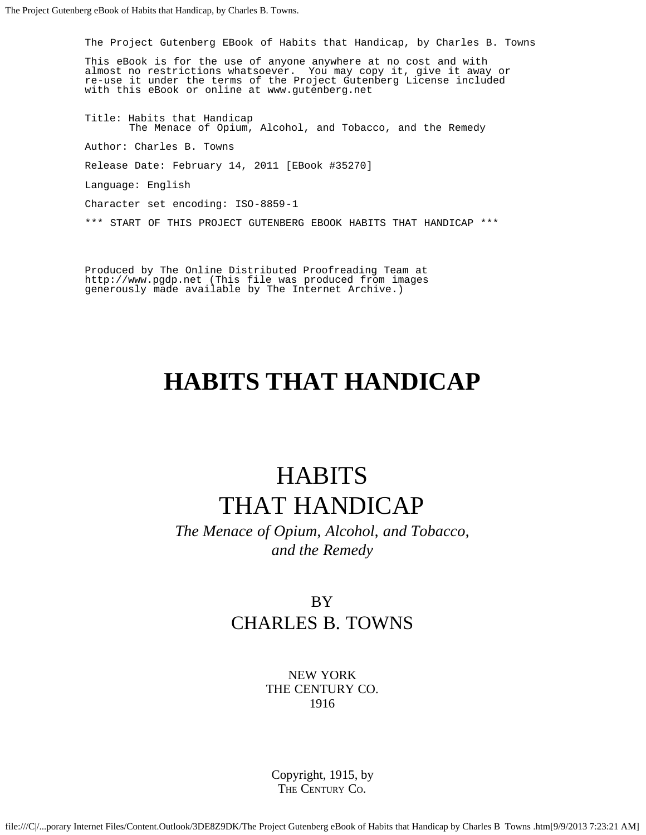The Project Gutenberg EBook of Habits that Handicap, by Charles B. Towns

This eBook is for the use of anyone anywhere at no cost and with almost no restrictions whatsoever. You may copy it, give it away or re-use it under the terms of the Project Gutenberg License included with this eBook or online at www.gutenberg.net

Title: Habits that Handicap The Menace of Opium, Alcohol, and Tobacco, and the Remedy Author: Charles B. Towns Release Date: February 14, 2011 [EBook #35270] Language: English Character set encoding: ISO-8859-1 \*\*\* START OF THIS PROJECT GUTENBERG EBOOK HABITS THAT HANDICAP \*\*\*

Produced by The Online Distributed Proofreading Team at http://www.pgdp.net (This file was produced from images generously made available by The Internet Archive.)

# **HABITS THAT HANDICAP**

# **HABITS** THAT HANDICAP

*The Menace of Opium, Alcohol, and Tobacco, and the Remedy*

### BY CHARLES B. TOWNS

NEW YORK THE CENTURY CO. 1916

Copyright, 1915, by THE CENTURY CO.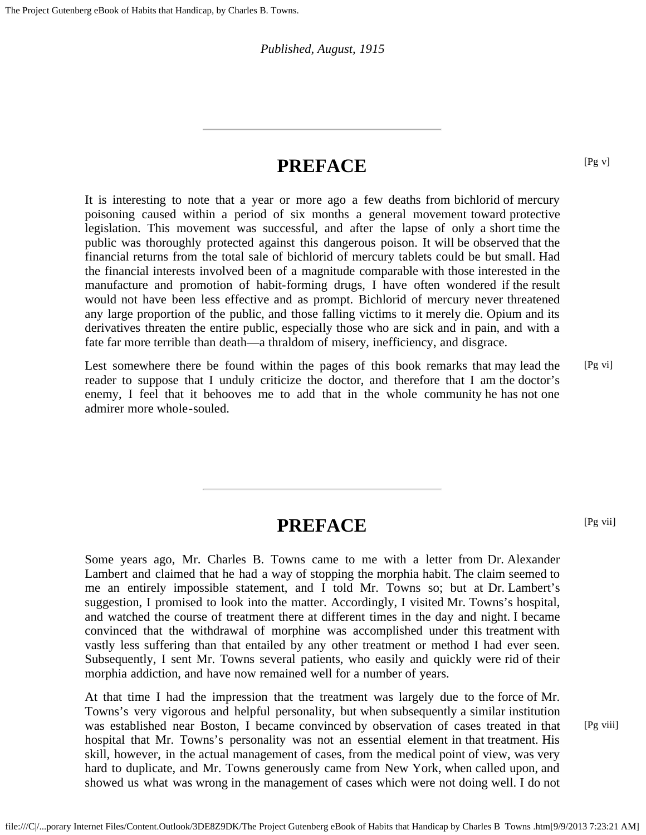*Published, August, 1915*

### **PREFACE**

It is interesting to note that a year or more ago a few deaths from bichlorid of mercury poisoning caused within a period of six months a general movement toward protective legislation. This movement was successful, and after the lapse of only a short time the public was thoroughly protected against this dangerous poison. It will be observed that the financial returns from the total sale of bichlorid of mercury tablets could be but small. Had the financial interests involved been of a magnitude comparable with those interested in the manufacture and promotion of habit-forming drugs, I have often wondered if the result would not have been less effective and as prompt. Bichlorid of mercury never threatened any large proportion of the public, and those falling victims to it merely die. Opium and its derivatives threaten the entire public, especially those who are sick and in pain, and with a fate far more terrible than death—a thraldom of misery, inefficiency, and disgrace.

Lest somewhere there be found within the pages of this book remarks that may lead the reader to suppose that I unduly criticize the doctor, and therefore that I am the doctor's enemy, I feel that it behooves me to add that in the whole community he has not one admirer more whole-souled. [Pg vi]

## **PREFACE**

Some years ago, Mr. Charles B. Towns came to me with a letter from Dr. Alexander Lambert and claimed that he had a way of stopping the morphia habit. The claim seemed to me an entirely impossible statement, and I told Mr. Towns so; but at Dr. Lambert's suggestion, I promised to look into the matter. Accordingly, I visited Mr. Towns's hospital, and watched the course of treatment there at different times in the day and night. I became convinced that the withdrawal of morphine was accomplished under this treatment with vastly less suffering than that entailed by any other treatment or method I had ever seen. Subsequently, I sent Mr. Towns several patients, who easily and quickly were rid of their morphia addiction, and have now remained well for a number of years.

At that time I had the impression that the treatment was largely due to the force of Mr. Towns's very vigorous and helpful personality, but when subsequently a similar institution was established near Boston, I became convinced by observation of cases treated in that hospital that Mr. Towns's personality was not an essential element in that treatment. His skill, however, in the actual management of cases, from the medical point of view, was very hard to duplicate, and Mr. Towns generously came from New York, when called upon, and showed us what was wrong in the management of cases which were not doing well. I do not

[Pg viii]

[Pg v]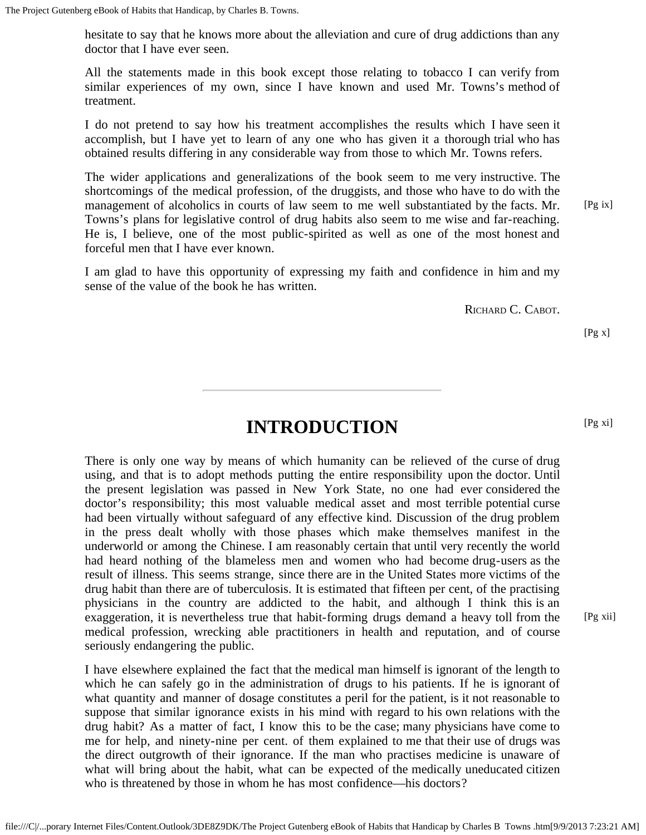hesitate to say that he knows more about the alleviation and cure of drug addictions than any doctor that I have ever seen.

All the statements made in this book except those relating to tobacco I can verify from similar experiences of my own, since I have known and used Mr. Towns's method of treatment.

I do not pretend to say how his treatment accomplishes the results which I have seen it accomplish, but I have yet to learn of any one who has given it a thorough trial who has obtained results differing in any considerable way from those to which Mr. Towns refers.

The wider applications and generalizations of the book seem to me very instructive. The shortcomings of the medical profession, of the druggists, and those who have to do with the management of alcoholics in courts of law seem to me well substantiated by the facts. Mr. Towns's plans for legislative control of drug habits also seem to me wise and far-reaching. He is, I believe, one of the most public-spirited as well as one of the most honest and forceful men that I have ever known. [Pg ix]

I am glad to have this opportunity of expressing my faith and confidence in him and my sense of the value of the book he has written.

RICHARD C. CABOT.

[Pg x]

[Pg xi]

# **INTRODUCTION**

There is only one way by means of which humanity can be relieved of the curse of drug using, and that is to adopt methods putting the entire responsibility upon the doctor. Until the present legislation was passed in New York State, no one had ever considered the doctor's responsibility; this most valuable medical asset and most terrible potential curse had been virtually without safeguard of any effective kind. Discussion of the drug problem in the press dealt wholly with those phases which make themselves manifest in the underworld or among the Chinese. I am reasonably certain that until very recently the world had heard nothing of the blameless men and women who had become drug-users as the result of illness. This seems strange, since there are in the United States more victims of the drug habit than there are of tuberculosis. It is estimated that fifteen per cent, of the practising physicians in the country are addicted to the habit, and although I think this is an exaggeration, it is nevertheless true that habit-forming drugs demand a heavy toll from the medical profession, wrecking able practitioners in health and reputation, and of course seriously endangering the public.

I have elsewhere explained the fact that the medical man himself is ignorant of the length to which he can safely go in the administration of drugs to his patients. If he is ignorant of what quantity and manner of dosage constitutes a peril for the patient, is it not reasonable to suppose that similar ignorance exists in his mind with regard to his own relations with the drug habit? As a matter of fact, I know this to be the case; many physicians have come to me for help, and ninety-nine per cent. of them explained to me that their use of drugs was the direct outgrowth of their ignorance. If the man who practises medicine is unaware of what will bring about the habit, what can be expected of the medically uneducated citizen who is threatened by those in whom he has most confidence—his doctors?

[Pg xii]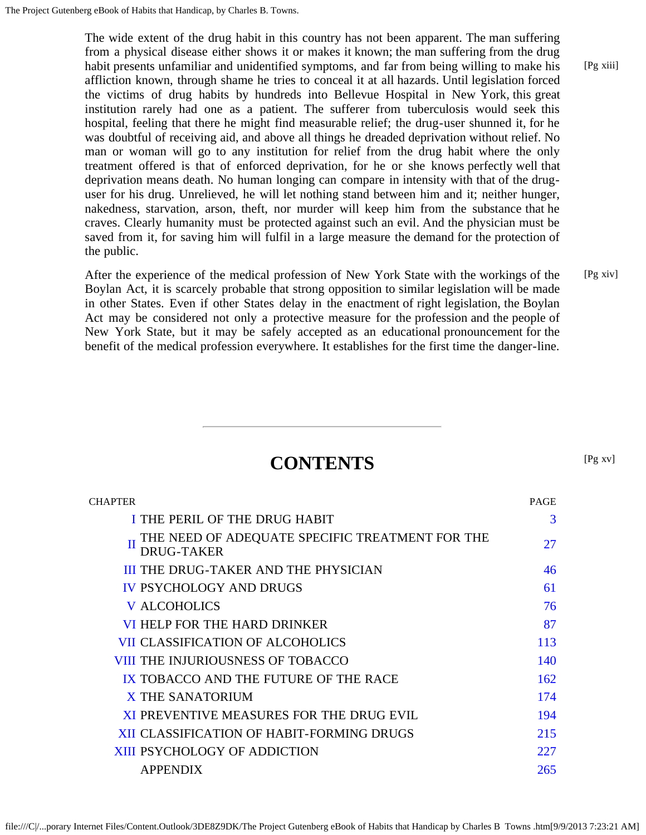The wide extent of the drug habit in this country has not been apparent. The man suffering from a physical disease either shows it or makes it known; the man suffering from the drug habit presents unfamiliar and unidentified symptoms, and far from being willing to make his affliction known, through shame he tries to conceal it at all hazards. Until legislation forced the victims of drug habits by hundreds into Bellevue Hospital in New York, this great institution rarely had one as a patient. The sufferer from tuberculosis would seek this hospital, feeling that there he might find measurable relief; the drug-user shunned it, for he was doubtful of receiving aid, and above all things he dreaded deprivation without relief. No man or woman will go to any institution for relief from the drug habit where the only treatment offered is that of enforced deprivation, for he or she knows perfectly well that deprivation means death. No human longing can compare in intensity with that of the druguser for his drug. Unrelieved, he will let nothing stand between him and it; neither hunger, nakedness, starvation, arson, theft, nor murder will keep him from the substance that he craves. Clearly humanity must be protected against such an evil. And the physician must be saved from it, for saving him will fulfil in a large measure the demand for the protection of the public.

After the experience of the medical profession of New York State with the workings of the Boylan Act, it is scarcely probable that strong opposition to similar legislation will be made in other States. Even if other States delay in the enactment of right legislation, the Boylan Act may be considered not only a protective measure for the profession and the people of New York State, but it may be safely accepted as an educational pronouncement for the benefit of the medical profession everywhere. It establishes for the first time the danger-line. [Pg xiv]

## **CONTENTS**

| CHAPTER                                                                   | <b>PAGE</b> |
|---------------------------------------------------------------------------|-------------|
| I THE PERIL OF THE DRUG HABIT                                             | 3           |
| THE NEED OF ADEQUATE SPECIFIC TREATMENT FOR THE<br>П<br><b>DRUG-TAKER</b> | 27          |
| <b>III THE DRUG-TAKER AND THE PHYSICIAN</b>                               | 46          |
| <b>IV PSYCHOLOGY AND DRUGS</b>                                            | 61          |
| <b>V ALCOHOLICS</b>                                                       | 76          |
| VI HELP FOR THE HARD DRINKER                                              | 87          |
| <b>VII CLASSIFICATION OF ALCOHOLICS</b>                                   | 113         |
| <b>VIII THE INJURIOUSNESS OF TOBACCO</b>                                  | 140         |
| IX TOBACCO AND THE FUTURE OF THE RACE                                     | 162         |
| X THE SANATORIUM                                                          | 174         |
| XI PREVENTIVE MEASURES FOR THE DRUG EVIL                                  | 194         |
| <b>XII CLASSIFICATION OF HABIT-FORMING DRUGS</b>                          | 215         |
| <b>XIII PSYCHOLOGY OF ADDICTION</b>                                       | 227         |
| <b>APPENDIX</b>                                                           | 265         |

[Pg xiii]

[Pg xv]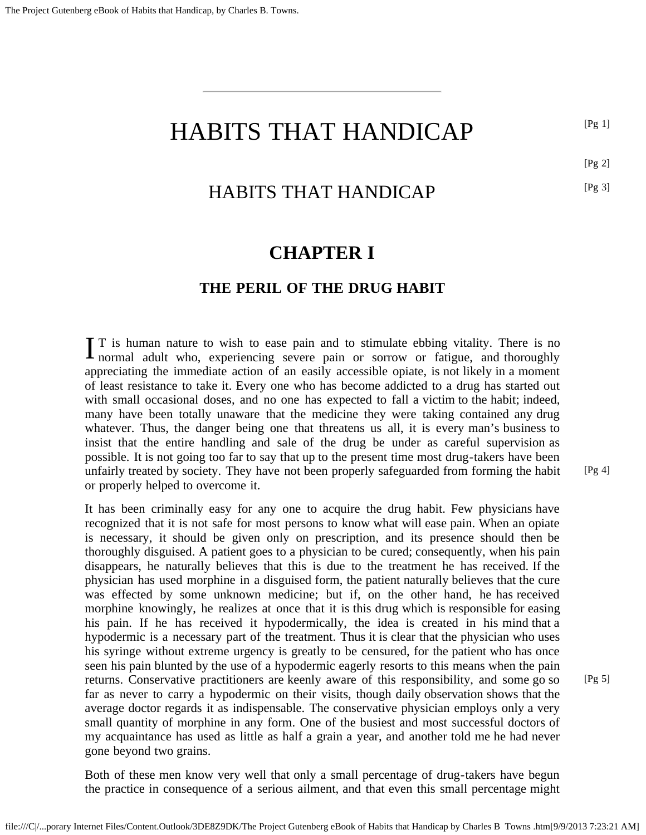#### <span id="page-4-1"></span>HABITS THAT HANDICAP [Pg 1]

[Pg 2]

[Pg 3]

### HABITS THAT HANDICAP

### **CHAPTER I**

#### **THE PERIL OF THE DRUG HABIT**

<span id="page-4-0"></span>I T is human nature to wish to ease pain and to stimulate ebbing vitality. There is no normal adult who, experiencing severe pain or sorrow or fatigue, and thoroughly  $\blacksquare$  T is human nature to wish to ease pain and to stimulate ebbing vitality. There is no appreciating the immediate action of an easily accessible opiate, is not likely in a moment of least resistance to take it. Every one who has become addicted to a drug has started out with small occasional doses, and no one has expected to fall a victim to the habit; indeed, many have been totally unaware that the medicine they were taking contained any drug whatever. Thus, the danger being one that threatens us all, it is every man's business to insist that the entire handling and sale of the drug be under as careful supervision as possible. It is not going too far to say that up to the present time most drug-takers have been unfairly treated by society. They have not been properly safeguarded from forming the habit or properly helped to overcome it.

It has been criminally easy for any one to acquire the drug habit. Few physicians have recognized that it is not safe for most persons to know what will ease pain. When an opiate is necessary, it should be given only on prescription, and its presence should then be thoroughly disguised. A patient goes to a physician to be cured; consequently, when his pain disappears, he naturally believes that this is due to the treatment he has received. If the physician has used morphine in a disguised form, the patient naturally believes that the cure was effected by some unknown medicine; but if, on the other hand, he has received morphine knowingly, he realizes at once that it is this drug which is responsible for easing his pain. If he has received it hypodermically, the idea is created in his mind that a hypodermic is a necessary part of the treatment. Thus it is clear that the physician who uses his syringe without extreme urgency is greatly to be censured, for the patient who has once seen his pain blunted by the use of a hypodermic eagerly resorts to this means when the pain returns. Conservative practitioners are keenly aware of this responsibility, and some go so far as never to carry a hypodermic on their visits, though daily observation shows that the average doctor regards it as indispensable. The conservative physician employs only a very small quantity of morphine in any form. One of the busiest and most successful doctors of my acquaintance has used as little as half a grain a year, and another told me he had never gone beyond two grains.

Both of these men know very well that only a small percentage of drug-takers have begun the practice in consequence of a serious ailment, and that even this small percentage might [Pg 4]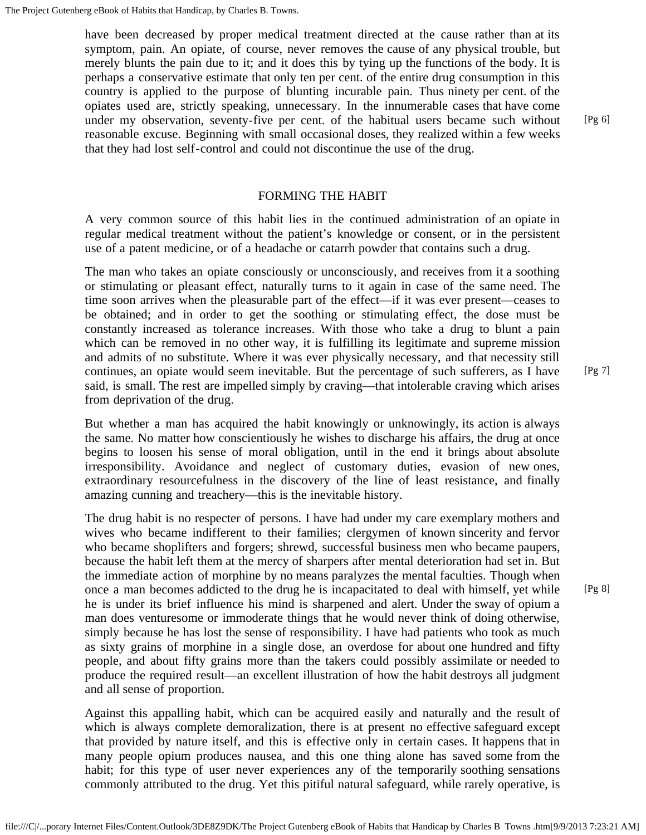have been decreased by proper medical treatment directed at the cause rather than at its symptom, pain. An opiate, of course, never removes the cause of any physical trouble, but merely blunts the pain due to it; and it does this by tying up the functions of the body. It is perhaps a conservative estimate that only ten per cent. of the entire drug consumption in this country is applied to the purpose of blunting incurable pain. Thus ninety per cent. of the opiates used are, strictly speaking, unnecessary. In the innumerable cases that have come under my observation, seventy-five per cent. of the habitual users became such without reasonable excuse. Beginning with small occasional doses, they realized within a few weeks that they had lost self-control and could not discontinue the use of the drug.

#### FORMING THE HABIT

A very common source of this habit lies in the continued administration of an opiate in regular medical treatment without the patient's knowledge or consent, or in the persistent use of a patent medicine, or of a headache or catarrh powder that contains such a drug.

The man who takes an opiate consciously or unconsciously, and receives from it a soothing or stimulating or pleasant effect, naturally turns to it again in case of the same need. The time soon arrives when the pleasurable part of the effect—if it was ever present—ceases to be obtained; and in order to get the soothing or stimulating effect, the dose must be constantly increased as tolerance increases. With those who take a drug to blunt a pain which can be removed in no other way, it is fulfilling its legitimate and supreme mission and admits of no substitute. Where it was ever physically necessary, and that necessity still continues, an opiate would seem inevitable. But the percentage of such sufferers, as I have said, is small. The rest are impelled simply by craving—that intolerable craving which arises from deprivation of the drug.

But whether a man has acquired the habit knowingly or unknowingly, its action is always the same. No matter how conscientiously he wishes to discharge his affairs, the drug at once begins to loosen his sense of moral obligation, until in the end it brings about absolute irresponsibility. Avoidance and neglect of customary duties, evasion of new ones, extraordinary resourcefulness in the discovery of the line of least resistance, and finally amazing cunning and treachery—this is the inevitable history.

The drug habit is no respecter of persons. I have had under my care exemplary mothers and wives who became indifferent to their families; clergymen of known sincerity and fervor who became shoplifters and forgers; shrewd, successful business men who became paupers, because the habit left them at the mercy of sharpers after mental deterioration had set in. But the immediate action of morphine by no means paralyzes the mental faculties. Though when once a man becomes addicted to the drug he is incapacitated to deal with himself, yet while he is under its brief influence his mind is sharpened and alert. Under the sway of opium a man does venturesome or immoderate things that he would never think of doing otherwise, simply because he has lost the sense of responsibility. I have had patients who took as much as sixty grains of morphine in a single dose, an overdose for about one hundred and fifty people, and about fifty grains more than the takers could possibly assimilate or needed to produce the required result—an excellent illustration of how the habit destroys all judgment and all sense of proportion.

Against this appalling habit, which can be acquired easily and naturally and the result of which is always complete demoralization, there is at present no effective safeguard except that provided by nature itself, and this is effective only in certain cases. It happens that in many people opium produces nausea, and this one thing alone has saved some from the habit; for this type of user never experiences any of the temporarily soothing sensations commonly attributed to the drug. Yet this pitiful natural safeguard, while rarely operative, is

[Pg 7]

[Pg 6]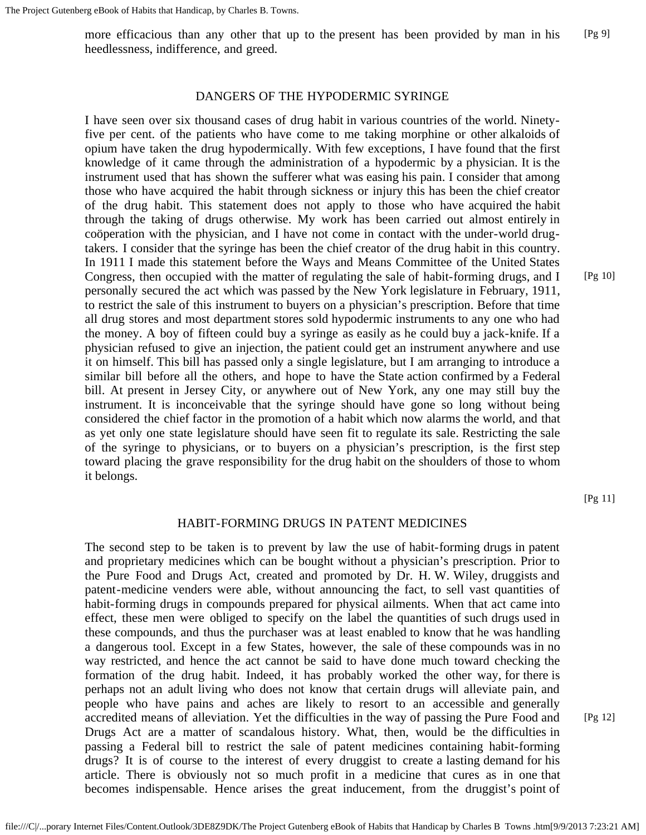more efficacious than any other that up to the present has been provided by man in his heedlessness, indifference, and greed. [Pg 9]

#### DANGERS OF THE HYPODERMIC SYRINGE

I have seen over six thousand cases of drug habit in various countries of the world. Ninetyfive per cent. of the patients who have come to me taking morphine or other alkaloids of opium have taken the drug hypodermically. With few exceptions, I have found that the first knowledge of it came through the administration of a hypodermic by a physician. It is the instrument used that has shown the sufferer what was easing his pain. I consider that among those who have acquired the habit through sickness or injury this has been the chief creator of the drug habit. This statement does not apply to those who have acquired the habit through the taking of drugs otherwise. My work has been carried out almost entirely in coöperation with the physician, and I have not come in contact with the under-world drugtakers. I consider that the syringe has been the chief creator of the drug habit in this country. In 1911 I made this statement before the Ways and Means Committee of the United States Congress, then occupied with the matter of regulating the sale of habit-forming drugs, and I personally secured the act which was passed by the New York legislature in February, 1911, to restrict the sale of this instrument to buyers on a physician's prescription. Before that time all drug stores and most department stores sold hypodermic instruments to any one who had the money. A boy of fifteen could buy a syringe as easily as he could buy a jack-knife. If a physician refused to give an injection, the patient could get an instrument anywhere and use it on himself. This bill has passed only a single legislature, but I am arranging to introduce a similar bill before all the others, and hope to have the State action confirmed by a Federal bill. At present in Jersey City, or anywhere out of New York, any one may still buy the instrument. It is inconceivable that the syringe should have gone so long without being considered the chief factor in the promotion of a habit which now alarms the world, and that as yet only one state legislature should have seen fit to regulate its sale. Restricting the sale of the syringe to physicians, or to buyers on a physician's prescription, is the first step toward placing the grave responsibility for the drug habit on the shoulders of those to whom it belongs.

[Pg 11]

#### HABIT-FORMING DRUGS IN PATENT MEDICINES

The second step to be taken is to prevent by law the use of habit-forming drugs in patent and proprietary medicines which can be bought without a physician's prescription. Prior to the Pure Food and Drugs Act, created and promoted by Dr. H. W. Wiley, druggists and patent-medicine venders were able, without announcing the fact, to sell vast quantities of habit-forming drugs in compounds prepared for physical ailments. When that act came into effect, these men were obliged to specify on the label the quantities of such drugs used in these compounds, and thus the purchaser was at least enabled to know that he was handling a dangerous tool. Except in a few States, however, the sale of these compounds was in no way restricted, and hence the act cannot be said to have done much toward checking the formation of the drug habit. Indeed, it has probably worked the other way, for there is perhaps not an adult living who does not know that certain drugs will alleviate pain, and people who have pains and aches are likely to resort to an accessible and generally accredited means of alleviation. Yet the difficulties in the way of passing the Pure Food and Drugs Act are a matter of scandalous history. What, then, would be the difficulties in passing a Federal bill to restrict the sale of patent medicines containing habit-forming drugs? It is of course to the interest of every druggist to create a lasting demand for his article. There is obviously not so much profit in a medicine that cures as in one that becomes indispensable. Hence arises the great inducement, from the druggist's point of

[Pg 12]

[Pg 10]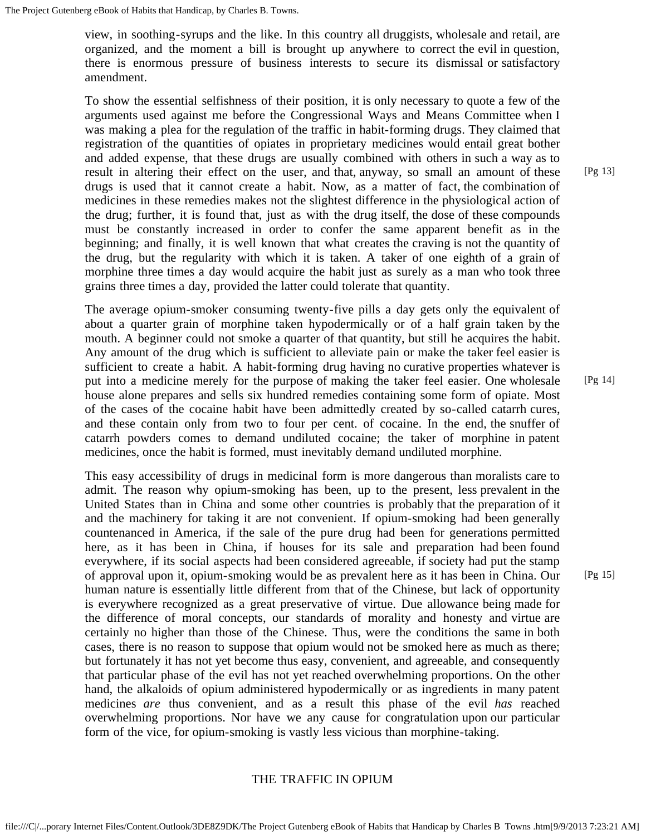view, in soothing-syrups and the like. In this country all druggists, wholesale and retail, are organized, and the moment a bill is brought up anywhere to correct the evil in question, there is enormous pressure of business interests to secure its dismissal or satisfactory amendment.

To show the essential selfishness of their position, it is only necessary to quote a few of the arguments used against me before the Congressional Ways and Means Committee when I was making a plea for the regulation of the traffic in habit-forming drugs. They claimed that registration of the quantities of opiates in proprietary medicines would entail great bother and added expense, that these drugs are usually combined with others in such a way as to result in altering their effect on the user, and that, anyway, so small an amount of these drugs is used that it cannot create a habit. Now, as a matter of fact, the combination of medicines in these remedies makes not the slightest difference in the physiological action of the drug; further, it is found that, just as with the drug itself, the dose of these compounds must be constantly increased in order to confer the same apparent benefit as in the beginning; and finally, it is well known that what creates the craving is not the quantity of the drug, but the regularity with which it is taken. A taker of one eighth of a grain of morphine three times a day would acquire the habit just as surely as a man who took three grains three times a day, provided the latter could tolerate that quantity.

The average opium-smoker consuming twenty-five pills a day gets only the equivalent of about a quarter grain of morphine taken hypodermically or of a half grain taken by the mouth. A beginner could not smoke a quarter of that quantity, but still he acquires the habit. Any amount of the drug which is sufficient to alleviate pain or make the taker feel easier is sufficient to create a habit. A habit-forming drug having no curative properties whatever is put into a medicine merely for the purpose of making the taker feel easier. One wholesale house alone prepares and sells six hundred remedies containing some form of opiate. Most of the cases of the cocaine habit have been admittedly created by so-called catarrh cures, and these contain only from two to four per cent. of cocaine. In the end, the snuffer of catarrh powders comes to demand undiluted cocaine; the taker of morphine in patent medicines, once the habit is formed, must inevitably demand undiluted morphine.

This easy accessibility of drugs in medicinal form is more dangerous than moralists care to admit. The reason why opium-smoking has been, up to the present, less prevalent in the United States than in China and some other countries is probably that the preparation of it and the machinery for taking it are not convenient. If opium-smoking had been generally countenanced in America, if the sale of the pure drug had been for generations permitted here, as it has been in China, if houses for its sale and preparation had been found everywhere, if its social aspects had been considered agreeable, if society had put the stamp of approval upon it, opium-smoking would be as prevalent here as it has been in China. Our human nature is essentially little different from that of the Chinese, but lack of opportunity is everywhere recognized as a great preservative of virtue. Due allowance being made for the difference of moral concepts, our standards of morality and honesty and virtue are certainly no higher than those of the Chinese. Thus, were the conditions the same in both cases, there is no reason to suppose that opium would not be smoked here as much as there; but fortunately it has not yet become thus easy, convenient, and agreeable, and consequently that particular phase of the evil has not yet reached overwhelming proportions. On the other hand, the alkaloids of opium administered hypodermically or as ingredients in many patent medicines *are* thus convenient, and as a result this phase of the evil *has* reached overwhelming proportions. Nor have we any cause for congratulation upon our particular form of the vice, for opium-smoking is vastly less vicious than morphine-taking.

#### THE TRAFFIC IN OPIUM

[Pg 14]

[Pg 15]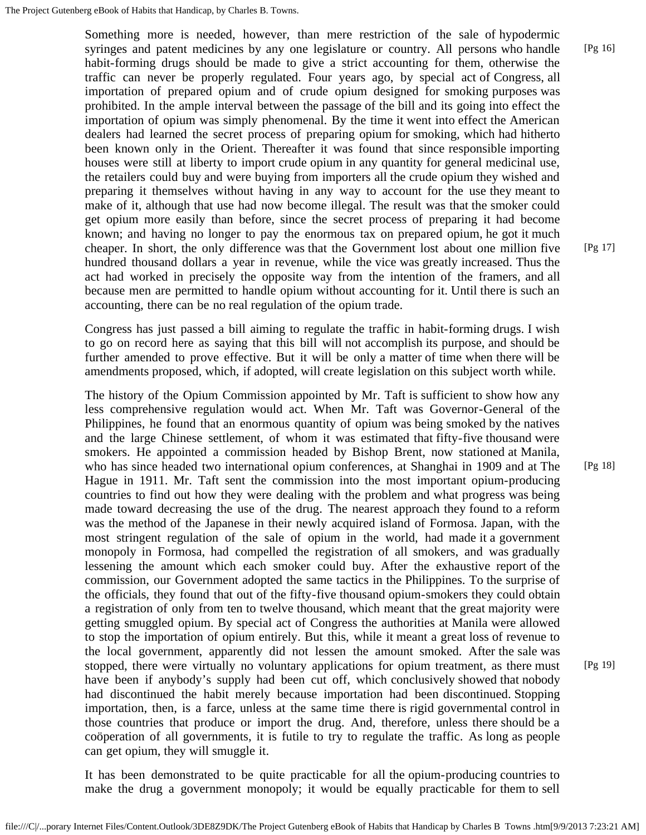Something more is needed, however, than mere restriction of the sale of hypodermic syringes and patent medicines by any one legislature or country. All persons who handle habit-forming drugs should be made to give a strict accounting for them, otherwise the traffic can never be properly regulated. Four years ago, by special act of Congress, all importation of prepared opium and of crude opium designed for smoking purposes was prohibited. In the ample interval between the passage of the bill and its going into effect the importation of opium was simply phenomenal. By the time it went into effect the American dealers had learned the secret process of preparing opium for smoking, which had hitherto been known only in the Orient. Thereafter it was found that since responsible importing houses were still at liberty to import crude opium in any quantity for general medicinal use, the retailers could buy and were buying from importers all the crude opium they wished and preparing it themselves without having in any way to account for the use they meant to make of it, although that use had now become illegal. The result was that the smoker could get opium more easily than before, since the secret process of preparing it had become known; and having no longer to pay the enormous tax on prepared opium, he got it much cheaper. In short, the only difference was that the Government lost about one million five hundred thousand dollars a year in revenue, while the vice was greatly increased. Thus the act had worked in precisely the opposite way from the intention of the framers, and all because men are permitted to handle opium without accounting for it. Until there is such an accounting, there can be no real regulation of the opium trade.

Congress has just passed a bill aiming to regulate the traffic in habit-forming drugs. I wish to go on record here as saying that this bill will not accomplish its purpose, and should be further amended to prove effective. But it will be only a matter of time when there will be amendments proposed, which, if adopted, will create legislation on this subject worth while.

The history of the Opium Commission appointed by Mr. Taft is sufficient to show how any less comprehensive regulation would act. When Mr. Taft was Governor-General of the Philippines, he found that an enormous quantity of opium was being smoked by the natives and the large Chinese settlement, of whom it was estimated that fifty-five thousand were smokers. He appointed a commission headed by Bishop Brent, now stationed at Manila, who has since headed two international opium conferences, at Shanghai in 1909 and at The Hague in 1911. Mr. Taft sent the commission into the most important opium-producing countries to find out how they were dealing with the problem and what progress was being made toward decreasing the use of the drug. The nearest approach they found to a reform was the method of the Japanese in their newly acquired island of Formosa. Japan, with the most stringent regulation of the sale of opium in the world, had made it a government monopoly in Formosa, had compelled the registration of all smokers, and was gradually lessening the amount which each smoker could buy. After the exhaustive report of the commission, our Government adopted the same tactics in the Philippines. To the surprise of the officials, they found that out of the fifty-five thousand opium-smokers they could obtain a registration of only from ten to twelve thousand, which meant that the great majority were getting smuggled opium. By special act of Congress the authorities at Manila were allowed to stop the importation of opium entirely. But this, while it meant a great loss of revenue to the local government, apparently did not lessen the amount smoked. After the sale was stopped, there were virtually no voluntary applications for opium treatment, as there must have been if anybody's supply had been cut off, which conclusively showed that nobody had discontinued the habit merely because importation had been discontinued. Stopping importation, then, is a farce, unless at the same time there is rigid governmental control in those countries that produce or import the drug. And, therefore, unless there should be a coöperation of all governments, it is futile to try to regulate the traffic. As long as people can get opium, they will smuggle it.

It has been demonstrated to be quite practicable for all the opium-producing countries to make the drug a government monopoly; it would be equally practicable for them to sell

[Pg 17]

[Pg 16]

[Pg 18]

[Pg 19]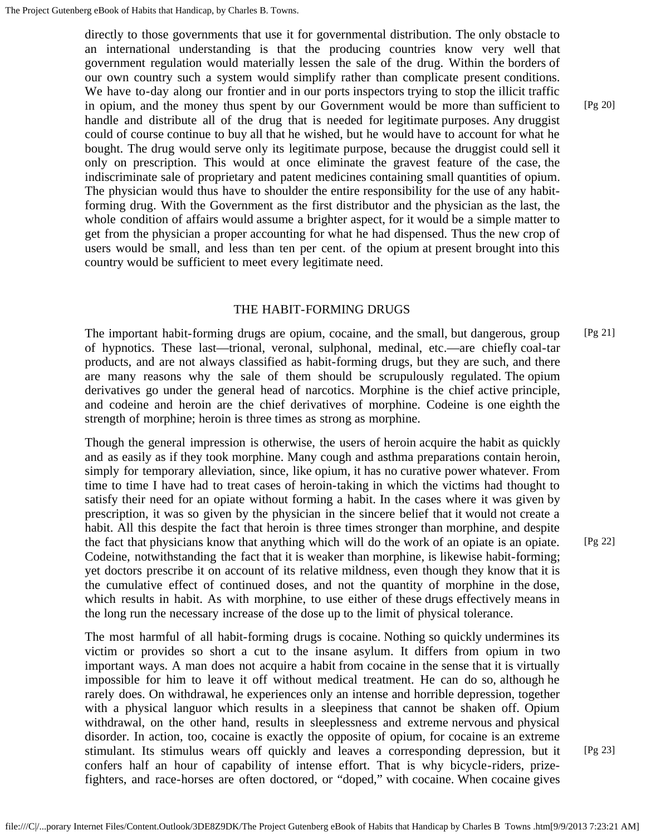directly to those governments that use it for governmental distribution. The only obstacle to an international understanding is that the producing countries know very well that government regulation would materially lessen the sale of the drug. Within the borders of our own country such a system would simplify rather than complicate present conditions. We have to-day along our frontier and in our ports inspectors trying to stop the illicit traffic in opium, and the money thus spent by our Government would be more than sufficient to handle and distribute all of the drug that is needed for legitimate purposes. Any druggist could of course continue to buy all that he wished, but he would have to account for what he bought. The drug would serve only its legitimate purpose, because the druggist could sell it only on prescription. This would at once eliminate the gravest feature of the case, the indiscriminate sale of proprietary and patent medicines containing small quantities of opium. The physician would thus have to shoulder the entire responsibility for the use of any habitforming drug. With the Government as the first distributor and the physician as the last, the whole condition of affairs would assume a brighter aspect, for it would be a simple matter to get from the physician a proper accounting for what he had dispensed. Thus the new crop of users would be small, and less than ten per cent. of the opium at present brought into this country would be sufficient to meet every legitimate need.

#### THE HABIT-FORMING DRUGS

The important habit-forming drugs are opium, cocaine, and the small, but dangerous, group of hypnotics. These last—trional, veronal, sulphonal, medinal, etc.—are chiefly coal-tar products, and are not always classified as habit-forming drugs, but they are such, and there are many reasons why the sale of them should be scrupulously regulated. The opium derivatives go under the general head of narcotics. Morphine is the chief active principle, and codeine and heroin are the chief derivatives of morphine. Codeine is one eighth the strength of morphine; heroin is three times as strong as morphine. [Pg 21]

Though the general impression is otherwise, the users of heroin acquire the habit as quickly and as easily as if they took morphine. Many cough and asthma preparations contain heroin, simply for temporary alleviation, since, like opium, it has no curative power whatever. From time to time I have had to treat cases of heroin-taking in which the victims had thought to satisfy their need for an opiate without forming a habit. In the cases where it was given by prescription, it was so given by the physician in the sincere belief that it would not create a habit. All this despite the fact that heroin is three times stronger than morphine, and despite the fact that physicians know that anything which will do the work of an opiate is an opiate. Codeine, notwithstanding the fact that it is weaker than morphine, is likewise habit-forming; yet doctors prescribe it on account of its relative mildness, even though they know that it is the cumulative effect of continued doses, and not the quantity of morphine in the dose, which results in habit. As with morphine, to use either of these drugs effectively means in the long run the necessary increase of the dose up to the limit of physical tolerance.

The most harmful of all habit-forming drugs is cocaine. Nothing so quickly undermines its victim or provides so short a cut to the insane asylum. It differs from opium in two important ways. A man does not acquire a habit from cocaine in the sense that it is virtually impossible for him to leave it off without medical treatment. He can do so, although he rarely does. On withdrawal, he experiences only an intense and horrible depression, together with a physical languor which results in a sleepiness that cannot be shaken off. Opium withdrawal, on the other hand, results in sleeplessness and extreme nervous and physical disorder. In action, too, cocaine is exactly the opposite of opium, for cocaine is an extreme stimulant. Its stimulus wears off quickly and leaves a corresponding depression, but it confers half an hour of capability of intense effort. That is why bicycle-riders, prizefighters, and race-horses are often doctored, or "doped," with cocaine. When cocaine gives

[Pg 22]

[Pg 23]

[Pg 20]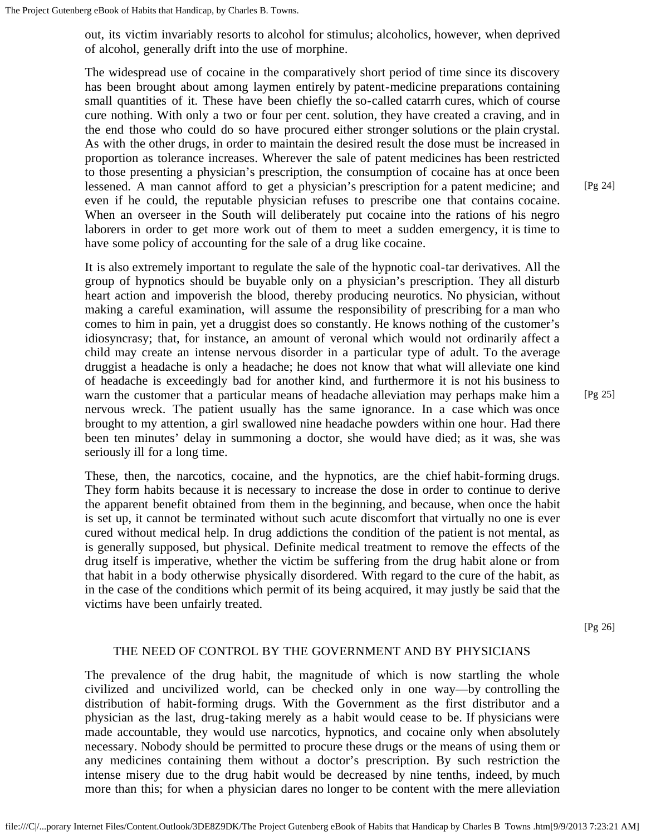out, its victim invariably resorts to alcohol for stimulus; alcoholics, however, when deprived of alcohol, generally drift into the use of morphine.

The widespread use of cocaine in the comparatively short period of time since its discovery has been brought about among laymen entirely by patent-medicine preparations containing small quantities of it. These have been chiefly the so-called catarrh cures, which of course cure nothing. With only a two or four per cent. solution, they have created a craving, and in the end those who could do so have procured either stronger solutions or the plain crystal. As with the other drugs, in order to maintain the desired result the dose must be increased in proportion as tolerance increases. Wherever the sale of patent medicines has been restricted to those presenting a physician's prescription, the consumption of cocaine has at once been lessened. A man cannot afford to get a physician's prescription for a patent medicine; and even if he could, the reputable physician refuses to prescribe one that contains cocaine. When an overseer in the South will deliberately put cocaine into the rations of his negro laborers in order to get more work out of them to meet a sudden emergency, it is time to have some policy of accounting for the sale of a drug like cocaine.

It is also extremely important to regulate the sale of the hypnotic coal-tar derivatives. All the group of hypnotics should be buyable only on a physician's prescription. They all disturb heart action and impoverish the blood, thereby producing neurotics. No physician, without making a careful examination, will assume the responsibility of prescribing for a man who comes to him in pain, yet a druggist does so constantly. He knows nothing of the customer's idiosyncrasy; that, for instance, an amount of veronal which would not ordinarily affect a child may create an intense nervous disorder in a particular type of adult. To the average druggist a headache is only a headache; he does not know that what will alleviate one kind of headache is exceedingly bad for another kind, and furthermore it is not his business to warn the customer that a particular means of headache alleviation may perhaps make him a nervous wreck. The patient usually has the same ignorance. In a case which was once brought to my attention, a girl swallowed nine headache powders within one hour. Had there been ten minutes' delay in summoning a doctor, she would have died; as it was, she was seriously ill for a long time.

These, then, the narcotics, cocaine, and the hypnotics, are the chief habit-forming drugs. They form habits because it is necessary to increase the dose in order to continue to derive the apparent benefit obtained from them in the beginning, and because, when once the habit is set up, it cannot be terminated without such acute discomfort that virtually no one is ever cured without medical help. In drug addictions the condition of the patient is not mental, as is generally supposed, but physical. Definite medical treatment to remove the effects of the drug itself is imperative, whether the victim be suffering from the drug habit alone or from that habit in a body otherwise physically disordered. With regard to the cure of the habit, as in the case of the conditions which permit of its being acquired, it may justly be said that the victims have been unfairly treated.

[Pg 26]

#### THE NEED OF CONTROL BY THE GOVERNMENT AND BY PHYSICIANS

The prevalence of the drug habit, the magnitude of which is now startling the whole civilized and uncivilized world, can be checked only in one way—by controlling the distribution of habit-forming drugs. With the Government as the first distributor and a physician as the last, drug-taking merely as a habit would cease to be. If physicians were made accountable, they would use narcotics, hypnotics, and cocaine only when absolutely necessary. Nobody should be permitted to procure these drugs or the means of using them or any medicines containing them without a doctor's prescription. By such restriction the intense misery due to the drug habit would be decreased by nine tenths, indeed, by much more than this; for when a physician dares no longer to be content with the mere alleviation

[Pg 24]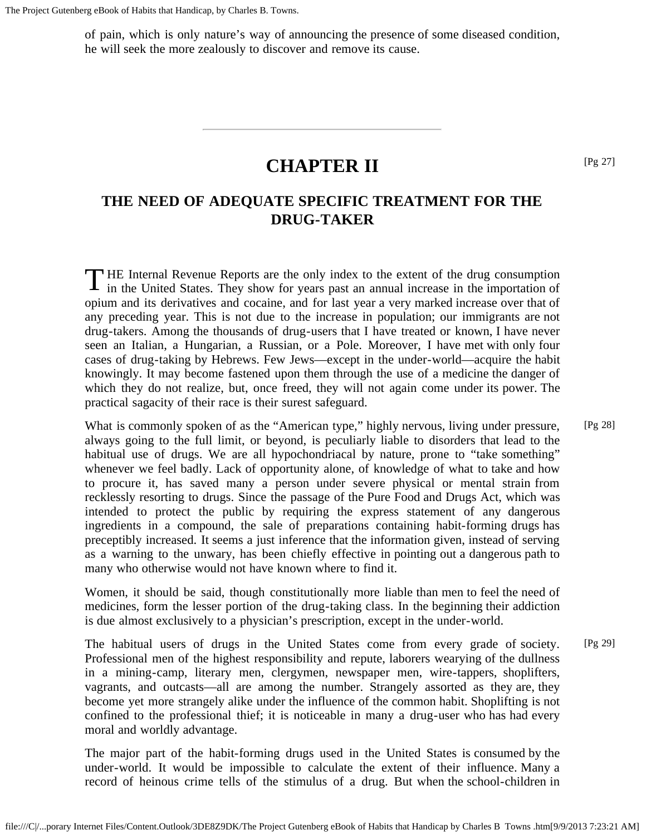The Project Gutenberg eBook of Habits that Handicap, by Charles B. Towns.

of pain, which is only nature's way of announcing the presence of some diseased condition, he will seek the more zealously to discover and remove its cause.

## **CHAPTER II**

### <span id="page-11-1"></span><span id="page-11-0"></span>**THE NEED OF ADEQUATE SPECIFIC TREATMENT FOR THE DRUG-TAKER**

THE Internal Revenue Reports are the only index to the extent of the drug consumption in the United States. They show for years past an annual increase in the importation of in the United States. They show for years past an annual increase in the importation of opium and its derivatives and cocaine, and for last year a very marked increase over that of any preceding year. This is not due to the increase in population; our immigrants are not drug-takers. Among the thousands of drug-users that I have treated or known, I have never seen an Italian, a Hungarian, a Russian, or a Pole. Moreover, I have met with only four cases of drug-taking by Hebrews. Few Jews—except in the under-world—acquire the habit knowingly. It may become fastened upon them through the use of a medicine the danger of which they do not realize, but, once freed, they will not again come under its power. The practical sagacity of their race is their surest safeguard.

What is commonly spoken of as the "American type," highly nervous, living under pressure, always going to the full limit, or beyond, is peculiarly liable to disorders that lead to the habitual use of drugs. We are all hypochondriacal by nature, prone to "take something" whenever we feel badly. Lack of opportunity alone, of knowledge of what to take and how to procure it, has saved many a person under severe physical or mental strain from recklessly resorting to drugs. Since the passage of the Pure Food and Drugs Act, which was intended to protect the public by requiring the express statement of any dangerous ingredients in a compound, the sale of preparations containing habit-forming drugs has preceptibly increased. It seems a just inference that the information given, instead of serving as a warning to the unwary, has been chiefly effective in pointing out a dangerous path to many who otherwise would not have known where to find it. [Pg 28]

Women, it should be said, though constitutionally more liable than men to feel the need of medicines, form the lesser portion of the drug-taking class. In the beginning their addiction is due almost exclusively to a physician's prescription, except in the under-world.

The habitual users of drugs in the United States come from every grade of society. Professional men of the highest responsibility and repute, laborers wearying of the dullness in a mining-camp, literary men, clergymen, newspaper men, wire-tappers, shoplifters, vagrants, and outcasts—all are among the number. Strangely assorted as they are, they become yet more strangely alike under the influence of the common habit. Shoplifting is not confined to the professional thief; it is noticeable in many a drug-user who has had every moral and worldly advantage.

The major part of the habit-forming drugs used in the United States is consumed by the under-world. It would be impossible to calculate the extent of their influence. Many a record of heinous crime tells of the stimulus of a drug. But when the school-children in [Pg 27]

[Pg 29]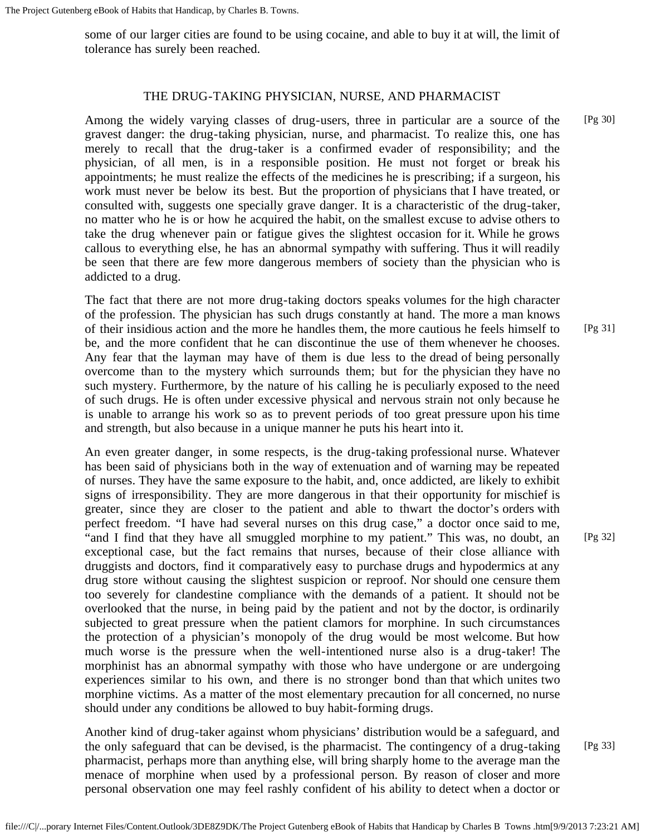some of our larger cities are found to be using cocaine, and able to buy it at will, the limit of tolerance has surely been reached.

#### THE DRUG-TAKING PHYSICIAN, NURSE, AND PHARMACIST

Among the widely varying classes of drug-users, three in particular are a source of the gravest danger: the drug-taking physician, nurse, and pharmacist. To realize this, one has merely to recall that the drug-taker is a confirmed evader of responsibility; and the physician, of all men, is in a responsible position. He must not forget or break his appointments; he must realize the effects of the medicines he is prescribing; if a surgeon, his work must never be below its best. But the proportion of physicians that I have treated, or consulted with, suggests one specially grave danger. It is a characteristic of the drug-taker, no matter who he is or how he acquired the habit, on the smallest excuse to advise others to take the drug whenever pain or fatigue gives the slightest occasion for it. While he grows callous to everything else, he has an abnormal sympathy with suffering. Thus it will readily be seen that there are few more dangerous members of society than the physician who is addicted to a drug.

The fact that there are not more drug-taking doctors speaks volumes for the high character of the profession. The physician has such drugs constantly at hand. The more a man knows of their insidious action and the more he handles them, the more cautious he feels himself to be, and the more confident that he can discontinue the use of them whenever he chooses. Any fear that the layman may have of them is due less to the dread of being personally overcome than to the mystery which surrounds them; but for the physician they have no such mystery. Furthermore, by the nature of his calling he is peculiarly exposed to the need of such drugs. He is often under excessive physical and nervous strain not only because he is unable to arrange his work so as to prevent periods of too great pressure upon his time and strength, but also because in a unique manner he puts his heart into it.

An even greater danger, in some respects, is the drug-taking professional nurse. Whatever has been said of physicians both in the way of extenuation and of warning may be repeated of nurses. They have the same exposure to the habit, and, once addicted, are likely to exhibit signs of irresponsibility. They are more dangerous in that their opportunity for mischief is greater, since they are closer to the patient and able to thwart the doctor's orders with perfect freedom. "I have had several nurses on this drug case," a doctor once said to me, "and I find that they have all smuggled morphine to my patient." This was, no doubt, an exceptional case, but the fact remains that nurses, because of their close alliance with druggists and doctors, find it comparatively easy to purchase drugs and hypodermics at any drug store without causing the slightest suspicion or reproof. Nor should one censure them too severely for clandestine compliance with the demands of a patient. It should not be overlooked that the nurse, in being paid by the patient and not by the doctor, is ordinarily subjected to great pressure when the patient clamors for morphine. In such circumstances the protection of a physician's monopoly of the drug would be most welcome. But how much worse is the pressure when the well-intentioned nurse also is a drug-taker! The morphinist has an abnormal sympathy with those who have undergone or are undergoing experiences similar to his own, and there is no stronger bond than that which unites two morphine victims. As a matter of the most elementary precaution for all concerned, no nurse should under any conditions be allowed to buy habit-forming drugs.

Another kind of drug-taker against whom physicians' distribution would be a safeguard, and the only safeguard that can be devised, is the pharmacist. The contingency of a drug-taking pharmacist, perhaps more than anything else, will bring sharply home to the average man the menace of morphine when used by a professional person. By reason of closer and more personal observation one may feel rashly confident of his ability to detect when a doctor or [Pg 33]

[Pg 30]

[Pg 31]

[Pg 32]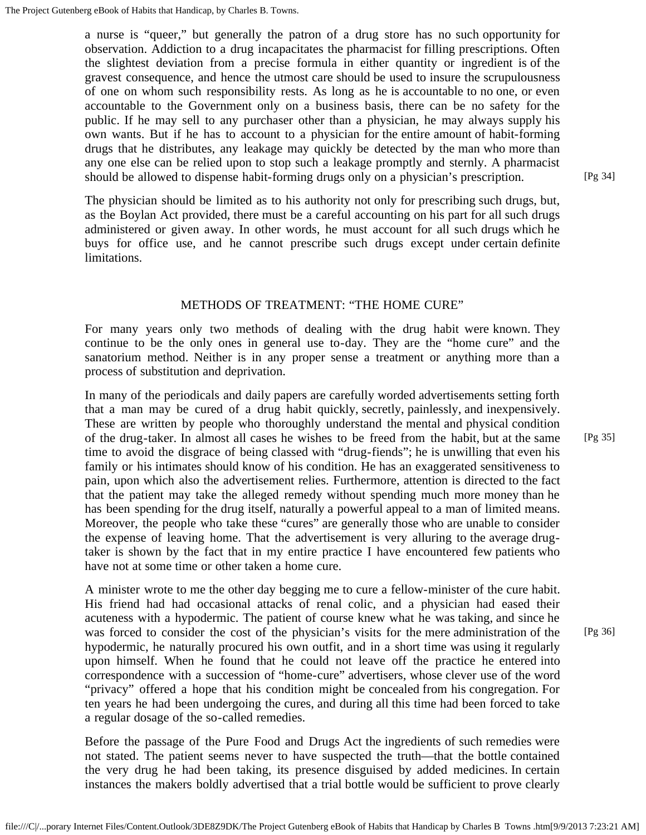a nurse is "queer," but generally the patron of a drug store has no such opportunity for observation. Addiction to a drug incapacitates the pharmacist for filling prescriptions. Often the slightest deviation from a precise formula in either quantity or ingredient is of the gravest consequence, and hence the utmost care should be used to insure the scrupulousness of one on whom such responsibility rests. As long as he is accountable to no one, or even accountable to the Government only on a business basis, there can be no safety for the public. If he may sell to any purchaser other than a physician, he may always supply his own wants. But if he has to account to a physician for the entire amount of habit-forming drugs that he distributes, any leakage may quickly be detected by the man who more than any one else can be relied upon to stop such a leakage promptly and sternly. A pharmacist should be allowed to dispense habit-forming drugs only on a physician's prescription.

The physician should be limited as to his authority not only for prescribing such drugs, but, as the Boylan Act provided, there must be a careful accounting on his part for all such drugs administered or given away. In other words, he must account for all such drugs which he buys for office use, and he cannot prescribe such drugs except under certain definite limitations.

#### METHODS OF TREATMENT: "THE HOME CURE"

For many years only two methods of dealing with the drug habit were known. They continue to be the only ones in general use to-day. They are the "home cure" and the sanatorium method. Neither is in any proper sense a treatment or anything more than a process of substitution and deprivation.

In many of the periodicals and daily papers are carefully worded advertisements setting forth that a man may be cured of a drug habit quickly, secretly, painlessly, and inexpensively. These are written by people who thoroughly understand the mental and physical condition of the drug-taker. In almost all cases he wishes to be freed from the habit, but at the same time to avoid the disgrace of being classed with "drug-fiends"; he is unwilling that even his family or his intimates should know of his condition. He has an exaggerated sensitiveness to pain, upon which also the advertisement relies. Furthermore, attention is directed to the fact that the patient may take the alleged remedy without spending much more money than he has been spending for the drug itself, naturally a powerful appeal to a man of limited means. Moreover, the people who take these "cures" are generally those who are unable to consider the expense of leaving home. That the advertisement is very alluring to the average drugtaker is shown by the fact that in my entire practice I have encountered few patients who have not at some time or other taken a home cure.

A minister wrote to me the other day begging me to cure a fellow-minister of the cure habit. His friend had had occasional attacks of renal colic, and a physician had eased their acuteness with a hypodermic. The patient of course knew what he was taking, and since he was forced to consider the cost of the physician's visits for the mere administration of the hypodermic, he naturally procured his own outfit, and in a short time was using it regularly upon himself. When he found that he could not leave off the practice he entered into correspondence with a succession of "home-cure" advertisers, whose clever use of the word "privacy" offered a hope that his condition might be concealed from his congregation. For ten years he had been undergoing the cures, and during all this time had been forced to take a regular dosage of the so-called remedies.

Before the passage of the Pure Food and Drugs Act the ingredients of such remedies were not stated. The patient seems never to have suspected the truth—that the bottle contained the very drug he had been taking, its presence disguised by added medicines. In certain instances the makers boldly advertised that a trial bottle would be sufficient to prove clearly [Pg 35]

[Pg 34]

[Pg 36]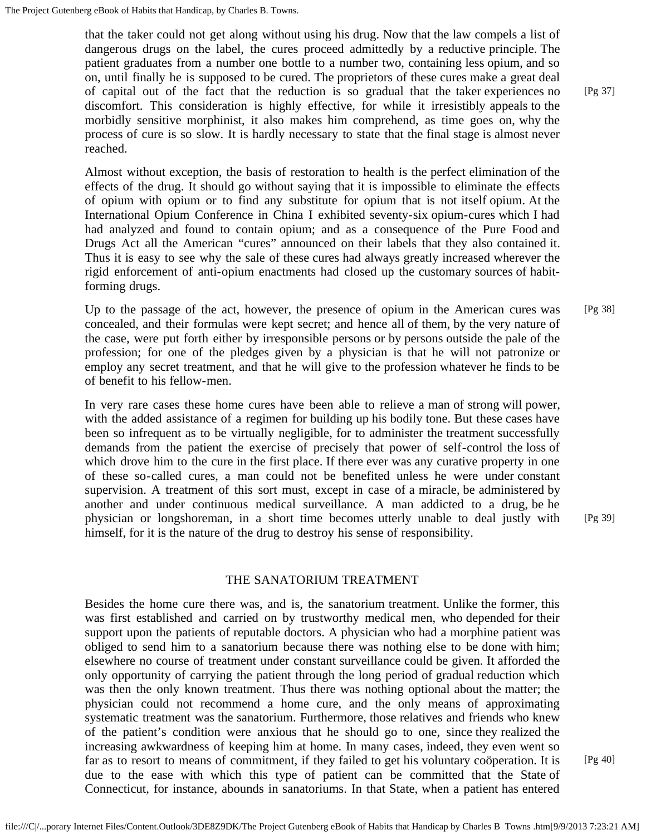that the taker could not get along without using his drug. Now that the law compels a list of dangerous drugs on the label, the cures proceed admittedly by a reductive principle. The patient graduates from a number one bottle to a number two, containing less opium, and so on, until finally he is supposed to be cured. The proprietors of these cures make a great deal of capital out of the fact that the reduction is so gradual that the taker experiences no discomfort. This consideration is highly effective, for while it irresistibly appeals to the morbidly sensitive morphinist, it also makes him comprehend, as time goes on, why the process of cure is so slow. It is hardly necessary to state that the final stage is almost never reached.

Almost without exception, the basis of restoration to health is the perfect elimination of the effects of the drug. It should go without saying that it is impossible to eliminate the effects of opium with opium or to find any substitute for opium that is not itself opium. At the International Opium Conference in China I exhibited seventy-six opium-cures which I had had analyzed and found to contain opium; and as a consequence of the Pure Food and Drugs Act all the American "cures" announced on their labels that they also contained it. Thus it is easy to see why the sale of these cures had always greatly increased wherever the rigid enforcement of anti-opium enactments had closed up the customary sources of habitforming drugs.

Up to the passage of the act, however, the presence of opium in the American cures was concealed, and their formulas were kept secret; and hence all of them, by the very nature of the case, were put forth either by irresponsible persons or by persons outside the pale of the profession; for one of the pledges given by a physician is that he will not patronize or employ any secret treatment, and that he will give to the profession whatever he finds to be of benefit to his fellow-men. [Pg 38]

In very rare cases these home cures have been able to relieve a man of strong will power, with the added assistance of a regimen for building up his bodily tone. But these cases have been so infrequent as to be virtually negligible, for to administer the treatment successfully demands from the patient the exercise of precisely that power of self-control the loss of which drove him to the cure in the first place. If there ever was any curative property in one of these so-called cures, a man could not be benefited unless he were under constant supervision. A treatment of this sort must, except in case of a miracle, be administered by another and under continuous medical surveillance. A man addicted to a drug, be he physician or longshoreman, in a short time becomes utterly unable to deal justly with himself, for it is the nature of the drug to destroy his sense of responsibility.

#### THE SANATORIUM TREATMENT

Besides the home cure there was, and is, the sanatorium treatment. Unlike the former, this was first established and carried on by trustworthy medical men, who depended for their support upon the patients of reputable doctors. A physician who had a morphine patient was obliged to send him to a sanatorium because there was nothing else to be done with him; elsewhere no course of treatment under constant surveillance could be given. It afforded the only opportunity of carrying the patient through the long period of gradual reduction which was then the only known treatment. Thus there was nothing optional about the matter; the physician could not recommend a home cure, and the only means of approximating systematic treatment was the sanatorium. Furthermore, those relatives and friends who knew of the patient's condition were anxious that he should go to one, since they realized the increasing awkwardness of keeping him at home. In many cases, indeed, they even went so far as to resort to means of commitment, if they failed to get his voluntary coöperation. It is due to the ease with which this type of patient can be committed that the State of Connecticut, for instance, abounds in sanatoriums. In that State, when a patient has entered

[Pg 39]

[Pg 40]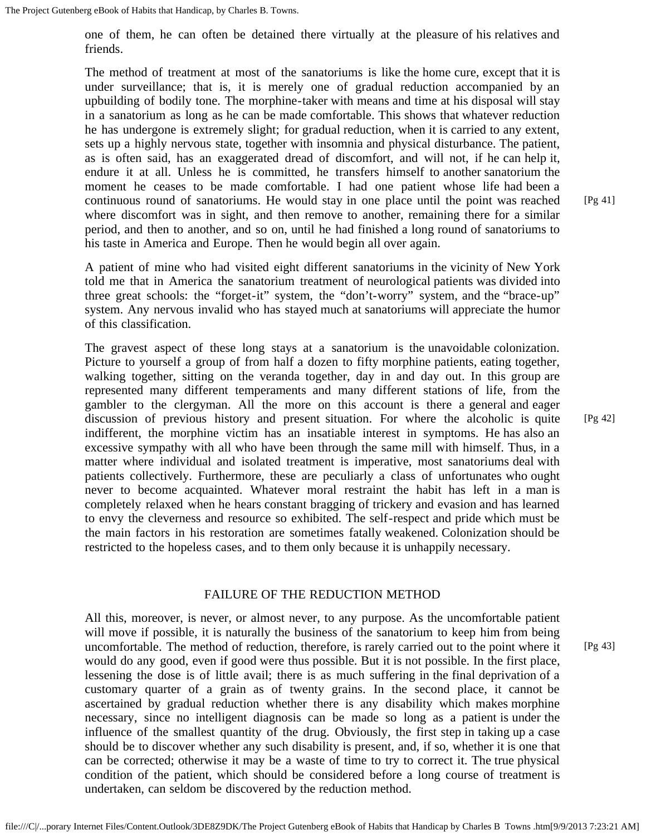one of them, he can often be detained there virtually at the pleasure of his relatives and friends.

The method of treatment at most of the sanatoriums is like the home cure, except that it is under surveillance; that is, it is merely one of gradual reduction accompanied by an upbuilding of bodily tone. The morphine-taker with means and time at his disposal will stay in a sanatorium as long as he can be made comfortable. This shows that whatever reduction he has undergone is extremely slight; for gradual reduction, when it is carried to any extent, sets up a highly nervous state, together with insomnia and physical disturbance. The patient, as is often said, has an exaggerated dread of discomfort, and will not, if he can help it, endure it at all. Unless he is committed, he transfers himself to another sanatorium the moment he ceases to be made comfortable. I had one patient whose life had been a continuous round of sanatoriums. He would stay in one place until the point was reached where discomfort was in sight, and then remove to another, remaining there for a similar period, and then to another, and so on, until he had finished a long round of sanatoriums to his taste in America and Europe. Then he would begin all over again.

A patient of mine who had visited eight different sanatoriums in the vicinity of New York told me that in America the sanatorium treatment of neurological patients was divided into three great schools: the "forget-it" system, the "don't-worry" system, and the "brace-up" system. Any nervous invalid who has stayed much at sanatoriums will appreciate the humor of this classification.

The gravest aspect of these long stays at a sanatorium is the unavoidable colonization. Picture to yourself a group of from half a dozen to fifty morphine patients, eating together, walking together, sitting on the veranda together, day in and day out. In this group are represented many different temperaments and many different stations of life, from the gambler to the clergyman. All the more on this account is there a general and eager discussion of previous history and present situation. For where the alcoholic is quite indifferent, the morphine victim has an insatiable interest in symptoms. He has also an excessive sympathy with all who have been through the same mill with himself. Thus, in a matter where individual and isolated treatment is imperative, most sanatoriums deal with patients collectively. Furthermore, these are peculiarly a class of unfortunates who ought never to become acquainted. Whatever moral restraint the habit has left in a man is completely relaxed when he hears constant bragging of trickery and evasion and has learned to envy the cleverness and resource so exhibited. The self-respect and pride which must be the main factors in his restoration are sometimes fatally weakened. Colonization should be restricted to the hopeless cases, and to them only because it is unhappily necessary.

#### FAILURE OF THE REDUCTION METHOD

All this, moreover, is never, or almost never, to any purpose. As the uncomfortable patient will move if possible, it is naturally the business of the sanatorium to keep him from being uncomfortable. The method of reduction, therefore, is rarely carried out to the point where it would do any good, even if good were thus possible. But it is not possible. In the first place, lessening the dose is of little avail; there is as much suffering in the final deprivation of a customary quarter of a grain as of twenty grains. In the second place, it cannot be ascertained by gradual reduction whether there is any disability which makes morphine necessary, since no intelligent diagnosis can be made so long as a patient is under the influence of the smallest quantity of the drug. Obviously, the first step in taking up a case should be to discover whether any such disability is present, and, if so, whether it is one that can be corrected; otherwise it may be a waste of time to try to correct it. The true physical condition of the patient, which should be considered before a long course of treatment is undertaken, can seldom be discovered by the reduction method.

[Pg 42]

[Pg 43]

[Pg 41]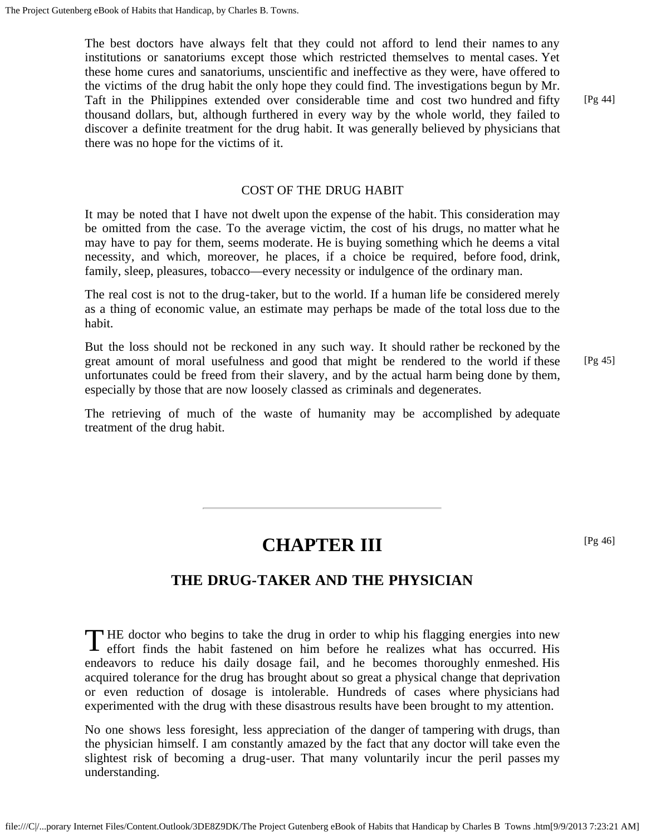The best doctors have always felt that they could not afford to lend their names to any institutions or sanatoriums except those which restricted themselves to mental cases. Yet these home cures and sanatoriums, unscientific and ineffective as they were, have offered to the victims of the drug habit the only hope they could find. The investigations begun by Mr. Taft in the Philippines extended over considerable time and cost two hundred and fifty thousand dollars, but, although furthered in every way by the whole world, they failed to discover a definite treatment for the drug habit. It was generally believed by physicians that there was no hope for the victims of it.

#### COST OF THE DRUG HABIT

It may be noted that I have not dwelt upon the expense of the habit. This consideration may be omitted from the case. To the average victim, the cost of his drugs, no matter what he may have to pay for them, seems moderate. He is buying something which he deems a vital necessity, and which, moreover, he places, if a choice be required, before food, drink, family, sleep, pleasures, tobacco—every necessity or indulgence of the ordinary man.

The real cost is not to the drug-taker, but to the world. If a human life be considered merely as a thing of economic value, an estimate may perhaps be made of the total loss due to the habit.

But the loss should not be reckoned in any such way. It should rather be reckoned by the great amount of moral usefulness and good that might be rendered to the world if these unfortunates could be freed from their slavery, and by the actual harm being done by them, especially by those that are now loosely classed as criminals and degenerates.

The retrieving of much of the waste of humanity may be accomplished by adequate treatment of the drug habit.

### **CHAPTER III**

[Pg 46]

### **THE DRUG-TAKER AND THE PHYSICIAN**

<span id="page-16-0"></span>THE doctor who begins to take the drug in order to whip his flagging energies into new effort finds the habit fastened on him before he realizes what has occurred. His  $\Gamma$  HE doctor who begins to take the drug in order to whip his flagging energies into new endeavors to reduce his daily dosage fail, and he becomes thoroughly enmeshed. His acquired tolerance for the drug has brought about so great a physical change that deprivation or even reduction of dosage is intolerable. Hundreds of cases where physicians had experimented with the drug with these disastrous results have been brought to my attention.

No one shows less foresight, less appreciation of the danger of tampering with drugs, than the physician himself. I am constantly amazed by the fact that any doctor will take even the slightest risk of becoming a drug-user. That many voluntarily incur the peril passes my understanding.

[Pg 44]

[Pg 45]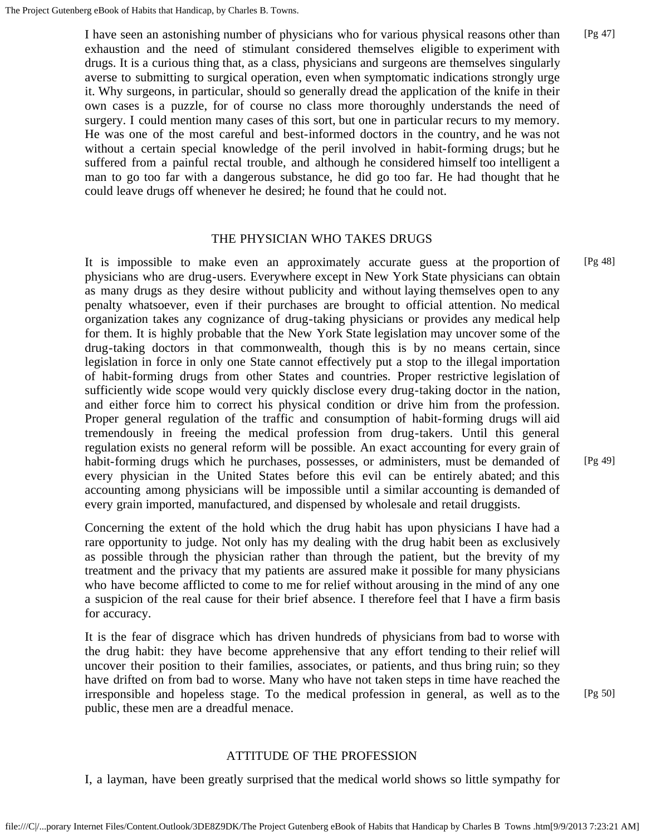I have seen an astonishing number of physicians who for various physical reasons other than exhaustion and the need of stimulant considered themselves eligible to experiment with drugs. It is a curious thing that, as a class, physicians and surgeons are themselves singularly averse to submitting to surgical operation, even when symptomatic indications strongly urge it. Why surgeons, in particular, should so generally dread the application of the knife in their own cases is a puzzle, for of course no class more thoroughly understands the need of surgery. I could mention many cases of this sort, but one in particular recurs to my memory. He was one of the most careful and best-informed doctors in the country, and he was not without a certain special knowledge of the peril involved in habit-forming drugs; but he suffered from a painful rectal trouble, and although he considered himself too intelligent a man to go too far with a dangerous substance, he did go too far. He had thought that he could leave drugs off whenever he desired; he found that he could not. [Pg 47]

#### THE PHYSICIAN WHO TAKES DRUGS

It is impossible to make even an approximately accurate guess at the proportion of physicians who are drug-users. Everywhere except in New York State physicians can obtain as many drugs as they desire without publicity and without laying themselves open to any penalty whatsoever, even if their purchases are brought to official attention. No medical organization takes any cognizance of drug-taking physicians or provides any medical help for them. It is highly probable that the New York State legislation may uncover some of the drug-taking doctors in that commonwealth, though this is by no means certain, since legislation in force in only one State cannot effectively put a stop to the illegal importation of habit-forming drugs from other States and countries. Proper restrictive legislation of sufficiently wide scope would very quickly disclose every drug-taking doctor in the nation, and either force him to correct his physical condition or drive him from the profession. Proper general regulation of the traffic and consumption of habit-forming drugs will aid tremendously in freeing the medical profession from drug-takers. Until this general regulation exists no general reform will be possible. An exact accounting for every grain of habit-forming drugs which he purchases, possesses, or administers, must be demanded of every physician in the United States before this evil can be entirely abated; and this accounting among physicians will be impossible until a similar accounting is demanded of every grain imported, manufactured, and dispensed by wholesale and retail druggists. [Pg 48] [Pg 49]

Concerning the extent of the hold which the drug habit has upon physicians I have had a rare opportunity to judge. Not only has my dealing with the drug habit been as exclusively as possible through the physician rather than through the patient, but the brevity of my treatment and the privacy that my patients are assured make it possible for many physicians who have become afflicted to come to me for relief without arousing in the mind of any one a suspicion of the real cause for their brief absence. I therefore feel that I have a firm basis for accuracy.

It is the fear of disgrace which has driven hundreds of physicians from bad to worse with the drug habit: they have become apprehensive that any effort tending to their relief will uncover their position to their families, associates, or patients, and thus bring ruin; so they have drifted on from bad to worse. Many who have not taken steps in time have reached the irresponsible and hopeless stage. To the medical profession in general, as well as to the public, these men are a dreadful menace.

#### ATTITUDE OF THE PROFESSION

I, a layman, have been greatly surprised that the medical world shows so little sympathy for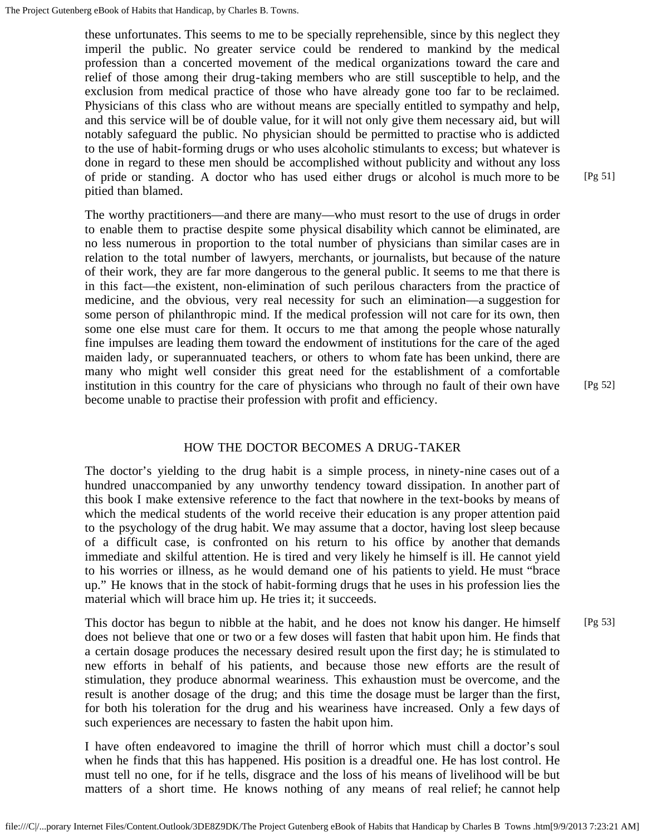these unfortunates. This seems to me to be specially reprehensible, since by this neglect they imperil the public. No greater service could be rendered to mankind by the medical profession than a concerted movement of the medical organizations toward the care and relief of those among their drug-taking members who are still susceptible to help, and the exclusion from medical practice of those who have already gone too far to be reclaimed. Physicians of this class who are without means are specially entitled to sympathy and help, and this service will be of double value, for it will not only give them necessary aid, but will notably safeguard the public. No physician should be permitted to practise who is addicted to the use of habit-forming drugs or who uses alcoholic stimulants to excess; but whatever is done in regard to these men should be accomplished without publicity and without any loss of pride or standing. A doctor who has used either drugs or alcohol is much more to be pitied than blamed.

The worthy practitioners—and there are many—who must resort to the use of drugs in order to enable them to practise despite some physical disability which cannot be eliminated, are no less numerous in proportion to the total number of physicians than similar cases are in relation to the total number of lawyers, merchants, or journalists, but because of the nature of their work, they are far more dangerous to the general public. It seems to me that there is in this fact—the existent, non-elimination of such perilous characters from the practice of medicine, and the obvious, very real necessity for such an elimination—a suggestion for some person of philanthropic mind. If the medical profession will not care for its own, then some one else must care for them. It occurs to me that among the people whose naturally fine impulses are leading them toward the endowment of institutions for the care of the aged maiden lady, or superannuated teachers, or others to whom fate has been unkind, there are many who might well consider this great need for the establishment of a comfortable institution in this country for the care of physicians who through no fault of their own have become unable to practise their profession with profit and efficiency.

#### HOW THE DOCTOR BECOMES A DRUG-TAKER

The doctor's yielding to the drug habit is a simple process, in ninety-nine cases out of a hundred unaccompanied by any unworthy tendency toward dissipation. In another part of this book I make extensive reference to the fact that nowhere in the text-books by means of which the medical students of the world receive their education is any proper attention paid to the psychology of the drug habit. We may assume that a doctor, having lost sleep because of a difficult case, is confronted on his return to his office by another that demands immediate and skilful attention. He is tired and very likely he himself is ill. He cannot yield to his worries or illness, as he would demand one of his patients to yield. He must "brace up." He knows that in the stock of habit-forming drugs that he uses in his profession lies the material which will brace him up. He tries it; it succeeds.

This doctor has begun to nibble at the habit, and he does not know his danger. He himself does not believe that one or two or a few doses will fasten that habit upon him. He finds that a certain dosage produces the necessary desired result upon the first day; he is stimulated to new efforts in behalf of his patients, and because those new efforts are the result of stimulation, they produce abnormal weariness. This exhaustion must be overcome, and the result is another dosage of the drug; and this time the dosage must be larger than the first, for both his toleration for the drug and his weariness have increased. Only a few days of such experiences are necessary to fasten the habit upon him. [Pg 53]

I have often endeavored to imagine the thrill of horror which must chill a doctor's soul when he finds that this has happened. His position is a dreadful one. He has lost control. He must tell no one, for if he tells, disgrace and the loss of his means of livelihood will be but matters of a short time. He knows nothing of any means of real relief; he cannot help

[Pg 51]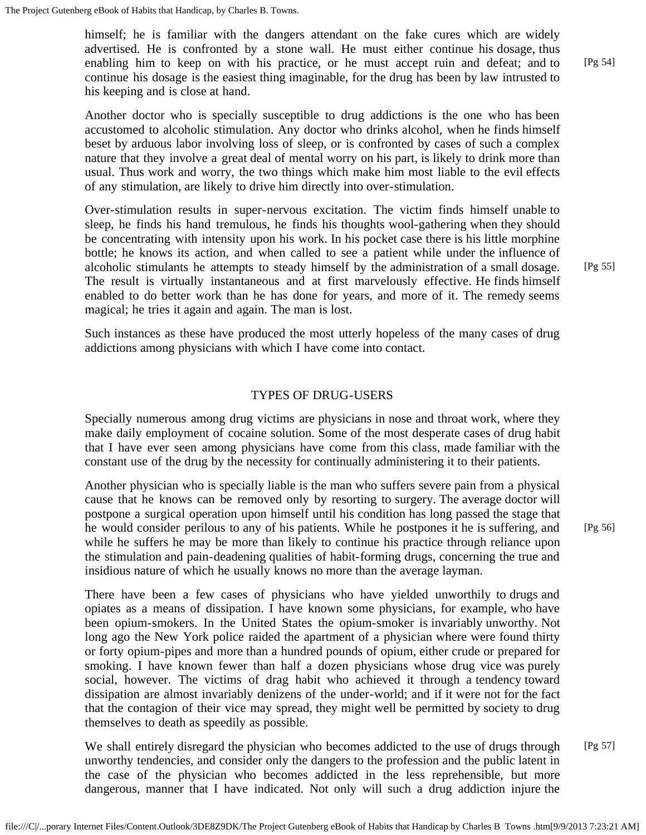himself; he is familiar with the dangers attendant on the fake cures which are widely advertised. He is confronted by a stone wall. He must either continue his dosage, thus enabling him to keep on with his practice, or he must accept ruin and defeat; and to continue his dosage is the easiest thing imaginable, for the drug has been by law intrusted to his keeping and is close at hand. [Pg 54]

Another doctor who is specially susceptible to drug addictions is the one who has been accustomed to alcoholic stimulation. Any doctor who drinks alcohol, when he finds himself beset by arduous labor involving loss of sleep, or is confronted by cases of such a complex nature that they involve a great deal of mental worry on his part, is likely to drink more than usual. Thus work and worry, the two things which make him most liable to the evil effects of any stimulation, are likely to drive him directly into over-stimulation.

Over-stimulation results in super-nervous excitation. The victim finds himself unable to sleep, he finds his hand tremulous, he finds his thoughts wool-gathering when they should be concentrating with intensity upon his work. In his pocket case there is his little morphine bottle; he knows its action, and when called to see a patient while under the influence of alcoholic stimulants he attempts to steady himself by the administration of a small dosage. The result is virtually instantaneous and at first marvelously effective. He finds himself enabled to do better work than he has done for years, and more of it. The remedy seems magical; he tries it again and again. The man is lost.

Such instances as these have produced the most utterly hopeless of the many cases of drug addictions among physicians with which I have come into contact.

#### TYPES OF DRUG-USERS

Specially numerous among drug victims are physicians in nose and throat work, where they make daily employment of cocaine solution. Some of the most desperate cases of drug habit that I have ever seen among physicians have come from this class, made familiar with the constant use of the drug by the necessity for continually administering it to their patients.

Another physician who is specially liable is the man who suffers severe pain from a physical cause that he knows can be removed only by resorting to surgery. The average doctor will postpone a surgical operation upon himself until his condition has long passed the stage that he would consider perilous to any of his patients. While he postpones it he is suffering, and while he suffers he may be more than likely to continue his practice through reliance upon the stimulation and pain-deadening qualities of habit-forming drugs, concerning the true and insidious nature of which he usually knows no more than the average layman.

There have been a few cases of physicians who have yielded unworthily to drugs and opiates as a means of dissipation. I have known some physicians, for example, who have been opium-smokers. In the United States the opium-smoker is invariably unworthy. Not long ago the New York police raided the apartment of a physician where were found thirty or forty opium-pipes and more than a hundred pounds of opium, either crude or prepared for smoking. I have known fewer than half a dozen physicians whose drug vice was purely social, however. The victims of drag habit who achieved it through a tendency toward dissipation are almost invariably denizens of the under-world; and if it were not for the fact that the contagion of their vice may spread, they might well be permitted by society to drug themselves to death as speedily as possible.

We shall entirely disregard the physician who becomes addicted to the use of drugs through unworthy tendencies, and consider only the dangers to the profession and the public latent in the case of the physician who becomes addicted in the less reprehensible, but more dangerous, manner that I have indicated. Not only will such a drug addiction injure the [Pg 57]

[Pg 55]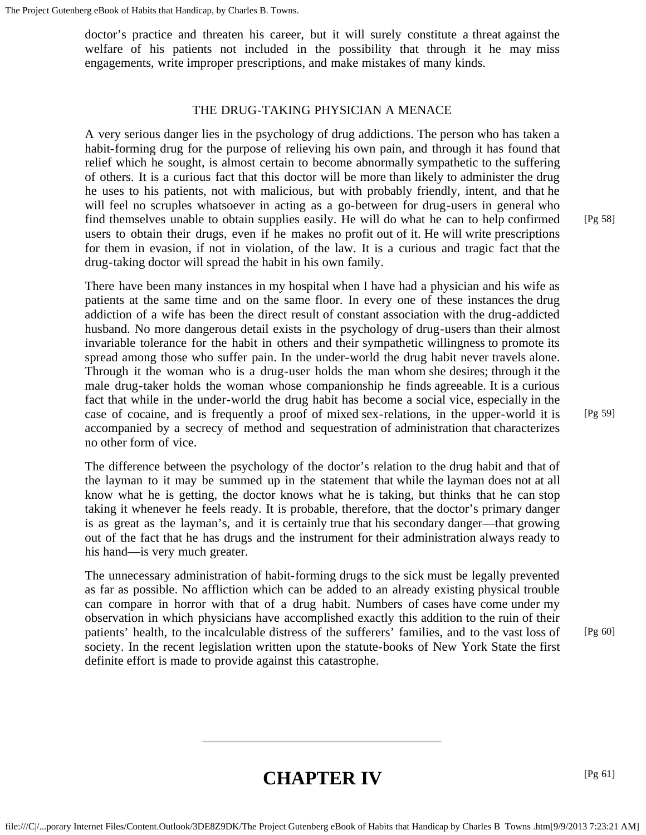doctor's practice and threaten his career, but it will surely constitute a threat against the welfare of his patients not included in the possibility that through it he may miss engagements, write improper prescriptions, and make mistakes of many kinds.

#### THE DRUG-TAKING PHYSICIAN A MENACE

A very serious danger lies in the psychology of drug addictions. The person who has taken a habit-forming drug for the purpose of relieving his own pain, and through it has found that relief which he sought, is almost certain to become abnormally sympathetic to the suffering of others. It is a curious fact that this doctor will be more than likely to administer the drug he uses to his patients, not with malicious, but with probably friendly, intent, and that he will feel no scruples whatsoever in acting as a go-between for drug-users in general who find themselves unable to obtain supplies easily. He will do what he can to help confirmed users to obtain their drugs, even if he makes no profit out of it. He will write prescriptions for them in evasion, if not in violation, of the law. It is a curious and tragic fact that the drug-taking doctor will spread the habit in his own family.

There have been many instances in my hospital when I have had a physician and his wife as patients at the same time and on the same floor. In every one of these instances the drug addiction of a wife has been the direct result of constant association with the drug-addicted husband. No more dangerous detail exists in the psychology of drug-users than their almost invariable tolerance for the habit in others and their sympathetic willingness to promote its spread among those who suffer pain. In the under-world the drug habit never travels alone. Through it the woman who is a drug-user holds the man whom she desires; through it the male drug-taker holds the woman whose companionship he finds agreeable. It is a curious fact that while in the under-world the drug habit has become a social vice, especially in the case of cocaine, and is frequently a proof of mixed sex-relations, in the upper-world it is accompanied by a secrecy of method and sequestration of administration that characterizes no other form of vice.

The difference between the psychology of the doctor's relation to the drug habit and that of the layman to it may be summed up in the statement that while the layman does not at all know what he is getting, the doctor knows what he is taking, but thinks that he can stop taking it whenever he feels ready. It is probable, therefore, that the doctor's primary danger is as great as the layman's, and it is certainly true that his secondary danger—that growing out of the fact that he has drugs and the instrument for their administration always ready to his hand—is very much greater.

<span id="page-20-1"></span><span id="page-20-0"></span>The unnecessary administration of habit-forming drugs to the sick must be legally prevented as far as possible. No affliction which can be added to an already existing physical trouble can compare in horror with that of a drug habit. Numbers of cases have come under my observation in which physicians have accomplished exactly this addition to the ruin of their patients' health, to the incalculable distress of the sufferers' families, and to the vast loss of society. In the recent legislation written upon the statute-books of New York State the first definite effort is made to provide against this catastrophe.

[Pg 58]

### **CHAPTER IV**

[Pg 61]

[Pg 60]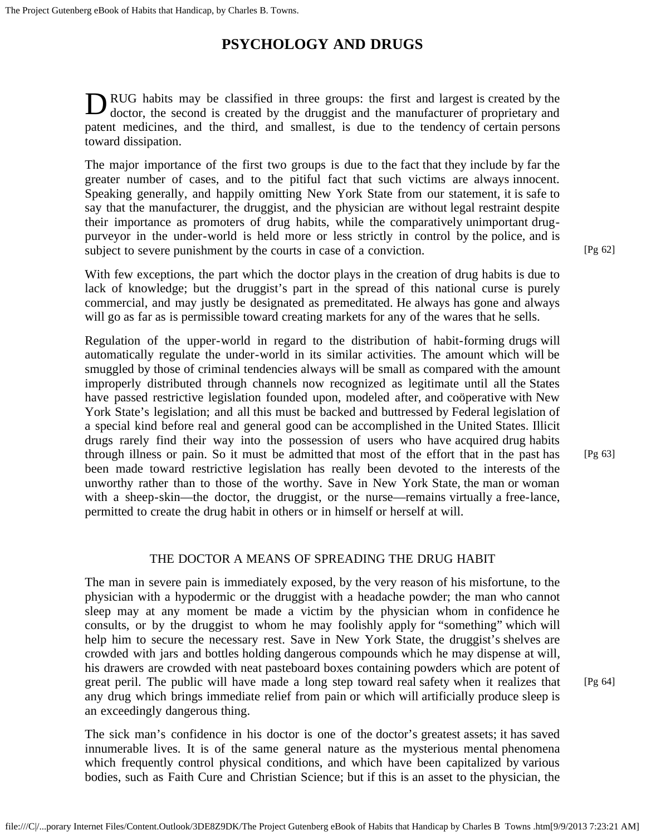### **PSYCHOLOGY AND DRUGS**

DRUG habits may be classified in three groups: the first and largest is created by the doctor, the second is created by the druggist and the manufacturer of proprietary and doctor, the second is created by the druggist and the manufacturer of proprietary and patent medicines, and the third, and smallest, is due to the tendency of certain persons toward dissipation.

The major importance of the first two groups is due to the fact that they include by far the greater number of cases, and to the pitiful fact that such victims are always innocent. Speaking generally, and happily omitting New York State from our statement, it is safe to say that the manufacturer, the druggist, and the physician are without legal restraint despite their importance as promoters of drug habits, while the comparatively unimportant drugpurveyor in the under-world is held more or less strictly in control by the police, and is subject to severe punishment by the courts in case of a conviction.

With few exceptions, the part which the doctor plays in the creation of drug habits is due to lack of knowledge; but the druggist's part in the spread of this national curse is purely commercial, and may justly be designated as premeditated. He always has gone and always will go as far as is permissible toward creating markets for any of the wares that he sells.

Regulation of the upper-world in regard to the distribution of habit-forming drugs will automatically regulate the under-world in its similar activities. The amount which will be smuggled by those of criminal tendencies always will be small as compared with the amount improperly distributed through channels now recognized as legitimate until all the States have passed restrictive legislation founded upon, modeled after, and coöperative with New York State's legislation; and all this must be backed and buttressed by Federal legislation of a special kind before real and general good can be accomplished in the United States. Illicit drugs rarely find their way into the possession of users who have acquired drug habits through illness or pain. So it must be admitted that most of the effort that in the past has been made toward restrictive legislation has really been devoted to the interests of the unworthy rather than to those of the worthy. Save in New York State, the man or woman with a sheep-skin—the doctor, the druggist, or the nurse—remains virtually a free-lance, permitted to create the drug habit in others or in himself or herself at will.

#### THE DOCTOR A MEANS OF SPREADING THE DRUG HABIT

The man in severe pain is immediately exposed, by the very reason of his misfortune, to the physician with a hypodermic or the druggist with a headache powder; the man who cannot sleep may at any moment be made a victim by the physician whom in confidence he consults, or by the druggist to whom he may foolishly apply for "something" which will help him to secure the necessary rest. Save in New York State, the druggist's shelves are crowded with jars and bottles holding dangerous compounds which he may dispense at will, his drawers are crowded with neat pasteboard boxes containing powders which are potent of great peril. The public will have made a long step toward real safety when it realizes that any drug which brings immediate relief from pain or which will artificially produce sleep is an exceedingly dangerous thing.

The sick man's confidence in his doctor is one of the doctor's greatest assets; it has saved innumerable lives. It is of the same general nature as the mysterious mental phenomena which frequently control physical conditions, and which have been capitalized by various bodies, such as Faith Cure and Christian Science; but if this is an asset to the physician, the

[Pg 62]

[Pg 63]

[Pg 64]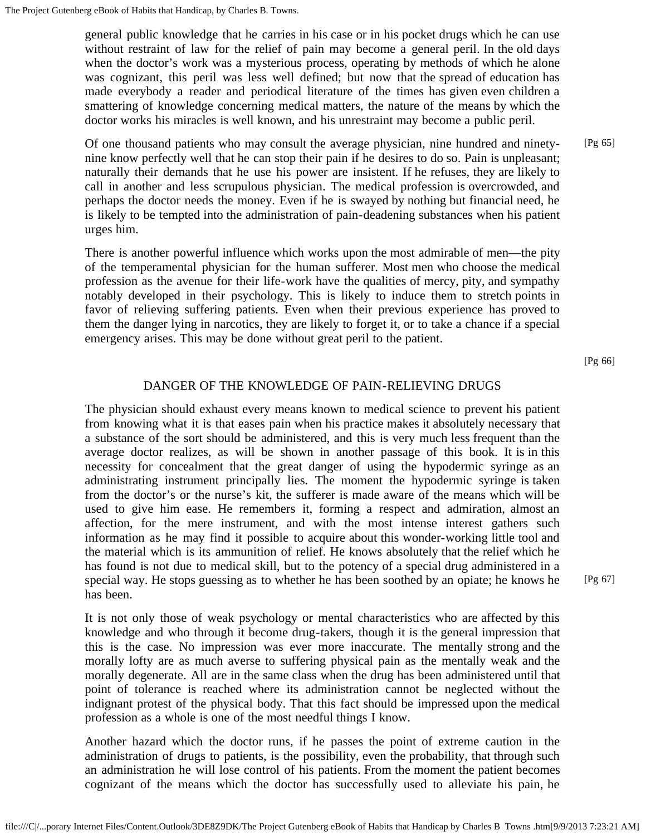general public knowledge that he carries in his case or in his pocket drugs which he can use without restraint of law for the relief of pain may become a general peril. In the old days when the doctor's work was a mysterious process, operating by methods of which he alone was cognizant, this peril was less well defined; but now that the spread of education has made everybody a reader and periodical literature of the times has given even children a smattering of knowledge concerning medical matters, the nature of the means by which the doctor works his miracles is well known, and his unrestraint may become a public peril.

Of one thousand patients who may consult the average physician, nine hundred and ninetynine know perfectly well that he can stop their pain if he desires to do so. Pain is unpleasant; naturally their demands that he use his power are insistent. If he refuses, they are likely to call in another and less scrupulous physician. The medical profession is overcrowded, and perhaps the doctor needs the money. Even if he is swayed by nothing but financial need, he is likely to be tempted into the administration of pain-deadening substances when his patient urges him. [Pg 65]

There is another powerful influence which works upon the most admirable of men—the pity of the temperamental physician for the human sufferer. Most men who choose the medical profession as the avenue for their life-work have the qualities of mercy, pity, and sympathy notably developed in their psychology. This is likely to induce them to stretch points in favor of relieving suffering patients. Even when their previous experience has proved to them the danger lying in narcotics, they are likely to forget it, or to take a chance if a special emergency arises. This may be done without great peril to the patient.

[Pg 66]

[Pg 67]

#### DANGER OF THE KNOWLEDGE OF PAIN-RELIEVING DRUGS

The physician should exhaust every means known to medical science to prevent his patient from knowing what it is that eases pain when his practice makes it absolutely necessary that a substance of the sort should be administered, and this is very much less frequent than the average doctor realizes, as will be shown in another passage of this book. It is in this necessity for concealment that the great danger of using the hypodermic syringe as an administrating instrument principally lies. The moment the hypodermic syringe is taken from the doctor's or the nurse's kit, the sufferer is made aware of the means which will be used to give him ease. He remembers it, forming a respect and admiration, almost an affection, for the mere instrument, and with the most intense interest gathers such information as he may find it possible to acquire about this wonder-working little tool and the material which is its ammunition of relief. He knows absolutely that the relief which he has found is not due to medical skill, but to the potency of a special drug administered in a special way. He stops guessing as to whether he has been soothed by an opiate; he knows he has been.

It is not only those of weak psychology or mental characteristics who are affected by this knowledge and who through it become drug-takers, though it is the general impression that this is the case. No impression was ever more inaccurate. The mentally strong and the morally lofty are as much averse to suffering physical pain as the mentally weak and the morally degenerate. All are in the same class when the drug has been administered until that point of tolerance is reached where its administration cannot be neglected without the indignant protest of the physical body. That this fact should be impressed upon the medical profession as a whole is one of the most needful things I know.

Another hazard which the doctor runs, if he passes the point of extreme caution in the administration of drugs to patients, is the possibility, even the probability, that through such an administration he will lose control of his patients. From the moment the patient becomes cognizant of the means which the doctor has successfully used to alleviate his pain, he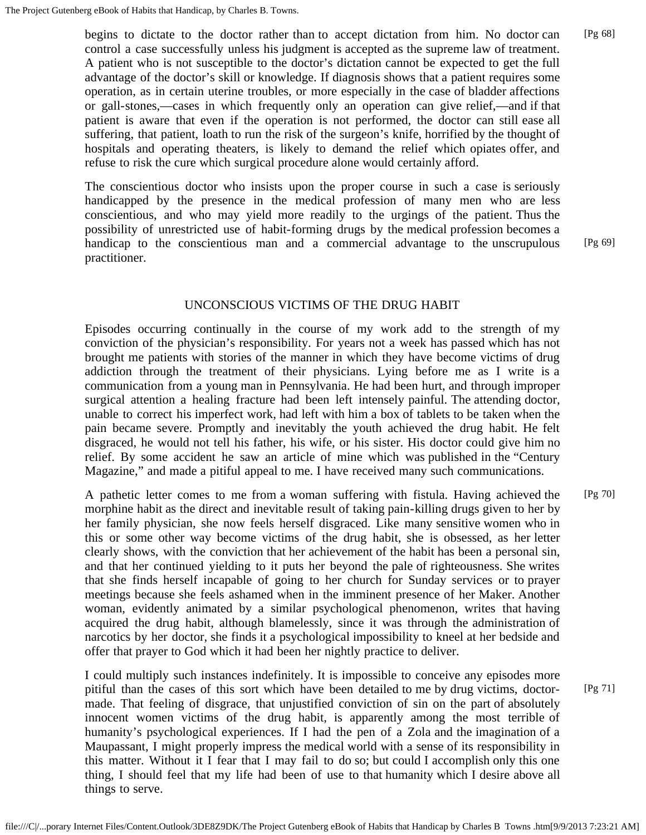begins to dictate to the doctor rather than to accept dictation from him. No doctor can control a case successfully unless his judgment is accepted as the supreme law of treatment. A patient who is not susceptible to the doctor's dictation cannot be expected to get the full advantage of the doctor's skill or knowledge. If diagnosis shows that a patient requires some operation, as in certain uterine troubles, or more especially in the case of bladder affections or gall-stones,—cases in which frequently only an operation can give relief,—and if that patient is aware that even if the operation is not performed, the doctor can still ease all suffering, that patient, loath to run the risk of the surgeon's knife, horrified by the thought of hospitals and operating theaters, is likely to demand the relief which opiates offer, and refuse to risk the cure which surgical procedure alone would certainly afford. [Pg 68]

The conscientious doctor who insists upon the proper course in such a case is seriously handicapped by the presence in the medical profession of many men who are less conscientious, and who may yield more readily to the urgings of the patient. Thus the possibility of unrestricted use of habit-forming drugs by the medical profession becomes a handicap to the conscientious man and a commercial advantage to the unscrupulous practitioner.

[Pg 69]

#### UNCONSCIOUS VICTIMS OF THE DRUG HABIT

Episodes occurring continually in the course of my work add to the strength of my conviction of the physician's responsibility. For years not a week has passed which has not brought me patients with stories of the manner in which they have become victims of drug addiction through the treatment of their physicians. Lying before me as I write is a communication from a young man in Pennsylvania. He had been hurt, and through improper surgical attention a healing fracture had been left intensely painful. The attending doctor, unable to correct his imperfect work, had left with him a box of tablets to be taken when the pain became severe. Promptly and inevitably the youth achieved the drug habit. He felt disgraced, he would not tell his father, his wife, or his sister. His doctor could give him no relief. By some accident he saw an article of mine which was published in the "Century Magazine," and made a pitiful appeal to me. I have received many such communications.

A pathetic letter comes to me from a woman suffering with fistula. Having achieved the morphine habit as the direct and inevitable result of taking pain-killing drugs given to her by her family physician, she now feels herself disgraced. Like many sensitive women who in this or some other way become victims of the drug habit, she is obsessed, as her letter clearly shows, with the conviction that her achievement of the habit has been a personal sin, and that her continued yielding to it puts her beyond the pale of righteousness. She writes that she finds herself incapable of going to her church for Sunday services or to prayer meetings because she feels ashamed when in the imminent presence of her Maker. Another woman, evidently animated by a similar psychological phenomenon, writes that having acquired the drug habit, although blamelessly, since it was through the administration of narcotics by her doctor, she finds it a psychological impossibility to kneel at her bedside and offer that prayer to God which it had been her nightly practice to deliver. [Pg 70]

I could multiply such instances indefinitely. It is impossible to conceive any episodes more pitiful than the cases of this sort which have been detailed to me by drug victims, doctormade. That feeling of disgrace, that unjustified conviction of sin on the part of absolutely innocent women victims of the drug habit, is apparently among the most terrible of humanity's psychological experiences. If I had the pen of a Zola and the imagination of a Maupassant, I might properly impress the medical world with a sense of its responsibility in this matter. Without it I fear that I may fail to do so; but could I accomplish only this one thing, I should feel that my life had been of use to that humanity which I desire above all things to serve. [Pg 71]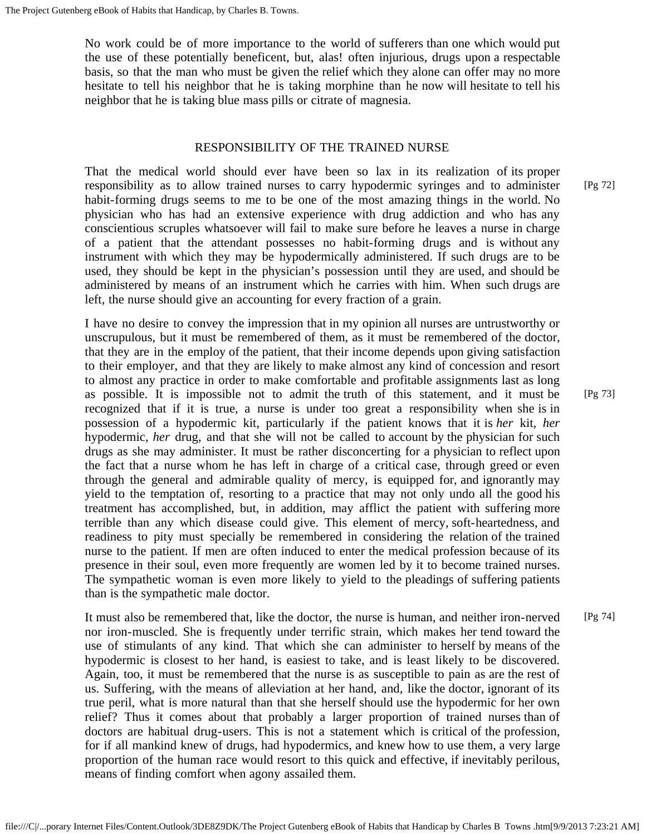No work could be of more importance to the world of sufferers than one which would put the use of these potentially beneficent, but, alas! often injurious, drugs upon a respectable basis, so that the man who must be given the relief which they alone can offer may no more hesitate to tell his neighbor that he is taking morphine than he now will hesitate to tell his neighbor that he is taking blue mass pills or citrate of magnesia.

#### RESPONSIBILITY OF THE TRAINED NURSE

That the medical world should ever have been so lax in its realization of its proper responsibility as to allow trained nurses to carry hypodermic syringes and to administer habit-forming drugs seems to me to be one of the most amazing things in the world. No physician who has had an extensive experience with drug addiction and who has any conscientious scruples whatsoever will fail to make sure before he leaves a nurse in charge of a patient that the attendant possesses no habit-forming drugs and is without any instrument with which they may be hypodermically administered. If such drugs are to be used, they should be kept in the physician's possession until they are used, and should be administered by means of an instrument which he carries with him. When such drugs are left, the nurse should give an accounting for every fraction of a grain.

I have no desire to convey the impression that in my opinion all nurses are untrustworthy or unscrupulous, but it must be remembered of them, as it must be remembered of the doctor, that they are in the employ of the patient, that their income depends upon giving satisfaction to their employer, and that they are likely to make almost any kind of concession and resort to almost any practice in order to make comfortable and profitable assignments last as long as possible. It is impossible not to admit the truth of this statement, and it must be recognized that if it is true, a nurse is under too great a responsibility when she is in possession of a hypodermic kit, particularly if the patient knows that it is *her* kit, *her* hypodermic, *her* drug, and that she will not be called to account by the physician for such drugs as she may administer. It must be rather disconcerting for a physician to reflect upon the fact that a nurse whom he has left in charge of a critical case, through greed or even through the general and admirable quality of mercy, is equipped for, and ignorantly may yield to the temptation of, resorting to a practice that may not only undo all the good his treatment has accomplished, but, in addition, may afflict the patient with suffering more terrible than any which disease could give. This element of mercy, soft-heartedness, and readiness to pity must specially be remembered in considering the relation of the trained nurse to the patient. If men are often induced to enter the medical profession because of its presence in their soul, even more frequently are women led by it to become trained nurses. The sympathetic woman is even more likely to yield to the pleadings of suffering patients than is the sympathetic male doctor.

It must also be remembered that, like the doctor, the nurse is human, and neither iron-nerved nor iron-muscled. She is frequently under terrific strain, which makes her tend toward the use of stimulants of any kind. That which she can administer to herself by means of the hypodermic is closest to her hand, is easiest to take, and is least likely to be discovered. Again, too, it must be remembered that the nurse is as susceptible to pain as are the rest of us. Suffering, with the means of alleviation at her hand, and, like the doctor, ignorant of its true peril, what is more natural than that she herself should use the hypodermic for her own relief? Thus it comes about that probably a larger proportion of trained nurses than of doctors are habitual drug-users. This is not a statement which is critical of the profession, for if all mankind knew of drugs, had hypodermics, and knew how to use them, a very large proportion of the human race would resort to this quick and effective, if inevitably perilous, means of finding comfort when agony assailed them. [Pg 74]

file:///C|/...porary Internet Files/Content.Outlook/3DE8Z9DK/The Project Gutenberg eBook of Habits that Handicap by Charles B Towns .htm[9/9/2013 7:23:21 AM]

[Pg 72]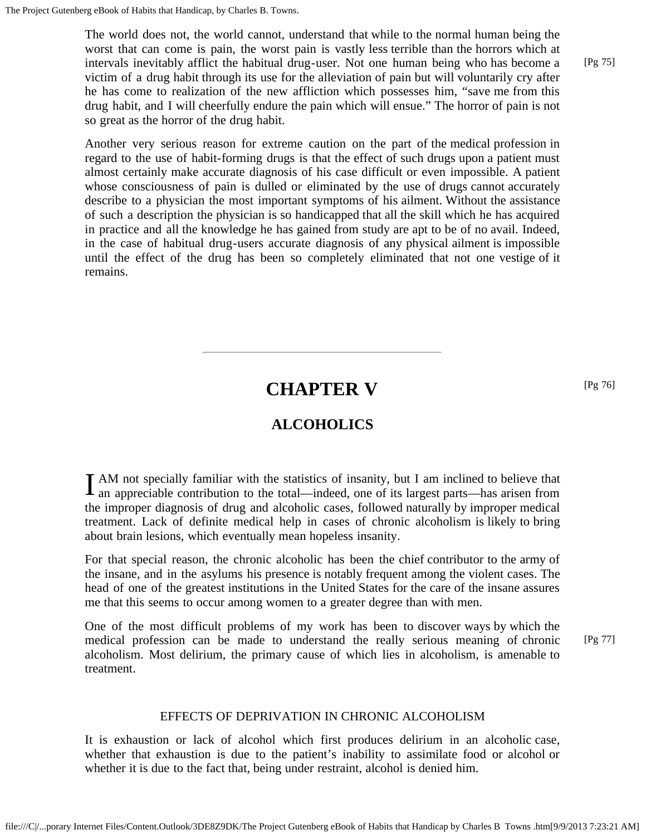The world does not, the world cannot, understand that while to the normal human being the worst that can come is pain, the worst pain is vastly less terrible than the horrors which at intervals inevitably afflict the habitual drug-user. Not one human being who has become a victim of a drug habit through its use for the alleviation of pain but will voluntarily cry after he has come to realization of the new affliction which possesses him, "save me from this drug habit, and I will cheerfully endure the pain which will ensue." The horror of pain is not so great as the horror of the drug habit.

Another very serious reason for extreme caution on the part of the medical profession in regard to the use of habit-forming drugs is that the effect of such drugs upon a patient must almost certainly make accurate diagnosis of his case difficult or even impossible. A patient whose consciousness of pain is dulled or eliminated by the use of drugs cannot accurately describe to a physician the most important symptoms of his ailment. Without the assistance of such a description the physician is so handicapped that all the skill which he has acquired in practice and all the knowledge he has gained from study are apt to be of no avail. Indeed, in the case of habitual drug-users accurate diagnosis of any physical ailment is impossible until the effect of the drug has been so completely eliminated that not one vestige of it remains.

# **CHAPTER V**

### **ALCOHOLICS**

<span id="page-25-1"></span><span id="page-25-0"></span>I AM not specially familiar with the statistics of insanity, but I am inclined to believe that an appreciable contribution to the total—indeed, one of its largest parts—has arisen from AM not specially familiar with the statistics of insanity, but I am inclined to believe that the improper diagnosis of drug and alcoholic cases, followed naturally by improper medical treatment. Lack of definite medical help in cases of chronic alcoholism is likely to bring about brain lesions, which eventually mean hopeless insanity.

For that special reason, the chronic alcoholic has been the chief contributor to the army of the insane, and in the asylums his presence is notably frequent among the violent cases. The head of one of the greatest institutions in the United States for the care of the insane assures me that this seems to occur among women to a greater degree than with men.

One of the most difficult problems of my work has been to discover ways by which the medical profession can be made to understand the really serious meaning of chronic alcoholism. Most delirium, the primary cause of which lies in alcoholism, is amenable to treatment. [Pg 77]

### EFFECTS OF DEPRIVATION IN CHRONIC ALCOHOLISM

It is exhaustion or lack of alcohol which first produces delirium in an alcoholic case, whether that exhaustion is due to the patient's inability to assimilate food or alcohol or whether it is due to the fact that, being under restraint, alcohol is denied him.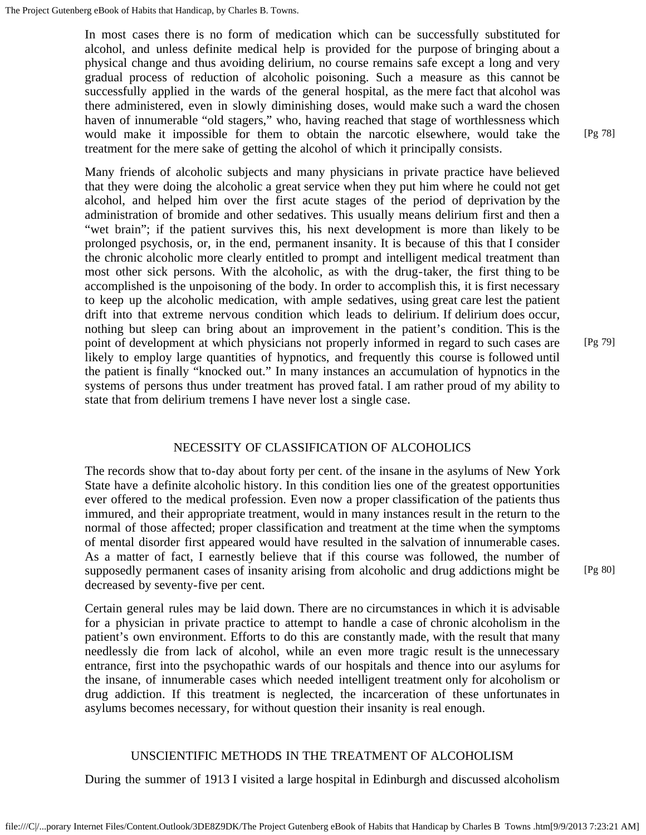In most cases there is no form of medication which can be successfully substituted for alcohol, and unless definite medical help is provided for the purpose of bringing about a physical change and thus avoiding delirium, no course remains safe except a long and very gradual process of reduction of alcoholic poisoning. Such a measure as this cannot be successfully applied in the wards of the general hospital, as the mere fact that alcohol was there administered, even in slowly diminishing doses, would make such a ward the chosen haven of innumerable "old stagers," who, having reached that stage of worthlessness which would make it impossible for them to obtain the narcotic elsewhere, would take the treatment for the mere sake of getting the alcohol of which it principally consists.

Many friends of alcoholic subjects and many physicians in private practice have believed that they were doing the alcoholic a great service when they put him where he could not get alcohol, and helped him over the first acute stages of the period of deprivation by the administration of bromide and other sedatives. This usually means delirium first and then a "wet brain"; if the patient survives this, his next development is more than likely to be prolonged psychosis, or, in the end, permanent insanity. It is because of this that I consider the chronic alcoholic more clearly entitled to prompt and intelligent medical treatment than most other sick persons. With the alcoholic, as with the drug-taker, the first thing to be accomplished is the unpoisoning of the body. In order to accomplish this, it is first necessary to keep up the alcoholic medication, with ample sedatives, using great care lest the patient drift into that extreme nervous condition which leads to delirium. If delirium does occur, nothing but sleep can bring about an improvement in the patient's condition. This is the point of development at which physicians not properly informed in regard to such cases are likely to employ large quantities of hypnotics, and frequently this course is followed until the patient is finally "knocked out." In many instances an accumulation of hypnotics in the systems of persons thus under treatment has proved fatal. I am rather proud of my ability to state that from delirium tremens I have never lost a single case.

[Pg 79]

#### NECESSITY OF CLASSIFICATION OF ALCOHOLICS

The records show that to-day about forty per cent. of the insane in the asylums of New York State have a definite alcoholic history. In this condition lies one of the greatest opportunities ever offered to the medical profession. Even now a proper classification of the patients thus immured, and their appropriate treatment, would in many instances result in the return to the normal of those affected; proper classification and treatment at the time when the symptoms of mental disorder first appeared would have resulted in the salvation of innumerable cases. As a matter of fact, I earnestly believe that if this course was followed, the number of supposedly permanent cases of insanity arising from alcoholic and drug addictions might be decreased by seventy-five per cent.

Certain general rules may be laid down. There are no circumstances in which it is advisable for a physician in private practice to attempt to handle a case of chronic alcoholism in the patient's own environment. Efforts to do this are constantly made, with the result that many needlessly die from lack of alcohol, while an even more tragic result is the unnecessary entrance, first into the psychopathic wards of our hospitals and thence into our asylums for the insane, of innumerable cases which needed intelligent treatment only for alcoholism or drug addiction. If this treatment is neglected, the incarceration of these unfortunates in asylums becomes necessary, for without question their insanity is real enough.

#### UNSCIENTIFIC METHODS IN THE TREATMENT OF ALCOHOLISM

During the summer of 1913 I visited a large hospital in Edinburgh and discussed alcoholism

[Pg 78]

[Pg 80]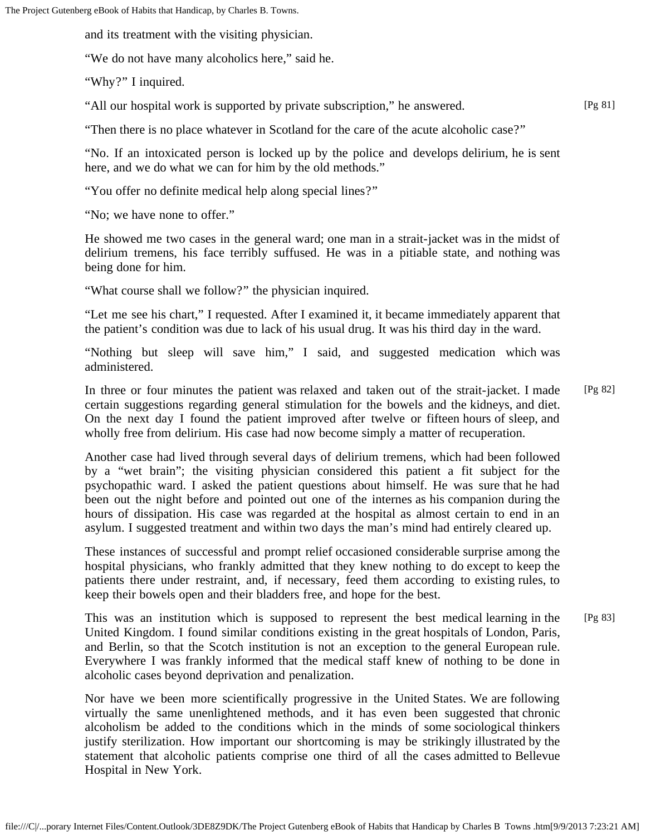and its treatment with the visiting physician.

"We do not have many alcoholics here," said he.

"Why?" I inquired.

"All our hospital work is supported by private subscription," he answered.

"Then there is no place whatever in Scotland for the care of the acute alcoholic case?"

"No. If an intoxicated person is locked up by the police and develops delirium, he is sent here, and we do what we can for him by the old methods."

[Pg 81]

"You offer no definite medical help along special lines?"

"No; we have none to offer."

He showed me two cases in the general ward; one man in a strait-jacket was in the midst of delirium tremens, his face terribly suffused. He was in a pitiable state, and nothing was being done for him.

"What course shall we follow?" the physician inquired.

"Let me see his chart," I requested. After I examined it, it became immediately apparent that the patient's condition was due to lack of his usual drug. It was his third day in the ward.

"Nothing but sleep will save him," I said, and suggested medication which was administered.

In three or four minutes the patient was relaxed and taken out of the strait-jacket. I made certain suggestions regarding general stimulation for the bowels and the kidneys, and diet. On the next day I found the patient improved after twelve or fifteen hours of sleep, and wholly free from delirium. His case had now become simply a matter of recuperation. [Pg 82]

Another case had lived through several days of delirium tremens, which had been followed by a "wet brain"; the visiting physician considered this patient a fit subject for the psychopathic ward. I asked the patient questions about himself. He was sure that he had been out the night before and pointed out one of the internes as his companion during the hours of dissipation. His case was regarded at the hospital as almost certain to end in an asylum. I suggested treatment and within two days the man's mind had entirely cleared up.

These instances of successful and prompt relief occasioned considerable surprise among the hospital physicians, who frankly admitted that they knew nothing to do except to keep the patients there under restraint, and, if necessary, feed them according to existing rules, to keep their bowels open and their bladders free, and hope for the best.

This was an institution which is supposed to represent the best medical learning in the United Kingdom. I found similar conditions existing in the great hospitals of London, Paris, and Berlin, so that the Scotch institution is not an exception to the general European rule. Everywhere I was frankly informed that the medical staff knew of nothing to be done in alcoholic cases beyond deprivation and penalization. [Pg 83]

Nor have we been more scientifically progressive in the United States. We are following virtually the same unenlightened methods, and it has even been suggested that chronic alcoholism be added to the conditions which in the minds of some sociological thinkers justify sterilization. How important our shortcoming is may be strikingly illustrated by the statement that alcoholic patients comprise one third of all the cases admitted to Bellevue Hospital in New York.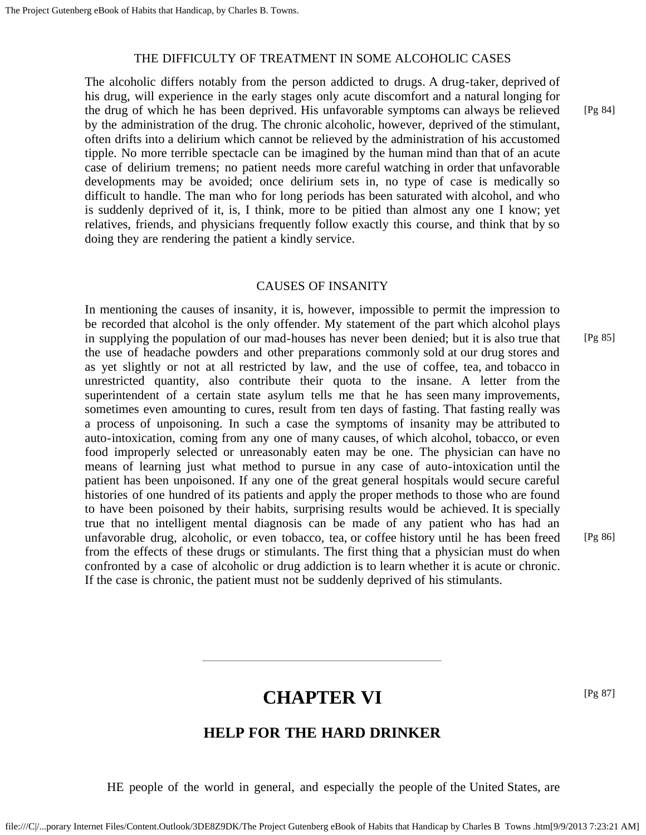#### THE DIFFICULTY OF TREATMENT IN SOME ALCOHOLIC CASES

The alcoholic differs notably from the person addicted to drugs. A drug-taker, deprived of his drug, will experience in the early stages only acute discomfort and a natural longing for the drug of which he has been deprived. His unfavorable symptoms can always be relieved by the administration of the drug. The chronic alcoholic, however, deprived of the stimulant, often drifts into a delirium which cannot be relieved by the administration of his accustomed tipple. No more terrible spectacle can be imagined by the human mind than that of an acute case of delirium tremens; no patient needs more careful watching in order that unfavorable developments may be avoided; once delirium sets in, no type of case is medically so difficult to handle. The man who for long periods has been saturated with alcohol, and who is suddenly deprived of it, is, I think, more to be pitied than almost any one I know; yet relatives, friends, and physicians frequently follow exactly this course, and think that by so doing they are rendering the patient a kindly service.

#### CAUSES OF INSANITY

In mentioning the causes of insanity, it is, however, impossible to permit the impression to be recorded that alcohol is the only offender. My statement of the part which alcohol plays in supplying the population of our mad-houses has never been denied; but it is also true that the use of headache powders and other preparations commonly sold at our drug stores and as yet slightly or not at all restricted by law, and the use of coffee, tea, and tobacco in unrestricted quantity, also contribute their quota to the insane. A letter from the superintendent of a certain state asylum tells me that he has seen many improvements, sometimes even amounting to cures, result from ten days of fasting. That fasting really was a process of unpoisoning. In such a case the symptoms of insanity may be attributed to auto-intoxication, coming from any one of many causes, of which alcohol, tobacco, or even food improperly selected or unreasonably eaten may be one. The physician can have no means of learning just what method to pursue in any case of auto-intoxication until the patient has been unpoisoned. If any one of the great general hospitals would secure careful histories of one hundred of its patients and apply the proper methods to those who are found to have been poisoned by their habits, surprising results would be achieved. It is specially true that no intelligent mental diagnosis can be made of any patient who has had an unfavorable drug, alcoholic, or even tobacco, tea, or coffee history until he has been freed from the effects of these drugs or stimulants. The first thing that a physician must do when confronted by a case of alcoholic or drug addiction is to learn whether it is acute or chronic. If the case is chronic, the patient must not be suddenly deprived of his stimulants. [Pg 85]

[Pg 87]

### **CHAPTER VI**

### **HELP FOR THE HARD DRINKER**

<span id="page-28-1"></span><span id="page-28-0"></span>HE people of the world in general, and especially the people of the United States, are

[Pg 84]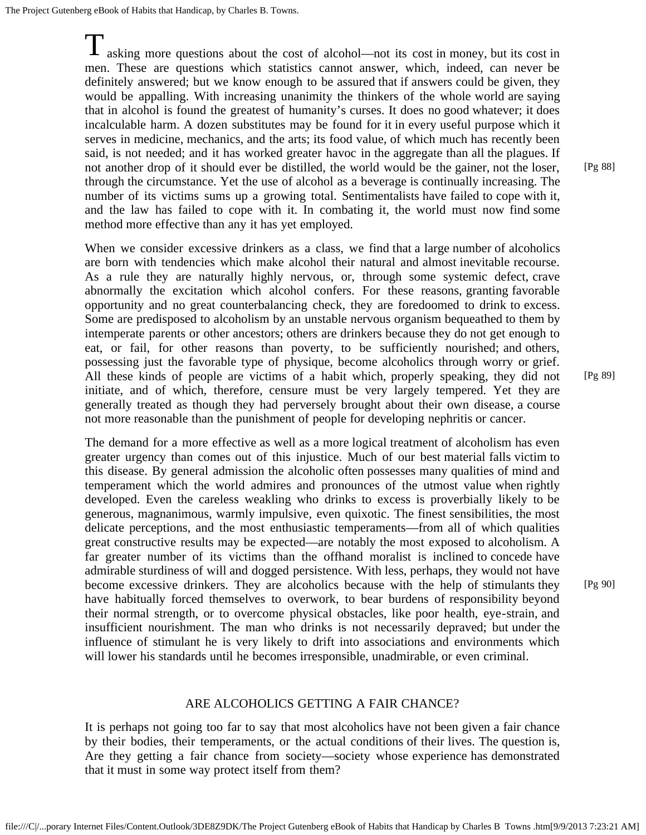The Project Gutenberg eBook of Habits that Handicap, by Charles B. Towns.

 $\frac{1}{\sqrt{2}}$  asking more questions about the cost of alcohol—not its cost in money, but its cost in men. These are questions which statistics cannot answer, which, indeed, can never be definitely answered; but we know enough to be assured that if answers could be given, they would be appalling. With increasing unanimity the thinkers of the whole world are saying that in alcohol is found the greatest of humanity's curses. It does no good whatever; it does incalculable harm. A dozen substitutes may be found for it in every useful purpose which it serves in medicine, mechanics, and the arts; its food value, of which much has recently been said, is not needed; and it has worked greater havoc in the aggregate than all the plagues. If not another drop of it should ever be distilled, the world would be the gainer, not the loser, through the circumstance. Yet the use of alcohol as a beverage is continually increasing. The number of its victims sums up a growing total. Sentimentalists have failed to cope with it, and the law has failed to cope with it. In combating it, the world must now find some method more effective than any it has yet employed.

When we consider excessive drinkers as a class, we find that a large number of alcoholics are born with tendencies which make alcohol their natural and almost inevitable recourse. As a rule they are naturally highly nervous, or, through some systemic defect, crave abnormally the excitation which alcohol confers. For these reasons, granting favorable opportunity and no great counterbalancing check, they are foredoomed to drink to excess. Some are predisposed to alcoholism by an unstable nervous organism bequeathed to them by intemperate parents or other ancestors; others are drinkers because they do not get enough to eat, or fail, for other reasons than poverty, to be sufficiently nourished; and others, possessing just the favorable type of physique, become alcoholics through worry or grief. All these kinds of people are victims of a habit which, properly speaking, they did not initiate, and of which, therefore, censure must be very largely tempered. Yet they are generally treated as though they had perversely brought about their own disease, a course not more reasonable than the punishment of people for developing nephritis or cancer.

The demand for a more effective as well as a more logical treatment of alcoholism has even greater urgency than comes out of this injustice. Much of our best material falls victim to this disease. By general admission the alcoholic often possesses many qualities of mind and temperament which the world admires and pronounces of the utmost value when rightly developed. Even the careless weakling who drinks to excess is proverbially likely to be generous, magnanimous, warmly impulsive, even quixotic. The finest sensibilities, the most delicate perceptions, and the most enthusiastic temperaments—from all of which qualities great constructive results may be expected—are notably the most exposed to alcoholism. A far greater number of its victims than the offhand moralist is inclined to concede have admirable sturdiness of will and dogged persistence. With less, perhaps, they would not have become excessive drinkers. They are alcoholics because with the help of stimulants they have habitually forced themselves to overwork, to bear burdens of responsibility beyond their normal strength, or to overcome physical obstacles, like poor health, eye-strain, and insufficient nourishment. The man who drinks is not necessarily depraved; but under the influence of stimulant he is very likely to drift into associations and environments which will lower his standards until he becomes irresponsible, unadmirable, or even criminal.

[Pg 88]

[Pg 89]

[Pg 90]

#### ARE ALCOHOLICS GETTING A FAIR CHANCE?

It is perhaps not going too far to say that most alcoholics have not been given a fair chance by their bodies, their temperaments, or the actual conditions of their lives. The question is, Are they getting a fair chance from society—society whose experience has demonstrated that it must in some way protect itself from them?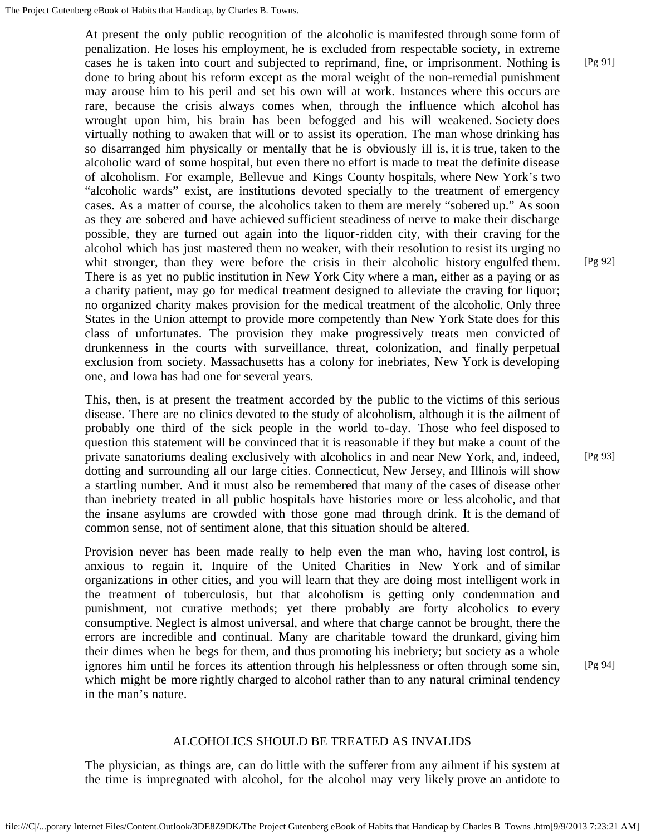At present the only public recognition of the alcoholic is manifested through some form of penalization. He loses his employment, he is excluded from respectable society, in extreme cases he is taken into court and subjected to reprimand, fine, or imprisonment. Nothing is done to bring about his reform except as the moral weight of the non-remedial punishment may arouse him to his peril and set his own will at work. Instances where this occurs are rare, because the crisis always comes when, through the influence which alcohol has wrought upon him, his brain has been befogged and his will weakened. Society does virtually nothing to awaken that will or to assist its operation. The man whose drinking has so disarranged him physically or mentally that he is obviously ill is, it is true, taken to the alcoholic ward of some hospital, but even there no effort is made to treat the definite disease of alcoholism. For example, Bellevue and Kings County hospitals, where New York's two "alcoholic wards" exist, are institutions devoted specially to the treatment of emergency cases. As a matter of course, the alcoholics taken to them are merely "sobered up." As soon as they are sobered and have achieved sufficient steadiness of nerve to make their discharge possible, they are turned out again into the liquor-ridden city, with their craving for the alcohol which has just mastered them no weaker, with their resolution to resist its urging no whit stronger, than they were before the crisis in their alcoholic history engulfed them. There is as yet no public institution in New York City where a man, either as a paying or as a charity patient, may go for medical treatment designed to alleviate the craving for liquor; no organized charity makes provision for the medical treatment of the alcoholic. Only three States in the Union attempt to provide more competently than New York State does for this class of unfortunates. The provision they make progressively treats men convicted of drunkenness in the courts with surveillance, threat, colonization, and finally perpetual exclusion from society. Massachusetts has a colony for inebriates, New York is developing one, and Iowa has had one for several years. [Pg 92]

This, then, is at present the treatment accorded by the public to the victims of this serious disease. There are no clinics devoted to the study of alcoholism, although it is the ailment of probably one third of the sick people in the world to-day. Those who feel disposed to question this statement will be convinced that it is reasonable if they but make a count of the private sanatoriums dealing exclusively with alcoholics in and near New York, and, indeed, dotting and surrounding all our large cities. Connecticut, New Jersey, and Illinois will show a startling number. And it must also be remembered that many of the cases of disease other than inebriety treated in all public hospitals have histories more or less alcoholic, and that the insane asylums are crowded with those gone mad through drink. It is the demand of common sense, not of sentiment alone, that this situation should be altered.

Provision never has been made really to help even the man who, having lost control, is anxious to regain it. Inquire of the United Charities in New York and of similar organizations in other cities, and you will learn that they are doing most intelligent work in the treatment of tuberculosis, but that alcoholism is getting only condemnation and punishment, not curative methods; yet there probably are forty alcoholics to every consumptive. Neglect is almost universal, and where that charge cannot be brought, there the errors are incredible and continual. Many are charitable toward the drunkard, giving him their dimes when he begs for them, and thus promoting his inebriety; but society as a whole ignores him until he forces its attention through his helplessness or often through some sin, which might be more rightly charged to alcohol rather than to any natural criminal tendency in the man's nature.

[Pg 93]

#### ALCOHOLICS SHOULD BE TREATED AS INVALIDS

The physician, as things are, can do little with the sufferer from any ailment if his system at the time is impregnated with alcohol, for the alcohol may very likely prove an antidote to

file:///C|/...porary Internet Files/Content.Outlook/3DE8Z9DK/The Project Gutenberg eBook of Habits that Handicap by Charles B Towns .htm[9/9/2013 7:23:21 AM]

[Pg 91]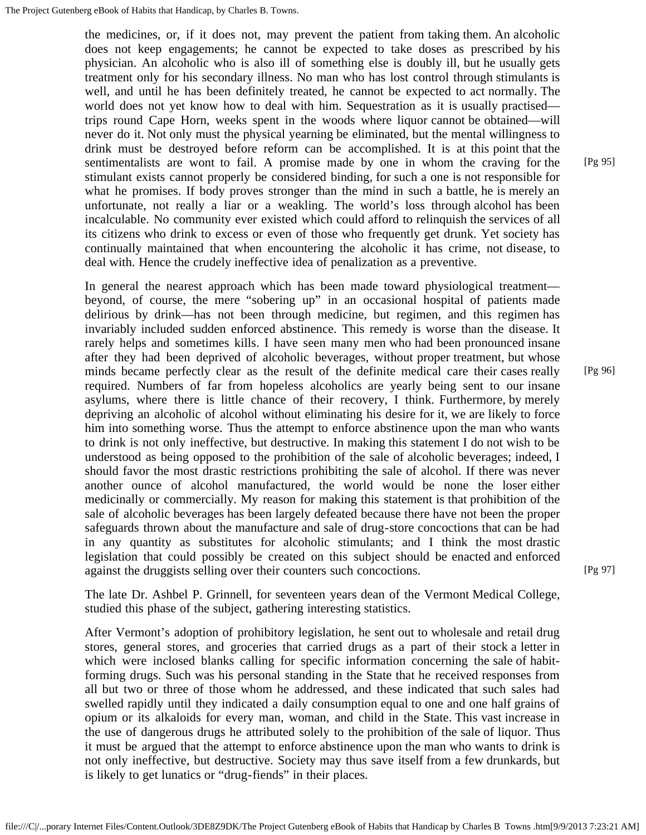the medicines, or, if it does not, may prevent the patient from taking them. An alcoholic does not keep engagements; he cannot be expected to take doses as prescribed by his physician. An alcoholic who is also ill of something else is doubly ill, but he usually gets treatment only for his secondary illness. No man who has lost control through stimulants is well, and until he has been definitely treated, he cannot be expected to act normally. The world does not yet know how to deal with him. Sequestration as it is usually practised trips round Cape Horn, weeks spent in the woods where liquor cannot be obtained—will never do it. Not only must the physical yearning be eliminated, but the mental willingness to drink must be destroyed before reform can be accomplished. It is at this point that the sentimentalists are wont to fail. A promise made by one in whom the craving for the stimulant exists cannot properly be considered binding, for such a one is not responsible for what he promises. If body proves stronger than the mind in such a battle, he is merely an unfortunate, not really a liar or a weakling. The world's loss through alcohol has been incalculable. No community ever existed which could afford to relinquish the services of all its citizens who drink to excess or even of those who frequently get drunk. Yet society has continually maintained that when encountering the alcoholic it has crime, not disease, to deal with. Hence the crudely ineffective idea of penalization as a preventive.

In general the nearest approach which has been made toward physiological treatment beyond, of course, the mere "sobering up" in an occasional hospital of patients made delirious by drink—has not been through medicine, but regimen, and this regimen has invariably included sudden enforced abstinence. This remedy is worse than the disease. It rarely helps and sometimes kills. I have seen many men who had been pronounced insane after they had been deprived of alcoholic beverages, without proper treatment, but whose minds became perfectly clear as the result of the definite medical care their cases really required. Numbers of far from hopeless alcoholics are yearly being sent to our insane asylums, where there is little chance of their recovery, I think. Furthermore, by merely depriving an alcoholic of alcohol without eliminating his desire for it, we are likely to force him into something worse. Thus the attempt to enforce abstinence upon the man who wants to drink is not only ineffective, but destructive. In making this statement I do not wish to be understood as being opposed to the prohibition of the sale of alcoholic beverages; indeed, I should favor the most drastic restrictions prohibiting the sale of alcohol. If there was never another ounce of alcohol manufactured, the world would be none the loser either medicinally or commercially. My reason for making this statement is that prohibition of the sale of alcoholic beverages has been largely defeated because there have not been the proper safeguards thrown about the manufacture and sale of drug-store concoctions that can be had in any quantity as substitutes for alcoholic stimulants; and I think the most drastic legislation that could possibly be created on this subject should be enacted and enforced against the druggists selling over their counters such concoctions.

The late Dr. Ashbel P. Grinnell, for seventeen years dean of the Vermont Medical College, studied this phase of the subject, gathering interesting statistics.

After Vermont's adoption of prohibitory legislation, he sent out to wholesale and retail drug stores, general stores, and groceries that carried drugs as a part of their stock a letter in which were inclosed blanks calling for specific information concerning the sale of habitforming drugs. Such was his personal standing in the State that he received responses from all but two or three of those whom he addressed, and these indicated that such sales had swelled rapidly until they indicated a daily consumption equal to one and one half grains of opium or its alkaloids for every man, woman, and child in the State. This vast increase in the use of dangerous drugs he attributed solely to the prohibition of the sale of liquor. Thus it must be argued that the attempt to enforce abstinence upon the man who wants to drink is not only ineffective, but destructive. Society may thus save itself from a few drunkards, but is likely to get lunatics or "drug-fiends" in their places.

[Pg 95]

[Pg 96]

[Pg 97]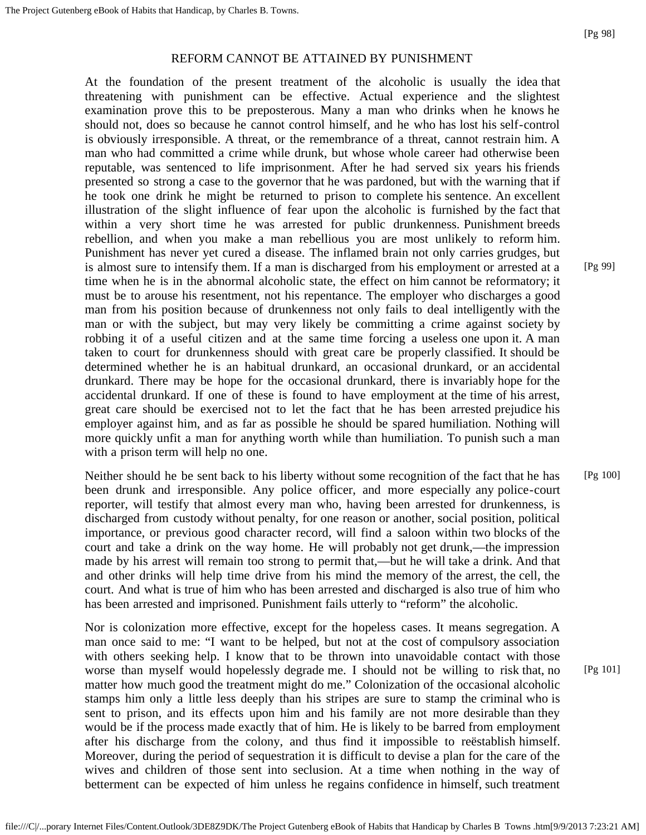#### REFORM CANNOT BE ATTAINED BY PUNISHMENT

At the foundation of the present treatment of the alcoholic is usually the idea that threatening with punishment can be effective. Actual experience and the slightest examination prove this to be preposterous. Many a man who drinks when he knows he should not, does so because he cannot control himself, and he who has lost his self-control is obviously irresponsible. A threat, or the remembrance of a threat, cannot restrain him. A man who had committed a crime while drunk, but whose whole career had otherwise been reputable, was sentenced to life imprisonment. After he had served six years his friends presented so strong a case to the governor that he was pardoned, but with the warning that if he took one drink he might be returned to prison to complete his sentence. An excellent illustration of the slight influence of fear upon the alcoholic is furnished by the fact that within a very short time he was arrested for public drunkenness. Punishment breeds rebellion, and when you make a man rebellious you are most unlikely to reform him. Punishment has never yet cured a disease. The inflamed brain not only carries grudges, but is almost sure to intensify them. If a man is discharged from his employment or arrested at a time when he is in the abnormal alcoholic state, the effect on him cannot be reformatory; it must be to arouse his resentment, not his repentance. The employer who discharges a good man from his position because of drunkenness not only fails to deal intelligently with the man or with the subject, but may very likely be committing a crime against society by robbing it of a useful citizen and at the same time forcing a useless one upon it. A man taken to court for drunkenness should with great care be properly classified. It should be determined whether he is an habitual drunkard, an occasional drunkard, or an accidental drunkard. There may be hope for the occasional drunkard, there is invariably hope for the accidental drunkard. If one of these is found to have employment at the time of his arrest, great care should be exercised not to let the fact that he has been arrested prejudice his employer against him, and as far as possible he should be spared humiliation. Nothing will more quickly unfit a man for anything worth while than humiliation. To punish such a man with a prison term will help no one.

Neither should he be sent back to his liberty without some recognition of the fact that he has been drunk and irresponsible. Any police officer, and more especially any police-court reporter, will testify that almost every man who, having been arrested for drunkenness, is discharged from custody without penalty, for one reason or another, social position, political importance, or previous good character record, will find a saloon within two blocks of the court and take a drink on the way home. He will probably not get drunk,—the impression made by his arrest will remain too strong to permit that,—but he will take a drink. And that and other drinks will help time drive from his mind the memory of the arrest, the cell, the court. And what is true of him who has been arrested and discharged is also true of him who has been arrested and imprisoned. Punishment fails utterly to "reform" the alcoholic.

Nor is colonization more effective, except for the hopeless cases. It means segregation. A man once said to me: "I want to be helped, but not at the cost of compulsory association with others seeking help. I know that to be thrown into unavoidable contact with those worse than myself would hopelessly degrade me. I should not be willing to risk that, no matter how much good the treatment might do me." Colonization of the occasional alcoholic stamps him only a little less deeply than his stripes are sure to stamp the criminal who is sent to prison, and its effects upon him and his family are not more desirable than they would be if the process made exactly that of him. He is likely to be barred from employment after his discharge from the colony, and thus find it impossible to reëstablish himself. Moreover, during the period of sequestration it is difficult to devise a plan for the care of the wives and children of those sent into seclusion. At a time when nothing in the way of betterment can be expected of him unless he regains confidence in himself, such treatment

[Pg 99]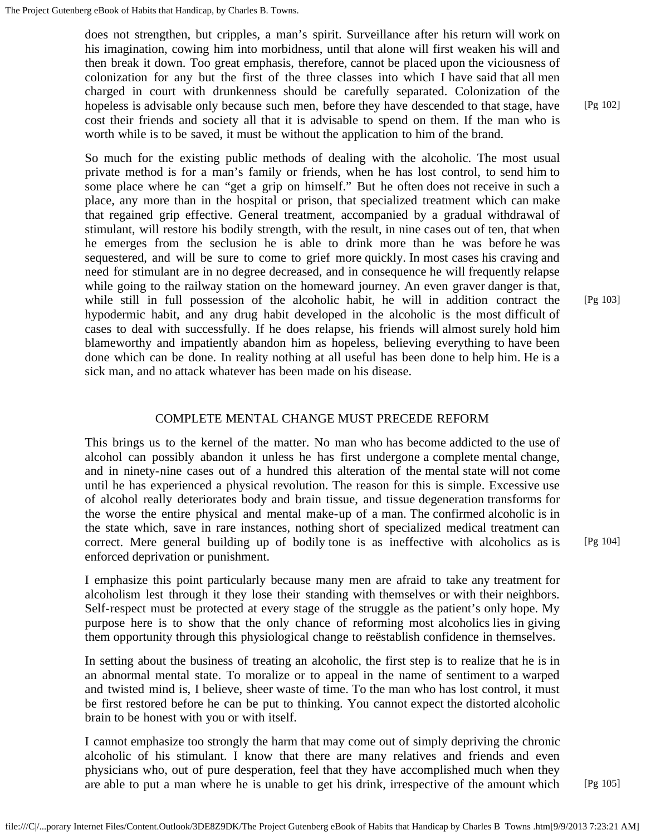does not strengthen, but cripples, a man's spirit. Surveillance after his return will work on his imagination, cowing him into morbidness, until that alone will first weaken his will and then break it down. Too great emphasis, therefore, cannot be placed upon the viciousness of colonization for any but the first of the three classes into which I have said that all men charged in court with drunkenness should be carefully separated. Colonization of the hopeless is advisable only because such men, before they have descended to that stage, have cost their friends and society all that it is advisable to spend on them. If the man who is worth while is to be saved, it must be without the application to him of the brand.

So much for the existing public methods of dealing with the alcoholic. The most usual private method is for a man's family or friends, when he has lost control, to send him to some place where he can "get a grip on himself." But he often does not receive in such a place, any more than in the hospital or prison, that specialized treatment which can make that regained grip effective. General treatment, accompanied by a gradual withdrawal of stimulant, will restore his bodily strength, with the result, in nine cases out of ten, that when he emerges from the seclusion he is able to drink more than he was before he was sequestered, and will be sure to come to grief more quickly. In most cases his craving and need for stimulant are in no degree decreased, and in consequence he will frequently relapse while going to the railway station on the homeward journey. An even graver danger is that, while still in full possession of the alcoholic habit, he will in addition contract the hypodermic habit, and any drug habit developed in the alcoholic is the most difficult of cases to deal with successfully. If he does relapse, his friends will almost surely hold him blameworthy and impatiently abandon him as hopeless, believing everything to have been done which can be done. In reality nothing at all useful has been done to help him. He is a sick man, and no attack whatever has been made on his disease.

#### COMPLETE MENTAL CHANGE MUST PRECEDE REFORM

This brings us to the kernel of the matter. No man who has become addicted to the use of alcohol can possibly abandon it unless he has first undergone a complete mental change, and in ninety-nine cases out of a hundred this alteration of the mental state will not come until he has experienced a physical revolution. The reason for this is simple. Excessive use of alcohol really deteriorates body and brain tissue, and tissue degeneration transforms for the worse the entire physical and mental make-up of a man. The confirmed alcoholic is in the state which, save in rare instances, nothing short of specialized medical treatment can correct. Mere general building up of bodily tone is as ineffective with alcoholics as is enforced deprivation or punishment.

I emphasize this point particularly because many men are afraid to take any treatment for alcoholism lest through it they lose their standing with themselves or with their neighbors. Self-respect must be protected at every stage of the struggle as the patient's only hope. My purpose here is to show that the only chance of reforming most alcoholics lies in giving them opportunity through this physiological change to reëstablish confidence in themselves.

In setting about the business of treating an alcoholic, the first step is to realize that he is in an abnormal mental state. To moralize or to appeal in the name of sentiment to a warped and twisted mind is, I believe, sheer waste of time. To the man who has lost control, it must be first restored before he can be put to thinking. You cannot expect the distorted alcoholic brain to be honest with you or with itself.

I cannot emphasize too strongly the harm that may come out of simply depriving the chronic alcoholic of his stimulant. I know that there are many relatives and friends and even physicians who, out of pure desperation, feel that they have accomplished much when they are able to put a man where he is unable to get his drink, irrespective of the amount which [Pg 102]

[Pg 103]

[Pg 104]

[Pg 105]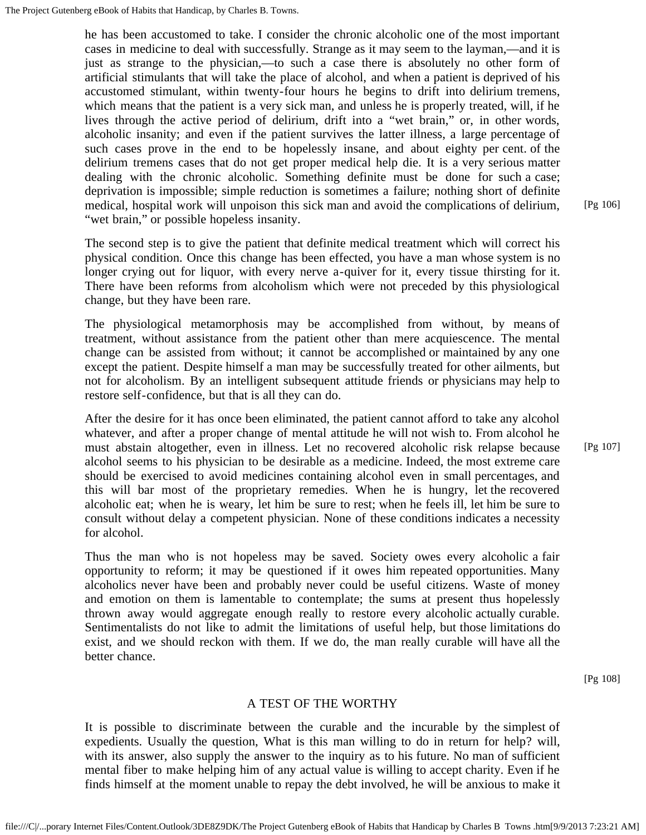he has been accustomed to take. I consider the chronic alcoholic one of the most important cases in medicine to deal with successfully. Strange as it may seem to the layman,—and it is just as strange to the physician,—to such a case there is absolutely no other form of artificial stimulants that will take the place of alcohol, and when a patient is deprived of his accustomed stimulant, within twenty-four hours he begins to drift into delirium tremens, which means that the patient is a very sick man, and unless he is properly treated, will, if he lives through the active period of delirium, drift into a "wet brain," or, in other words, alcoholic insanity; and even if the patient survives the latter illness, a large percentage of such cases prove in the end to be hopelessly insane, and about eighty per cent. of the delirium tremens cases that do not get proper medical help die. It is a very serious matter dealing with the chronic alcoholic. Something definite must be done for such a case; deprivation is impossible; simple reduction is sometimes a failure; nothing short of definite medical, hospital work will unpoison this sick man and avoid the complications of delirium, "wet brain," or possible hopeless insanity.

[Pg 106]

The second step is to give the patient that definite medical treatment which will correct his physical condition. Once this change has been effected, you have a man whose system is no longer crying out for liquor, with every nerve a-quiver for it, every tissue thirsting for it. There have been reforms from alcoholism which were not preceded by this physiological change, but they have been rare.

The physiological metamorphosis may be accomplished from without, by means of treatment, without assistance from the patient other than mere acquiescence. The mental change can be assisted from without; it cannot be accomplished or maintained by any one except the patient. Despite himself a man may be successfully treated for other ailments, but not for alcoholism. By an intelligent subsequent attitude friends or physicians may help to restore self-confidence, but that is all they can do.

After the desire for it has once been eliminated, the patient cannot afford to take any alcohol whatever, and after a proper change of mental attitude he will not wish to. From alcohol he must abstain altogether, even in illness. Let no recovered alcoholic risk relapse because alcohol seems to his physician to be desirable as a medicine. Indeed, the most extreme care should be exercised to avoid medicines containing alcohol even in small percentages, and this will bar most of the proprietary remedies. When he is hungry, let the recovered alcoholic eat; when he is weary, let him be sure to rest; when he feels ill, let him be sure to consult without delay a competent physician. None of these conditions indicates a necessity for alcohol.

Thus the man who is not hopeless may be saved. Society owes every alcoholic a fair opportunity to reform; it may be questioned if it owes him repeated opportunities. Many alcoholics never have been and probably never could be useful citizens. Waste of money and emotion on them is lamentable to contemplate; the sums at present thus hopelessly thrown away would aggregate enough really to restore every alcoholic actually curable. Sentimentalists do not like to admit the limitations of useful help, but those limitations do exist, and we should reckon with them. If we do, the man really curable will have all the better chance.

[Pg 108]

[Pg 107]

#### A TEST OF THE WORTHY

It is possible to discriminate between the curable and the incurable by the simplest of expedients. Usually the question, What is this man willing to do in return for help? will, with its answer, also supply the answer to the inquiry as to his future. No man of sufficient mental fiber to make helping him of any actual value is willing to accept charity. Even if he finds himself at the moment unable to repay the debt involved, he will be anxious to make it

file:///C|/...porary Internet Files/Content.Outlook/3DE8Z9DK/The Project Gutenberg eBook of Habits that Handicap by Charles B Towns .htm[9/9/2013 7:23:21 AM]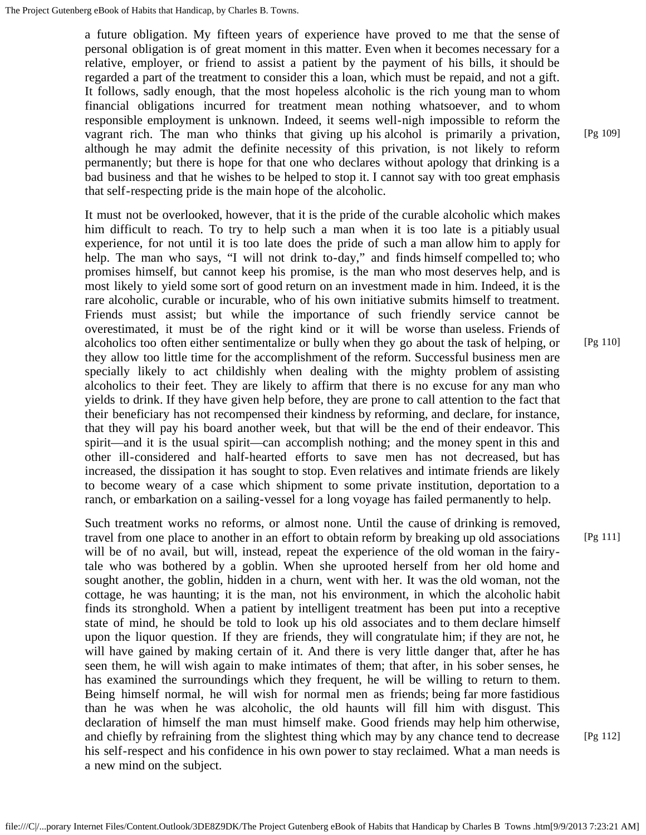a future obligation. My fifteen years of experience have proved to me that the sense of personal obligation is of great moment in this matter. Even when it becomes necessary for a relative, employer, or friend to assist a patient by the payment of his bills, it should be regarded a part of the treatment to consider this a loan, which must be repaid, and not a gift. It follows, sadly enough, that the most hopeless alcoholic is the rich young man to whom financial obligations incurred for treatment mean nothing whatsoever, and to whom responsible employment is unknown. Indeed, it seems well-nigh impossible to reform the vagrant rich. The man who thinks that giving up his alcohol is primarily a privation, although he may admit the definite necessity of this privation, is not likely to reform permanently; but there is hope for that one who declares without apology that drinking is a bad business and that he wishes to be helped to stop it. I cannot say with too great emphasis that self-respecting pride is the main hope of the alcoholic.

It must not be overlooked, however, that it is the pride of the curable alcoholic which makes him difficult to reach. To try to help such a man when it is too late is a pitiably usual experience, for not until it is too late does the pride of such a man allow him to apply for help. The man who says, "I will not drink to-day," and finds himself compelled to; who promises himself, but cannot keep his promise, is the man who most deserves help, and is most likely to yield some sort of good return on an investment made in him. Indeed, it is the rare alcoholic, curable or incurable, who of his own initiative submits himself to treatment. Friends must assist; but while the importance of such friendly service cannot be overestimated, it must be of the right kind or it will be worse than useless. Friends of alcoholics too often either sentimentalize or bully when they go about the task of helping, or they allow too little time for the accomplishment of the reform. Successful business men are specially likely to act childishly when dealing with the mighty problem of assisting alcoholics to their feet. They are likely to affirm that there is no excuse for any man who yields to drink. If they have given help before, they are prone to call attention to the fact that their beneficiary has not recompensed their kindness by reforming, and declare, for instance, that they will pay his board another week, but that will be the end of their endeavor. This spirit—and it is the usual spirit—can accomplish nothing; and the money spent in this and other ill-considered and half-hearted efforts to save men has not decreased, but has increased, the dissipation it has sought to stop. Even relatives and intimate friends are likely to become weary of a case which shipment to some private institution, deportation to a ranch, or embarkation on a sailing-vessel for a long voyage has failed permanently to help.

Such treatment works no reforms, or almost none. Until the cause of drinking is removed, travel from one place to another in an effort to obtain reform by breaking up old associations will be of no avail, but will, instead, repeat the experience of the old woman in the fairytale who was bothered by a goblin. When she uprooted herself from her old home and sought another, the goblin, hidden in a churn, went with her. It was the old woman, not the cottage, he was haunting; it is the man, not his environment, in which the alcoholic habit finds its stronghold. When a patient by intelligent treatment has been put into a receptive state of mind, he should be told to look up his old associates and to them declare himself upon the liquor question. If they are friends, they will congratulate him; if they are not, he will have gained by making certain of it. And there is very little danger that, after he has seen them, he will wish again to make intimates of them; that after, in his sober senses, he has examined the surroundings which they frequent, he will be willing to return to them. Being himself normal, he will wish for normal men as friends; being far more fastidious than he was when he was alcoholic, the old haunts will fill him with disgust. This declaration of himself the man must himself make. Good friends may help him otherwise, and chiefly by refraining from the slightest thing which may by any chance tend to decrease his self-respect and his confidence in his own power to stay reclaimed. What a man needs is a new mind on the subject.

[Pg 109]

[Pg 110]

[Pg 111]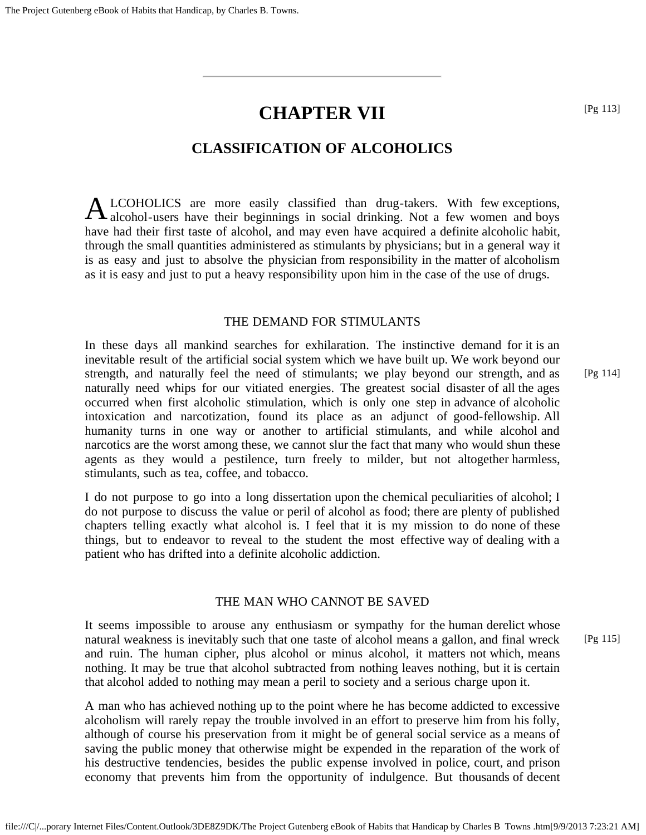# **CHAPTER VII**

# **CLASSIFICATION OF ALCOHOLICS**

A LCOHOLICS are more easily classified than drug-takers. With few exceptions, alcohol-users have their beginnings in social drinking. Not a few women and boys LCOHOLICS are more easily classified than drug-takers. With few exceptions, have had their first taste of alcohol, and may even have acquired a definite alcoholic habit, through the small quantities administered as stimulants by physicians; but in a general way it is as easy and just to absolve the physician from responsibility in the matter of alcoholism as it is easy and just to put a heavy responsibility upon him in the case of the use of drugs.

#### THE DEMAND FOR STIMULANTS

In these days all mankind searches for exhilaration. The instinctive demand for it is an inevitable result of the artificial social system which we have built up. We work beyond our strength, and naturally feel the need of stimulants; we play beyond our strength, and as naturally need whips for our vitiated energies. The greatest social disaster of all the ages occurred when first alcoholic stimulation, which is only one step in advance of alcoholic intoxication and narcotization, found its place as an adjunct of good-fellowship. All humanity turns in one way or another to artificial stimulants, and while alcohol and narcotics are the worst among these, we cannot slur the fact that many who would shun these agents as they would a pestilence, turn freely to milder, but not altogether harmless, stimulants, such as tea, coffee, and tobacco. [Pg 114]

I do not purpose to go into a long dissertation upon the chemical peculiarities of alcohol; I do not purpose to discuss the value or peril of alcohol as food; there are plenty of published chapters telling exactly what alcohol is. I feel that it is my mission to do none of these things, but to endeavor to reveal to the student the most effective way of dealing with a patient who has drifted into a definite alcoholic addiction.

#### THE MAN WHO CANNOT BE SAVED

It seems impossible to arouse any enthusiasm or sympathy for the human derelict whose natural weakness is inevitably such that one taste of alcohol means a gallon, and final wreck and ruin. The human cipher, plus alcohol or minus alcohol, it matters not which, means nothing. It may be true that alcohol subtracted from nothing leaves nothing, but it is certain that alcohol added to nothing may mean a peril to society and a serious charge upon it.

A man who has achieved nothing up to the point where he has become addicted to excessive alcoholism will rarely repay the trouble involved in an effort to preserve him from his folly, although of course his preservation from it might be of general social service as a means of saving the public money that otherwise might be expended in the reparation of the work of his destructive tendencies, besides the public expense involved in police, court, and prison economy that prevents him from the opportunity of indulgence. But thousands of decent

file:///C|/...porary Internet Files/Content.Outlook/3DE8Z9DK/The Project Gutenberg eBook of Habits that Handicap by Charles B Towns .htm[9/9/2013 7:23:21 AM]

[Pg 113]

[Pg 115]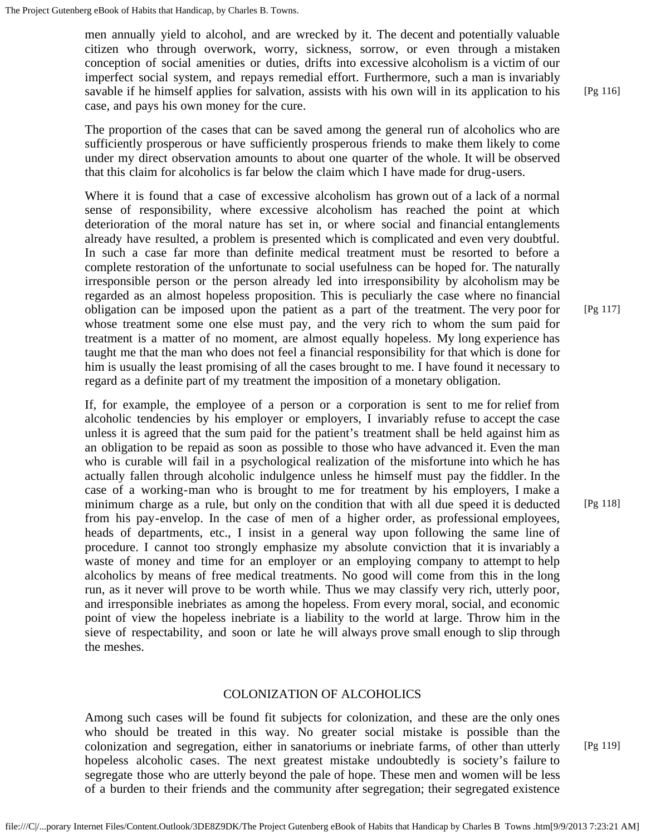men annually yield to alcohol, and are wrecked by it. The decent and potentially valuable citizen who through overwork, worry, sickness, sorrow, or even through a mistaken conception of social amenities or duties, drifts into excessive alcoholism is a victim of our imperfect social system, and repays remedial effort. Furthermore, such a man is invariably savable if he himself applies for salvation, assists with his own will in its application to his case, and pays his own money for the cure.

The proportion of the cases that can be saved among the general run of alcoholics who are sufficiently prosperous or have sufficiently prosperous friends to make them likely to come under my direct observation amounts to about one quarter of the whole. It will be observed that this claim for alcoholics is far below the claim which I have made for drug-users.

Where it is found that a case of excessive alcoholism has grown out of a lack of a normal sense of responsibility, where excessive alcoholism has reached the point at which deterioration of the moral nature has set in, or where social and financial entanglements already have resulted, a problem is presented which is complicated and even very doubtful. In such a case far more than definite medical treatment must be resorted to before a complete restoration of the unfortunate to social usefulness can be hoped for. The naturally irresponsible person or the person already led into irresponsibility by alcoholism may be regarded as an almost hopeless proposition. This is peculiarly the case where no financial obligation can be imposed upon the patient as a part of the treatment. The very poor for whose treatment some one else must pay, and the very rich to whom the sum paid for treatment is a matter of no moment, are almost equally hopeless. My long experience has taught me that the man who does not feel a financial responsibility for that which is done for him is usually the least promising of all the cases brought to me. I have found it necessary to regard as a definite part of my treatment the imposition of a monetary obligation.

If, for example, the employee of a person or a corporation is sent to me for relief from alcoholic tendencies by his employer or employers, I invariably refuse to accept the case unless it is agreed that the sum paid for the patient's treatment shall be held against him as an obligation to be repaid as soon as possible to those who have advanced it. Even the man who is curable will fail in a psychological realization of the misfortune into which he has actually fallen through alcoholic indulgence unless he himself must pay the fiddler. In the case of a working-man who is brought to me for treatment by his employers, I make a minimum charge as a rule, but only on the condition that with all due speed it is deducted from his pay-envelop. In the case of men of a higher order, as professional employees, heads of departments, etc., I insist in a general way upon following the same line of procedure. I cannot too strongly emphasize my absolute conviction that it is invariably a waste of money and time for an employer or an employing company to attempt to help alcoholics by means of free medical treatments. No good will come from this in the long run, as it never will prove to be worth while. Thus we may classify very rich, utterly poor, and irresponsible inebriates as among the hopeless. From every moral, social, and economic point of view the hopeless inebriate is a liability to the world at large. Throw him in the sieve of respectability, and soon or late he will always prove small enough to slip through the meshes.

### COLONIZATION OF ALCOHOLICS

Among such cases will be found fit subjects for colonization, and these are the only ones who should be treated in this way. No greater social mistake is possible than the colonization and segregation, either in sanatoriums or inebriate farms, of other than utterly hopeless alcoholic cases. The next greatest mistake undoubtedly is society's failure to segregate those who are utterly beyond the pale of hope. These men and women will be less of a burden to their friends and the community after segregation; their segregated existence

[Pg 117]

[Pg 116]

[Pg 118]

[Pg 119]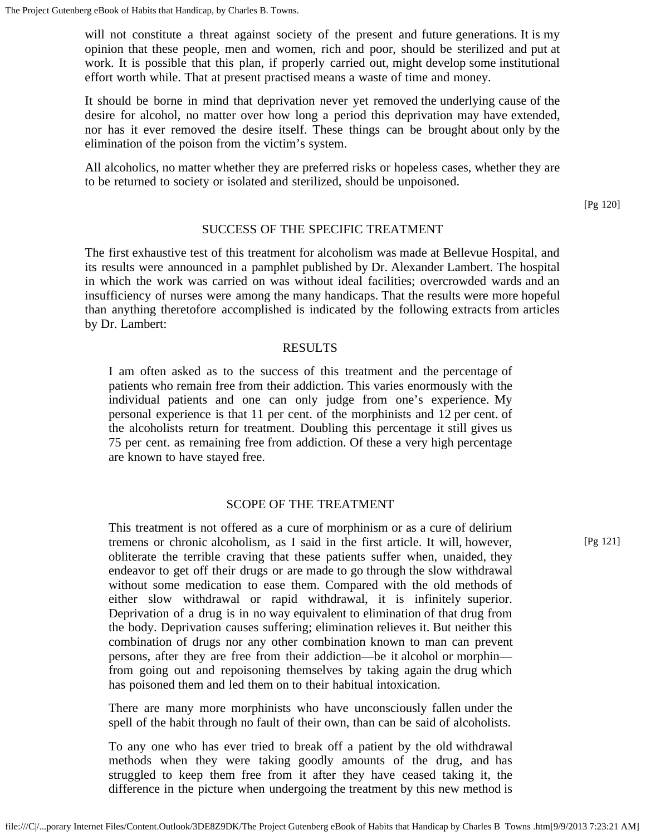will not constitute a threat against society of the present and future generations. It is my opinion that these people, men and women, rich and poor, should be sterilized and put at work. It is possible that this plan, if properly carried out, might develop some institutional effort worth while. That at present practised means a waste of time and money.

It should be borne in mind that deprivation never yet removed the underlying cause of the desire for alcohol, no matter over how long a period this deprivation may have extended, nor has it ever removed the desire itself. These things can be brought about only by the elimination of the poison from the victim's system.

All alcoholics, no matter whether they are preferred risks or hopeless cases, whether they are to be returned to society or isolated and sterilized, should be unpoisoned.

[Pg 120]

# SUCCESS OF THE SPECIFIC TREATMENT

The first exhaustive test of this treatment for alcoholism was made at Bellevue Hospital, and its results were announced in a pamphlet published by Dr. Alexander Lambert. The hospital in which the work was carried on was without ideal facilities; overcrowded wards and an insufficiency of nurses were among the many handicaps. That the results were more hopeful than anything theretofore accomplished is indicated by the following extracts from articles by Dr. Lambert:

### RESULTS

I am often asked as to the success of this treatment and the percentage of patients who remain free from their addiction. This varies enormously with the individual patients and one can only judge from one's experience. My personal experience is that 11 per cent. of the morphinists and 12 per cent. of the alcoholists return for treatment. Doubling this percentage it still gives us 75 per cent. as remaining free from addiction. Of these a very high percentage are known to have stayed free.

### SCOPE OF THE TREATMENT

This treatment is not offered as a cure of morphinism or as a cure of delirium tremens or chronic alcoholism, as I said in the first article. It will, however, obliterate the terrible craving that these patients suffer when, unaided, they endeavor to get off their drugs or are made to go through the slow withdrawal without some medication to ease them. Compared with the old methods of either slow withdrawal or rapid withdrawal, it is infinitely superior. Deprivation of a drug is in no way equivalent to elimination of that drug from the body. Deprivation causes suffering; elimination relieves it. But neither this combination of drugs nor any other combination known to man can prevent persons, after they are free from their addiction—be it alcohol or morphin from going out and repoisoning themselves by taking again the drug which has poisoned them and led them on to their habitual intoxication.

There are many more morphinists who have unconsciously fallen under the spell of the habit through no fault of their own, than can be said of alcoholists.

To any one who has ever tried to break off a patient by the old withdrawal methods when they were taking goodly amounts of the drug, and has struggled to keep them free from it after they have ceased taking it, the difference in the picture when undergoing the treatment by this new method is

[Pg 121]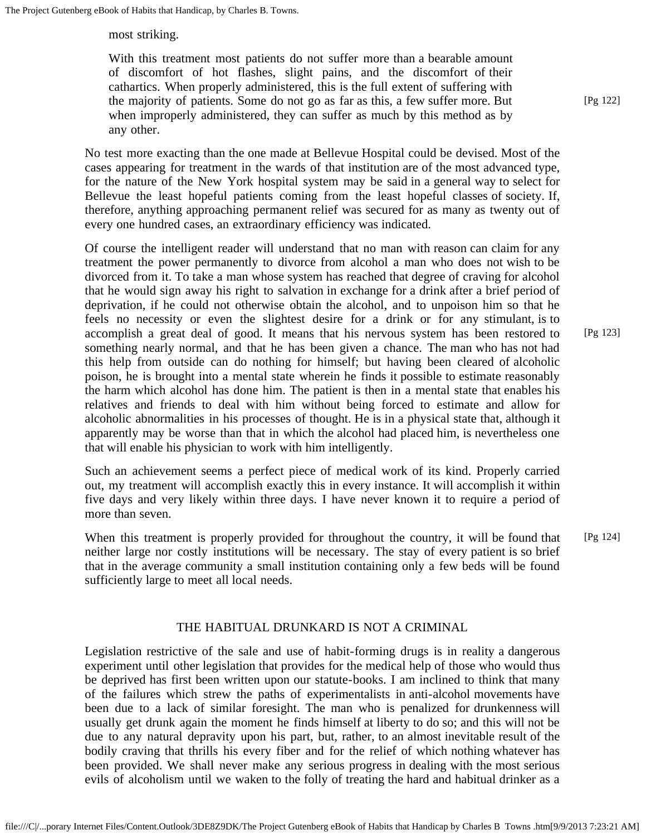most striking.

With this treatment most patients do not suffer more than a bearable amount of discomfort of hot flashes, slight pains, and the discomfort of their cathartics. When properly administered, this is the full extent of suffering with the majority of patients. Some do not go as far as this, a few suffer more. But when improperly administered, they can suffer as much by this method as by any other.

No test more exacting than the one made at Bellevue Hospital could be devised. Most of the cases appearing for treatment in the wards of that institution are of the most advanced type, for the nature of the New York hospital system may be said in a general way to select for Bellevue the least hopeful patients coming from the least hopeful classes of society. If, therefore, anything approaching permanent relief was secured for as many as twenty out of every one hundred cases, an extraordinary efficiency was indicated.

Of course the intelligent reader will understand that no man with reason can claim for any treatment the power permanently to divorce from alcohol a man who does not wish to be divorced from it. To take a man whose system has reached that degree of craving for alcohol that he would sign away his right to salvation in exchange for a drink after a brief period of deprivation, if he could not otherwise obtain the alcohol, and to unpoison him so that he feels no necessity or even the slightest desire for a drink or for any stimulant, is to accomplish a great deal of good. It means that his nervous system has been restored to something nearly normal, and that he has been given a chance. The man who has not had this help from outside can do nothing for himself; but having been cleared of alcoholic poison, he is brought into a mental state wherein he finds it possible to estimate reasonably the harm which alcohol has done him. The patient is then in a mental state that enables his relatives and friends to deal with him without being forced to estimate and allow for alcoholic abnormalities in his processes of thought. He is in a physical state that, although it apparently may be worse than that in which the alcohol had placed him, is nevertheless one that will enable his physician to work with him intelligently.

Such an achievement seems a perfect piece of medical work of its kind. Properly carried out, my treatment will accomplish exactly this in every instance. It will accomplish it within five days and very likely within three days. I have never known it to require a period of more than seven.

When this treatment is properly provided for throughout the country, it will be found that neither large nor costly institutions will be necessary. The stay of every patient is so brief that in the average community a small institution containing only a few beds will be found sufficiently large to meet all local needs. [Pg 124]

# THE HABITUAL DRUNKARD IS NOT A CRIMINAL

Legislation restrictive of the sale and use of habit-forming drugs is in reality a dangerous experiment until other legislation that provides for the medical help of those who would thus be deprived has first been written upon our statute-books. I am inclined to think that many of the failures which strew the paths of experimentalists in anti-alcohol movements have been due to a lack of similar foresight. The man who is penalized for drunkenness will usually get drunk again the moment he finds himself at liberty to do so; and this will not be due to any natural depravity upon his part, but, rather, to an almost inevitable result of the bodily craving that thrills his every fiber and for the relief of which nothing whatever has been provided. We shall never make any serious progress in dealing with the most serious evils of alcoholism until we waken to the folly of treating the hard and habitual drinker as a [Pg 122]

[Pg 123]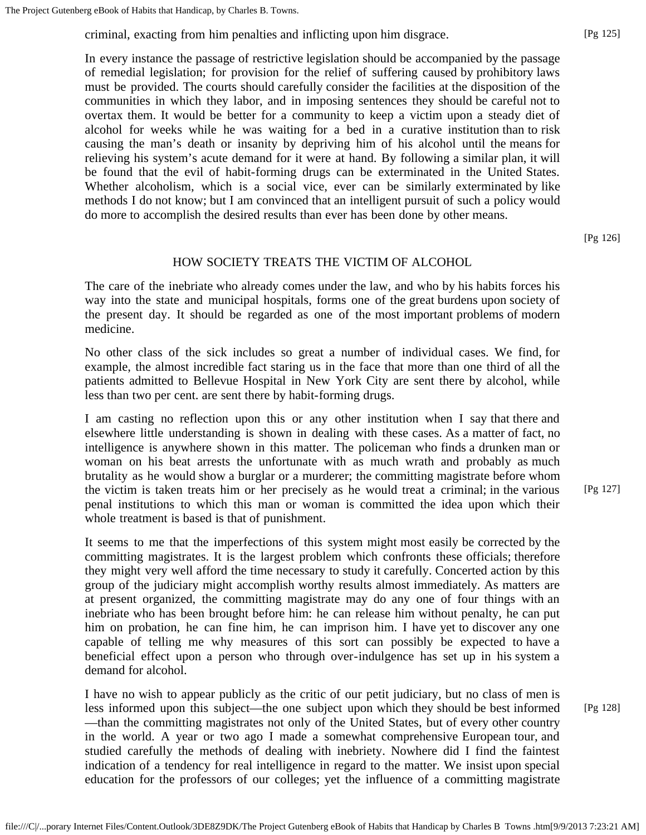criminal, exacting from him penalties and inflicting upon him disgrace.

In every instance the passage of restrictive legislation should be accompanied by the passage of remedial legislation; for provision for the relief of suffering caused by prohibitory laws must be provided. The courts should carefully consider the facilities at the disposition of the communities in which they labor, and in imposing sentences they should be careful not to overtax them. It would be better for a community to keep a victim upon a steady diet of alcohol for weeks while he was waiting for a bed in a curative institution than to risk causing the man's death or insanity by depriving him of his alcohol until the means for relieving his system's acute demand for it were at hand. By following a similar plan, it will be found that the evil of habit-forming drugs can be exterminated in the United States. Whether alcoholism, which is a social vice, ever can be similarly exterminated by like methods I do not know; but I am convinced that an intelligent pursuit of such a policy would do more to accomplish the desired results than ever has been done by other means.

[Pg 126]

### HOW SOCIETY TREATS THE VICTIM OF ALCOHOL

The care of the inebriate who already comes under the law, and who by his habits forces his way into the state and municipal hospitals, forms one of the great burdens upon society of the present day. It should be regarded as one of the most important problems of modern medicine.

No other class of the sick includes so great a number of individual cases. We find, for example, the almost incredible fact staring us in the face that more than one third of all the patients admitted to Bellevue Hospital in New York City are sent there by alcohol, while less than two per cent. are sent there by habit-forming drugs.

I am casting no reflection upon this or any other institution when I say that there and elsewhere little understanding is shown in dealing with these cases. As a matter of fact, no intelligence is anywhere shown in this matter. The policeman who finds a drunken man or woman on his beat arrests the unfortunate with as much wrath and probably as much brutality as he would show a burglar or a murderer; the committing magistrate before whom the victim is taken treats him or her precisely as he would treat a criminal; in the various penal institutions to which this man or woman is committed the idea upon which their whole treatment is based is that of punishment.

It seems to me that the imperfections of this system might most easily be corrected by the committing magistrates. It is the largest problem which confronts these officials; therefore they might very well afford the time necessary to study it carefully. Concerted action by this group of the judiciary might accomplish worthy results almost immediately. As matters are at present organized, the committing magistrate may do any one of four things with an inebriate who has been brought before him: he can release him without penalty, he can put him on probation, he can fine him, he can imprison him. I have yet to discover any one capable of telling me why measures of this sort can possibly be expected to have a beneficial effect upon a person who through over-indulgence has set up in his system a demand for alcohol.

I have no wish to appear publicly as the critic of our petit judiciary, but no class of men is less informed upon this subject—the one subject upon which they should be best informed —than the committing magistrates not only of the United States, but of every other country in the world. A year or two ago I made a somewhat comprehensive European tour, and studied carefully the methods of dealing with inebriety. Nowhere did I find the faintest indication of a tendency for real intelligence in regard to the matter. We insist upon special education for the professors of our colleges; yet the influence of a committing magistrate

[Pg 127]

[Pg 128]

[Pg 125]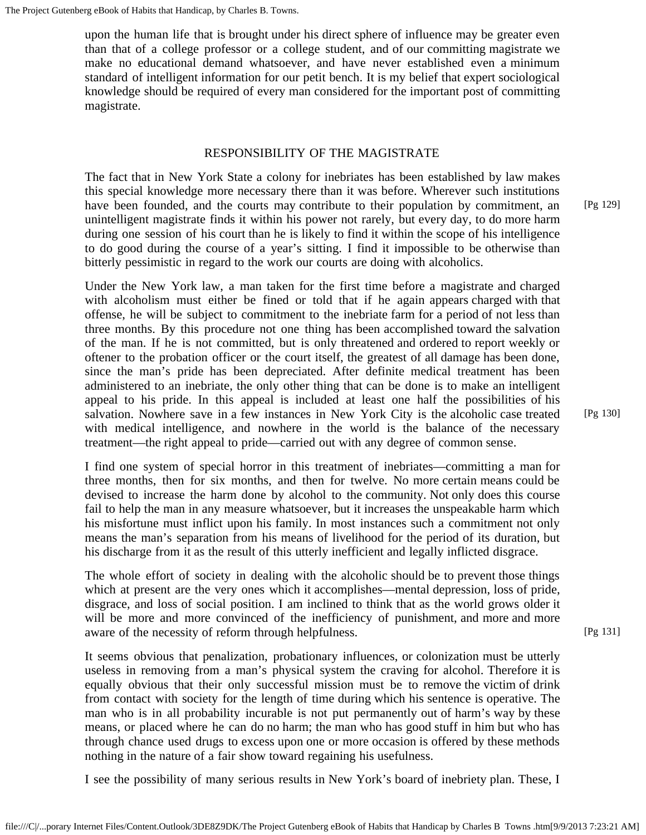upon the human life that is brought under his direct sphere of influence may be greater even than that of a college professor or a college student, and of our committing magistrate we make no educational demand whatsoever, and have never established even a minimum standard of intelligent information for our petit bench. It is my belief that expert sociological knowledge should be required of every man considered for the important post of committing magistrate.

#### RESPONSIBILITY OF THE MAGISTRATE

The fact that in New York State a colony for inebriates has been established by law makes this special knowledge more necessary there than it was before. Wherever such institutions have been founded, and the courts may contribute to their population by commitment, an unintelligent magistrate finds it within his power not rarely, but every day, to do more harm during one session of his court than he is likely to find it within the scope of his intelligence to do good during the course of a year's sitting. I find it impossible to be otherwise than bitterly pessimistic in regard to the work our courts are doing with alcoholics.

Under the New York law, a man taken for the first time before a magistrate and charged with alcoholism must either be fined or told that if he again appears charged with that offense, he will be subject to commitment to the inebriate farm for a period of not less than three months. By this procedure not one thing has been accomplished toward the salvation of the man. If he is not committed, but is only threatened and ordered to report weekly or oftener to the probation officer or the court itself, the greatest of all damage has been done, since the man's pride has been depreciated. After definite medical treatment has been administered to an inebriate, the only other thing that can be done is to make an intelligent appeal to his pride. In this appeal is included at least one half the possibilities of his salvation. Nowhere save in a few instances in New York City is the alcoholic case treated with medical intelligence, and nowhere in the world is the balance of the necessary treatment—the right appeal to pride—carried out with any degree of common sense.

I find one system of special horror in this treatment of inebriates—committing a man for three months, then for six months, and then for twelve. No more certain means could be devised to increase the harm done by alcohol to the community. Not only does this course fail to help the man in any measure whatsoever, but it increases the unspeakable harm which his misfortune must inflict upon his family. In most instances such a commitment not only means the man's separation from his means of livelihood for the period of its duration, but his discharge from it as the result of this utterly inefficient and legally inflicted disgrace.

The whole effort of society in dealing with the alcoholic should be to prevent those things which at present are the very ones which it accomplishes—mental depression, loss of pride, disgrace, and loss of social position. I am inclined to think that as the world grows older it will be more and more convinced of the inefficiency of punishment, and more and more aware of the necessity of reform through helpfulness.

It seems obvious that penalization, probationary influences, or colonization must be utterly useless in removing from a man's physical system the craving for alcohol. Therefore it is equally obvious that their only successful mission must be to remove the victim of drink from contact with society for the length of time during which his sentence is operative. The man who is in all probability incurable is not put permanently out of harm's way by these means, or placed where he can do no harm; the man who has good stuff in him but who has through chance used drugs to excess upon one or more occasion is offered by these methods nothing in the nature of a fair show toward regaining his usefulness.

I see the possibility of many serious results in New York's board of inebriety plan. These, I

[Pg 129]

[Pg 130]

[Pg 131]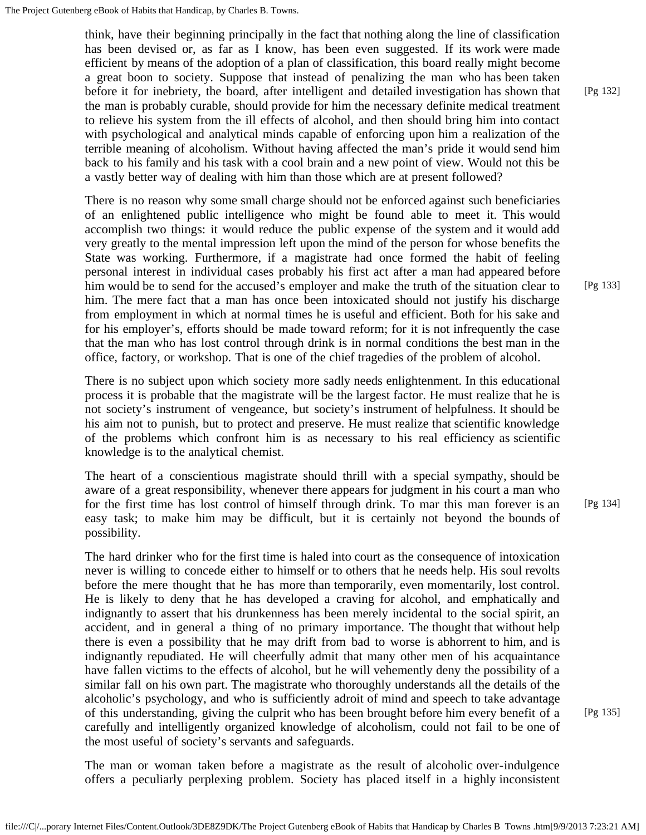think, have their beginning principally in the fact that nothing along the line of classification has been devised or, as far as I know, has been even suggested. If its work were made efficient by means of the adoption of a plan of classification, this board really might become a great boon to society. Suppose that instead of penalizing the man who has been taken before it for inebriety, the board, after intelligent and detailed investigation has shown that the man is probably curable, should provide for him the necessary definite medical treatment to relieve his system from the ill effects of alcohol, and then should bring him into contact with psychological and analytical minds capable of enforcing upon him a realization of the terrible meaning of alcoholism. Without having affected the man's pride it would send him back to his family and his task with a cool brain and a new point of view. Would not this be a vastly better way of dealing with him than those which are at present followed?

There is no reason why some small charge should not be enforced against such beneficiaries of an enlightened public intelligence who might be found able to meet it. This would accomplish two things: it would reduce the public expense of the system and it would add very greatly to the mental impression left upon the mind of the person for whose benefits the State was working. Furthermore, if a magistrate had once formed the habit of feeling personal interest in individual cases probably his first act after a man had appeared before him would be to send for the accused's employer and make the truth of the situation clear to him. The mere fact that a man has once been intoxicated should not justify his discharge from employment in which at normal times he is useful and efficient. Both for his sake and for his employer's, efforts should be made toward reform; for it is not infrequently the case that the man who has lost control through drink is in normal conditions the best man in the office, factory, or workshop. That is one of the chief tragedies of the problem of alcohol.

There is no subject upon which society more sadly needs enlightenment. In this educational process it is probable that the magistrate will be the largest factor. He must realize that he is not society's instrument of vengeance, but society's instrument of helpfulness. It should be his aim not to punish, but to protect and preserve. He must realize that scientific knowledge of the problems which confront him is as necessary to his real efficiency as scientific knowledge is to the analytical chemist.

The heart of a conscientious magistrate should thrill with a special sympathy, should be aware of a great responsibility, whenever there appears for judgment in his court a man who for the first time has lost control of himself through drink. To mar this man forever is an easy task; to make him may be difficult, but it is certainly not beyond the bounds of possibility.

The hard drinker who for the first time is haled into court as the consequence of intoxication never is willing to concede either to himself or to others that he needs help. His soul revolts before the mere thought that he has more than temporarily, even momentarily, lost control. He is likely to deny that he has developed a craving for alcohol, and emphatically and indignantly to assert that his drunkenness has been merely incidental to the social spirit, an accident, and in general a thing of no primary importance. The thought that without help there is even a possibility that he may drift from bad to worse is abhorrent to him, and is indignantly repudiated. He will cheerfully admit that many other men of his acquaintance have fallen victims to the effects of alcohol, but he will vehemently deny the possibility of a similar fall on his own part. The magistrate who thoroughly understands all the details of the alcoholic's psychology, and who is sufficiently adroit of mind and speech to take advantage of this understanding, giving the culprit who has been brought before him every benefit of a carefully and intelligently organized knowledge of alcoholism, could not fail to be one of the most useful of society's servants and safeguards.

The man or woman taken before a magistrate as the result of alcoholic over-indulgence offers a peculiarly perplexing problem. Society has placed itself in a highly inconsistent [Pg 133]

[Pg 134]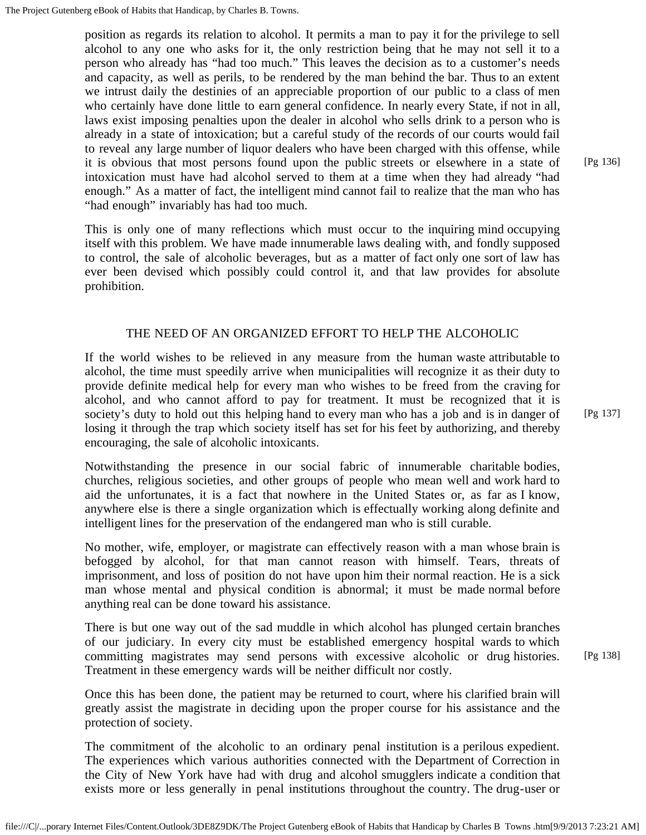position as regards its relation to alcohol. It permits a man to pay it for the privilege to sell alcohol to any one who asks for it, the only restriction being that he may not sell it to a person who already has "had too much." This leaves the decision as to a customer's needs and capacity, as well as perils, to be rendered by the man behind the bar. Thus to an extent we intrust daily the destinies of an appreciable proportion of our public to a class of men who certainly have done little to earn general confidence. In nearly every State, if not in all, laws exist imposing penalties upon the dealer in alcohol who sells drink to a person who is already in a state of intoxication; but a careful study of the records of our courts would fail to reveal any large number of liquor dealers who have been charged with this offense, while it is obvious that most persons found upon the public streets or elsewhere in a state of intoxication must have had alcohol served to them at a time when they had already "had enough." As a matter of fact, the intelligent mind cannot fail to realize that the man who has "had enough" invariably has had too much.

This is only one of many reflections which must occur to the inquiring mind occupying itself with this problem. We have made innumerable laws dealing with, and fondly supposed to control, the sale of alcoholic beverages, but as a matter of fact only one sort of law has ever been devised which possibly could control it, and that law provides for absolute prohibition.

# THE NEED OF AN ORGANIZED EFFORT TO HELP THE ALCOHOLIC

If the world wishes to be relieved in any measure from the human waste attributable to alcohol, the time must speedily arrive when municipalities will recognize it as their duty to provide definite medical help for every man who wishes to be freed from the craving for alcohol, and who cannot afford to pay for treatment. It must be recognized that it is society's duty to hold out this helping hand to every man who has a job and is in danger of losing it through the trap which society itself has set for his feet by authorizing, and thereby encouraging, the sale of alcoholic intoxicants.

Notwithstanding the presence in our social fabric of innumerable charitable bodies, churches, religious societies, and other groups of people who mean well and work hard to aid the unfortunates, it is a fact that nowhere in the United States or, as far as I know, anywhere else is there a single organization which is effectually working along definite and intelligent lines for the preservation of the endangered man who is still curable.

No mother, wife, employer, or magistrate can effectively reason with a man whose brain is befogged by alcohol, for that man cannot reason with himself. Tears, threats of imprisonment, and loss of position do not have upon him their normal reaction. He is a sick man whose mental and physical condition is abnormal; it must be made normal before anything real can be done toward his assistance.

There is but one way out of the sad muddle in which alcohol has plunged certain branches of our judiciary. In every city must be established emergency hospital wards to which committing magistrates may send persons with excessive alcoholic or drug histories. Treatment in these emergency wards will be neither difficult nor costly.

Once this has been done, the patient may be returned to court, where his clarified brain will greatly assist the magistrate in deciding upon the proper course for his assistance and the protection of society.

The commitment of the alcoholic to an ordinary penal institution is a perilous expedient. The experiences which various authorities connected with the Department of Correction in the City of New York have had with drug and alcohol smugglers indicate a condition that exists more or less generally in penal institutions throughout the country. The drug-user or

[Pg 136]

[Pg 138]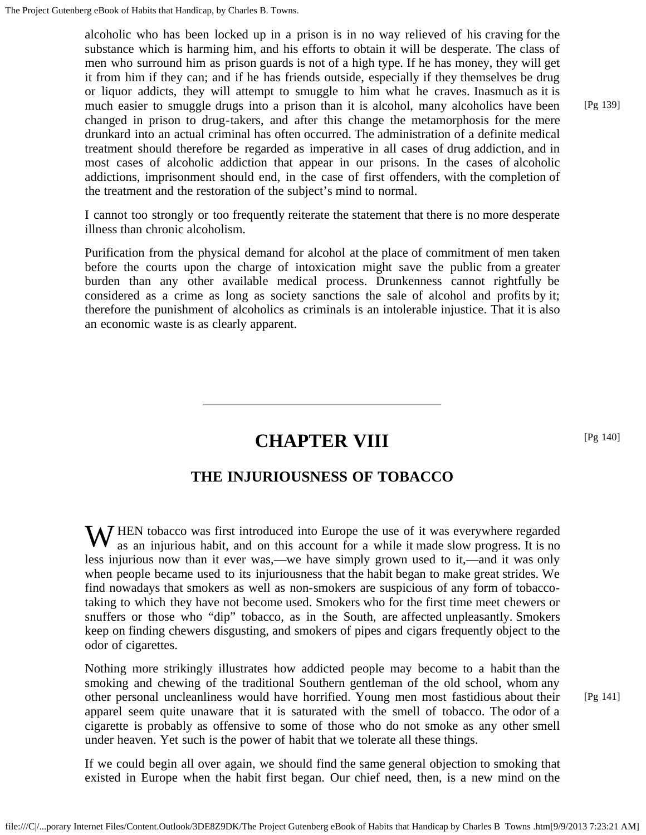alcoholic who has been locked up in a prison is in no way relieved of his craving for the substance which is harming him, and his efforts to obtain it will be desperate. The class of men who surround him as prison guards is not of a high type. If he has money, they will get it from him if they can; and if he has friends outside, especially if they themselves be drug or liquor addicts, they will attempt to smuggle to him what he craves. Inasmuch as it is much easier to smuggle drugs into a prison than it is alcohol, many alcoholics have been changed in prison to drug-takers, and after this change the metamorphosis for the mere drunkard into an actual criminal has often occurred. The administration of a definite medical treatment should therefore be regarded as imperative in all cases of drug addiction, and in most cases of alcoholic addiction that appear in our prisons. In the cases of alcoholic addictions, imprisonment should end, in the case of first offenders, with the completion of the treatment and the restoration of the subject's mind to normal.

I cannot too strongly or too frequently reiterate the statement that there is no more desperate illness than chronic alcoholism.

Purification from the physical demand for alcohol at the place of commitment of men taken before the courts upon the charge of intoxication might save the public from a greater burden than any other available medical process. Drunkenness cannot rightfully be considered as a crime as long as society sanctions the sale of alcohol and profits by it; therefore the punishment of alcoholics as criminals is an intolerable injustice. That it is also an economic waste is as clearly apparent.

# **CHAPTER VIII**

# **THE INJURIOUSNESS OF TOBACCO**

W HEN tobacco was first introduced into Europe the use of it was everywhere regarded as an injurious habit, and on this account for a while it made slow progress. It is no as an injurious habit, and on this account for a while it made slow progress. It is no less injurious now than it ever was,—we have simply grown used to it,—and it was only when people became used to its injuriousness that the habit began to make great strides. We find nowadays that smokers as well as non-smokers are suspicious of any form of tobaccotaking to which they have not become used. Smokers who for the first time meet chewers or snuffers or those who "dip" tobacco, as in the South, are affected unpleasantly. Smokers keep on finding chewers disgusting, and smokers of pipes and cigars frequently object to the odor of cigarettes.

Nothing more strikingly illustrates how addicted people may become to a habit than the smoking and chewing of the traditional Southern gentleman of the old school, whom any other personal uncleanliness would have horrified. Young men most fastidious about their apparel seem quite unaware that it is saturated with the smell of tobacco. The odor of a cigarette is probably as offensive to some of those who do not smoke as any other smell under heaven. Yet such is the power of habit that we tolerate all these things.

If we could begin all over again, we should find the same general objection to smoking that existed in Europe when the habit first began. Our chief need, then, is a new mind on the [Pg 141]

[Pg 139]

[Pg 140]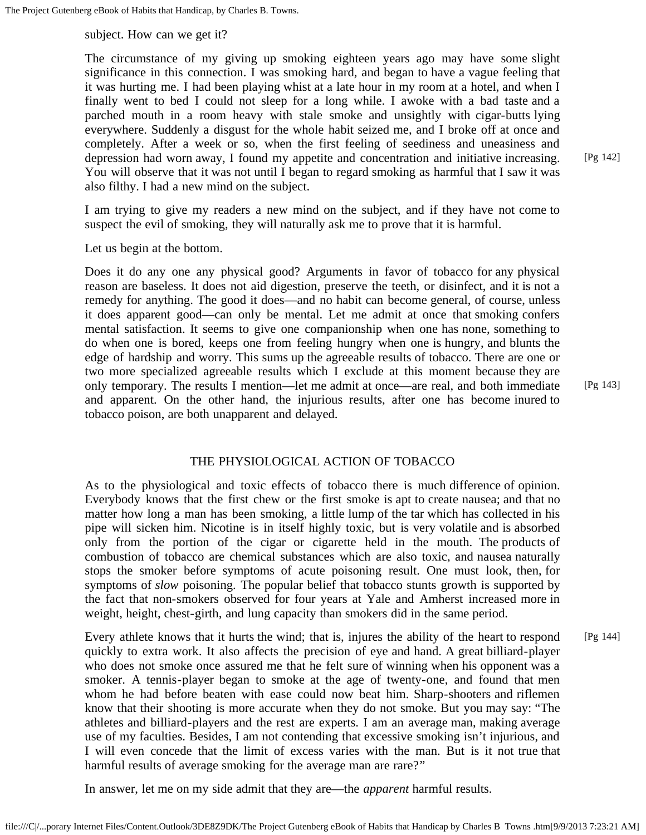subject. How can we get it?

The circumstance of my giving up smoking eighteen years ago may have some slight significance in this connection. I was smoking hard, and began to have a vague feeling that it was hurting me. I had been playing whist at a late hour in my room at a hotel, and when I finally went to bed I could not sleep for a long while. I awoke with a bad taste and a parched mouth in a room heavy with stale smoke and unsightly with cigar-butts lying everywhere. Suddenly a disgust for the whole habit seized me, and I broke off at once and completely. After a week or so, when the first feeling of seediness and uneasiness and depression had worn away, I found my appetite and concentration and initiative increasing. You will observe that it was not until I began to regard smoking as harmful that I saw it was also filthy. I had a new mind on the subject.

I am trying to give my readers a new mind on the subject, and if they have not come to suspect the evil of smoking, they will naturally ask me to prove that it is harmful.

Let us begin at the bottom.

Does it do any one any physical good? Arguments in favor of tobacco for any physical reason are baseless. It does not aid digestion, preserve the teeth, or disinfect, and it is not a remedy for anything. The good it does—and no habit can become general, of course, unless it does apparent good—can only be mental. Let me admit at once that smoking confers mental satisfaction. It seems to give one companionship when one has none, something to do when one is bored, keeps one from feeling hungry when one is hungry, and blunts the edge of hardship and worry. This sums up the agreeable results of tobacco. There are one or two more specialized agreeable results which I exclude at this moment because they are only temporary. The results I mention—let me admit at once—are real, and both immediate and apparent. On the other hand, the injurious results, after one has become inured to tobacco poison, are both unapparent and delayed.

#### THE PHYSIOLOGICAL ACTION OF TOBACCO

As to the physiological and toxic effects of tobacco there is much difference of opinion. Everybody knows that the first chew or the first smoke is apt to create nausea; and that no matter how long a man has been smoking, a little lump of the tar which has collected in his pipe will sicken him. Nicotine is in itself highly toxic, but is very volatile and is absorbed only from the portion of the cigar or cigarette held in the mouth. The products of combustion of tobacco are chemical substances which are also toxic, and nausea naturally stops the smoker before symptoms of acute poisoning result. One must look, then, for symptoms of *slow* poisoning. The popular belief that tobacco stunts growth is supported by the fact that non-smokers observed for four years at Yale and Amherst increased more in weight, height, chest-girth, and lung capacity than smokers did in the same period.

Every athlete knows that it hurts the wind; that is, injures the ability of the heart to respond quickly to extra work. It also affects the precision of eye and hand. A great billiard-player who does not smoke once assured me that he felt sure of winning when his opponent was a smoker. A tennis-player began to smoke at the age of twenty-one, and found that men whom he had before beaten with ease could now beat him. Sharp-shooters and riflemen know that their shooting is more accurate when they do not smoke. But you may say: "The athletes and billiard-players and the rest are experts. I am an average man, making average use of my faculties. Besides, I am not contending that excessive smoking isn't injurious, and I will even concede that the limit of excess varies with the man. But is it not true that harmful results of average smoking for the average man are rare?" [Pg 144]

In answer, let me on my side admit that they are—the *apparent* harmful results.

[Pg 142]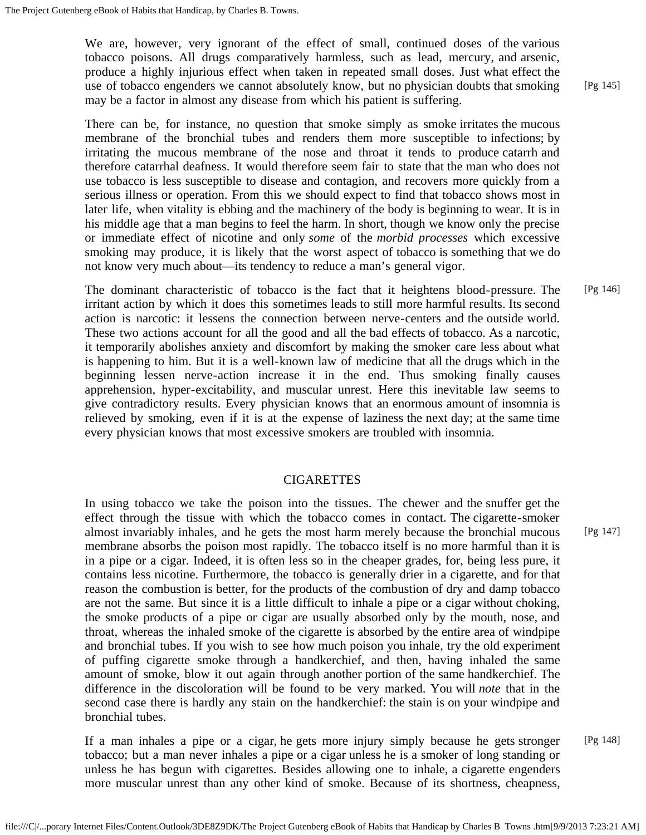We are, however, very ignorant of the effect of small, continued doses of the various tobacco poisons. All drugs comparatively harmless, such as lead, mercury, and arsenic, produce a highly injurious effect when taken in repeated small doses. Just what effect the use of tobacco engenders we cannot absolutely know, but no physician doubts that smoking may be a factor in almost any disease from which his patient is suffering.

There can be, for instance, no question that smoke simply as smoke irritates the mucous membrane of the bronchial tubes and renders them more susceptible to infections; by irritating the mucous membrane of the nose and throat it tends to produce catarrh and therefore catarrhal deafness. It would therefore seem fair to state that the man who does not use tobacco is less susceptible to disease and contagion, and recovers more quickly from a serious illness or operation. From this we should expect to find that tobacco shows most in later life, when vitality is ebbing and the machinery of the body is beginning to wear. It is in his middle age that a man begins to feel the harm. In short, though we know only the precise or immediate effect of nicotine and only *some* of the *morbid processes* which excessive smoking may produce, it is likely that the worst aspect of tobacco is something that we do not know very much about—its tendency to reduce a man's general vigor.

The dominant characteristic of tobacco is the fact that it heightens blood-pressure. The irritant action by which it does this sometimes leads to still more harmful results. Its second action is narcotic: it lessens the connection between nerve-centers and the outside world. These two actions account for all the good and all the bad effects of tobacco. As a narcotic, it temporarily abolishes anxiety and discomfort by making the smoker care less about what is happening to him. But it is a well-known law of medicine that all the drugs which in the beginning lessen nerve-action increase it in the end. Thus smoking finally causes apprehension, hyper-excitability, and muscular unrest. Here this inevitable law seems to give contradictory results. Every physician knows that an enormous amount of insomnia is relieved by smoking, even if it is at the expense of laziness the next day; at the same time every physician knows that most excessive smokers are troubled with insomnia. [Pg 146]

### CIGARETTES

In using tobacco we take the poison into the tissues. The chewer and the snuffer get the effect through the tissue with which the tobacco comes in contact. The cigarette-smoker almost invariably inhales, and he gets the most harm merely because the bronchial mucous membrane absorbs the poison most rapidly. The tobacco itself is no more harmful than it is in a pipe or a cigar. Indeed, it is often less so in the cheaper grades, for, being less pure, it contains less nicotine. Furthermore, the tobacco is generally drier in a cigarette, and for that reason the combustion is better, for the products of the combustion of dry and damp tobacco are not the same. But since it is a little difficult to inhale a pipe or a cigar without choking, the smoke products of a pipe or cigar are usually absorbed only by the mouth, nose, and throat, whereas the inhaled smoke of the cigarette is absorbed by the entire area of windpipe and bronchial tubes. If you wish to see how much poison you inhale, try the old experiment of puffing cigarette smoke through a handkerchief, and then, having inhaled the same amount of smoke, blow it out again through another portion of the same handkerchief. The difference in the discoloration will be found to be very marked. You will *note* that in the second case there is hardly any stain on the handkerchief: the stain is on your windpipe and bronchial tubes.

If a man inhales a pipe or a cigar, he gets more injury simply because he gets stronger tobacco; but a man never inhales a pipe or a cigar unless he is a smoker of long standing or unless he has begun with cigarettes. Besides allowing one to inhale, a cigarette engenders more muscular unrest than any other kind of smoke. Because of its shortness, cheapness, [Pg 148]

[Pg 145]

[Pg 147]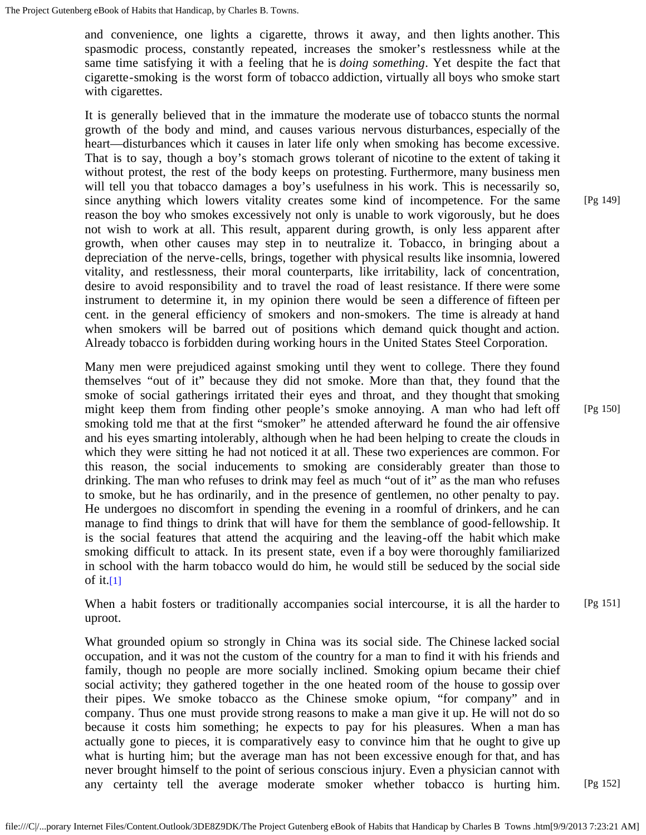and convenience, one lights a cigarette, throws it away, and then lights another. This spasmodic process, constantly repeated, increases the smoker's restlessness while at the same time satisfying it with a feeling that he is *doing something*. Yet despite the fact that cigarette-smoking is the worst form of tobacco addiction, virtually all boys who smoke start with cigarettes.

It is generally believed that in the immature the moderate use of tobacco stunts the normal growth of the body and mind, and causes various nervous disturbances, especially of the heart—disturbances which it causes in later life only when smoking has become excessive. That is to say, though a boy's stomach grows tolerant of nicotine to the extent of taking it without protest, the rest of the body keeps on protesting. Furthermore, many business men will tell you that tobacco damages a boy's usefulness in his work. This is necessarily so, since anything which lowers vitality creates some kind of incompetence. For the same reason the boy who smokes excessively not only is unable to work vigorously, but he does not wish to work at all. This result, apparent during growth, is only less apparent after growth, when other causes may step in to neutralize it. Tobacco, in bringing about a depreciation of the nerve-cells, brings, together with physical results like insomnia, lowered vitality, and restlessness, their moral counterparts, like irritability, lack of concentration, desire to avoid responsibility and to travel the road of least resistance. If there were some instrument to determine it, in my opinion there would be seen a difference of fifteen per cent. in the general efficiency of smokers and non-smokers. The time is already at hand when smokers will be barred out of positions which demand quick thought and action. Already tobacco is forbidden during working hours in the United States Steel Corporation.

Many men were prejudiced against smoking until they went to college. There they found themselves "out of it" because they did not smoke. More than that, they found that the smoke of social gatherings irritated their eyes and throat, and they thought that smoking might keep them from finding other people's smoke annoying. A man who had left off smoking told me that at the first "smoker" he attended afterward he found the air offensive and his eyes smarting intolerably, although when he had been helping to create the clouds in which they were sitting he had not noticed it at all. These two experiences are common. For this reason, the social inducements to smoking are considerably greater than those to drinking. The man who refuses to drink may feel as much "out of it" as the man who refuses to smoke, but he has ordinarily, and in the presence of gentlemen, no other penalty to pay. He undergoes no discomfort in spending the evening in a roomful of drinkers, and he can manage to find things to drink that will have for them the semblance of good-fellowship. It is the social features that attend the acquiring and the leaving-off the habit which make smoking difficult to attack. In its present state, even if a boy were thoroughly familiarized in school with the harm tobacco would do him, he would still be seduced by the social side of it. $[1]$ 

When a habit fosters or traditionally accompanies social intercourse, it is all the harder to uproot. [Pg 151]

What grounded opium so strongly in China was its social side. The Chinese lacked social occupation, and it was not the custom of the country for a man to find it with his friends and family, though no people are more socially inclined. Smoking opium became their chief social activity; they gathered together in the one heated room of the house to gossip over their pipes. We smoke tobacco as the Chinese smoke opium, "for company" and in company. Thus one must provide strong reasons to make a man give it up. He will not do so because it costs him something; he expects to pay for his pleasures. When a man has actually gone to pieces, it is comparatively easy to convince him that he ought to give up what is hurting him; but the average man has not been excessive enough for that, and has never brought himself to the point of serious conscious injury. Even a physician cannot with any certainty tell the average moderate smoker whether tobacco is hurting him.

[Pg 149]

[Pg 150]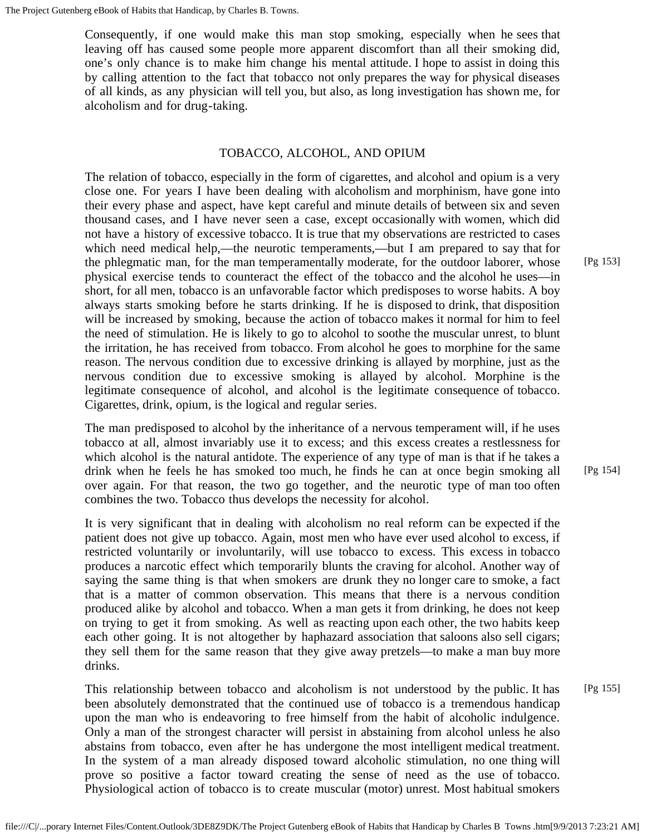Consequently, if one would make this man stop smoking, especially when he sees that leaving off has caused some people more apparent discomfort than all their smoking did, one's only chance is to make him change his mental attitude. I hope to assist in doing this by calling attention to the fact that tobacco not only prepares the way for physical diseases of all kinds, as any physician will tell you, but also, as long investigation has shown me, for alcoholism and for drug-taking.

# TOBACCO, ALCOHOL, AND OPIUM

The relation of tobacco, especially in the form of cigarettes, and alcohol and opium is a very close one. For years I have been dealing with alcoholism and morphinism, have gone into their every phase and aspect, have kept careful and minute details of between six and seven thousand cases, and I have never seen a case, except occasionally with women, which did not have a history of excessive tobacco. It is true that my observations are restricted to cases which need medical help,—the neurotic temperaments,—but I am prepared to say that for the phlegmatic man, for the man temperamentally moderate, for the outdoor laborer, whose physical exercise tends to counteract the effect of the tobacco and the alcohol he uses—in short, for all men, tobacco is an unfavorable factor which predisposes to worse habits. A boy always starts smoking before he starts drinking. If he is disposed to drink, that disposition will be increased by smoking, because the action of tobacco makes it normal for him to feel the need of stimulation. He is likely to go to alcohol to soothe the muscular unrest, to blunt the irritation, he has received from tobacco. From alcohol he goes to morphine for the same reason. The nervous condition due to excessive drinking is allayed by morphine, just as the nervous condition due to excessive smoking is allayed by alcohol. Morphine is the legitimate consequence of alcohol, and alcohol is the legitimate consequence of tobacco. Cigarettes, drink, opium, is the logical and regular series.

The man predisposed to alcohol by the inheritance of a nervous temperament will, if he uses tobacco at all, almost invariably use it to excess; and this excess creates a restlessness for which alcohol is the natural antidote. The experience of any type of man is that if he takes a drink when he feels he has smoked too much, he finds he can at once begin smoking all over again. For that reason, the two go together, and the neurotic type of man too often combines the two. Tobacco thus develops the necessity for alcohol.

It is very significant that in dealing with alcoholism no real reform can be expected if the patient does not give up tobacco. Again, most men who have ever used alcohol to excess, if restricted voluntarily or involuntarily, will use tobacco to excess. This excess in tobacco produces a narcotic effect which temporarily blunts the craving for alcohol. Another way of saying the same thing is that when smokers are drunk they no longer care to smoke, a fact that is a matter of common observation. This means that there is a nervous condition produced alike by alcohol and tobacco. When a man gets it from drinking, he does not keep on trying to get it from smoking. As well as reacting upon each other, the two habits keep each other going. It is not altogether by haphazard association that saloons also sell cigars; they sell them for the same reason that they give away pretzels—to make a man buy more drinks.

This relationship between tobacco and alcoholism is not understood by the public. It has been absolutely demonstrated that the continued use of tobacco is a tremendous handicap upon the man who is endeavoring to free himself from the habit of alcoholic indulgence. Only a man of the strongest character will persist in abstaining from alcohol unless he also abstains from tobacco, even after he has undergone the most intelligent medical treatment. In the system of a man already disposed toward alcoholic stimulation, no one thing will prove so positive a factor toward creating the sense of need as the use of tobacco. Physiological action of tobacco is to create muscular (motor) unrest. Most habitual smokers [Pg 155]

[Pg 153]

[Pg 154]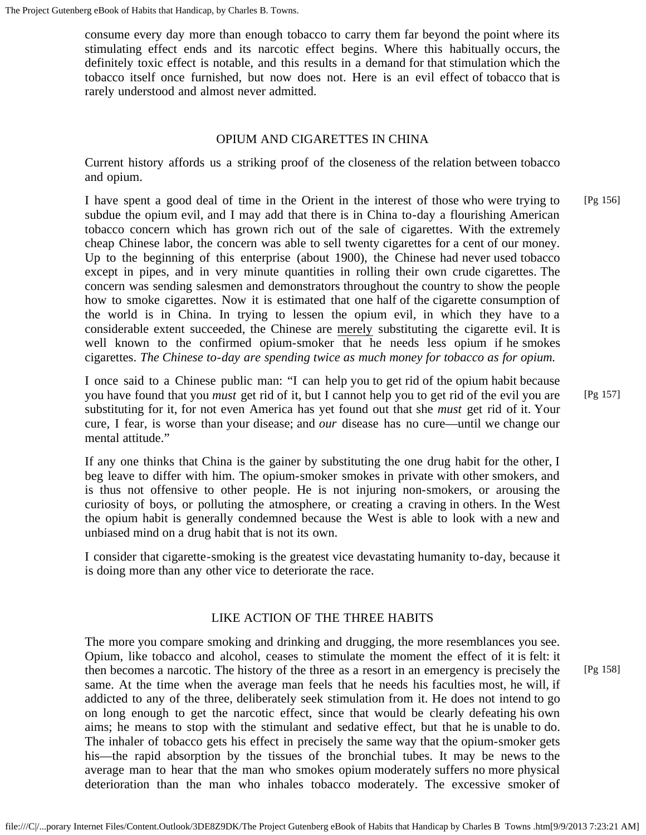consume every day more than enough tobacco to carry them far beyond the point where its stimulating effect ends and its narcotic effect begins. Where this habitually occurs, the definitely toxic effect is notable, and this results in a demand for that stimulation which the tobacco itself once furnished, but now does not. Here is an evil effect of tobacco that is rarely understood and almost never admitted.

# OPIUM AND CIGARETTES IN CHINA

Current history affords us a striking proof of the closeness of the relation between tobacco and opium.

I have spent a good deal of time in the Orient in the interest of those who were trying to subdue the opium evil, and I may add that there is in China to-day a flourishing American tobacco concern which has grown rich out of the sale of cigarettes. With the extremely cheap Chinese labor, the concern was able to sell twenty cigarettes for a cent of our money. Up to the beginning of this enterprise (about 1900), the Chinese had never used tobacco except in pipes, and in very minute quantities in rolling their own crude cigarettes. The concern was sending salesmen and demonstrators throughout the country to show the people how to smoke cigarettes. Now it is estimated that one half of the cigarette consumption of the world is in China. In trying to lessen the opium evil, in which they have to a considerable extent succeeded, the Chinese are merely substituting the cigarette evil. It is well known to the confirmed opium-smoker that he needs less opium if he smokes cigarettes. *The Chinese to-day are spending twice as much money for tobacco as for opium.* [Pg 156]

I once said to a Chinese public man: "I can help you to get rid of the opium habit because you have found that you *must* get rid of it, but I cannot help you to get rid of the evil you are substituting for it, for not even America has yet found out that she *must* get rid of it. Your cure, I fear, is worse than your disease; and *our* disease has no cure—until we change our mental attitude." [Pg 157]

If any one thinks that China is the gainer by substituting the one drug habit for the other, I beg leave to differ with him. The opium-smoker smokes in private with other smokers, and is thus not offensive to other people. He is not injuring non-smokers, or arousing the curiosity of boys, or polluting the atmosphere, or creating a craving in others. In the West the opium habit is generally condemned because the West is able to look with a new and unbiased mind on a drug habit that is not its own.

I consider that cigarette-smoking is the greatest vice devastating humanity to-day, because it is doing more than any other vice to deteriorate the race.

# LIKE ACTION OF THE THREE HABITS

The more you compare smoking and drinking and drugging, the more resemblances you see. Opium, like tobacco and alcohol, ceases to stimulate the moment the effect of it is felt: it then becomes a narcotic. The history of the three as a resort in an emergency is precisely the same. At the time when the average man feels that he needs his faculties most, he will, if addicted to any of the three, deliberately seek stimulation from it. He does not intend to go on long enough to get the narcotic effect, since that would be clearly defeating his own aims; he means to stop with the stimulant and sedative effect, but that he is unable to do. The inhaler of tobacco gets his effect in precisely the same way that the opium-smoker gets his—the rapid absorption by the tissues of the bronchial tubes. It may be news to the average man to hear that the man who smokes opium moderately suffers no more physical deterioration than the man who inhales tobacco moderately. The excessive smoker of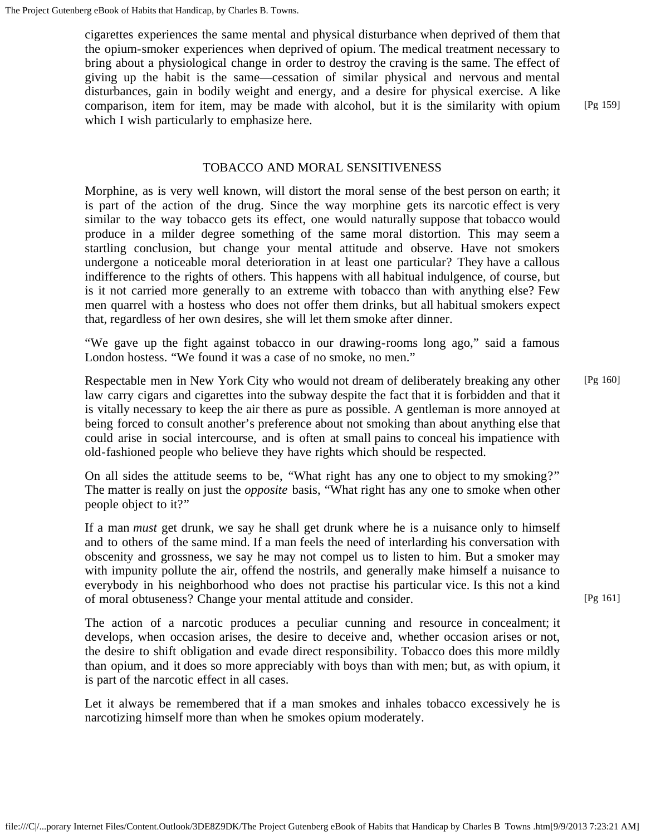cigarettes experiences the same mental and physical disturbance when deprived of them that the opium-smoker experiences when deprived of opium. The medical treatment necessary to bring about a physiological change in order to destroy the craving is the same. The effect of giving up the habit is the same—cessation of similar physical and nervous and mental disturbances, gain in bodily weight and energy, and a desire for physical exercise. A like comparison, item for item, may be made with alcohol, but it is the similarity with opium which I wish particularly to emphasize here.

[Pg 159]

### TOBACCO AND MORAL SENSITIVENESS

Morphine, as is very well known, will distort the moral sense of the best person on earth; it is part of the action of the drug. Since the way morphine gets its narcotic effect is very similar to the way tobacco gets its effect, one would naturally suppose that tobacco would produce in a milder degree something of the same moral distortion. This may seem a startling conclusion, but change your mental attitude and observe. Have not smokers undergone a noticeable moral deterioration in at least one particular? They have a callous indifference to the rights of others. This happens with all habitual indulgence, of course, but is it not carried more generally to an extreme with tobacco than with anything else? Few men quarrel with a hostess who does not offer them drinks, but all habitual smokers expect that, regardless of her own desires, she will let them smoke after dinner.

"We gave up the fight against tobacco in our drawing-rooms long ago," said a famous London hostess. "We found it was a case of no smoke, no men."

Respectable men in New York City who would not dream of deliberately breaking any other law carry cigars and cigarettes into the subway despite the fact that it is forbidden and that it is vitally necessary to keep the air there as pure as possible. A gentleman is more annoyed at being forced to consult another's preference about not smoking than about anything else that could arise in social intercourse, and is often at small pains to conceal his impatience with old-fashioned people who believe they have rights which should be respected. [Pg 160]

On all sides the attitude seems to be, "What right has any one to object to my smoking?" The matter is really on just the *opposite* basis, "What right has any one to smoke when other people object to it?"

If a man *must* get drunk, we say he shall get drunk where he is a nuisance only to himself and to others of the same mind. If a man feels the need of interlarding his conversation with obscenity and grossness, we say he may not compel us to listen to him. But a smoker may with impunity pollute the air, offend the nostrils, and generally make himself a nuisance to everybody in his neighborhood who does not practise his particular vice. Is this not a kind of moral obtuseness? Change your mental attitude and consider.

The action of a narcotic produces a peculiar cunning and resource in concealment; it develops, when occasion arises, the desire to deceive and, whether occasion arises or not, the desire to shift obligation and evade direct responsibility. Tobacco does this more mildly than opium, and it does so more appreciably with boys than with men; but, as with opium, it is part of the narcotic effect in all cases.

Let it always be remembered that if a man smokes and inhales tobacco excessively he is narcotizing himself more than when he smokes opium moderately.

[Pg 161]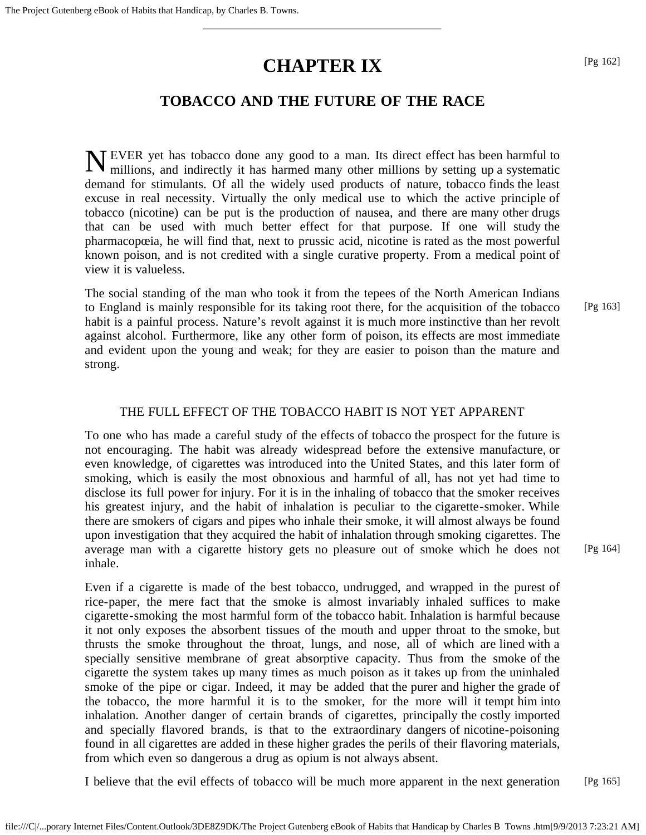# **CHAPTER IX**

# **TOBACCO AND THE FUTURE OF THE RACE**

N EVER yet has tobacco done any good to a man. Its direct effect has been harmful to millions, and indirectly it has harmed many other millions by setting up a systematic millions, and indirectly it has harmed many other millions by setting up a systematic demand for stimulants. Of all the widely used products of nature, tobacco finds the least excuse in real necessity. Virtually the only medical use to which the active principle of tobacco (nicotine) can be put is the production of nausea, and there are many other drugs that can be used with much better effect for that purpose. If one will study the pharmacopœia, he will find that, next to prussic acid, nicotine is rated as the most powerful known poison, and is not credited with a single curative property. From a medical point of view it is valueless.

The social standing of the man who took it from the tepees of the North American Indians to England is mainly responsible for its taking root there, for the acquisition of the tobacco habit is a painful process. Nature's revolt against it is much more instinctive than her revolt against alcohol. Furthermore, like any other form of poison, its effects are most immediate and evident upon the young and weak; for they are easier to poison than the mature and strong. [Pg 163]

# THE FULL EFFECT OF THE TOBACCO HABIT IS NOT YET APPARENT

To one who has made a careful study of the effects of tobacco the prospect for the future is not encouraging. The habit was already widespread before the extensive manufacture, or even knowledge, of cigarettes was introduced into the United States, and this later form of smoking, which is easily the most obnoxious and harmful of all, has not yet had time to disclose its full power for injury. For it is in the inhaling of tobacco that the smoker receives his greatest injury, and the habit of inhalation is peculiar to the cigarette-smoker. While there are smokers of cigars and pipes who inhale their smoke, it will almost always be found upon investigation that they acquired the habit of inhalation through smoking cigarettes. The average man with a cigarette history gets no pleasure out of smoke which he does not inhale.

Even if a cigarette is made of the best tobacco, undrugged, and wrapped in the purest of rice-paper, the mere fact that the smoke is almost invariably inhaled suffices to make cigarette-smoking the most harmful form of the tobacco habit. Inhalation is harmful because it not only exposes the absorbent tissues of the mouth and upper throat to the smoke, but thrusts the smoke throughout the throat, lungs, and nose, all of which are lined with a specially sensitive membrane of great absorptive capacity. Thus from the smoke of the cigarette the system takes up many times as much poison as it takes up from the uninhaled smoke of the pipe or cigar. Indeed, it may be added that the purer and higher the grade of the tobacco, the more harmful it is to the smoker, for the more will it tempt him into inhalation. Another danger of certain brands of cigarettes, principally the costly imported and specially flavored brands, is that to the extraordinary dangers of nicotine-poisoning found in all cigarettes are added in these higher grades the perils of their flavoring materials, from which even so dangerous a drug as opium is not always absent.

I believe that the evil effects of tobacco will be much more apparent in the next generation [Pg 165]

[Pg 164]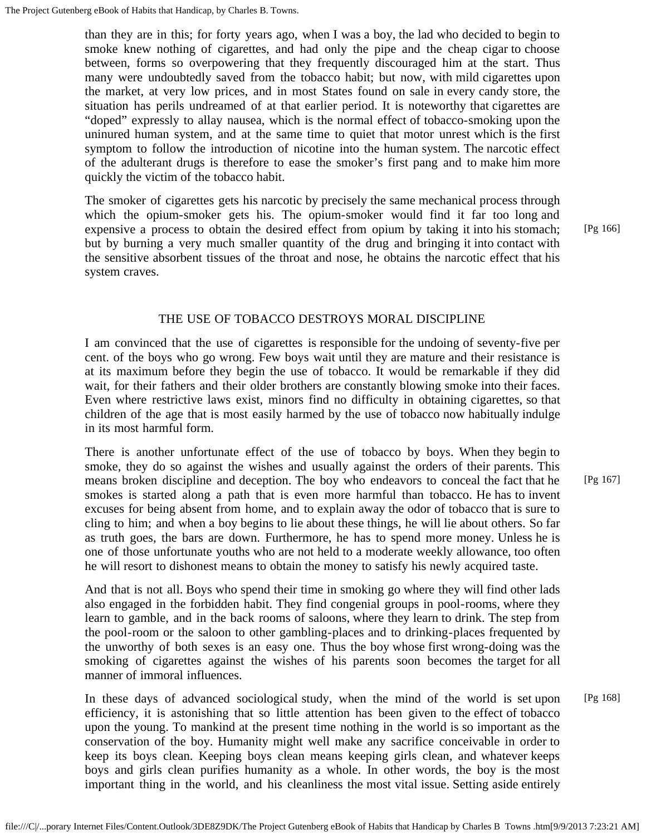than they are in this; for forty years ago, when I was a boy, the lad who decided to begin to smoke knew nothing of cigarettes, and had only the pipe and the cheap cigar to choose between, forms so overpowering that they frequently discouraged him at the start. Thus many were undoubtedly saved from the tobacco habit; but now, with mild cigarettes upon the market, at very low prices, and in most States found on sale in every candy store, the situation has perils undreamed of at that earlier period. It is noteworthy that cigarettes are "doped" expressly to allay nausea, which is the normal effect of tobacco-smoking upon the uninured human system, and at the same time to quiet that motor unrest which is the first symptom to follow the introduction of nicotine into the human system. The narcotic effect of the adulterant drugs is therefore to ease the smoker's first pang and to make him more quickly the victim of the tobacco habit.

The smoker of cigarettes gets his narcotic by precisely the same mechanical process through which the opium-smoker gets his. The opium-smoker would find it far too long and expensive a process to obtain the desired effect from opium by taking it into his stomach; but by burning a very much smaller quantity of the drug and bringing it into contact with the sensitive absorbent tissues of the throat and nose, he obtains the narcotic effect that his system craves.

[Pg 166]

[Pg 167]

# THE USE OF TOBACCO DESTROYS MORAL DISCIPLINE

I am convinced that the use of cigarettes is responsible for the undoing of seventy-five per cent. of the boys who go wrong. Few boys wait until they are mature and their resistance is at its maximum before they begin the use of tobacco. It would be remarkable if they did wait, for their fathers and their older brothers are constantly blowing smoke into their faces. Even where restrictive laws exist, minors find no difficulty in obtaining cigarettes, so that children of the age that is most easily harmed by the use of tobacco now habitually indulge in its most harmful form.

There is another unfortunate effect of the use of tobacco by boys. When they begin to smoke, they do so against the wishes and usually against the orders of their parents. This means broken discipline and deception. The boy who endeavors to conceal the fact that he smokes is started along a path that is even more harmful than tobacco. He has to invent excuses for being absent from home, and to explain away the odor of tobacco that is sure to cling to him; and when a boy begins to lie about these things, he will lie about others. So far as truth goes, the bars are down. Furthermore, he has to spend more money. Unless he is one of those unfortunate youths who are not held to a moderate weekly allowance, too often he will resort to dishonest means to obtain the money to satisfy his newly acquired taste.

And that is not all. Boys who spend their time in smoking go where they will find other lads also engaged in the forbidden habit. They find congenial groups in pool-rooms, where they learn to gamble, and in the back rooms of saloons, where they learn to drink. The step from the pool-room or the saloon to other gambling-places and to drinking-places frequented by the unworthy of both sexes is an easy one. Thus the boy whose first wrong-doing was the smoking of cigarettes against the wishes of his parents soon becomes the target for all manner of immoral influences.

In these days of advanced sociological study, when the mind of the world is set upon efficiency, it is astonishing that so little attention has been given to the effect of tobacco upon the young. To mankind at the present time nothing in the world is so important as the conservation of the boy. Humanity might well make any sacrifice conceivable in order to keep its boys clean. Keeping boys clean means keeping girls clean, and whatever keeps boys and girls clean purifies humanity as a whole. In other words, the boy is the most important thing in the world, and his cleanliness the most vital issue. Setting aside entirely [Pg 168]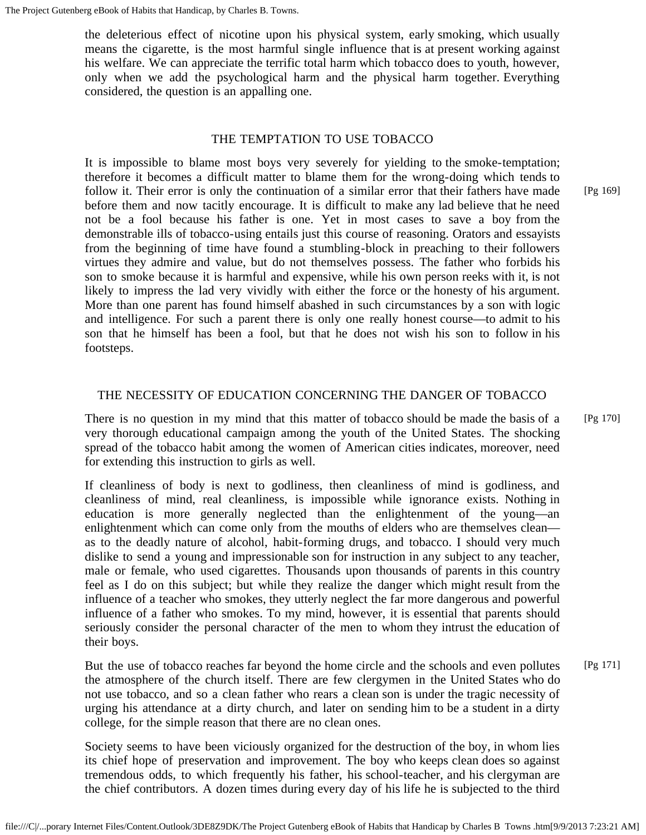the deleterious effect of nicotine upon his physical system, early smoking, which usually means the cigarette, is the most harmful single influence that is at present working against his welfare. We can appreciate the terrific total harm which tobacco does to youth, however, only when we add the psychological harm and the physical harm together. Everything considered, the question is an appalling one.

# THE TEMPTATION TO USE TOBACCO

It is impossible to blame most boys very severely for yielding to the smoke-temptation; therefore it becomes a difficult matter to blame them for the wrong-doing which tends to follow it. Their error is only the continuation of a similar error that their fathers have made before them and now tacitly encourage. It is difficult to make any lad believe that he need not be a fool because his father is one. Yet in most cases to save a boy from the demonstrable ills of tobacco-using entails just this course of reasoning. Orators and essayists from the beginning of time have found a stumbling-block in preaching to their followers virtues they admire and value, but do not themselves possess. The father who forbids his son to smoke because it is harmful and expensive, while his own person reeks with it, is not likely to impress the lad very vividly with either the force or the honesty of his argument. More than one parent has found himself abashed in such circumstances by a son with logic and intelligence. For such a parent there is only one really honest course—to admit to his son that he himself has been a fool, but that he does not wish his son to follow in his footsteps.

# THE NECESSITY OF EDUCATION CONCERNING THE DANGER OF TOBACCO

There is no question in my mind that this matter of tobacco should be made the basis of a very thorough educational campaign among the youth of the United States. The shocking spread of the tobacco habit among the women of American cities indicates, moreover, need for extending this instruction to girls as well. [Pg 170]

If cleanliness of body is next to godliness, then cleanliness of mind is godliness, and cleanliness of mind, real cleanliness, is impossible while ignorance exists. Nothing in education is more generally neglected than the enlightenment of the young—an enlightenment which can come only from the mouths of elders who are themselves clean as to the deadly nature of alcohol, habit-forming drugs, and tobacco. I should very much dislike to send a young and impressionable son for instruction in any subject to any teacher, male or female, who used cigarettes. Thousands upon thousands of parents in this country feel as I do on this subject; but while they realize the danger which might result from the influence of a teacher who smokes, they utterly neglect the far more dangerous and powerful influence of a father who smokes. To my mind, however, it is essential that parents should seriously consider the personal character of the men to whom they intrust the education of their boys.

But the use of tobacco reaches far beyond the home circle and the schools and even pollutes the atmosphere of the church itself. There are few clergymen in the United States who do not use tobacco, and so a clean father who rears a clean son is under the tragic necessity of urging his attendance at a dirty church, and later on sending him to be a student in a dirty college, for the simple reason that there are no clean ones. [Pg 171]

Society seems to have been viciously organized for the destruction of the boy, in whom lies its chief hope of preservation and improvement. The boy who keeps clean does so against tremendous odds, to which frequently his father, his school-teacher, and his clergyman are the chief contributors. A dozen times during every day of his life he is subjected to the third [Pg 169]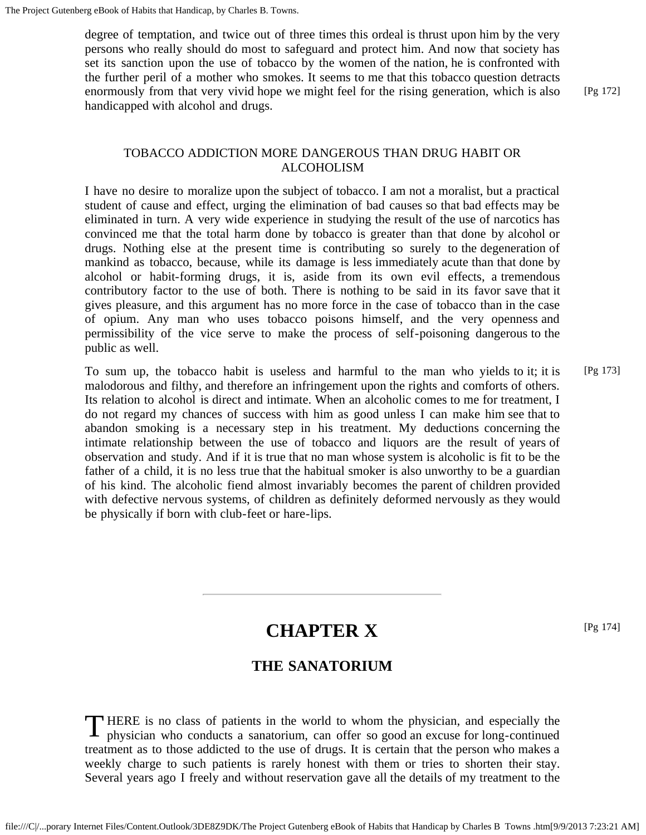degree of temptation, and twice out of three times this ordeal is thrust upon him by the very persons who really should do most to safeguard and protect him. And now that society has set its sanction upon the use of tobacco by the women of the nation, he is confronted with the further peril of a mother who smokes. It seems to me that this tobacco question detracts enormously from that very vivid hope we might feel for the rising generation, which is also handicapped with alcohol and drugs.

[Pg 172]

# TOBACCO ADDICTION MORE DANGEROUS THAN DRUG HABIT OR ALCOHOLISM

I have no desire to moralize upon the subject of tobacco. I am not a moralist, but a practical student of cause and effect, urging the elimination of bad causes so that bad effects may be eliminated in turn. A very wide experience in studying the result of the use of narcotics has convinced me that the total harm done by tobacco is greater than that done by alcohol or drugs. Nothing else at the present time is contributing so surely to the degeneration of mankind as tobacco, because, while its damage is less immediately acute than that done by alcohol or habit-forming drugs, it is, aside from its own evil effects, a tremendous contributory factor to the use of both. There is nothing to be said in its favor save that it gives pleasure, and this argument has no more force in the case of tobacco than in the case of opium. Any man who uses tobacco poisons himself, and the very openness and permissibility of the vice serve to make the process of self-poisoning dangerous to the public as well.

To sum up, the tobacco habit is useless and harmful to the man who yields to it; it is malodorous and filthy, and therefore an infringement upon the rights and comforts of others. Its relation to alcohol is direct and intimate. When an alcoholic comes to me for treatment, I do not regard my chances of success with him as good unless I can make him see that to abandon smoking is a necessary step in his treatment. My deductions concerning the intimate relationship between the use of tobacco and liquors are the result of years of observation and study. And if it is true that no man whose system is alcoholic is fit to be the father of a child, it is no less true that the habitual smoker is also unworthy to be a guardian of his kind. The alcoholic fiend almost invariably becomes the parent of children provided with defective nervous systems, of children as definitely deformed nervously as they would be physically if born with club-feet or hare-lips. [Pg 173]

# **CHAPTER X**

[Pg 174]

# **THE SANATORIUM**

THERE is no class of patients in the world to whom the physician, and especially the physician who conducts a sanatorium, can offer so good an excuse for long-continued physician who conducts a sanatorium, can offer so good an excuse for long-continued treatment as to those addicted to the use of drugs. It is certain that the person who makes a weekly charge to such patients is rarely honest with them or tries to shorten their stay. Several years ago I freely and without reservation gave all the details of my treatment to the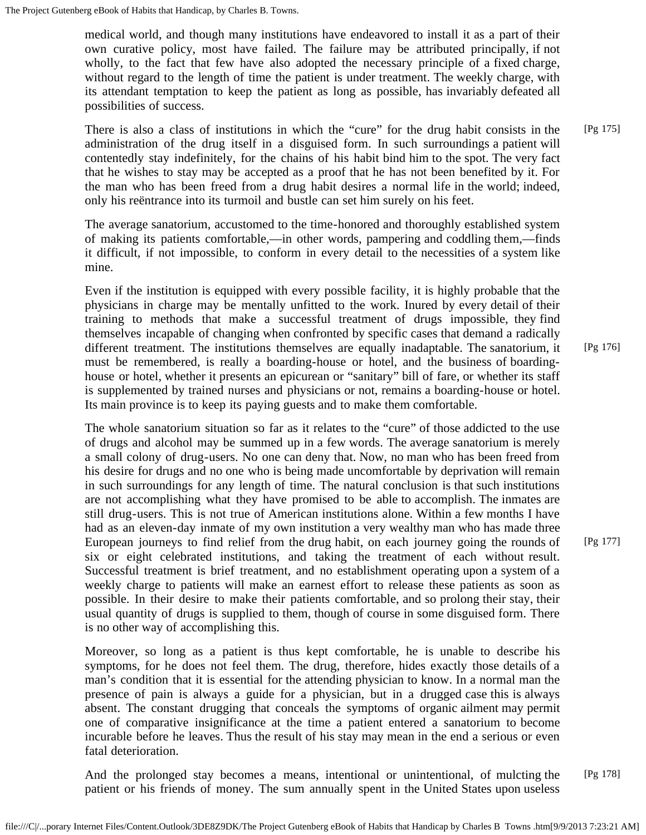medical world, and though many institutions have endeavored to install it as a part of their own curative policy, most have failed. The failure may be attributed principally, if not wholly, to the fact that few have also adopted the necessary principle of a fixed charge, without regard to the length of time the patient is under treatment. The weekly charge, with its attendant temptation to keep the patient as long as possible, has invariably defeated all possibilities of success.

There is also a class of institutions in which the "cure" for the drug habit consists in the administration of the drug itself in a disguised form. In such surroundings a patient will contentedly stay indefinitely, for the chains of his habit bind him to the spot. The very fact that he wishes to stay may be accepted as a proof that he has not been benefited by it. For the man who has been freed from a drug habit desires a normal life in the world; indeed, only his reëntrance into its turmoil and bustle can set him surely on his feet. [Pg 175]

The average sanatorium, accustomed to the time-honored and thoroughly established system of making its patients comfortable,—in other words, pampering and coddling them,—finds it difficult, if not impossible, to conform in every detail to the necessities of a system like mine.

Even if the institution is equipped with every possible facility, it is highly probable that the physicians in charge may be mentally unfitted to the work. Inured by every detail of their training to methods that make a successful treatment of drugs impossible, they find themselves incapable of changing when confronted by specific cases that demand a radically different treatment. The institutions themselves are equally inadaptable. The sanatorium, it must be remembered, is really a boarding-house or hotel, and the business of boardinghouse or hotel, whether it presents an epicurean or "sanitary" bill of fare, or whether its staff is supplemented by trained nurses and physicians or not, remains a boarding-house or hotel. Its main province is to keep its paying guests and to make them comfortable.

The whole sanatorium situation so far as it relates to the "cure" of those addicted to the use of drugs and alcohol may be summed up in a few words. The average sanatorium is merely a small colony of drug-users. No one can deny that. Now, no man who has been freed from his desire for drugs and no one who is being made uncomfortable by deprivation will remain in such surroundings for any length of time. The natural conclusion is that such institutions are not accomplishing what they have promised to be able to accomplish. The inmates are still drug-users. This is not true of American institutions alone. Within a few months I have had as an eleven-day inmate of my own institution a very wealthy man who has made three European journeys to find relief from the drug habit, on each journey going the rounds of six or eight celebrated institutions, and taking the treatment of each without result. Successful treatment is brief treatment, and no establishment operating upon a system of a weekly charge to patients will make an earnest effort to release these patients as soon as possible. In their desire to make their patients comfortable, and so prolong their stay, their usual quantity of drugs is supplied to them, though of course in some disguised form. There is no other way of accomplishing this.

Moreover, so long as a patient is thus kept comfortable, he is unable to describe his symptoms, for he does not feel them. The drug, therefore, hides exactly those details of a man's condition that it is essential for the attending physician to know. In a normal man the presence of pain is always a guide for a physician, but in a drugged case this is always absent. The constant drugging that conceals the symptoms of organic ailment may permit one of comparative insignificance at the time a patient entered a sanatorium to become incurable before he leaves. Thus the result of his stay may mean in the end a serious or even fatal deterioration.

And the prolonged stay becomes a means, intentional or unintentional, of mulcting the patient or his friends of money. The sum annually spent in the United States upon useless [Pg 178]

[Pg 176]

[Pg 177]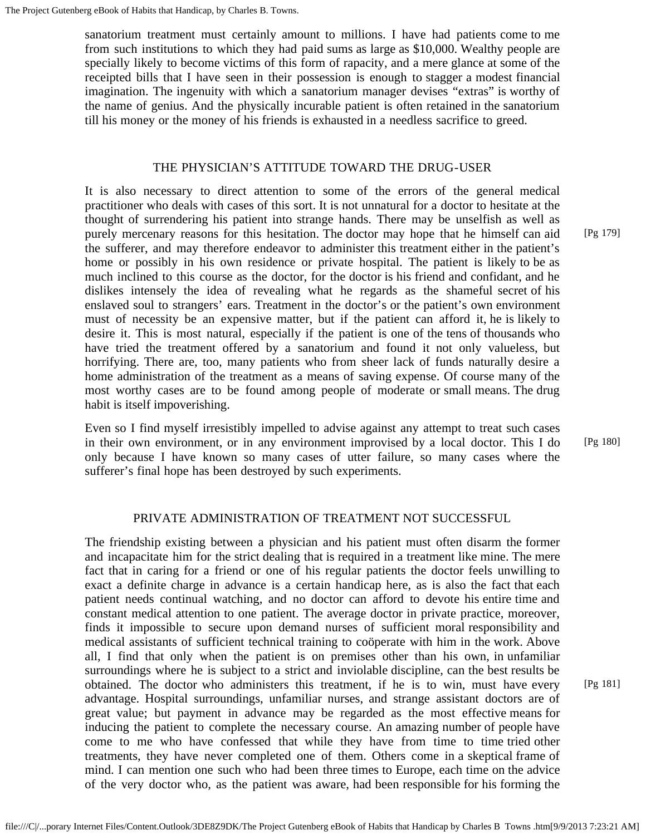sanatorium treatment must certainly amount to millions. I have had patients come to me from such institutions to which they had paid sums as large as \$10,000. Wealthy people are specially likely to become victims of this form of rapacity, and a mere glance at some of the receipted bills that I have seen in their possession is enough to stagger a modest financial imagination. The ingenuity with which a sanatorium manager devises "extras" is worthy of the name of genius. And the physically incurable patient is often retained in the sanatorium till his money or the money of his friends is exhausted in a needless sacrifice to greed.

### THE PHYSICIAN'S ATTITUDE TOWARD THE DRUG-USER

It is also necessary to direct attention to some of the errors of the general medical practitioner who deals with cases of this sort. It is not unnatural for a doctor to hesitate at the thought of surrendering his patient into strange hands. There may be unselfish as well as purely mercenary reasons for this hesitation. The doctor may hope that he himself can aid the sufferer, and may therefore endeavor to administer this treatment either in the patient's home or possibly in his own residence or private hospital. The patient is likely to be as much inclined to this course as the doctor, for the doctor is his friend and confidant, and he dislikes intensely the idea of revealing what he regards as the shameful secret of his enslaved soul to strangers' ears. Treatment in the doctor's or the patient's own environment must of necessity be an expensive matter, but if the patient can afford it, he is likely to desire it. This is most natural, especially if the patient is one of the tens of thousands who have tried the treatment offered by a sanatorium and found it not only valueless, but horrifying. There are, too, many patients who from sheer lack of funds naturally desire a home administration of the treatment as a means of saving expense. Of course many of the most worthy cases are to be found among people of moderate or small means. The drug habit is itself impoverishing.

Even so I find myself irresistibly impelled to advise against any attempt to treat such cases in their own environment, or in any environment improvised by a local doctor. This I do only because I have known so many cases of utter failure, so many cases where the sufferer's final hope has been destroyed by such experiments.

# [Pg 179]

[Pg 180]

# PRIVATE ADMINISTRATION OF TREATMENT NOT SUCCESSFUL

The friendship existing between a physician and his patient must often disarm the former and incapacitate him for the strict dealing that is required in a treatment like mine. The mere fact that in caring for a friend or one of his regular patients the doctor feels unwilling to exact a definite charge in advance is a certain handicap here, as is also the fact that each patient needs continual watching, and no doctor can afford to devote his entire time and constant medical attention to one patient. The average doctor in private practice, moreover, finds it impossible to secure upon demand nurses of sufficient moral responsibility and medical assistants of sufficient technical training to coöperate with him in the work. Above all, I find that only when the patient is on premises other than his own, in unfamiliar surroundings where he is subject to a strict and inviolable discipline, can the best results be obtained. The doctor who administers this treatment, if he is to win, must have every advantage. Hospital surroundings, unfamiliar nurses, and strange assistant doctors are of great value; but payment in advance may be regarded as the most effective means for inducing the patient to complete the necessary course. An amazing number of people have come to me who have confessed that while they have from time to time tried other treatments, they have never completed one of them. Others come in a skeptical frame of mind. I can mention one such who had been three times to Europe, each time on the advice of the very doctor who, as the patient was aware, had been responsible for his forming the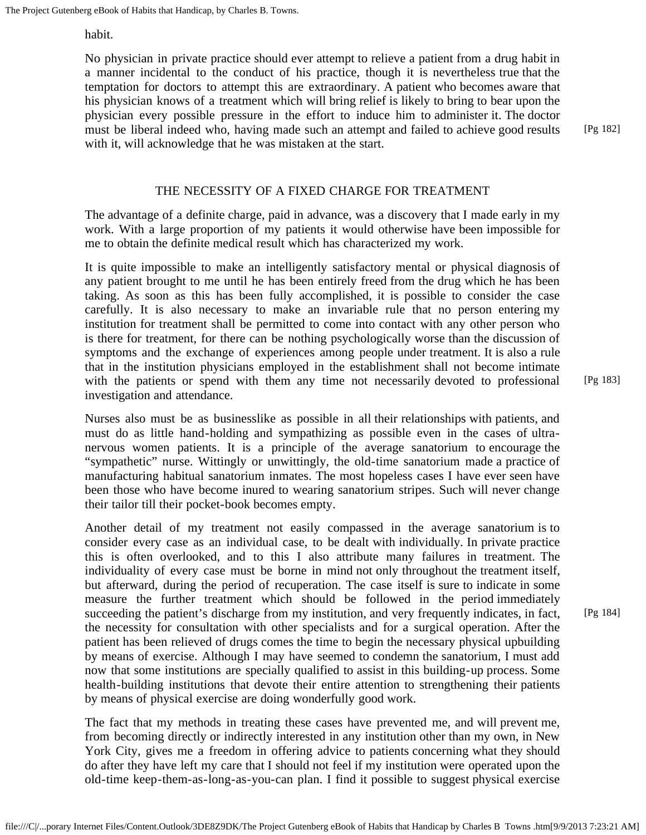habit.

No physician in private practice should ever attempt to relieve a patient from a drug habit in a manner incidental to the conduct of his practice, though it is nevertheless true that the temptation for doctors to attempt this are extraordinary. A patient who becomes aware that his physician knows of a treatment which will bring relief is likely to bring to bear upon the physician every possible pressure in the effort to induce him to administer it. The doctor must be liberal indeed who, having made such an attempt and failed to achieve good results with it, will acknowledge that he was mistaken at the start.

# THE NECESSITY OF A FIXED CHARGE FOR TREATMENT

The advantage of a definite charge, paid in advance, was a discovery that I made early in my work. With a large proportion of my patients it would otherwise have been impossible for me to obtain the definite medical result which has characterized my work.

It is quite impossible to make an intelligently satisfactory mental or physical diagnosis of any patient brought to me until he has been entirely freed from the drug which he has been taking. As soon as this has been fully accomplished, it is possible to consider the case carefully. It is also necessary to make an invariable rule that no person entering my institution for treatment shall be permitted to come into contact with any other person who is there for treatment, for there can be nothing psychologically worse than the discussion of symptoms and the exchange of experiences among people under treatment. It is also a rule that in the institution physicians employed in the establishment shall not become intimate with the patients or spend with them any time not necessarily devoted to professional investigation and attendance.

Nurses also must be as businesslike as possible in all their relationships with patients, and must do as little hand-holding and sympathizing as possible even in the cases of ultranervous women patients. It is a principle of the average sanatorium to encourage the "sympathetic" nurse. Wittingly or unwittingly, the old-time sanatorium made a practice of manufacturing habitual sanatorium inmates. The most hopeless cases I have ever seen have been those who have become inured to wearing sanatorium stripes. Such will never change their tailor till their pocket-book becomes empty.

Another detail of my treatment not easily compassed in the average sanatorium is to consider every case as an individual case, to be dealt with individually. In private practice this is often overlooked, and to this I also attribute many failures in treatment. The individuality of every case must be borne in mind not only throughout the treatment itself, but afterward, during the period of recuperation. The case itself is sure to indicate in some measure the further treatment which should be followed in the period immediately succeeding the patient's discharge from my institution, and very frequently indicates, in fact, the necessity for consultation with other specialists and for a surgical operation. After the patient has been relieved of drugs comes the time to begin the necessary physical upbuilding by means of exercise. Although I may have seemed to condemn the sanatorium, I must add now that some institutions are specially qualified to assist in this building-up process. Some health-building institutions that devote their entire attention to strengthening their patients by means of physical exercise are doing wonderfully good work.

The fact that my methods in treating these cases have prevented me, and will prevent me, from becoming directly or indirectly interested in any institution other than my own, in New York City, gives me a freedom in offering advice to patients concerning what they should do after they have left my care that I should not feel if my institution were operated upon the old-time keep-them-as-long-as-you-can plan. I find it possible to suggest physical exercise [Pg 183]

[Pg 182]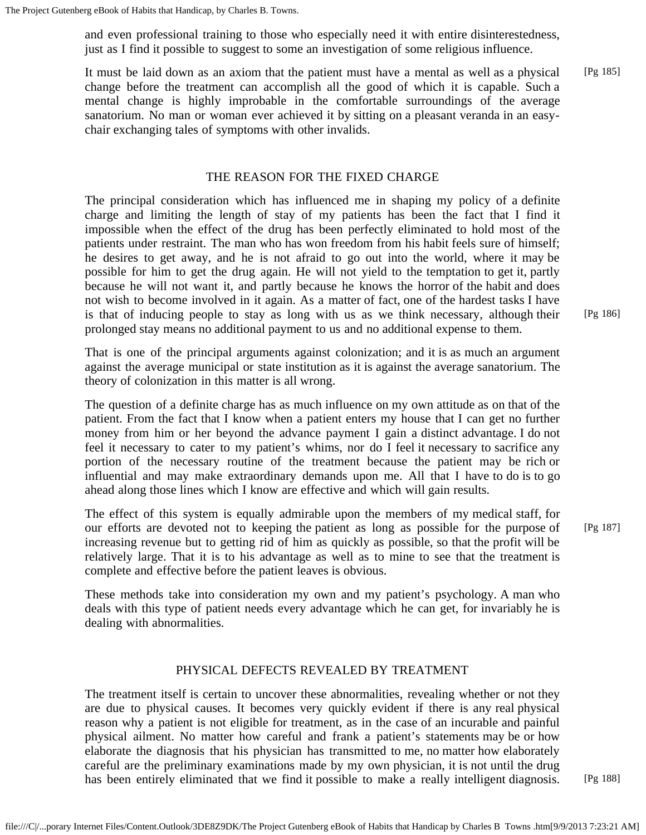and even professional training to those who especially need it with entire disinterestedness, just as I find it possible to suggest to some an investigation of some religious influence.

It must be laid down as an axiom that the patient must have a mental as well as a physical change before the treatment can accomplish all the good of which it is capable. Such a mental change is highly improbable in the comfortable surroundings of the average sanatorium. No man or woman ever achieved it by sitting on a pleasant veranda in an easychair exchanging tales of symptoms with other invalids. [Pg 185]

# THE REASON FOR THE FIXED CHARGE

The principal consideration which has influenced me in shaping my policy of a definite charge and limiting the length of stay of my patients has been the fact that I find it impossible when the effect of the drug has been perfectly eliminated to hold most of the patients under restraint. The man who has won freedom from his habit feels sure of himself; he desires to get away, and he is not afraid to go out into the world, where it may be possible for him to get the drug again. He will not yield to the temptation to get it, partly because he will not want it, and partly because he knows the horror of the habit and does not wish to become involved in it again. As a matter of fact, one of the hardest tasks I have is that of inducing people to stay as long with us as we think necessary, although their prolonged stay means no additional payment to us and no additional expense to them.

That is one of the principal arguments against colonization; and it is as much an argument against the average municipal or state institution as it is against the average sanatorium. The theory of colonization in this matter is all wrong.

The question of a definite charge has as much influence on my own attitude as on that of the patient. From the fact that I know when a patient enters my house that I can get no further money from him or her beyond the advance payment I gain a distinct advantage. I do not feel it necessary to cater to my patient's whims, nor do I feel it necessary to sacrifice any portion of the necessary routine of the treatment because the patient may be rich or influential and may make extraordinary demands upon me. All that I have to do is to go ahead along those lines which I know are effective and which will gain results.

The effect of this system is equally admirable upon the members of my medical staff, for our efforts are devoted not to keeping the patient as long as possible for the purpose of increasing revenue but to getting rid of him as quickly as possible, so that the profit will be relatively large. That it is to his advantage as well as to mine to see that the treatment is complete and effective before the patient leaves is obvious.

These methods take into consideration my own and my patient's psychology. A man who deals with this type of patient needs every advantage which he can get, for invariably he is dealing with abnormalities.

# PHYSICAL DEFECTS REVEALED BY TREATMENT

The treatment itself is certain to uncover these abnormalities, revealing whether or not they are due to physical causes. It becomes very quickly evident if there is any real physical reason why a patient is not eligible for treatment, as in the case of an incurable and painful physical ailment. No matter how careful and frank a patient's statements may be or how elaborate the diagnosis that his physician has transmitted to me, no matter how elaborately careful are the preliminary examinations made by my own physician, it is not until the drug has been entirely eliminated that we find it possible to make a really intelligent diagnosis. [Pg 186]

[Pg 188]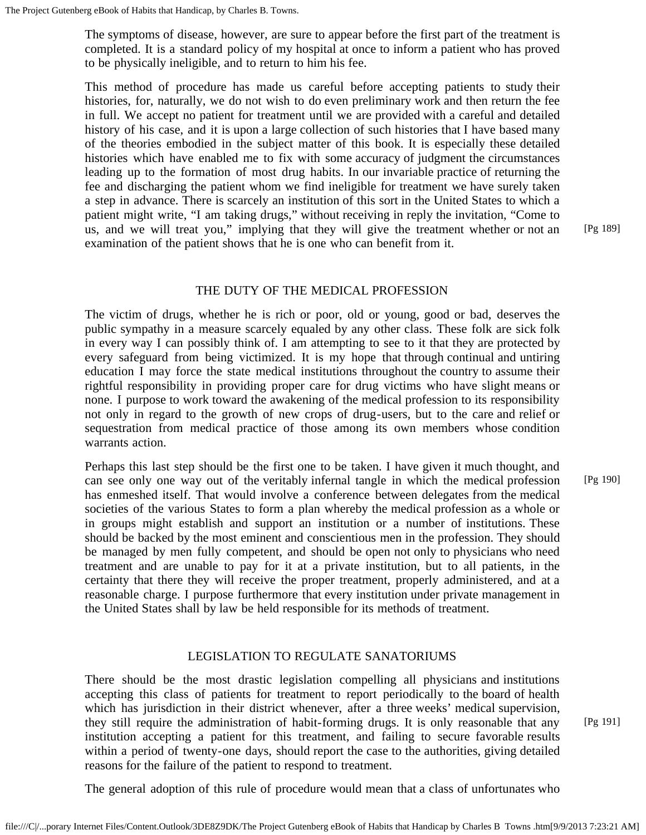The symptoms of disease, however, are sure to appear before the first part of the treatment is completed. It is a standard policy of my hospital at once to inform a patient who has proved to be physically ineligible, and to return to him his fee.

This method of procedure has made us careful before accepting patients to study their histories, for, naturally, we do not wish to do even preliminary work and then return the fee in full. We accept no patient for treatment until we are provided with a careful and detailed history of his case, and it is upon a large collection of such histories that I have based many of the theories embodied in the subject matter of this book. It is especially these detailed histories which have enabled me to fix with some accuracy of judgment the circumstances leading up to the formation of most drug habits. In our invariable practice of returning the fee and discharging the patient whom we find ineligible for treatment we have surely taken a step in advance. There is scarcely an institution of this sort in the United States to which a patient might write, "I am taking drugs," without receiving in reply the invitation, "Come to us, and we will treat you," implying that they will give the treatment whether or not an examination of the patient shows that he is one who can benefit from it.

[Pg 189]

#### THE DUTY OF THE MEDICAL PROFESSION

The victim of drugs, whether he is rich or poor, old or young, good or bad, deserves the public sympathy in a measure scarcely equaled by any other class. These folk are sick folk in every way I can possibly think of. I am attempting to see to it that they are protected by every safeguard from being victimized. It is my hope that through continual and untiring education I may force the state medical institutions throughout the country to assume their rightful responsibility in providing proper care for drug victims who have slight means or none. I purpose to work toward the awakening of the medical profession to its responsibility not only in regard to the growth of new crops of drug-users, but to the care and relief or sequestration from medical practice of those among its own members whose condition warrants action.

Perhaps this last step should be the first one to be taken. I have given it much thought, and can see only one way out of the veritably infernal tangle in which the medical profession has enmeshed itself. That would involve a conference between delegates from the medical societies of the various States to form a plan whereby the medical profession as a whole or in groups might establish and support an institution or a number of institutions. These should be backed by the most eminent and conscientious men in the profession. They should be managed by men fully competent, and should be open not only to physicians who need treatment and are unable to pay for it at a private institution, but to all patients, in the certainty that there they will receive the proper treatment, properly administered, and at a reasonable charge. I purpose furthermore that every institution under private management in the United States shall by law be held responsible for its methods of treatment.

#### LEGISLATION TO REGULATE SANATORIUMS

There should be the most drastic legislation compelling all physicians and institutions accepting this class of patients for treatment to report periodically to the board of health which has jurisdiction in their district whenever, after a three weeks' medical supervision, they still require the administration of habit-forming drugs. It is only reasonable that any institution accepting a patient for this treatment, and failing to secure favorable results within a period of twenty-one days, should report the case to the authorities, giving detailed reasons for the failure of the patient to respond to treatment.

[Pg 190]

[Pg 191]

The general adoption of this rule of procedure would mean that a class of unfortunates who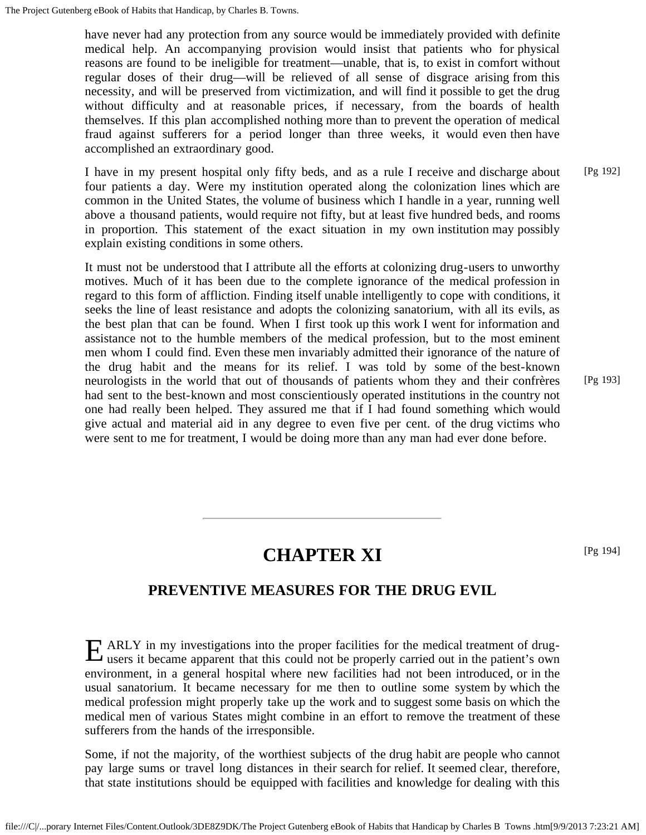have never had any protection from any source would be immediately provided with definite medical help. An accompanying provision would insist that patients who for physical reasons are found to be ineligible for treatment—unable, that is, to exist in comfort without regular doses of their drug—will be relieved of all sense of disgrace arising from this necessity, and will be preserved from victimization, and will find it possible to get the drug without difficulty and at reasonable prices, if necessary, from the boards of health themselves. If this plan accomplished nothing more than to prevent the operation of medical fraud against sufferers for a period longer than three weeks, it would even then have accomplished an extraordinary good.

I have in my present hospital only fifty beds, and as a rule I receive and discharge about four patients a day. Were my institution operated along the colonization lines which are common in the United States, the volume of business which I handle in a year, running well above a thousand patients, would require not fifty, but at least five hundred beds, and rooms in proportion. This statement of the exact situation in my own institution may possibly explain existing conditions in some others. [Pg 192]

It must not be understood that I attribute all the efforts at colonizing drug-users to unworthy motives. Much of it has been due to the complete ignorance of the medical profession in regard to this form of affliction. Finding itself unable intelligently to cope with conditions, it seeks the line of least resistance and adopts the colonizing sanatorium, with all its evils, as the best plan that can be found. When I first took up this work I went for information and assistance not to the humble members of the medical profession, but to the most eminent men whom I could find. Even these men invariably admitted their ignorance of the nature of the drug habit and the means for its relief. I was told by some of the best-known neurologists in the world that out of thousands of patients whom they and their confrères had sent to the best-known and most conscientiously operated institutions in the country not one had really been helped. They assured me that if I had found something which would give actual and material aid in any degree to even five per cent. of the drug victims who were sent to me for treatment, I would be doing more than any man had ever done before.

[Pg 193]

# **CHAPTER XI**

[Pg 194]

# **PREVENTIVE MEASURES FOR THE DRUG EVIL**

E ARLY in my investigations into the proper facilities for the medical treatment of drug-<br>users it became apparent that this could not be properly carried out in the patient's own users it became apparent that this could not be properly carried out in the patient's own environment, in a general hospital where new facilities had not been introduced, or in the usual sanatorium. It became necessary for me then to outline some system by which the medical profession might properly take up the work and to suggest some basis on which the medical men of various States might combine in an effort to remove the treatment of these sufferers from the hands of the irresponsible.

Some, if not the majority, of the worthiest subjects of the drug habit are people who cannot pay large sums or travel long distances in their search for relief. It seemed clear, therefore, that state institutions should be equipped with facilities and knowledge for dealing with this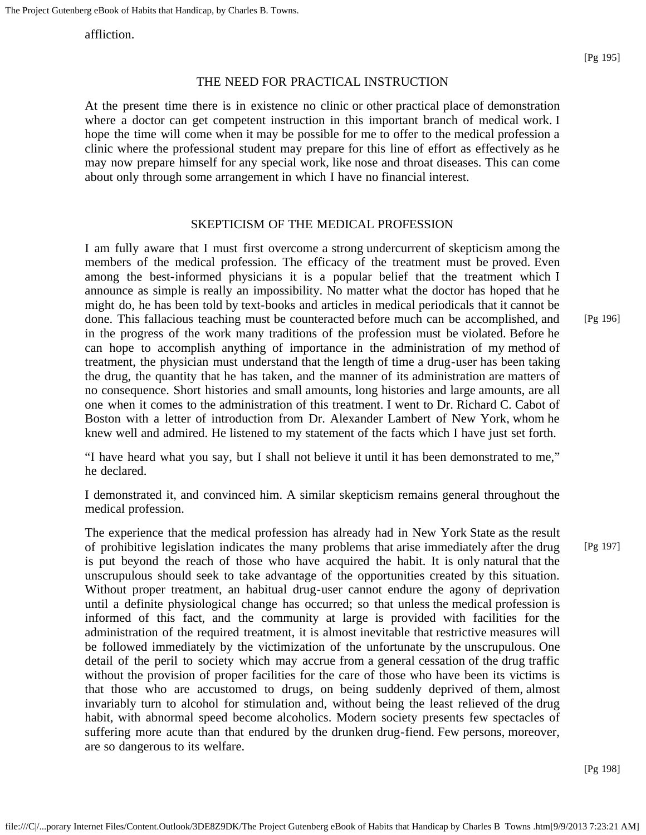affliction.

#### THE NEED FOR PRACTICAL INSTRUCTION

At the present time there is in existence no clinic or other practical place of demonstration where a doctor can get competent instruction in this important branch of medical work. I hope the time will come when it may be possible for me to offer to the medical profession a clinic where the professional student may prepare for this line of effort as effectively as he may now prepare himself for any special work, like nose and throat diseases. This can come about only through some arrangement in which I have no financial interest.

#### SKEPTICISM OF THE MEDICAL PROFESSION

I am fully aware that I must first overcome a strong undercurrent of skepticism among the members of the medical profession. The efficacy of the treatment must be proved. Even among the best-informed physicians it is a popular belief that the treatment which I announce as simple is really an impossibility. No matter what the doctor has hoped that he might do, he has been told by text-books and articles in medical periodicals that it cannot be done. This fallacious teaching must be counteracted before much can be accomplished, and in the progress of the work many traditions of the profession must be violated. Before he can hope to accomplish anything of importance in the administration of my method of treatment, the physician must understand that the length of time a drug-user has been taking the drug, the quantity that he has taken, and the manner of its administration are matters of no consequence. Short histories and small amounts, long histories and large amounts, are all one when it comes to the administration of this treatment. I went to Dr. Richard C. Cabot of Boston with a letter of introduction from Dr. Alexander Lambert of New York, whom he knew well and admired. He listened to my statement of the facts which I have just set forth.

"I have heard what you say, but I shall not believe it until it has been demonstrated to me," he declared.

I demonstrated it, and convinced him. A similar skepticism remains general throughout the medical profession.

The experience that the medical profession has already had in New York State as the result of prohibitive legislation indicates the many problems that arise immediately after the drug is put beyond the reach of those who have acquired the habit. It is only natural that the unscrupulous should seek to take advantage of the opportunities created by this situation. Without proper treatment, an habitual drug-user cannot endure the agony of deprivation until a definite physiological change has occurred; so that unless the medical profession is informed of this fact, and the community at large is provided with facilities for the administration of the required treatment, it is almost inevitable that restrictive measures will be followed immediately by the victimization of the unfortunate by the unscrupulous. One detail of the peril to society which may accrue from a general cessation of the drug traffic without the provision of proper facilities for the care of those who have been its victims is that those who are accustomed to drugs, on being suddenly deprived of them, almost invariably turn to alcohol for stimulation and, without being the least relieved of the drug habit, with abnormal speed become alcoholics. Modern society presents few spectacles of suffering more acute than that endured by the drunken drug-fiend. Few persons, moreover, are so dangerous to its welfare.

[Pg 198]

[Pg 197]

[Pg 196]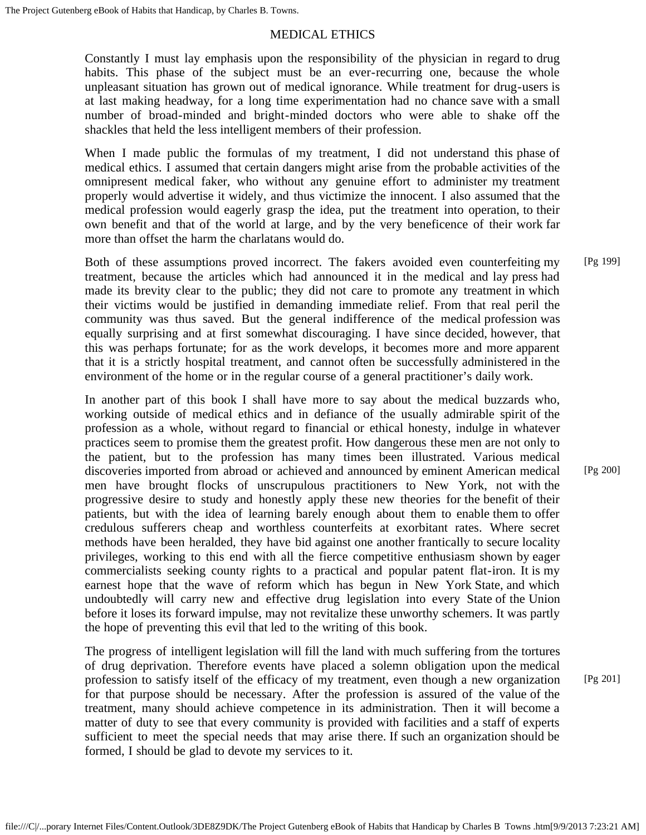# MEDICAL ETHICS

Constantly I must lay emphasis upon the responsibility of the physician in regard to drug habits. This phase of the subject must be an ever-recurring one, because the whole unpleasant situation has grown out of medical ignorance. While treatment for drug-users is at last making headway, for a long time experimentation had no chance save with a small number of broad-minded and bright-minded doctors who were able to shake off the shackles that held the less intelligent members of their profession.

When I made public the formulas of my treatment, I did not understand this phase of medical ethics. I assumed that certain dangers might arise from the probable activities of the omnipresent medical faker, who without any genuine effort to administer my treatment properly would advertise it widely, and thus victimize the innocent. I also assumed that the medical profession would eagerly grasp the idea, put the treatment into operation, to their own benefit and that of the world at large, and by the very beneficence of their work far more than offset the harm the charlatans would do.

Both of these assumptions proved incorrect. The fakers avoided even counterfeiting my treatment, because the articles which had announced it in the medical and lay press had made its brevity clear to the public; they did not care to promote any treatment in which their victims would be justified in demanding immediate relief. From that real peril the community was thus saved. But the general indifference of the medical profession was equally surprising and at first somewhat discouraging. I have since decided, however, that this was perhaps fortunate; for as the work develops, it becomes more and more apparent that it is a strictly hospital treatment, and cannot often be successfully administered in the environment of the home or in the regular course of a general practitioner's daily work. [Pg 199]

In another part of this book I shall have more to say about the medical buzzards who, working outside of medical ethics and in defiance of the usually admirable spirit of the profession as a whole, without regard to financial or ethical honesty, indulge in whatever practices seem to promise them the greatest profit. How dangerous these men are not only to the patient, but to the profession has many times been illustrated. Various medical discoveries imported from abroad or achieved and announced by eminent American medical men have brought flocks of unscrupulous practitioners to New York, not with the progressive desire to study and honestly apply these new theories for the benefit of their patients, but with the idea of learning barely enough about them to enable them to offer credulous sufferers cheap and worthless counterfeits at exorbitant rates. Where secret methods have been heralded, they have bid against one another frantically to secure locality privileges, working to this end with all the fierce competitive enthusiasm shown by eager commercialists seeking county rights to a practical and popular patent flat-iron. It is my earnest hope that the wave of reform which has begun in New York State, and which undoubtedly will carry new and effective drug legislation into every State of the Union before it loses its forward impulse, may not revitalize these unworthy schemers. It was partly the hope of preventing this evil that led to the writing of this book.

The progress of intelligent legislation will fill the land with much suffering from the tortures of drug deprivation. Therefore events have placed a solemn obligation upon the medical profession to satisfy itself of the efficacy of my treatment, even though a new organization for that purpose should be necessary. After the profession is assured of the value of the treatment, many should achieve competence in its administration. Then it will become a matter of duty to see that every community is provided with facilities and a staff of experts sufficient to meet the special needs that may arise there. If such an organization should be formed, I should be glad to devote my services to it.

[Pg 200]

[Pg 201]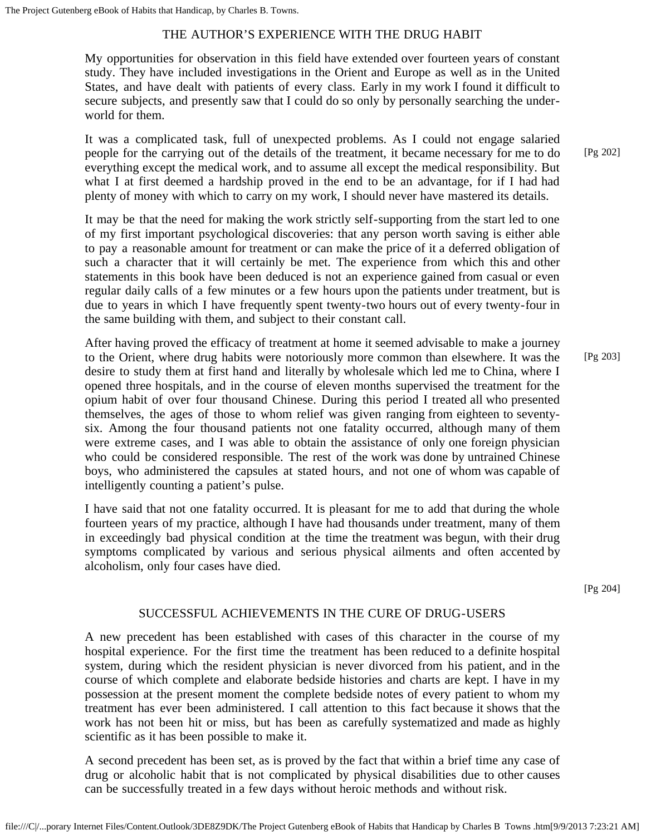# THE AUTHOR'S EXPERIENCE WITH THE DRUG HABIT

My opportunities for observation in this field have extended over fourteen years of constant study. They have included investigations in the Orient and Europe as well as in the United States, and have dealt with patients of every class. Early in my work I found it difficult to secure subjects, and presently saw that I could do so only by personally searching the underworld for them.

It was a complicated task, full of unexpected problems. As I could not engage salaried people for the carrying out of the details of the treatment, it became necessary for me to do everything except the medical work, and to assume all except the medical responsibility. But what I at first deemed a hardship proved in the end to be an advantage, for if I had had plenty of money with which to carry on my work, I should never have mastered its details.

It may be that the need for making the work strictly self-supporting from the start led to one of my first important psychological discoveries: that any person worth saving is either able to pay a reasonable amount for treatment or can make the price of it a deferred obligation of such a character that it will certainly be met. The experience from which this and other statements in this book have been deduced is not an experience gained from casual or even regular daily calls of a few minutes or a few hours upon the patients under treatment, but is due to years in which I have frequently spent twenty-two hours out of every twenty-four in the same building with them, and subject to their constant call.

After having proved the efficacy of treatment at home it seemed advisable to make a journey to the Orient, where drug habits were notoriously more common than elsewhere. It was the desire to study them at first hand and literally by wholesale which led me to China, where I opened three hospitals, and in the course of eleven months supervised the treatment for the opium habit of over four thousand Chinese. During this period I treated all who presented themselves, the ages of those to whom relief was given ranging from eighteen to seventysix. Among the four thousand patients not one fatality occurred, although many of them were extreme cases, and I was able to obtain the assistance of only one foreign physician who could be considered responsible. The rest of the work was done by untrained Chinese boys, who administered the capsules at stated hours, and not one of whom was capable of intelligently counting a patient's pulse.

I have said that not one fatality occurred. It is pleasant for me to add that during the whole fourteen years of my practice, although I have had thousands under treatment, many of them in exceedingly bad physical condition at the time the treatment was begun, with their drug symptoms complicated by various and serious physical ailments and often accented by alcoholism, only four cases have died.

[Pg 204]

### SUCCESSFUL ACHIEVEMENTS IN THE CURE OF DRUG-USERS

A new precedent has been established with cases of this character in the course of my hospital experience. For the first time the treatment has been reduced to a definite hospital system, during which the resident physician is never divorced from his patient, and in the course of which complete and elaborate bedside histories and charts are kept. I have in my possession at the present moment the complete bedside notes of every patient to whom my treatment has ever been administered. I call attention to this fact because it shows that the work has not been hit or miss, but has been as carefully systematized and made as highly scientific as it has been possible to make it.

A second precedent has been set, as is proved by the fact that within a brief time any case of drug or alcoholic habit that is not complicated by physical disabilities due to other causes can be successfully treated in a few days without heroic methods and without risk.

[Pg 202]

[Pg 203]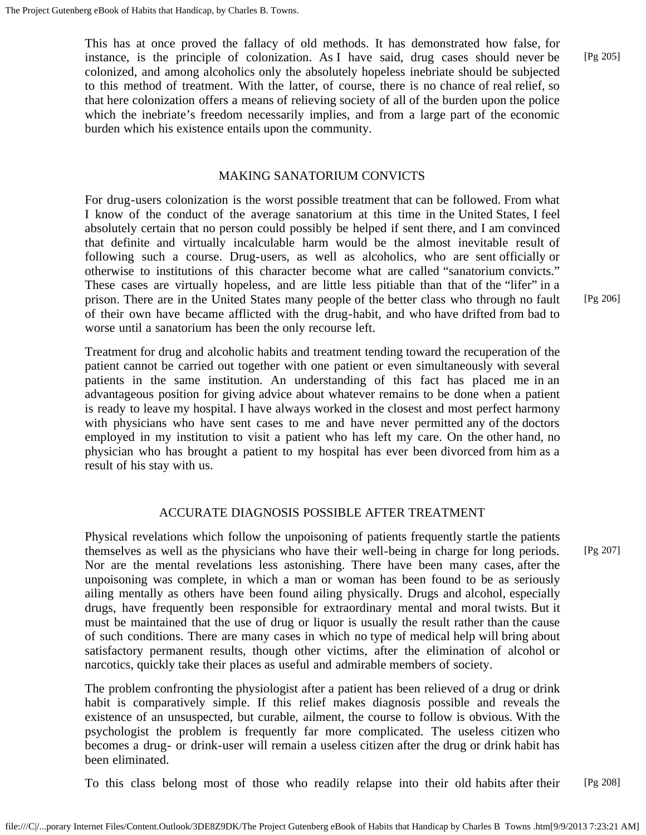This has at once proved the fallacy of old methods. It has demonstrated how false, for instance, is the principle of colonization. As I have said, drug cases should never be colonized, and among alcoholics only the absolutely hopeless inebriate should be subjected to this method of treatment. With the latter, of course, there is no chance of real relief, so that here colonization offers a means of relieving society of all of the burden upon the police which the inebriate's freedom necessarily implies, and from a large part of the economic burden which his existence entails upon the community.

#### MAKING SANATORIUM CONVICTS

For drug-users colonization is the worst possible treatment that can be followed. From what I know of the conduct of the average sanatorium at this time in the United States, I feel absolutely certain that no person could possibly be helped if sent there, and I am convinced that definite and virtually incalculable harm would be the almost inevitable result of following such a course. Drug-users, as well as alcoholics, who are sent officially or otherwise to institutions of this character become what are called "sanatorium convicts." These cases are virtually hopeless, and are little less pitiable than that of the "lifer" in a prison. There are in the United States many people of the better class who through no fault of their own have became afflicted with the drug-habit, and who have drifted from bad to worse until a sanatorium has been the only recourse left.

Treatment for drug and alcoholic habits and treatment tending toward the recuperation of the patient cannot be carried out together with one patient or even simultaneously with several patients in the same institution. An understanding of this fact has placed me in an advantageous position for giving advice about whatever remains to be done when a patient is ready to leave my hospital. I have always worked in the closest and most perfect harmony with physicians who have sent cases to me and have never permitted any of the doctors employed in my institution to visit a patient who has left my care. On the other hand, no physician who has brought a patient to my hospital has ever been divorced from him as a result of his stay with us.

# ACCURATE DIAGNOSIS POSSIBLE AFTER TREATMENT

Physical revelations which follow the unpoisoning of patients frequently startle the patients themselves as well as the physicians who have their well-being in charge for long periods. Nor are the mental revelations less astonishing. There have been many cases, after the unpoisoning was complete, in which a man or woman has been found to be as seriously ailing mentally as others have been found ailing physically. Drugs and alcohol, especially drugs, have frequently been responsible for extraordinary mental and moral twists. But it must be maintained that the use of drug or liquor is usually the result rather than the cause of such conditions. There are many cases in which no type of medical help will bring about satisfactory permanent results, though other victims, after the elimination of alcohol or narcotics, quickly take their places as useful and admirable members of society.

The problem confronting the physiologist after a patient has been relieved of a drug or drink habit is comparatively simple. If this relief makes diagnosis possible and reveals the existence of an unsuspected, but curable, ailment, the course to follow is obvious. With the psychologist the problem is frequently far more complicated. The useless citizen who becomes a drug- or drink-user will remain a useless citizen after the drug or drink habit has been eliminated.

To this class belong most of those who readily relapse into their old habits after their [Pg 208]

[Pg 206]

[Pg 205]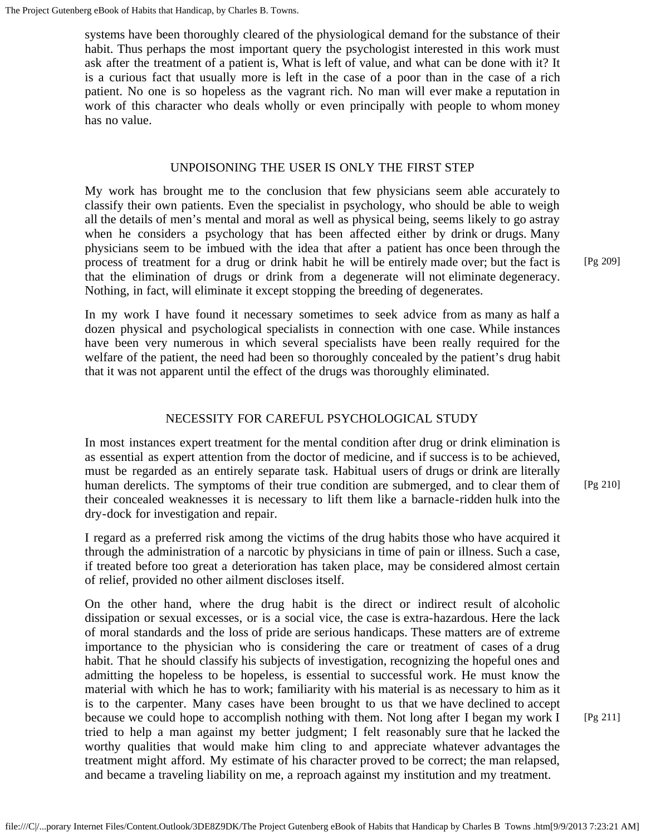systems have been thoroughly cleared of the physiological demand for the substance of their habit. Thus perhaps the most important query the psychologist interested in this work must ask after the treatment of a patient is, What is left of value, and what can be done with it? It is a curious fact that usually more is left in the case of a poor than in the case of a rich patient. No one is so hopeless as the vagrant rich. No man will ever make a reputation in work of this character who deals wholly or even principally with people to whom money has no value.

### UNPOISONING THE USER IS ONLY THE FIRST STEP

My work has brought me to the conclusion that few physicians seem able accurately to classify their own patients. Even the specialist in psychology, who should be able to weigh all the details of men's mental and moral as well as physical being, seems likely to go astray when he considers a psychology that has been affected either by drink or drugs. Many physicians seem to be imbued with the idea that after a patient has once been through the process of treatment for a drug or drink habit he will be entirely made over; but the fact is that the elimination of drugs or drink from a degenerate will not eliminate degeneracy. Nothing, in fact, will eliminate it except stopping the breeding of degenerates.

In my work I have found it necessary sometimes to seek advice from as many as half a dozen physical and psychological specialists in connection with one case. While instances have been very numerous in which several specialists have been really required for the welfare of the patient, the need had been so thoroughly concealed by the patient's drug habit that it was not apparent until the effect of the drugs was thoroughly eliminated.

# NECESSITY FOR CAREFUL PSYCHOLOGICAL STUDY

In most instances expert treatment for the mental condition after drug or drink elimination is as essential as expert attention from the doctor of medicine, and if success is to be achieved, must be regarded as an entirely separate task. Habitual users of drugs or drink are literally human derelicts. The symptoms of their true condition are submerged, and to clear them of their concealed weaknesses it is necessary to lift them like a barnacle-ridden hulk into the dry-dock for investigation and repair.

I regard as a preferred risk among the victims of the drug habits those who have acquired it through the administration of a narcotic by physicians in time of pain or illness. Such a case, if treated before too great a deterioration has taken place, may be considered almost certain of relief, provided no other ailment discloses itself.

On the other hand, where the drug habit is the direct or indirect result of alcoholic dissipation or sexual excesses, or is a social vice, the case is extra-hazardous. Here the lack of moral standards and the loss of pride are serious handicaps. These matters are of extreme importance to the physician who is considering the care or treatment of cases of a drug habit. That he should classify his subjects of investigation, recognizing the hopeful ones and admitting the hopeless to be hopeless, is essential to successful work. He must know the material with which he has to work; familiarity with his material is as necessary to him as it is to the carpenter. Many cases have been brought to us that we have declined to accept because we could hope to accomplish nothing with them. Not long after I began my work I tried to help a man against my better judgment; I felt reasonably sure that he lacked the worthy qualities that would make him cling to and appreciate whatever advantages the treatment might afford. My estimate of his character proved to be correct; the man relapsed, and became a traveling liability on me, a reproach against my institution and my treatment.

[Pg 209]

[Pg 210]

[Pg 211]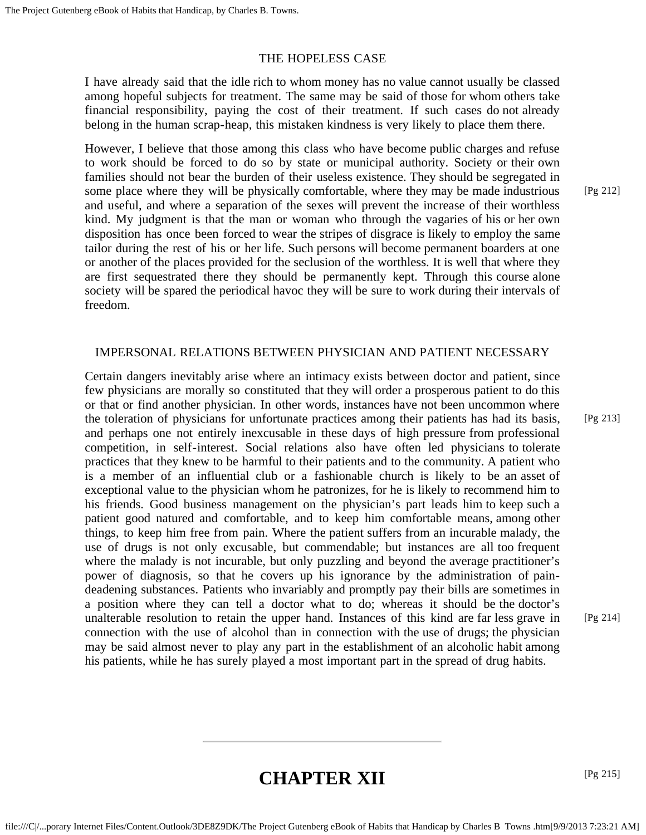### THE HOPELESS CASE

I have already said that the idle rich to whom money has no value cannot usually be classed among hopeful subjects for treatment. The same may be said of those for whom others take financial responsibility, paying the cost of their treatment. If such cases do not already belong in the human scrap-heap, this mistaken kindness is very likely to place them there.

However, I believe that those among this class who have become public charges and refuse to work should be forced to do so by state or municipal authority. Society or their own families should not bear the burden of their useless existence. They should be segregated in some place where they will be physically comfortable, where they may be made industrious and useful, and where a separation of the sexes will prevent the increase of their worthless kind. My judgment is that the man or woman who through the vagaries of his or her own disposition has once been forced to wear the stripes of disgrace is likely to employ the same tailor during the rest of his or her life. Such persons will become permanent boarders at one or another of the places provided for the seclusion of the worthless. It is well that where they are first sequestrated there they should be permanently kept. Through this course alone society will be spared the periodical havoc they will be sure to work during their intervals of freedom.

# IMPERSONAL RELATIONS BETWEEN PHYSICIAN AND PATIENT NECESSARY

Certain dangers inevitably arise where an intimacy exists between doctor and patient, since few physicians are morally so constituted that they will order a prosperous patient to do this or that or find another physician. In other words, instances have not been uncommon where the toleration of physicians for unfortunate practices among their patients has had its basis, and perhaps one not entirely inexcusable in these days of high pressure from professional competition, in self-interest. Social relations also have often led physicians to tolerate practices that they knew to be harmful to their patients and to the community. A patient who is a member of an influential club or a fashionable church is likely to be an asset of exceptional value to the physician whom he patronizes, for he is likely to recommend him to his friends. Good business management on the physician's part leads him to keep such a patient good natured and comfortable, and to keep him comfortable means, among other things, to keep him free from pain. Where the patient suffers from an incurable malady, the use of drugs is not only excusable, but commendable; but instances are all too frequent where the malady is not incurable, but only puzzling and beyond the average practitioner's power of diagnosis, so that he covers up his ignorance by the administration of paindeadening substances. Patients who invariably and promptly pay their bills are sometimes in a position where they can tell a doctor what to do; whereas it should be the doctor's unalterable resolution to retain the upper hand. Instances of this kind are far less grave in connection with the use of alcohol than in connection with the use of drugs; the physician may be said almost never to play any part in the establishment of an alcoholic habit among his patients, while he has surely played a most important part in the spread of drug habits.

[Pg 212]

[Pg 214]

# **CHAPTER XII**

[Pg 215]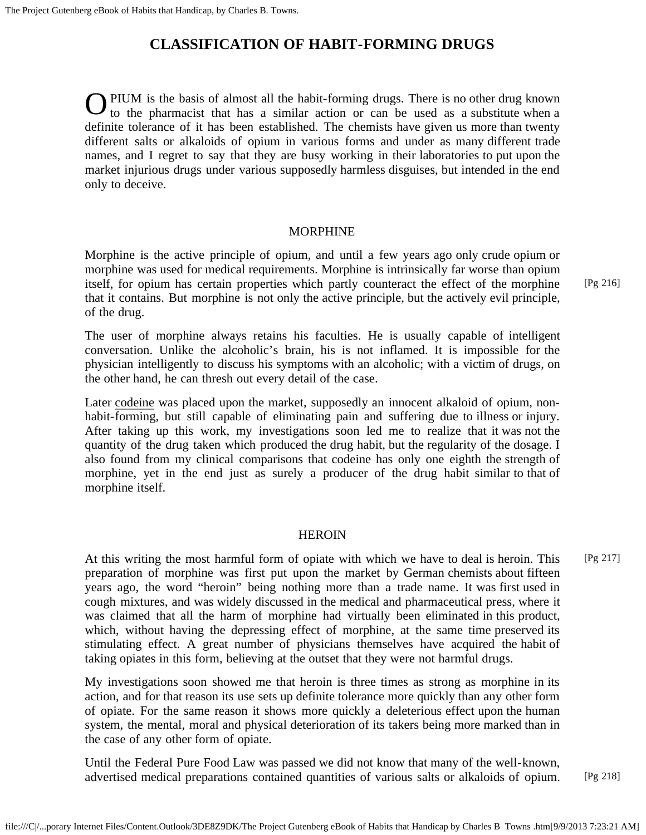# **CLASSIFICATION OF HABIT-FORMING DRUGS**

O PIUM is the basis of almost all the habit-forming drugs. There is no other drug known to the pharmacist that has a similar action or can be used as a substitute when a PIUM is the basis of almost all the habit-forming drugs. There is no other drug known definite tolerance of it has been established. The chemists have given us more than twenty different salts or alkaloids of opium in various forms and under as many different trade names, and I regret to say that they are busy working in their laboratories to put upon the market injurious drugs under various supposedly harmless disguises, but intended in the end only to deceive.

#### MORPHINE

Morphine is the active principle of opium, and until a few years ago only crude opium or morphine was used for medical requirements. Morphine is intrinsically far worse than opium itself, for opium has certain properties which partly counteract the effect of the morphine that it contains. But morphine is not only the active principle, but the actively evil principle, of the drug.

The user of morphine always retains his faculties. He is usually capable of intelligent conversation. Unlike the alcoholic's brain, his is not inflamed. It is impossible for the physician intelligently to discuss his symptoms with an alcoholic; with a victim of drugs, on the other hand, he can thresh out every detail of the case.

Later codeine was placed upon the market, supposedly an innocent alkaloid of opium, nonhabit-forming, but still capable of eliminating pain and suffering due to illness or injury. After taking up this work, my investigations soon led me to realize that it was not the quantity of the drug taken which produced the drug habit, but the regularity of the dosage. I also found from my clinical comparisons that codeine has only one eighth the strength of morphine, yet in the end just as surely a producer of the drug habit similar to that of morphine itself.

### HEROIN

At this writing the most harmful form of opiate with which we have to deal is heroin. This preparation of morphine was first put upon the market by German chemists about fifteen years ago, the word "heroin" being nothing more than a trade name. It was first used in cough mixtures, and was widely discussed in the medical and pharmaceutical press, where it was claimed that all the harm of morphine had virtually been eliminated in this product, which, without having the depressing effect of morphine, at the same time preserved its stimulating effect. A great number of physicians themselves have acquired the habit of taking opiates in this form, believing at the outset that they were not harmful drugs.

My investigations soon showed me that heroin is three times as strong as morphine in its action, and for that reason its use sets up definite tolerance more quickly than any other form of opiate. For the same reason it shows more quickly a deleterious effect upon the human system, the mental, moral and physical deterioration of its takers being more marked than in the case of any other form of opiate.

Until the Federal Pure Food Law was passed we did not know that many of the well-known, advertised medical preparations contained quantities of various salts or alkaloids of opium. [Pg 218]

[Pg 216]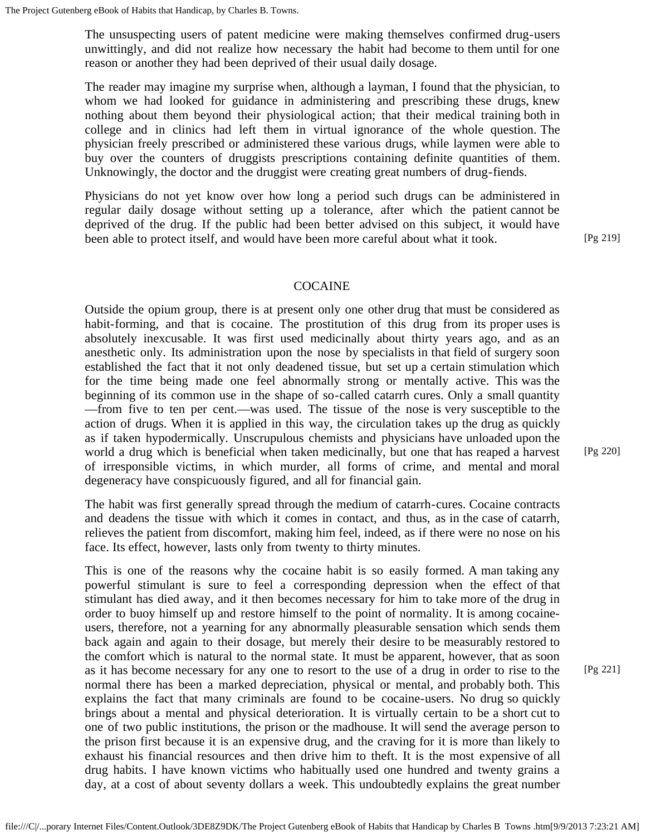The unsuspecting users of patent medicine were making themselves confirmed drug-users unwittingly, and did not realize how necessary the habit had become to them until for one reason or another they had been deprived of their usual daily dosage.

The reader may imagine my surprise when, although a layman, I found that the physician, to whom we had looked for guidance in administering and prescribing these drugs, knew nothing about them beyond their physiological action; that their medical training both in college and in clinics had left them in virtual ignorance of the whole question. The physician freely prescribed or administered these various drugs, while laymen were able to buy over the counters of druggists prescriptions containing definite quantities of them. Unknowingly, the doctor and the druggist were creating great numbers of drug-fiends.

Physicians do not yet know over how long a period such drugs can be administered in regular daily dosage without setting up a tolerance, after which the patient cannot be deprived of the drug. If the public had been better advised on this subject, it would have been able to protect itself, and would have been more careful about what it took.

[Pg 219]

#### COCAINE

Outside the opium group, there is at present only one other drug that must be considered as habit-forming, and that is cocaine. The prostitution of this drug from its proper uses is absolutely inexcusable. It was first used medicinally about thirty years ago, and as an anesthetic only. Its administration upon the nose by specialists in that field of surgery soon established the fact that it not only deadened tissue, but set up a certain stimulation which for the time being made one feel abnormally strong or mentally active. This was the beginning of its common use in the shape of so-called catarrh cures. Only a small quantity —from five to ten per cent.—was used. The tissue of the nose is very susceptible to the action of drugs. When it is applied in this way, the circulation takes up the drug as quickly as if taken hypodermically. Unscrupulous chemists and physicians have unloaded upon the world a drug which is beneficial when taken medicinally, but one that has reaped a harvest of irresponsible victims, in which murder, all forms of crime, and mental and moral degeneracy have conspicuously figured, and all for financial gain.

The habit was first generally spread through the medium of catarrh-cures. Cocaine contracts and deadens the tissue with which it comes in contact, and thus, as in the case of catarrh, relieves the patient from discomfort, making him feel, indeed, as if there were no nose on his face. Its effect, however, lasts only from twenty to thirty minutes.

This is one of the reasons why the cocaine habit is so easily formed. A man taking any powerful stimulant is sure to feel a corresponding depression when the effect of that stimulant has died away, and it then becomes necessary for him to take more of the drug in order to buoy himself up and restore himself to the point of normality. It is among cocaineusers, therefore, not a yearning for any abnormally pleasurable sensation which sends them back again and again to their dosage, but merely their desire to be measurably restored to the comfort which is natural to the normal state. It must be apparent, however, that as soon as it has become necessary for any one to resort to the use of a drug in order to rise to the normal there has been a marked depreciation, physical or mental, and probably both. This explains the fact that many criminals are found to be cocaine-users. No drug so quickly brings about a mental and physical deterioration. It is virtually certain to be a short cut to one of two public institutions, the prison or the madhouse. It will send the average person to the prison first because it is an expensive drug, and the craving for it is more than likely to exhaust his financial resources and then drive him to theft. It is the most expensive of all drug habits. I have known victims who habitually used one hundred and twenty grains a day, at a cost of about seventy dollars a week. This undoubtedly explains the great number

[Pg 220]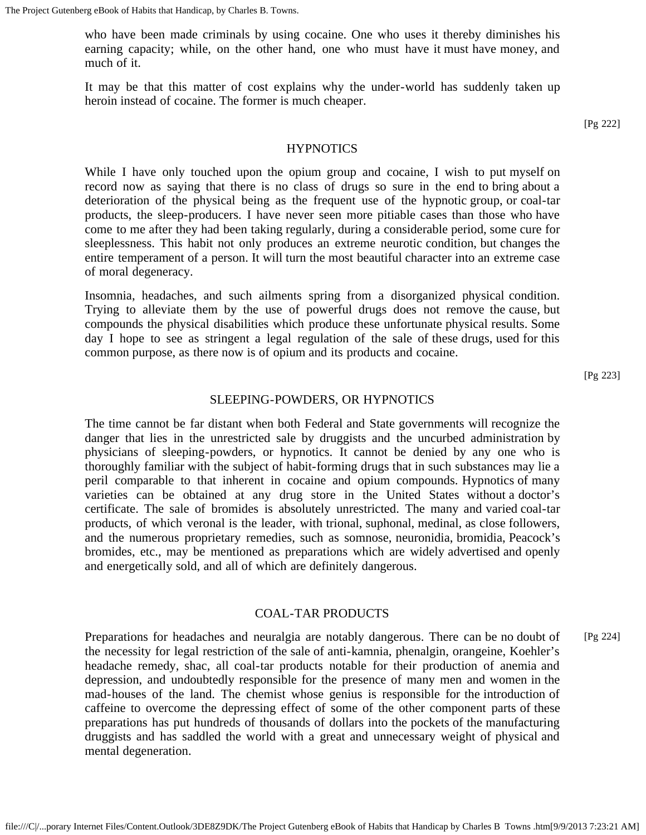who have been made criminals by using cocaine. One who uses it thereby diminishes his earning capacity; while, on the other hand, one who must have it must have money, and much of it.

It may be that this matter of cost explains why the under-world has suddenly taken up heroin instead of cocaine. The former is much cheaper.

[Pg 222]

#### **HYPNOTICS**

While I have only touched upon the opium group and cocaine, I wish to put myself on record now as saying that there is no class of drugs so sure in the end to bring about a deterioration of the physical being as the frequent use of the hypnotic group, or coal-tar products, the sleep-producers. I have never seen more pitiable cases than those who have come to me after they had been taking regularly, during a considerable period, some cure for sleeplessness. This habit not only produces an extreme neurotic condition, but changes the entire temperament of a person. It will turn the most beautiful character into an extreme case of moral degeneracy.

Insomnia, headaches, and such ailments spring from a disorganized physical condition. Trying to alleviate them by the use of powerful drugs does not remove the cause, but compounds the physical disabilities which produce these unfortunate physical results. Some day I hope to see as stringent a legal regulation of the sale of these drugs, used for this common purpose, as there now is of opium and its products and cocaine.

[Pg 223]

### SLEEPING-POWDERS, OR HYPNOTICS

The time cannot be far distant when both Federal and State governments will recognize the danger that lies in the unrestricted sale by druggists and the uncurbed administration by physicians of sleeping-powders, or hypnotics. It cannot be denied by any one who is thoroughly familiar with the subject of habit-forming drugs that in such substances may lie a peril comparable to that inherent in cocaine and opium compounds. Hypnotics of many varieties can be obtained at any drug store in the United States without a doctor's certificate. The sale of bromides is absolutely unrestricted. The many and varied coal-tar products, of which veronal is the leader, with trional, suphonal, medinal, as close followers, and the numerous proprietary remedies, such as somnose, neuronidia, bromidia, Peacock's bromides, etc., may be mentioned as preparations which are widely advertised and openly and energetically sold, and all of which are definitely dangerous.

#### COAL-TAR PRODUCTS

Preparations for headaches and neuralgia are notably dangerous. There can be no doubt of the necessity for legal restriction of the sale of anti-kamnia, phenalgin, orangeine, Koehler's headache remedy, shac, all coal-tar products notable for their production of anemia and depression, and undoubtedly responsible for the presence of many men and women in the mad-houses of the land. The chemist whose genius is responsible for the introduction of caffeine to overcome the depressing effect of some of the other component parts of these preparations has put hundreds of thousands of dollars into the pockets of the manufacturing druggists and has saddled the world with a great and unnecessary weight of physical and mental degeneration. [Pg 224]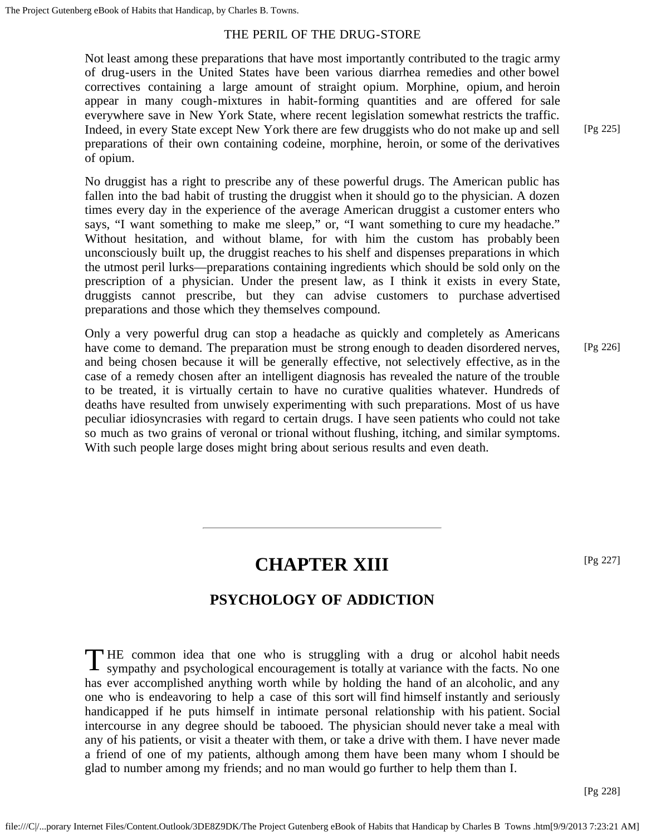# THE PERIL OF THE DRUG-STORE

Not least among these preparations that have most importantly contributed to the tragic army of drug-users in the United States have been various diarrhea remedies and other bowel correctives containing a large amount of straight opium. Morphine, opium, and heroin appear in many cough-mixtures in habit-forming quantities and are offered for sale everywhere save in New York State, where recent legislation somewhat restricts the traffic. Indeed, in every State except New York there are few druggists who do not make up and sell preparations of their own containing codeine, morphine, heroin, or some of the derivatives of opium.

No druggist has a right to prescribe any of these powerful drugs. The American public has fallen into the bad habit of trusting the druggist when it should go to the physician. A dozen times every day in the experience of the average American druggist a customer enters who says, "I want something to make me sleep," or, "I want something to cure my headache." Without hesitation, and without blame, for with him the custom has probably been unconsciously built up, the druggist reaches to his shelf and dispenses preparations in which the utmost peril lurks—preparations containing ingredients which should be sold only on the prescription of a physician. Under the present law, as I think it exists in every State, druggists cannot prescribe, but they can advise customers to purchase advertised preparations and those which they themselves compound.

Only a very powerful drug can stop a headache as quickly and completely as Americans have come to demand. The preparation must be strong enough to deaden disordered nerves, and being chosen because it will be generally effective, not selectively effective, as in the case of a remedy chosen after an intelligent diagnosis has revealed the nature of the trouble to be treated, it is virtually certain to have no curative qualities whatever. Hundreds of deaths have resulted from unwisely experimenting with such preparations. Most of us have peculiar idiosyncrasies with regard to certain drugs. I have seen patients who could not take so much as two grains of veronal or trional without flushing, itching, and similar symptoms. With such people large doses might bring about serious results and even death. [Pg 226]

# **CHAPTER XIII**

# **PSYCHOLOGY OF ADDICTION**

THE common idea that one who is struggling with a drug or alcohol habit needs sympathy and psychological encouragement is totally at variance with the facts. No one sympathy and psychological encouragement is totally at variance with the facts. No one has ever accomplished anything worth while by holding the hand of an alcoholic, and any one who is endeavoring to help a case of this sort will find himself instantly and seriously handicapped if he puts himself in intimate personal relationship with his patient. Social intercourse in any degree should be tabooed. The physician should never take a meal with any of his patients, or visit a theater with them, or take a drive with them. I have never made a friend of one of my patients, although among them have been many whom I should be glad to number among my friends; and no man would go further to help them than I.

[Pg 228]

[Pg 225]

[Pg 227]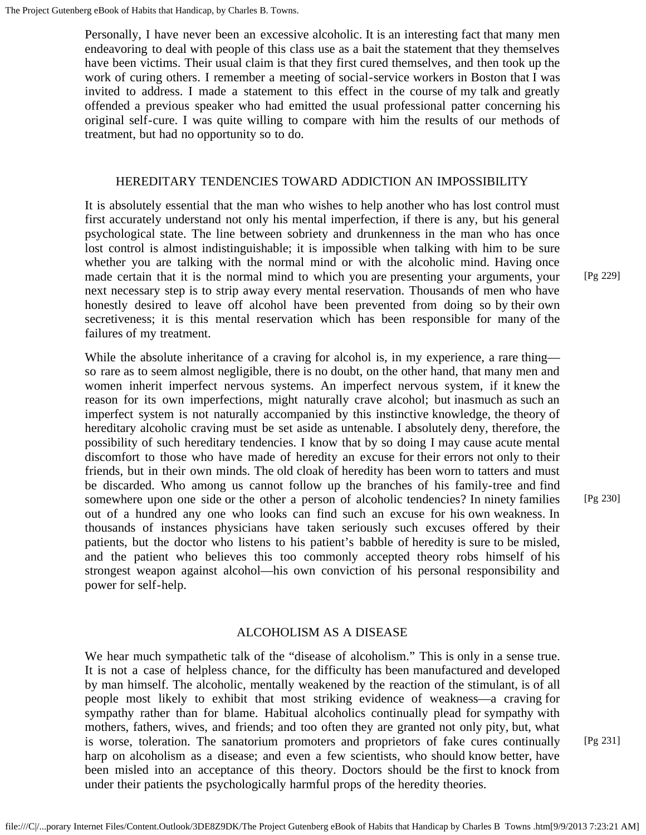Personally, I have never been an excessive alcoholic. It is an interesting fact that many men endeavoring to deal with people of this class use as a bait the statement that they themselves have been victims. Their usual claim is that they first cured themselves, and then took up the work of curing others. I remember a meeting of social-service workers in Boston that I was invited to address. I made a statement to this effect in the course of my talk and greatly offended a previous speaker who had emitted the usual professional patter concerning his original self-cure. I was quite willing to compare with him the results of our methods of treatment, but had no opportunity so to do.

#### HEREDITARY TENDENCIES TOWARD ADDICTION AN IMPOSSIBILITY

It is absolutely essential that the man who wishes to help another who has lost control must first accurately understand not only his mental imperfection, if there is any, but his general psychological state. The line between sobriety and drunkenness in the man who has once lost control is almost indistinguishable; it is impossible when talking with him to be sure whether you are talking with the normal mind or with the alcoholic mind. Having once made certain that it is the normal mind to which you are presenting your arguments, your next necessary step is to strip away every mental reservation. Thousands of men who have honestly desired to leave off alcohol have been prevented from doing so by their own secretiveness; it is this mental reservation which has been responsible for many of the failures of my treatment.

While the absolute inheritance of a craving for alcohol is, in my experience, a rare thing so rare as to seem almost negligible, there is no doubt, on the other hand, that many men and women inherit imperfect nervous systems. An imperfect nervous system, if it knew the reason for its own imperfections, might naturally crave alcohol; but inasmuch as such an imperfect system is not naturally accompanied by this instinctive knowledge, the theory of hereditary alcoholic craving must be set aside as untenable. I absolutely deny, therefore, the possibility of such hereditary tendencies. I know that by so doing I may cause acute mental discomfort to those who have made of heredity an excuse for their errors not only to their friends, but in their own minds. The old cloak of heredity has been worn to tatters and must be discarded. Who among us cannot follow up the branches of his family-tree and find somewhere upon one side or the other a person of alcoholic tendencies? In ninety families out of a hundred any one who looks can find such an excuse for his own weakness. In thousands of instances physicians have taken seriously such excuses offered by their patients, but the doctor who listens to his patient's babble of heredity is sure to be misled, and the patient who believes this too commonly accepted theory robs himself of his strongest weapon against alcohol—his own conviction of his personal responsibility and power for self-help.

### ALCOHOLISM AS A DISEASE

We hear much sympathetic talk of the "disease of alcoholism." This is only in a sense true. It is not a case of helpless chance, for the difficulty has been manufactured and developed by man himself. The alcoholic, mentally weakened by the reaction of the stimulant, is of all people most likely to exhibit that most striking evidence of weakness—a craving for sympathy rather than for blame. Habitual alcoholics continually plead for sympathy with mothers, fathers, wives, and friends; and too often they are granted not only pity, but, what is worse, toleration. The sanatorium promoters and proprietors of fake cures continually harp on alcoholism as a disease; and even a few scientists, who should know better, have been misled into an acceptance of this theory. Doctors should be the first to knock from under their patients the psychologically harmful props of the heredity theories.

[Pg 229]

[Pg 230]

[Pg 231]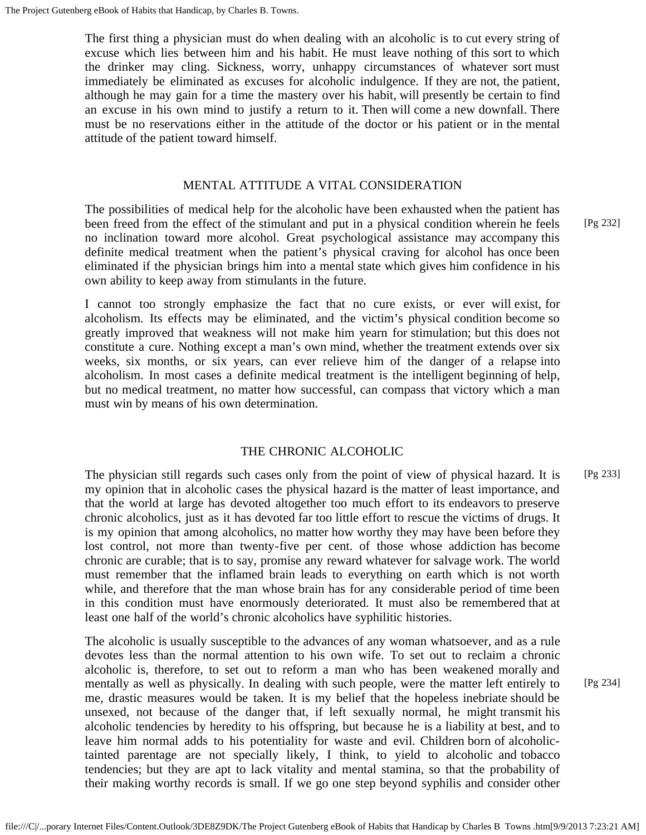The first thing a physician must do when dealing with an alcoholic is to cut every string of excuse which lies between him and his habit. He must leave nothing of this sort to which the drinker may cling. Sickness, worry, unhappy circumstances of whatever sort must immediately be eliminated as excuses for alcoholic indulgence. If they are not, the patient, although he may gain for a time the mastery over his habit, will presently be certain to find an excuse in his own mind to justify a return to it. Then will come a new downfall. There must be no reservations either in the attitude of the doctor or his patient or in the mental attitude of the patient toward himself.

# MENTAL ATTITUDE A VITAL CONSIDERATION

The possibilities of medical help for the alcoholic have been exhausted when the patient has been freed from the effect of the stimulant and put in a physical condition wherein he feels no inclination toward more alcohol. Great psychological assistance may accompany this definite medical treatment when the patient's physical craving for alcohol has once been eliminated if the physician brings him into a mental state which gives him confidence in his own ability to keep away from stimulants in the future.

I cannot too strongly emphasize the fact that no cure exists, or ever will exist, for alcoholism. Its effects may be eliminated, and the victim's physical condition become so greatly improved that weakness will not make him yearn for stimulation; but this does not constitute a cure. Nothing except a man's own mind, whether the treatment extends over six weeks, six months, or six years, can ever relieve him of the danger of a relapse into alcoholism. In most cases a definite medical treatment is the intelligent beginning of help, but no medical treatment, no matter how successful, can compass that victory which a man must win by means of his own determination.

# THE CHRONIC ALCOHOLIC

The physician still regards such cases only from the point of view of physical hazard. It is my opinion that in alcoholic cases the physical hazard is the matter of least importance, and that the world at large has devoted altogether too much effort to its endeavors to preserve chronic alcoholics, just as it has devoted far too little effort to rescue the victims of drugs. It is my opinion that among alcoholics, no matter how worthy they may have been before they lost control, not more than twenty-five per cent. of those whose addiction has become chronic are curable; that is to say, promise any reward whatever for salvage work. The world must remember that the inflamed brain leads to everything on earth which is not worth while, and therefore that the man whose brain has for any considerable period of time been in this condition must have enormously deteriorated. It must also be remembered that at least one half of the world's chronic alcoholics have syphilitic histories. [Pg 233]

The alcoholic is usually susceptible to the advances of any woman whatsoever, and as a rule devotes less than the normal attention to his own wife. To set out to reclaim a chronic alcoholic is, therefore, to set out to reform a man who has been weakened morally and mentally as well as physically. In dealing with such people, were the matter left entirely to me, drastic measures would be taken. It is my belief that the hopeless inebriate should be unsexed, not because of the danger that, if left sexually normal, he might transmit his alcoholic tendencies by heredity to his offspring, but because he is a liability at best, and to leave him normal adds to his potentiality for waste and evil. Children born of alcoholictainted parentage are not specially likely, I think, to yield to alcoholic and tobacco tendencies; but they are apt to lack vitality and mental stamina, so that the probability of their making worthy records is small. If we go one step beyond syphilis and consider other [Pg 232]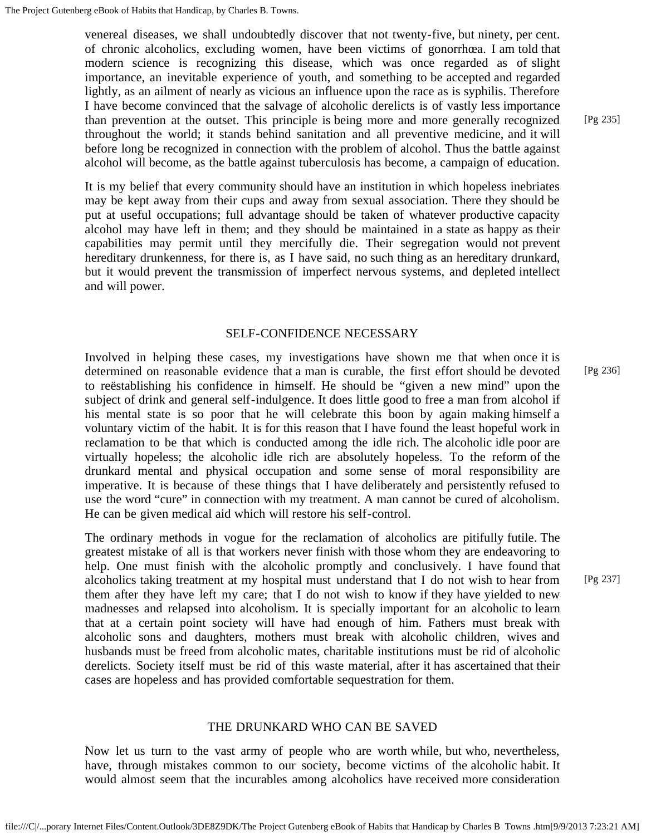venereal diseases, we shall undoubtedly discover that not twenty-five, but ninety, per cent. of chronic alcoholics, excluding women, have been victims of gonorrhœa. I am told that modern science is recognizing this disease, which was once regarded as of slight importance, an inevitable experience of youth, and something to be accepted and regarded lightly, as an ailment of nearly as vicious an influence upon the race as is syphilis. Therefore I have become convinced that the salvage of alcoholic derelicts is of vastly less importance than prevention at the outset. This principle is being more and more generally recognized throughout the world; it stands behind sanitation and all preventive medicine, and it will before long be recognized in connection with the problem of alcohol. Thus the battle against alcohol will become, as the battle against tuberculosis has become, a campaign of education.

It is my belief that every community should have an institution in which hopeless inebriates may be kept away from their cups and away from sexual association. There they should be put at useful occupations; full advantage should be taken of whatever productive capacity alcohol may have left in them; and they should be maintained in a state as happy as their capabilities may permit until they mercifully die. Their segregation would not prevent hereditary drunkenness, for there is, as I have said, no such thing as an hereditary drunkard, but it would prevent the transmission of imperfect nervous systems, and depleted intellect and will power.

# SELF-CONFIDENCE NECESSARY

Involved in helping these cases, my investigations have shown me that when once it is determined on reasonable evidence that a man is curable, the first effort should be devoted to reëstablishing his confidence in himself. He should be "given a new mind" upon the subject of drink and general self-indulgence. It does little good to free a man from alcohol if his mental state is so poor that he will celebrate this boon by again making himself a voluntary victim of the habit. It is for this reason that I have found the least hopeful work in reclamation to be that which is conducted among the idle rich. The alcoholic idle poor are virtually hopeless; the alcoholic idle rich are absolutely hopeless. To the reform of the drunkard mental and physical occupation and some sense of moral responsibility are imperative. It is because of these things that I have deliberately and persistently refused to use the word "cure" in connection with my treatment. A man cannot be cured of alcoholism. He can be given medical aid which will restore his self-control. [Pg 236]

The ordinary methods in vogue for the reclamation of alcoholics are pitifully futile. The greatest mistake of all is that workers never finish with those whom they are endeavoring to help. One must finish with the alcoholic promptly and conclusively. I have found that alcoholics taking treatment at my hospital must understand that I do not wish to hear from them after they have left my care; that I do not wish to know if they have yielded to new madnesses and relapsed into alcoholism. It is specially important for an alcoholic to learn that at a certain point society will have had enough of him. Fathers must break with alcoholic sons and daughters, mothers must break with alcoholic children, wives and husbands must be freed from alcoholic mates, charitable institutions must be rid of alcoholic derelicts. Society itself must be rid of this waste material, after it has ascertained that their cases are hopeless and has provided comfortable sequestration for them.

## THE DRUNKARD WHO CAN BE SAVED

Now let us turn to the vast army of people who are worth while, but who, nevertheless, have, through mistakes common to our society, become victims of the alcoholic habit. It would almost seem that the incurables among alcoholics have received more consideration

[Pg 235]

[Pg 237]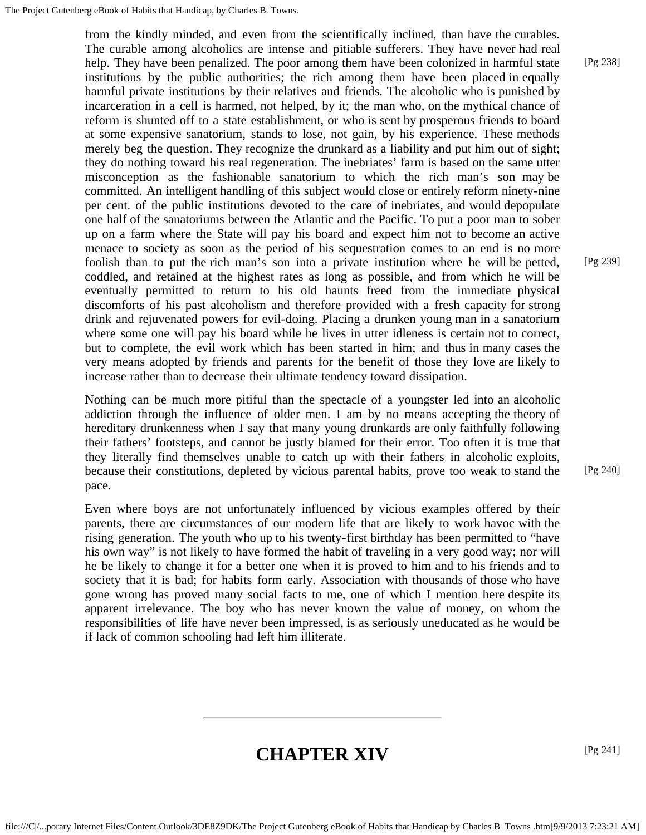from the kindly minded, and even from the scientifically inclined, than have the curables. The curable among alcoholics are intense and pitiable sufferers. They have never had real help. They have been penalized. The poor among them have been colonized in harmful state institutions by the public authorities; the rich among them have been placed in equally harmful private institutions by their relatives and friends. The alcoholic who is punished by incarceration in a cell is harmed, not helped, by it; the man who, on the mythical chance of reform is shunted off to a state establishment, or who is sent by prosperous friends to board at some expensive sanatorium, stands to lose, not gain, by his experience. These methods merely beg the question. They recognize the drunkard as a liability and put him out of sight; they do nothing toward his real regeneration. The inebriates' farm is based on the same utter misconception as the fashionable sanatorium to which the rich man's son may be committed. An intelligent handling of this subject would close or entirely reform ninety-nine per cent. of the public institutions devoted to the care of inebriates, and would depopulate one half of the sanatoriums between the Atlantic and the Pacific. To put a poor man to sober up on a farm where the State will pay his board and expect him not to become an active menace to society as soon as the period of his sequestration comes to an end is no more foolish than to put the rich man's son into a private institution where he will be petted, coddled, and retained at the highest rates as long as possible, and from which he will be eventually permitted to return to his old haunts freed from the immediate physical discomforts of his past alcoholism and therefore provided with a fresh capacity for strong drink and rejuvenated powers for evil-doing. Placing a drunken young man in a sanatorium where some one will pay his board while he lives in utter idleness is certain not to correct, but to complete, the evil work which has been started in him; and thus in many cases the very means adopted by friends and parents for the benefit of those they love are likely to increase rather than to decrease their ultimate tendency toward dissipation.

Nothing can be much more pitiful than the spectacle of a youngster led into an alcoholic addiction through the influence of older men. I am by no means accepting the theory of hereditary drunkenness when I say that many young drunkards are only faithfully following their fathers' footsteps, and cannot be justly blamed for their error. Too often it is true that they literally find themselves unable to catch up with their fathers in alcoholic exploits, because their constitutions, depleted by vicious parental habits, prove too weak to stand the pace.

Even where boys are not unfortunately influenced by vicious examples offered by their parents, there are circumstances of our modern life that are likely to work havoc with the rising generation. The youth who up to his twenty-first birthday has been permitted to "have his own way" is not likely to have formed the habit of traveling in a very good way; nor will he be likely to change it for a better one when it is proved to him and to his friends and to society that it is bad; for habits form early. Association with thousands of those who have gone wrong has proved many social facts to me, one of which I mention here despite its apparent irrelevance. The boy who has never known the value of money, on whom the responsibilities of life have never been impressed, is as seriously uneducated as he would be if lack of common schooling had left him illiterate.

# **CHAPTER XIV**

[Pg 241]

[Pg 239]

[Pg 240]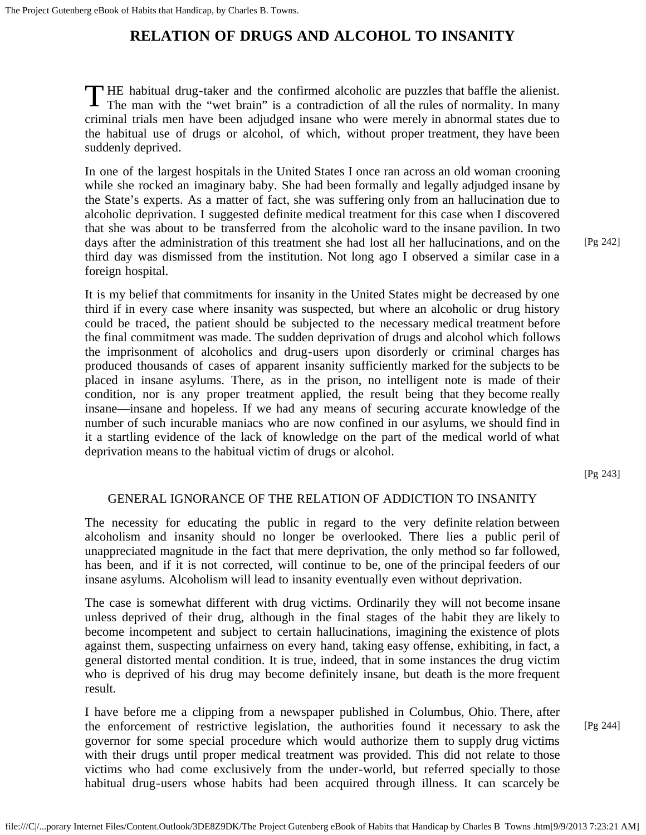# **RELATION OF DRUGS AND ALCOHOL TO INSANITY**

THE habitual drug-taker and the confirmed alcoholic are puzzles that baffle the alienist.<br>The man with the "wet brain" is a contradiction of all the rules of normality. In many HE habitual drug-taker and the confirmed alcoholic are puzzles that baffle the alienist. criminal trials men have been adjudged insane who were merely in abnormal states due to the habitual use of drugs or alcohol, of which, without proper treatment, they have been suddenly deprived.

In one of the largest hospitals in the United States I once ran across an old woman crooning while she rocked an imaginary baby. She had been formally and legally adjudged insane by the State's experts. As a matter of fact, she was suffering only from an hallucination due to alcoholic deprivation. I suggested definite medical treatment for this case when I discovered that she was about to be transferred from the alcoholic ward to the insane pavilion. In two days after the administration of this treatment she had lost all her hallucinations, and on the third day was dismissed from the institution. Not long ago I observed a similar case in a foreign hospital.

It is my belief that commitments for insanity in the United States might be decreased by one third if in every case where insanity was suspected, but where an alcoholic or drug history could be traced, the patient should be subjected to the necessary medical treatment before the final commitment was made. The sudden deprivation of drugs and alcohol which follows the imprisonment of alcoholics and drug-users upon disorderly or criminal charges has produced thousands of cases of apparent insanity sufficiently marked for the subjects to be placed in insane asylums. There, as in the prison, no intelligent note is made of their condition, nor is any proper treatment applied, the result being that they become really insane—insane and hopeless. If we had any means of securing accurate knowledge of the number of such incurable maniacs who are now confined in our asylums, we should find in it a startling evidence of the lack of knowledge on the part of the medical world of what deprivation means to the habitual victim of drugs or alcohol.

[Pg 243]

[Pg 244]

[Pg 242]

# GENERAL IGNORANCE OF THE RELATION OF ADDICTION TO INSANITY

The necessity for educating the public in regard to the very definite relation between alcoholism and insanity should no longer be overlooked. There lies a public peril of unappreciated magnitude in the fact that mere deprivation, the only method so far followed, has been, and if it is not corrected, will continue to be, one of the principal feeders of our insane asylums. Alcoholism will lead to insanity eventually even without deprivation.

The case is somewhat different with drug victims. Ordinarily they will not become insane unless deprived of their drug, although in the final stages of the habit they are likely to become incompetent and subject to certain hallucinations, imagining the existence of plots against them, suspecting unfairness on every hand, taking easy offense, exhibiting, in fact, a general distorted mental condition. It is true, indeed, that in some instances the drug victim who is deprived of his drug may become definitely insane, but death is the more frequent result.

I have before me a clipping from a newspaper published in Columbus, Ohio. There, after the enforcement of restrictive legislation, the authorities found it necessary to ask the governor for some special procedure which would authorize them to supply drug victims with their drugs until proper medical treatment was provided. This did not relate to those victims who had come exclusively from the under-world, but referred specially to those habitual drug-users whose habits had been acquired through illness. It can scarcely be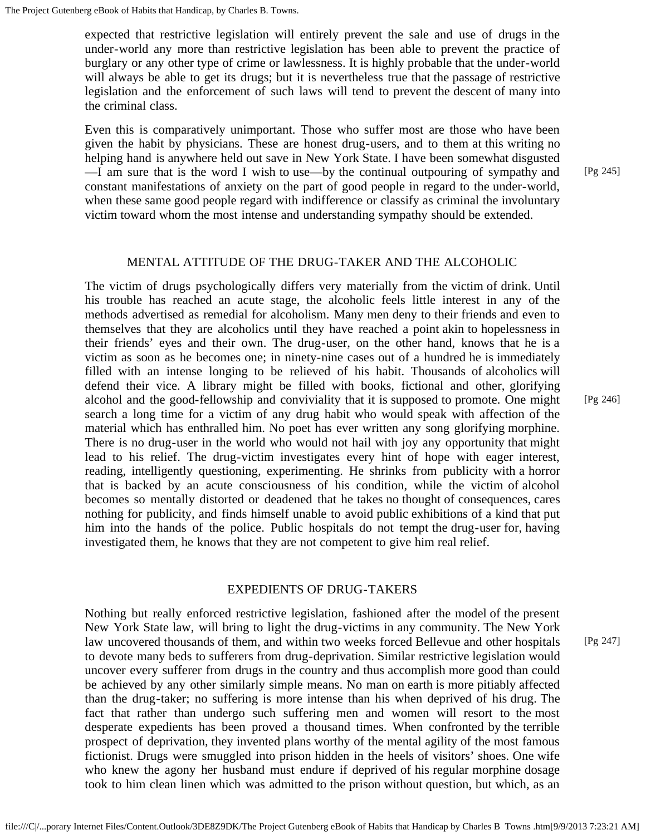expected that restrictive legislation will entirely prevent the sale and use of drugs in the under-world any more than restrictive legislation has been able to prevent the practice of burglary or any other type of crime or lawlessness. It is highly probable that the under-world will always be able to get its drugs; but it is nevertheless true that the passage of restrictive legislation and the enforcement of such laws will tend to prevent the descent of many into the criminal class.

Even this is comparatively unimportant. Those who suffer most are those who have been given the habit by physicians. These are honest drug-users, and to them at this writing no helping hand is anywhere held out save in New York State. I have been somewhat disgusted —I am sure that is the word I wish to use—by the continual outpouring of sympathy and constant manifestations of anxiety on the part of good people in regard to the under-world, when these same good people regard with indifference or classify as criminal the involuntary victim toward whom the most intense and understanding sympathy should be extended.

## MENTAL ATTITUDE OF THE DRUG-TAKER AND THE ALCOHOLIC

The victim of drugs psychologically differs very materially from the victim of drink. Until his trouble has reached an acute stage, the alcoholic feels little interest in any of the methods advertised as remedial for alcoholism. Many men deny to their friends and even to themselves that they are alcoholics until they have reached a point akin to hopelessness in their friends' eyes and their own. The drug-user, on the other hand, knows that he is a victim as soon as he becomes one; in ninety-nine cases out of a hundred he is immediately filled with an intense longing to be relieved of his habit. Thousands of alcoholics will defend their vice. A library might be filled with books, fictional and other, glorifying alcohol and the good-fellowship and conviviality that it is supposed to promote. One might search a long time for a victim of any drug habit who would speak with affection of the material which has enthralled him. No poet has ever written any song glorifying morphine. There is no drug-user in the world who would not hail with joy any opportunity that might lead to his relief. The drug-victim investigates every hint of hope with eager interest, reading, intelligently questioning, experimenting. He shrinks from publicity with a horror that is backed by an acute consciousness of his condition, while the victim of alcohol becomes so mentally distorted or deadened that he takes no thought of consequences, cares nothing for publicity, and finds himself unable to avoid public exhibitions of a kind that put him into the hands of the police. Public hospitals do not tempt the drug-user for, having investigated them, he knows that they are not competent to give him real relief.

### EXPEDIENTS OF DRUG-TAKERS

Nothing but really enforced restrictive legislation, fashioned after the model of the present New York State law, will bring to light the drug-victims in any community. The New York law uncovered thousands of them, and within two weeks forced Bellevue and other hospitals to devote many beds to sufferers from drug-deprivation. Similar restrictive legislation would uncover every sufferer from drugs in the country and thus accomplish more good than could be achieved by any other similarly simple means. No man on earth is more pitiably affected than the drug-taker; no suffering is more intense than his when deprived of his drug. The fact that rather than undergo such suffering men and women will resort to the most desperate expedients has been proved a thousand times. When confronted by the terrible prospect of deprivation, they invented plans worthy of the mental agility of the most famous fictionist. Drugs were smuggled into prison hidden in the heels of visitors' shoes. One wife who knew the agony her husband must endure if deprived of his regular morphine dosage took to him clean linen which was admitted to the prison without question, but which, as an

[Pg 246]

[Pg 245]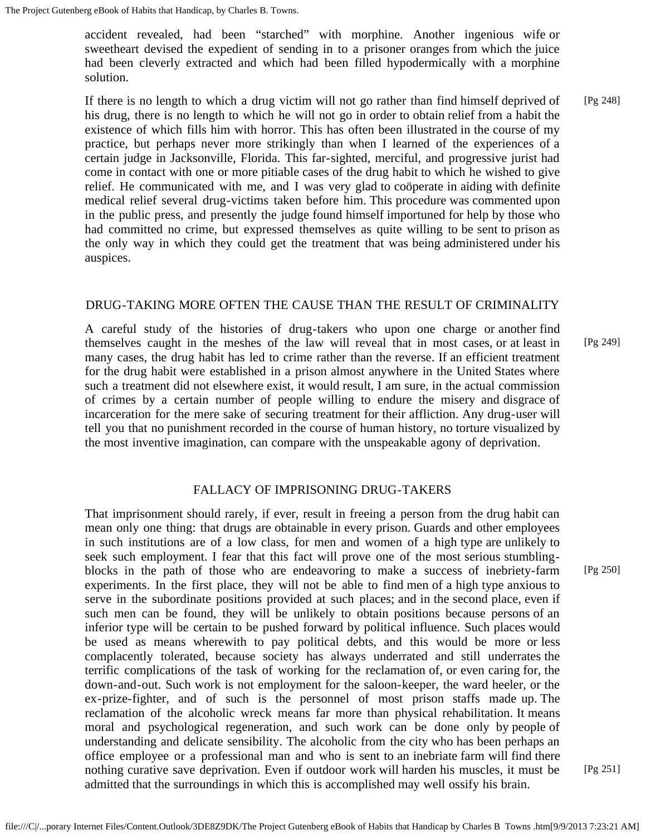accident revealed, had been "starched" with morphine. Another ingenious wife or sweetheart devised the expedient of sending in to a prisoner oranges from which the juice had been cleverly extracted and which had been filled hypodermically with a morphine solution.

If there is no length to which a drug victim will not go rather than find himself deprived of his drug, there is no length to which he will not go in order to obtain relief from a habit the existence of which fills him with horror. This has often been illustrated in the course of my practice, but perhaps never more strikingly than when I learned of the experiences of a certain judge in Jacksonville, Florida. This far-sighted, merciful, and progressive jurist had come in contact with one or more pitiable cases of the drug habit to which he wished to give relief. He communicated with me, and I was very glad to coöperate in aiding with definite medical relief several drug-victims taken before him. This procedure was commented upon in the public press, and presently the judge found himself importuned for help by those who had committed no crime, but expressed themselves as quite willing to be sent to prison as the only way in which they could get the treatment that was being administered under his auspices. [Pg 248]

# DRUG-TAKING MORE OFTEN THE CAUSE THAN THE RESULT OF CRIMINALITY

A careful study of the histories of drug-takers who upon one charge or another find themselves caught in the meshes of the law will reveal that in most cases, or at least in many cases, the drug habit has led to crime rather than the reverse. If an efficient treatment for the drug habit were established in a prison almost anywhere in the United States where such a treatment did not elsewhere exist, it would result, I am sure, in the actual commission of crimes by a certain number of people willing to endure the misery and disgrace of incarceration for the mere sake of securing treatment for their affliction. Any drug-user will tell you that no punishment recorded in the course of human history, no torture visualized by the most inventive imagination, can compare with the unspeakable agony of deprivation. [Pg 249]

# FALLACY OF IMPRISONING DRUG-TAKERS

That imprisonment should rarely, if ever, result in freeing a person from the drug habit can mean only one thing: that drugs are obtainable in every prison. Guards and other employees in such institutions are of a low class, for men and women of a high type are unlikely to seek such employment. I fear that this fact will prove one of the most serious stumblingblocks in the path of those who are endeavoring to make a success of inebriety-farm experiments. In the first place, they will not be able to find men of a high type anxious to serve in the subordinate positions provided at such places; and in the second place, even if such men can be found, they will be unlikely to obtain positions because persons of an inferior type will be certain to be pushed forward by political influence. Such places would be used as means wherewith to pay political debts, and this would be more or less complacently tolerated, because society has always underrated and still underrates the terrific complications of the task of working for the reclamation of, or even caring for, the down-and-out. Such work is not employment for the saloon-keeper, the ward heeler, or the ex-prize-fighter, and of such is the personnel of most prison staffs made up. The reclamation of the alcoholic wreck means far more than physical rehabilitation. It means moral and psychological regeneration, and such work can be done only by people of understanding and delicate sensibility. The alcoholic from the city who has been perhaps an office employee or a professional man and who is sent to an inebriate farm will find there nothing curative save deprivation. Even if outdoor work will harden his muscles, it must be admitted that the surroundings in which this is accomplished may well ossify his brain.

[Pg 250]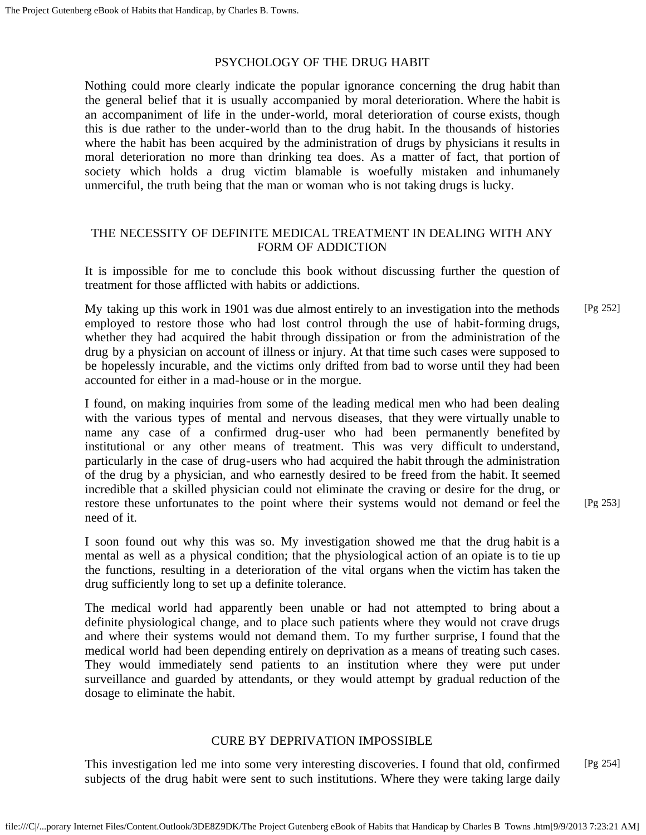# PSYCHOLOGY OF THE DRUG HABIT

Nothing could more clearly indicate the popular ignorance concerning the drug habit than the general belief that it is usually accompanied by moral deterioration. Where the habit is an accompaniment of life in the under-world, moral deterioration of course exists, though this is due rather to the under-world than to the drug habit. In the thousands of histories where the habit has been acquired by the administration of drugs by physicians it results in moral deterioration no more than drinking tea does. As a matter of fact, that portion of society which holds a drug victim blamable is woefully mistaken and inhumanely unmerciful, the truth being that the man or woman who is not taking drugs is lucky.

# THE NECESSITY OF DEFINITE MEDICAL TREATMENT IN DEALING WITH ANY FORM OF ADDICTION

It is impossible for me to conclude this book without discussing further the question of treatment for those afflicted with habits or addictions.

My taking up this work in 1901 was due almost entirely to an investigation into the methods employed to restore those who had lost control through the use of habit-forming drugs, whether they had acquired the habit through dissipation or from the administration of the drug by a physician on account of illness or injury. At that time such cases were supposed to be hopelessly incurable, and the victims only drifted from bad to worse until they had been accounted for either in a mad-house or in the morgue. [Pg 252]

I found, on making inquiries from some of the leading medical men who had been dealing with the various types of mental and nervous diseases, that they were virtually unable to name any case of a confirmed drug-user who had been permanently benefited by institutional or any other means of treatment. This was very difficult to understand, particularly in the case of drug-users who had acquired the habit through the administration of the drug by a physician, and who earnestly desired to be freed from the habit. It seemed incredible that a skilled physician could not eliminate the craving or desire for the drug, or restore these unfortunates to the point where their systems would not demand or feel the need of it.

I soon found out why this was so. My investigation showed me that the drug habit is a mental as well as a physical condition; that the physiological action of an opiate is to tie up the functions, resulting in a deterioration of the vital organs when the victim has taken the drug sufficiently long to set up a definite tolerance.

The medical world had apparently been unable or had not attempted to bring about a definite physiological change, and to place such patients where they would not crave drugs and where their systems would not demand them. To my further surprise, I found that the medical world had been depending entirely on deprivation as a means of treating such cases. They would immediately send patients to an institution where they were put under surveillance and guarded by attendants, or they would attempt by gradual reduction of the dosage to eliminate the habit.

# CURE BY DEPRIVATION IMPOSSIBLE

This investigation led me into some very interesting discoveries. I found that old, confirmed subjects of the drug habit were sent to such institutions. Where they were taking large daily [Pg 254]

[Pg 253]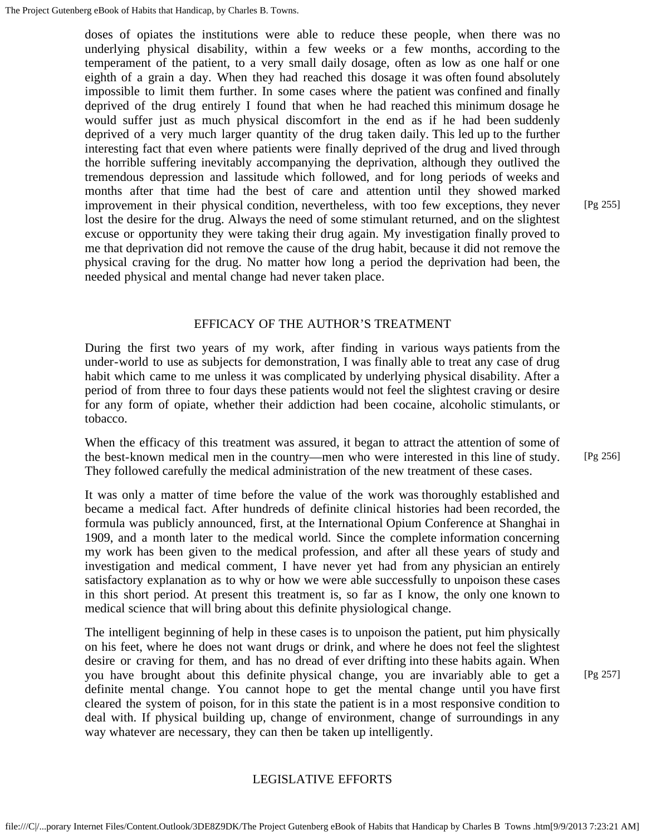doses of opiates the institutions were able to reduce these people, when there was no underlying physical disability, within a few weeks or a few months, according to the temperament of the patient, to a very small daily dosage, often as low as one half or one eighth of a grain a day. When they had reached this dosage it was often found absolutely impossible to limit them further. In some cases where the patient was confined and finally deprived of the drug entirely I found that when he had reached this minimum dosage he would suffer just as much physical discomfort in the end as if he had been suddenly deprived of a very much larger quantity of the drug taken daily. This led up to the further interesting fact that even where patients were finally deprived of the drug and lived through the horrible suffering inevitably accompanying the deprivation, although they outlived the tremendous depression and lassitude which followed, and for long periods of weeks and months after that time had the best of care and attention until they showed marked improvement in their physical condition, nevertheless, with too few exceptions, they never lost the desire for the drug. Always the need of some stimulant returned, and on the slightest excuse or opportunity they were taking their drug again. My investigation finally proved to me that deprivation did not remove the cause of the drug habit, because it did not remove the physical craving for the drug. No matter how long a period the deprivation had been, the needed physical and mental change had never taken place.

# EFFICACY OF THE AUTHOR'S TREATMENT

During the first two years of my work, after finding in various ways patients from the under-world to use as subjects for demonstration, I was finally able to treat any case of drug habit which came to me unless it was complicated by underlying physical disability. After a period of from three to four days these patients would not feel the slightest craving or desire for any form of opiate, whether their addiction had been cocaine, alcoholic stimulants, or tobacco.

When the efficacy of this treatment was assured, it began to attract the attention of some of the best-known medical men in the country—men who were interested in this line of study. They followed carefully the medical administration of the new treatment of these cases.

It was only a matter of time before the value of the work was thoroughly established and became a medical fact. After hundreds of definite clinical histories had been recorded, the formula was publicly announced, first, at the International Opium Conference at Shanghai in 1909, and a month later to the medical world. Since the complete information concerning my work has been given to the medical profession, and after all these years of study and investigation and medical comment, I have never yet had from any physician an entirely satisfactory explanation as to why or how we were able successfully to unpoison these cases in this short period. At present this treatment is, so far as I know, the only one known to medical science that will bring about this definite physiological change.

The intelligent beginning of help in these cases is to unpoison the patient, put him physically on his feet, where he does not want drugs or drink, and where he does not feel the slightest desire or craving for them, and has no dread of ever drifting into these habits again. When you have brought about this definite physical change, you are invariably able to get a definite mental change. You cannot hope to get the mental change until you have first cleared the system of poison, for in this state the patient is in a most responsive condition to deal with. If physical building up, change of environment, change of surroundings in any way whatever are necessary, they can then be taken up intelligently.

### LEGISLATIVE EFFORTS

[Pg 255]

[Pg 257]

[Pg 256]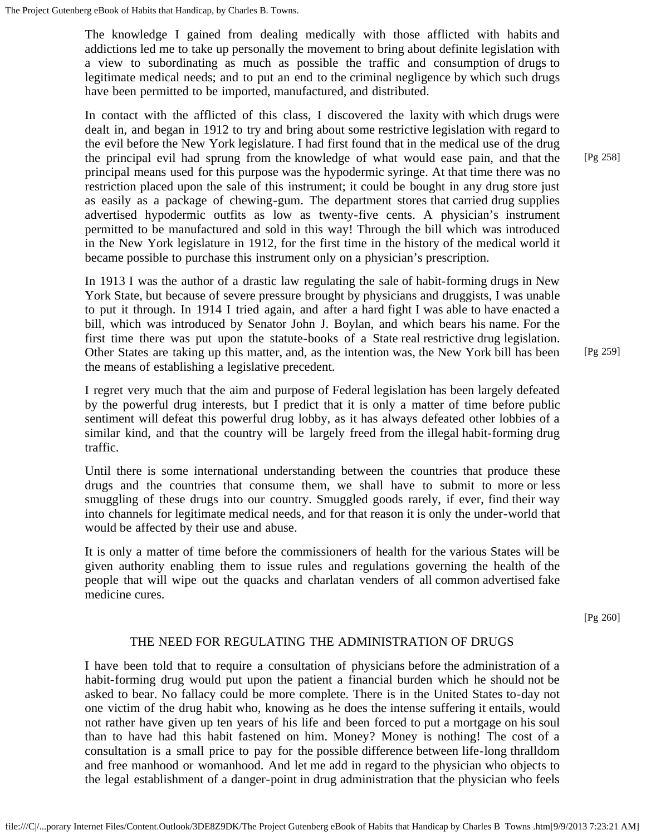The knowledge I gained from dealing medically with those afflicted with habits and addictions led me to take up personally the movement to bring about definite legislation with a view to subordinating as much as possible the traffic and consumption of drugs to legitimate medical needs; and to put an end to the criminal negligence by which such drugs have been permitted to be imported, manufactured, and distributed.

In contact with the afflicted of this class, I discovered the laxity with which drugs were dealt in, and began in 1912 to try and bring about some restrictive legislation with regard to the evil before the New York legislature. I had first found that in the medical use of the drug the principal evil had sprung from the knowledge of what would ease pain, and that the principal means used for this purpose was the hypodermic syringe. At that time there was no restriction placed upon the sale of this instrument; it could be bought in any drug store just as easily as a package of chewing-gum. The department stores that carried drug supplies advertised hypodermic outfits as low as twenty-five cents. A physician's instrument permitted to be manufactured and sold in this way! Through the bill which was introduced in the New York legislature in 1912, for the first time in the history of the medical world it became possible to purchase this instrument only on a physician's prescription.

In 1913 I was the author of a drastic law regulating the sale of habit-forming drugs in New York State, but because of severe pressure brought by physicians and druggists, I was unable to put it through. In 1914 I tried again, and after a hard fight I was able to have enacted a bill, which was introduced by Senator John J. Boylan, and which bears his name. For the first time there was put upon the statute-books of a State real restrictive drug legislation. Other States are taking up this matter, and, as the intention was, the New York bill has been the means of establishing a legislative precedent.

I regret very much that the aim and purpose of Federal legislation has been largely defeated by the powerful drug interests, but I predict that it is only a matter of time before public sentiment will defeat this powerful drug lobby, as it has always defeated other lobbies of a similar kind, and that the country will be largely freed from the illegal habit-forming drug traffic.

Until there is some international understanding between the countries that produce these drugs and the countries that consume them, we shall have to submit to more or less smuggling of these drugs into our country. Smuggled goods rarely, if ever, find their way into channels for legitimate medical needs, and for that reason it is only the under-world that would be affected by their use and abuse.

It is only a matter of time before the commissioners of health for the various States will be given authority enabling them to issue rules and regulations governing the health of the people that will wipe out the quacks and charlatan venders of all common advertised fake medicine cures.

[Pg 260]

# THE NEED FOR REGULATING THE ADMINISTRATION OF DRUGS

I have been told that to require a consultation of physicians before the administration of a habit-forming drug would put upon the patient a financial burden which he should not be asked to bear. No fallacy could be more complete. There is in the United States to-day not one victim of the drug habit who, knowing as he does the intense suffering it entails, would not rather have given up ten years of his life and been forced to put a mortgage on his soul than to have had this habit fastened on him. Money? Money is nothing! The cost of a consultation is a small price to pay for the possible difference between life-long thralldom and free manhood or womanhood. And let me add in regard to the physician who objects to the legal establishment of a danger-point in drug administration that the physician who feels

[Pg 258]

[Pg 259]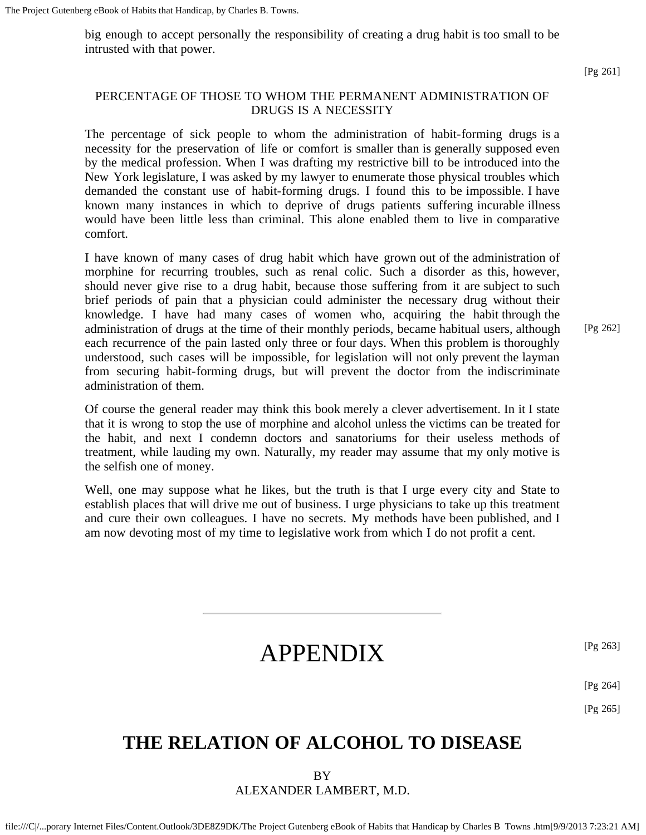big enough to accept personally the responsibility of creating a drug habit is too small to be intrusted with that power.

# PERCENTAGE OF THOSE TO WHOM THE PERMANENT ADMINISTRATION OF DRUGS IS A NECESSITY

The percentage of sick people to whom the administration of habit-forming drugs is a necessity for the preservation of life or comfort is smaller than is generally supposed even by the medical profession. When I was drafting my restrictive bill to be introduced into the New York legislature, I was asked by my lawyer to enumerate those physical troubles which demanded the constant use of habit-forming drugs. I found this to be impossible. I have known many instances in which to deprive of drugs patients suffering incurable illness would have been little less than criminal. This alone enabled them to live in comparative comfort.

I have known of many cases of drug habit which have grown out of the administration of morphine for recurring troubles, such as renal colic. Such a disorder as this, however, should never give rise to a drug habit, because those suffering from it are subject to such brief periods of pain that a physician could administer the necessary drug without their knowledge. I have had many cases of women who, acquiring the habit through the administration of drugs at the time of their monthly periods, became habitual users, although each recurrence of the pain lasted only three or four days. When this problem is thoroughly understood, such cases will be impossible, for legislation will not only prevent the layman from securing habit-forming drugs, but will prevent the doctor from the indiscriminate administration of them.

[Pg 262]

Of course the general reader may think this book merely a clever advertisement. In it I state that it is wrong to stop the use of morphine and alcohol unless the victims can be treated for the habit, and next I condemn doctors and sanatoriums for their useless methods of treatment, while lauding my own. Naturally, my reader may assume that my only motive is the selfish one of money.

Well, one may suppose what he likes, but the truth is that I urge every city and State to establish places that will drive me out of business. I urge physicians to take up this treatment and cure their own colleagues. I have no secrets. My methods have been published, and I am now devoting most of my time to legislative work from which I do not profit a cent.

[Pg 263]

[Pg 264]

[Pg 265]

# **THE RELATION OF ALCOHOL TO DISEASE**

APPENDIX

BY ALEXANDER LAMBERT, M.D.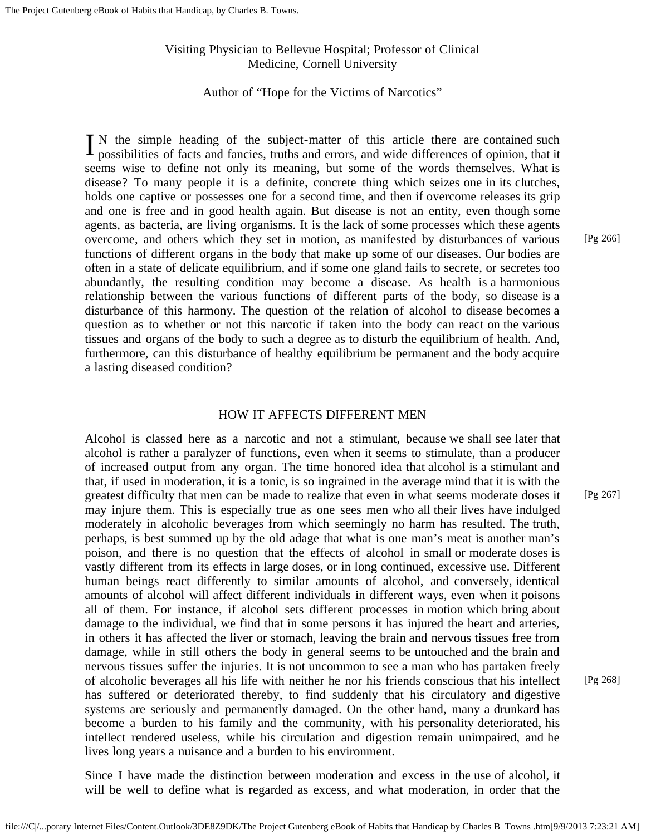# Visiting Physician to Bellevue Hospital; Professor of Clinical Medicine, Cornell University

# Author of "Hope for the Victims of Narcotics"

IN the simple heading of the subject-matter of this article there are contained such possibilities of facts and fancies, truths and errors, and wide differences of opinion, that it possibilities of facts and fancies, truths and errors, and wide differences of opinion, that it seems wise to define not only its meaning, but some of the words themselves. What is disease? To many people it is a definite, concrete thing which seizes one in its clutches, holds one captive or possesses one for a second time, and then if overcome releases its grip and one is free and in good health again. But disease is not an entity, even though some agents, as bacteria, are living organisms. It is the lack of some processes which these agents overcome, and others which they set in motion, as manifested by disturbances of various functions of different organs in the body that make up some of our diseases. Our bodies are often in a state of delicate equilibrium, and if some one gland fails to secrete, or secretes too abundantly, the resulting condition may become a disease. As health is a harmonious relationship between the various functions of different parts of the body, so disease is a disturbance of this harmony. The question of the relation of alcohol to disease becomes a question as to whether or not this narcotic if taken into the body can react on the various tissues and organs of the body to such a degree as to disturb the equilibrium of health. And, furthermore, can this disturbance of healthy equilibrium be permanent and the body acquire a lasting diseased condition?

#### HOW IT AFFECTS DIFFERENT MEN

Alcohol is classed here as a narcotic and not a stimulant, because we shall see later that alcohol is rather a paralyzer of functions, even when it seems to stimulate, than a producer of increased output from any organ. The time honored idea that alcohol is a stimulant and that, if used in moderation, it is a tonic, is so ingrained in the average mind that it is with the greatest difficulty that men can be made to realize that even in what seems moderate doses it may injure them. This is especially true as one sees men who all their lives have indulged moderately in alcoholic beverages from which seemingly no harm has resulted. The truth, perhaps, is best summed up by the old adage that what is one man's meat is another man's poison, and there is no question that the effects of alcohol in small or moderate doses is vastly different from its effects in large doses, or in long continued, excessive use. Different human beings react differently to similar amounts of alcohol, and conversely, identical amounts of alcohol will affect different individuals in different ways, even when it poisons all of them. For instance, if alcohol sets different processes in motion which bring about damage to the individual, we find that in some persons it has injured the heart and arteries, in others it has affected the liver or stomach, leaving the brain and nervous tissues free from damage, while in still others the body in general seems to be untouched and the brain and nervous tissues suffer the injuries. It is not uncommon to see a man who has partaken freely of alcoholic beverages all his life with neither he nor his friends conscious that his intellect has suffered or deteriorated thereby, to find suddenly that his circulatory and digestive systems are seriously and permanently damaged. On the other hand, many a drunkard has become a burden to his family and the community, with his personality deteriorated, his intellect rendered useless, while his circulation and digestion remain unimpaired, and he lives long years a nuisance and a burden to his environment. [Pg 268]

Since I have made the distinction between moderation and excess in the use of alcohol, it will be well to define what is regarded as excess, and what moderation, in order that the [Pg 266]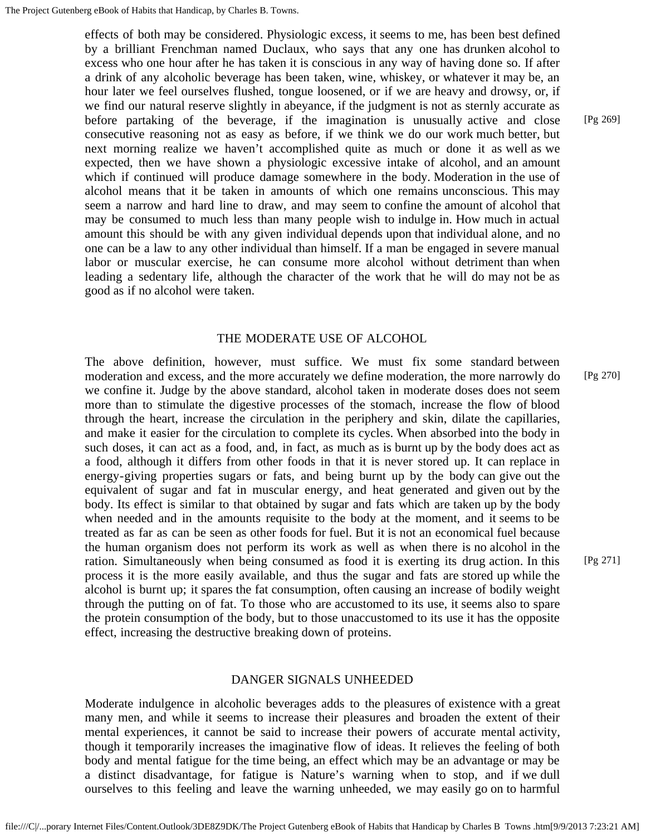effects of both may be considered. Physiologic excess, it seems to me, has been best defined by a brilliant Frenchman named Duclaux, who says that any one has drunken alcohol to excess who one hour after he has taken it is conscious in any way of having done so. If after a drink of any alcoholic beverage has been taken, wine, whiskey, or whatever it may be, an hour later we feel ourselves flushed, tongue loosened, or if we are heavy and drowsy, or, if we find our natural reserve slightly in abeyance, if the judgment is not as sternly accurate as before partaking of the beverage, if the imagination is unusually active and close consecutive reasoning not as easy as before, if we think we do our work much better, but next morning realize we haven't accomplished quite as much or done it as well as we expected, then we have shown a physiologic excessive intake of alcohol, and an amount which if continued will produce damage somewhere in the body. Moderation in the use of alcohol means that it be taken in amounts of which one remains unconscious. This may seem a narrow and hard line to draw, and may seem to confine the amount of alcohol that may be consumed to much less than many people wish to indulge in. How much in actual amount this should be with any given individual depends upon that individual alone, and no one can be a law to any other individual than himself. If a man be engaged in severe manual labor or muscular exercise, he can consume more alcohol without detriment than when leading a sedentary life, although the character of the work that he will do may not be as good as if no alcohol were taken.

## THE MODERATE USE OF ALCOHOL

The above definition, however, must suffice. We must fix some standard between moderation and excess, and the more accurately we define moderation, the more narrowly do we confine it. Judge by the above standard, alcohol taken in moderate doses does not seem more than to stimulate the digestive processes of the stomach, increase the flow of blood through the heart, increase the circulation in the periphery and skin, dilate the capillaries, and make it easier for the circulation to complete its cycles. When absorbed into the body in such doses, it can act as a food, and, in fact, as much as is burnt up by the body does act as a food, although it differs from other foods in that it is never stored up. It can replace in energy-giving properties sugars or fats, and being burnt up by the body can give out the equivalent of sugar and fat in muscular energy, and heat generated and given out by the body. Its effect is similar to that obtained by sugar and fats which are taken up by the body when needed and in the amounts requisite to the body at the moment, and it seems to be treated as far as can be seen as other foods for fuel. But it is not an economical fuel because the human organism does not perform its work as well as when there is no alcohol in the ration. Simultaneously when being consumed as food it is exerting its drug action. In this process it is the more easily available, and thus the sugar and fats are stored up while the alcohol is burnt up; it spares the fat consumption, often causing an increase of bodily weight through the putting on of fat. To those who are accustomed to its use, it seems also to spare the protein consumption of the body, but to those unaccustomed to its use it has the opposite effect, increasing the destructive breaking down of proteins. [Pg 270]

#### DANGER SIGNALS UNHEEDED

Moderate indulgence in alcoholic beverages adds to the pleasures of existence with a great many men, and while it seems to increase their pleasures and broaden the extent of their mental experiences, it cannot be said to increase their powers of accurate mental activity, though it temporarily increases the imaginative flow of ideas. It relieves the feeling of both body and mental fatigue for the time being, an effect which may be an advantage or may be a distinct disadvantage, for fatigue is Nature's warning when to stop, and if we dull ourselves to this feeling and leave the warning unheeded, we may easily go on to harmful

[Pg 269]

[Pg 271]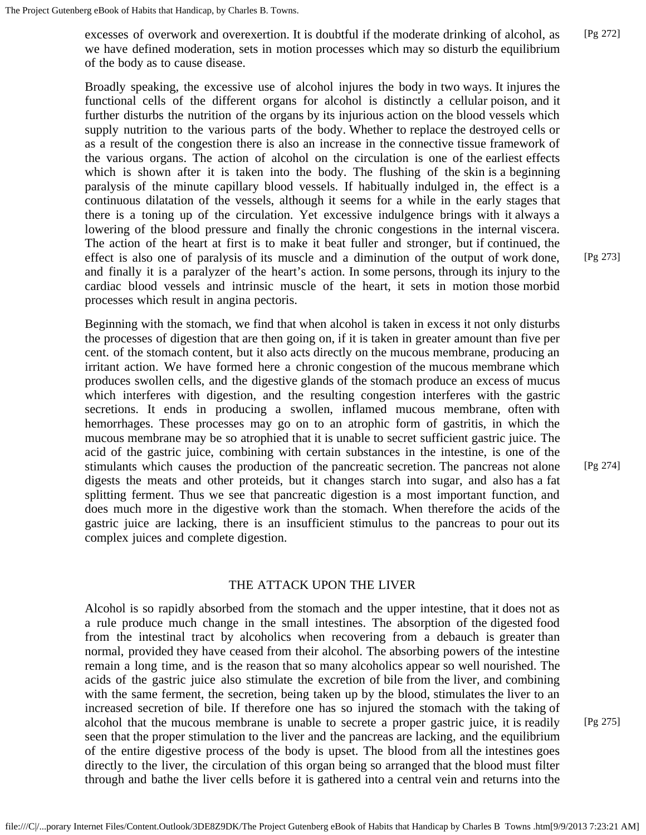excesses of overwork and overexertion. It is doubtful if the moderate drinking of alcohol, as we have defined moderation, sets in motion processes which may so disturb the equilibrium of the body as to cause disease. [Pg 272]

Broadly speaking, the excessive use of alcohol injures the body in two ways. It injures the functional cells of the different organs for alcohol is distinctly a cellular poison, and it further disturbs the nutrition of the organs by its injurious action on the blood vessels which supply nutrition to the various parts of the body. Whether to replace the destroyed cells or as a result of the congestion there is also an increase in the connective tissue framework of the various organs. The action of alcohol on the circulation is one of the earliest effects which is shown after it is taken into the body. The flushing of the skin is a beginning paralysis of the minute capillary blood vessels. If habitually indulged in, the effect is a continuous dilatation of the vessels, although it seems for a while in the early stages that there is a toning up of the circulation. Yet excessive indulgence brings with it always a lowering of the blood pressure and finally the chronic congestions in the internal viscera. The action of the heart at first is to make it beat fuller and stronger, but if continued, the effect is also one of paralysis of its muscle and a diminution of the output of work done, and finally it is a paralyzer of the heart's action. In some persons, through its injury to the cardiac blood vessels and intrinsic muscle of the heart, it sets in motion those morbid processes which result in angina pectoris.

Beginning with the stomach, we find that when alcohol is taken in excess it not only disturbs the processes of digestion that are then going on, if it is taken in greater amount than five per cent. of the stomach content, but it also acts directly on the mucous membrane, producing an irritant action. We have formed here a chronic congestion of the mucous membrane which produces swollen cells, and the digestive glands of the stomach produce an excess of mucus which interferes with digestion, and the resulting congestion interferes with the gastric secretions. It ends in producing a swollen, inflamed mucous membrane, often with hemorrhages. These processes may go on to an atrophic form of gastritis, in which the mucous membrane may be so atrophied that it is unable to secret sufficient gastric juice. The acid of the gastric juice, combining with certain substances in the intestine, is one of the stimulants which causes the production of the pancreatic secretion. The pancreas not alone digests the meats and other proteids, but it changes starch into sugar, and also has a fat splitting ferment. Thus we see that pancreatic digestion is a most important function, and does much more in the digestive work than the stomach. When therefore the acids of the gastric juice are lacking, there is an insufficient stimulus to the pancreas to pour out its complex juices and complete digestion.

#### [Pg 274]

## THE ATTACK UPON THE LIVER

Alcohol is so rapidly absorbed from the stomach and the upper intestine, that it does not as a rule produce much change in the small intestines. The absorption of the digested food from the intestinal tract by alcoholics when recovering from a debauch is greater than normal, provided they have ceased from their alcohol. The absorbing powers of the intestine remain a long time, and is the reason that so many alcoholics appear so well nourished. The acids of the gastric juice also stimulate the excretion of bile from the liver, and combining with the same ferment, the secretion, being taken up by the blood, stimulates the liver to an increased secretion of bile. If therefore one has so injured the stomach with the taking of alcohol that the mucous membrane is unable to secrete a proper gastric juice, it is readily seen that the proper stimulation to the liver and the pancreas are lacking, and the equilibrium of the entire digestive process of the body is upset. The blood from all the intestines goes directly to the liver, the circulation of this organ being so arranged that the blood must filter through and bathe the liver cells before it is gathered into a central vein and returns into the

[Pg 275]

[Pg 273]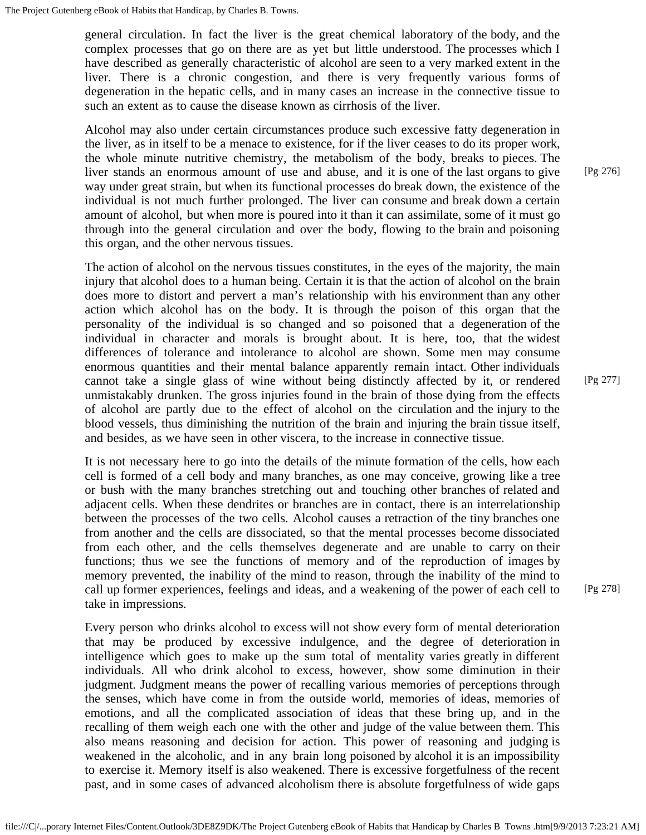general circulation. In fact the liver is the great chemical laboratory of the body, and the complex processes that go on there are as yet but little understood. The processes which I have described as generally characteristic of alcohol are seen to a very marked extent in the liver. There is a chronic congestion, and there is very frequently various forms of degeneration in the hepatic cells, and in many cases an increase in the connective tissue to such an extent as to cause the disease known as cirrhosis of the liver.

Alcohol may also under certain circumstances produce such excessive fatty degeneration in the liver, as in itself to be a menace to existence, for if the liver ceases to do its proper work, the whole minute nutritive chemistry, the metabolism of the body, breaks to pieces. The liver stands an enormous amount of use and abuse, and it is one of the last organs to give way under great strain, but when its functional processes do break down, the existence of the individual is not much further prolonged. The liver can consume and break down a certain amount of alcohol, but when more is poured into it than it can assimilate, some of it must go through into the general circulation and over the body, flowing to the brain and poisoning this organ, and the other nervous tissues.

The action of alcohol on the nervous tissues constitutes, in the eyes of the majority, the main injury that alcohol does to a human being. Certain it is that the action of alcohol on the brain does more to distort and pervert a man's relationship with his environment than any other action which alcohol has on the body. It is through the poison of this organ that the personality of the individual is so changed and so poisoned that a degeneration of the individual in character and morals is brought about. It is here, too, that the widest differences of tolerance and intolerance to alcohol are shown. Some men may consume enormous quantities and their mental balance apparently remain intact. Other individuals cannot take a single glass of wine without being distinctly affected by it, or rendered unmistakably drunken. The gross injuries found in the brain of those dying from the effects of alcohol are partly due to the effect of alcohol on the circulation and the injury to the blood vessels, thus diminishing the nutrition of the brain and injuring the brain tissue itself, and besides, as we have seen in other viscera, to the increase in connective tissue.

It is not necessary here to go into the details of the minute formation of the cells, how each cell is formed of a cell body and many branches, as one may conceive, growing like a tree or bush with the many branches stretching out and touching other branches of related and adjacent cells. When these dendrites or branches are in contact, there is an interrelationship between the processes of the two cells. Alcohol causes a retraction of the tiny branches one from another and the cells are dissociated, so that the mental processes become dissociated from each other, and the cells themselves degenerate and are unable to carry on their functions; thus we see the functions of memory and of the reproduction of images by memory prevented, the inability of the mind to reason, through the inability of the mind to call up former experiences, feelings and ideas, and a weakening of the power of each cell to take in impressions.

Every person who drinks alcohol to excess will not show every form of mental deterioration that may be produced by excessive indulgence, and the degree of deterioration in intelligence which goes to make up the sum total of mentality varies greatly in different individuals. All who drink alcohol to excess, however, show some diminution in their judgment. Judgment means the power of recalling various memories of perceptions through the senses, which have come in from the outside world, memories of ideas, memories of emotions, and all the complicated association of ideas that these bring up, and in the recalling of them weigh each one with the other and judge of the value between them. This also means reasoning and decision for action. This power of reasoning and judging is weakened in the alcoholic, and in any brain long poisoned by alcohol it is an impossibility to exercise it. Memory itself is also weakened. There is excessive forgetfulness of the recent past, and in some cases of advanced alcoholism there is absolute forgetfulness of wide gaps

[Pg 276]

[Pg 277]

[Pg 278]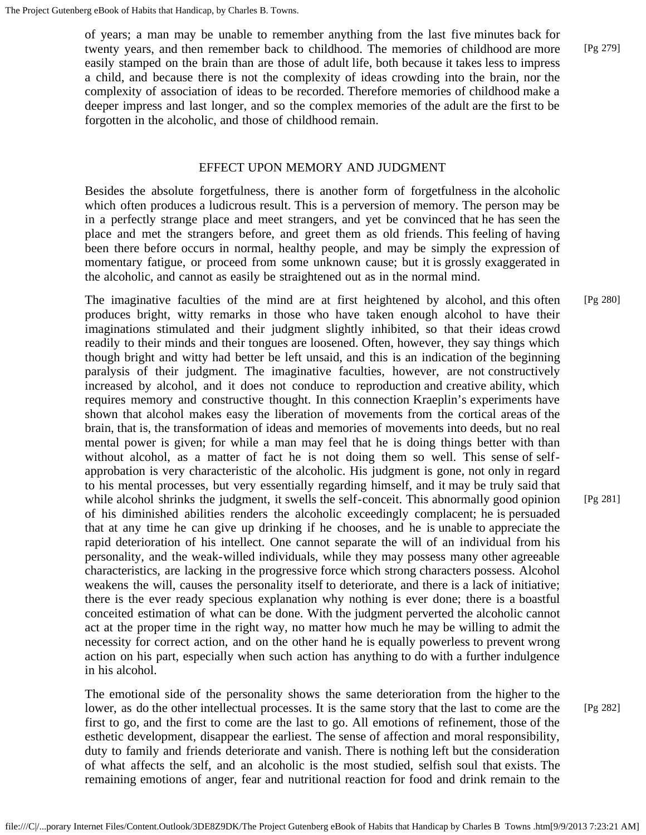of years; a man may be unable to remember anything from the last five minutes back for twenty years, and then remember back to childhood. The memories of childhood are more easily stamped on the brain than are those of adult life, both because it takes less to impress a child, and because there is not the complexity of ideas crowding into the brain, nor the complexity of association of ideas to be recorded. Therefore memories of childhood make a deeper impress and last longer, and so the complex memories of the adult are the first to be forgotten in the alcoholic, and those of childhood remain.

## EFFECT UPON MEMORY AND JUDGMENT

Besides the absolute forgetfulness, there is another form of forgetfulness in the alcoholic which often produces a ludicrous result. This is a perversion of memory. The person may be in a perfectly strange place and meet strangers, and yet be convinced that he has seen the place and met the strangers before, and greet them as old friends. This feeling of having been there before occurs in normal, healthy people, and may be simply the expression of momentary fatigue, or proceed from some unknown cause; but it is grossly exaggerated in the alcoholic, and cannot as easily be straightened out as in the normal mind.

The imaginative faculties of the mind are at first heightened by alcohol, and this often produces bright, witty remarks in those who have taken enough alcohol to have their imaginations stimulated and their judgment slightly inhibited, so that their ideas crowd readily to their minds and their tongues are loosened. Often, however, they say things which though bright and witty had better be left unsaid, and this is an indication of the beginning paralysis of their judgment. The imaginative faculties, however, are not constructively increased by alcohol, and it does not conduce to reproduction and creative ability, which requires memory and constructive thought. In this connection Kraeplin's experiments have shown that alcohol makes easy the liberation of movements from the cortical areas of the brain, that is, the transformation of ideas and memories of movements into deeds, but no real mental power is given; for while a man may feel that he is doing things better with than without alcohol, as a matter of fact he is not doing them so well. This sense of selfapprobation is very characteristic of the alcoholic. His judgment is gone, not only in regard to his mental processes, but very essentially regarding himself, and it may be truly said that while alcohol shrinks the judgment, it swells the self-conceit. This abnormally good opinion of his diminished abilities renders the alcoholic exceedingly complacent; he is persuaded that at any time he can give up drinking if he chooses, and he is unable to appreciate the rapid deterioration of his intellect. One cannot separate the will of an individual from his personality, and the weak-willed individuals, while they may possess many other agreeable characteristics, are lacking in the progressive force which strong characters possess. Alcohol weakens the will, causes the personality itself to deteriorate, and there is a lack of initiative; there is the ever ready specious explanation why nothing is ever done; there is a boastful conceited estimation of what can be done. With the judgment perverted the alcoholic cannot act at the proper time in the right way, no matter how much he may be willing to admit the necessity for correct action, and on the other hand he is equally powerless to prevent wrong action on his part, especially when such action has anything to do with a further indulgence in his alcohol. [Pg 280]

The emotional side of the personality shows the same deterioration from the higher to the lower, as do the other intellectual processes. It is the same story that the last to come are the first to go, and the first to come are the last to go. All emotions of refinement, those of the esthetic development, disappear the earliest. The sense of affection and moral responsibility, duty to family and friends deteriorate and vanish. There is nothing left but the consideration of what affects the self, and an alcoholic is the most studied, selfish soul that exists. The remaining emotions of anger, fear and nutritional reaction for food and drink remain to the

[Pg 279]

[Pg 281]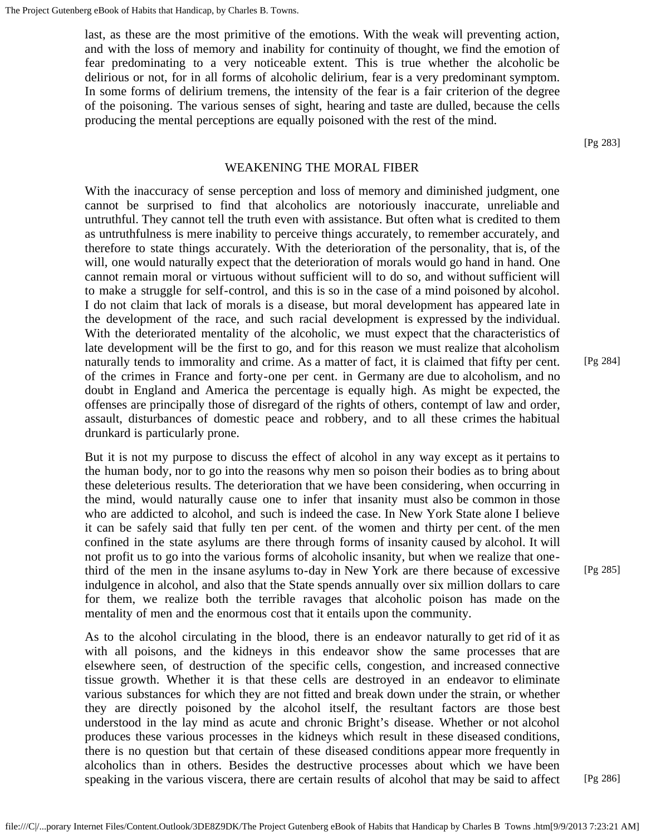last, as these are the most primitive of the emotions. With the weak will preventing action, and with the loss of memory and inability for continuity of thought, we find the emotion of fear predominating to a very noticeable extent. This is true whether the alcoholic be delirious or not, for in all forms of alcoholic delirium, fear is a very predominant symptom. In some forms of delirium tremens, the intensity of the fear is a fair criterion of the degree of the poisoning. The various senses of sight, hearing and taste are dulled, because the cells producing the mental perceptions are equally poisoned with the rest of the mind.

[Pg 283]

## WEAKENING THE MORAL FIBER

With the inaccuracy of sense perception and loss of memory and diminished judgment, one cannot be surprised to find that alcoholics are notoriously inaccurate, unreliable and untruthful. They cannot tell the truth even with assistance. But often what is credited to them as untruthfulness is mere inability to perceive things accurately, to remember accurately, and therefore to state things accurately. With the deterioration of the personality, that is, of the will, one would naturally expect that the deterioration of morals would go hand in hand. One cannot remain moral or virtuous without sufficient will to do so, and without sufficient will to make a struggle for self-control, and this is so in the case of a mind poisoned by alcohol. I do not claim that lack of morals is a disease, but moral development has appeared late in the development of the race, and such racial development is expressed by the individual. With the deteriorated mentality of the alcoholic, we must expect that the characteristics of late development will be the first to go, and for this reason we must realize that alcoholism naturally tends to immorality and crime. As a matter of fact, it is claimed that fifty per cent. of the crimes in France and forty-one per cent. in Germany are due to alcoholism, and no doubt in England and America the percentage is equally high. As might be expected, the offenses are principally those of disregard of the rights of others, contempt of law and order, assault, disturbances of domestic peace and robbery, and to all these crimes the habitual drunkard is particularly prone.

But it is not my purpose to discuss the effect of alcohol in any way except as it pertains to the human body, nor to go into the reasons why men so poison their bodies as to bring about these deleterious results. The deterioration that we have been considering, when occurring in the mind, would naturally cause one to infer that insanity must also be common in those who are addicted to alcohol, and such is indeed the case. In New York State alone I believe it can be safely said that fully ten per cent. of the women and thirty per cent. of the men confined in the state asylums are there through forms of insanity caused by alcohol. It will not profit us to go into the various forms of alcoholic insanity, but when we realize that onethird of the men in the insane asylums to-day in New York are there because of excessive indulgence in alcohol, and also that the State spends annually over six million dollars to care for them, we realize both the terrible ravages that alcoholic poison has made on the mentality of men and the enormous cost that it entails upon the community.

As to the alcohol circulating in the blood, there is an endeavor naturally to get rid of it as with all poisons, and the kidneys in this endeavor show the same processes that are elsewhere seen, of destruction of the specific cells, congestion, and increased connective tissue growth. Whether it is that these cells are destroyed in an endeavor to eliminate various substances for which they are not fitted and break down under the strain, or whether they are directly poisoned by the alcohol itself, the resultant factors are those best understood in the lay mind as acute and chronic Bright's disease. Whether or not alcohol produces these various processes in the kidneys which result in these diseased conditions, there is no question but that certain of these diseased conditions appear more frequently in alcoholics than in others. Besides the destructive processes about which we have been speaking in the various viscera, there are certain results of alcohol that may be said to affect [Pg 284]

[Pg 285]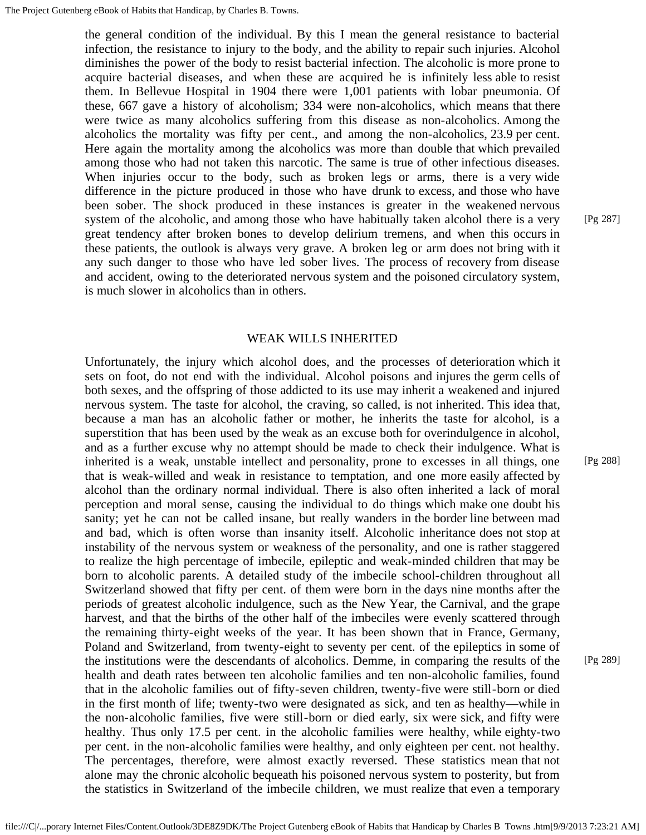the general condition of the individual. By this I mean the general resistance to bacterial infection, the resistance to injury to the body, and the ability to repair such injuries. Alcohol diminishes the power of the body to resist bacterial infection. The alcoholic is more prone to acquire bacterial diseases, and when these are acquired he is infinitely less able to resist them. In Bellevue Hospital in 1904 there were 1,001 patients with lobar pneumonia. Of these, 667 gave a history of alcoholism; 334 were non-alcoholics, which means that there were twice as many alcoholics suffering from this disease as non-alcoholics. Among the alcoholics the mortality was fifty per cent., and among the non-alcoholics, 23.9 per cent. Here again the mortality among the alcoholics was more than double that which prevailed among those who had not taken this narcotic. The same is true of other infectious diseases. When injuries occur to the body, such as broken legs or arms, there is a very wide difference in the picture produced in those who have drunk to excess, and those who have been sober. The shock produced in these instances is greater in the weakened nervous system of the alcoholic, and among those who have habitually taken alcohol there is a very great tendency after broken bones to develop delirium tremens, and when this occurs in these patients, the outlook is always very grave. A broken leg or arm does not bring with it any such danger to those who have led sober lives. The process of recovery from disease and accident, owing to the deteriorated nervous system and the poisoned circulatory system, is much slower in alcoholics than in others.

## WEAK WILLS INHERITED

Unfortunately, the injury which alcohol does, and the processes of deterioration which it sets on foot, do not end with the individual. Alcohol poisons and injures the germ cells of both sexes, and the offspring of those addicted to its use may inherit a weakened and injured nervous system. The taste for alcohol, the craving, so called, is not inherited. This idea that, because a man has an alcoholic father or mother, he inherits the taste for alcohol, is a superstition that has been used by the weak as an excuse both for overindulgence in alcohol, and as a further excuse why no attempt should be made to check their indulgence. What is inherited is a weak, unstable intellect and personality, prone to excesses in all things, one that is weak-willed and weak in resistance to temptation, and one more easily affected by alcohol than the ordinary normal individual. There is also often inherited a lack of moral perception and moral sense, causing the individual to do things which make one doubt his sanity; yet he can not be called insane, but really wanders in the border line between mad and bad, which is often worse than insanity itself. Alcoholic inheritance does not stop at instability of the nervous system or weakness of the personality, and one is rather staggered to realize the high percentage of imbecile, epileptic and weak-minded children that may be born to alcoholic parents. A detailed study of the imbecile school-children throughout all Switzerland showed that fifty per cent. of them were born in the days nine months after the periods of greatest alcoholic indulgence, such as the New Year, the Carnival, and the grape harvest, and that the births of the other half of the imbeciles were evenly scattered through the remaining thirty-eight weeks of the year. It has been shown that in France, Germany, Poland and Switzerland, from twenty-eight to seventy per cent. of the epileptics in some of the institutions were the descendants of alcoholics. Demme, in comparing the results of the health and death rates between ten alcoholic families and ten non-alcoholic families, found that in the alcoholic families out of fifty-seven children, twenty-five were still-born or died in the first month of life; twenty-two were designated as sick, and ten as healthy—while in the non-alcoholic families, five were still-born or died early, six were sick, and fifty were healthy. Thus only 17.5 per cent. in the alcoholic families were healthy, while eighty-two per cent. in the non-alcoholic families were healthy, and only eighteen per cent. not healthy. The percentages, therefore, were almost exactly reversed. These statistics mean that not alone may the chronic alcoholic bequeath his poisoned nervous system to posterity, but from the statistics in Switzerland of the imbecile children, we must realize that even a temporary

[Pg 288]

[Pg 289]

[Pg 287]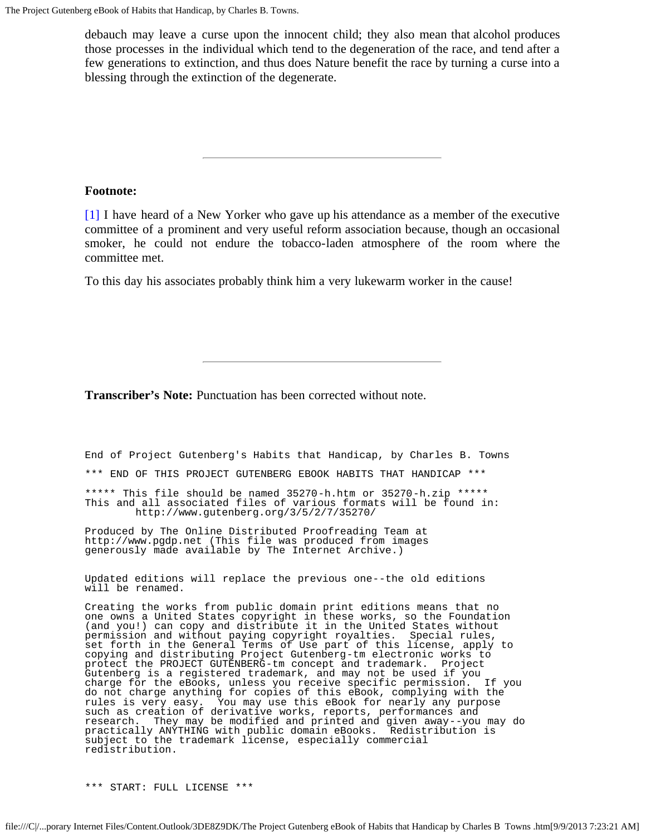debauch may leave a curse upon the innocent child; they also mean that alcohol produces those processes in the individual which tend to the degeneration of the race, and tend after a few generations to extinction, and thus does Nature benefit the race by turning a curse into a blessing through the extinction of the degenerate.

# **Footnote:**

[\[1\]](#page-47-0) I have heard of a New Yorker who gave up his attendance as a member of the executive committee of a prominent and very useful reform association because, though an occasional smoker, he could not endure the tobacco-laden atmosphere of the room where the committee met.

To this day his associates probably think him a very lukewarm worker in the cause!

**Transcriber's Note:** Punctuation has been corrected without note.

End of Project Gutenberg's Habits that Handicap, by Charles B. Towns

\*\*\* END OF THIS PROJECT GUTENBERG EBOOK HABITS THAT HANDICAP \*\*\*

\*\*\*\*\* This file should be named 35270-h.htm or 35270-h.zip \*\*\*\*\* This and all associated files of various formats will be found in: http://www.gutenberg.org/3/5/2/7/35270/

Produced by The Online Distributed Proofreading Team at http://www.pgdp.net (This file was produced from images generously made available by The Internet Archive.)

Updated editions will replace the previous one--the old editions will be renamed.

Creating the works from public domain print editions means that no one owns a United States copyright in these works, so the Foundation (and you!) can copy and distribute it in the United States without permission and without paying copyright royalties. Special rules, set forth in the General Terms of Use part of this license, apply to copying and distributing Project Gutenberg-tm electronic works to protect the PROJECT GUTENBERG-tm concept and trademark. Project Gutenberg is a registered trademark, and may not be used if you charge for the eBooks, unless you receive specific permission. If you do not charge anything for copies of this eBook, complying with the rules is very easy. You may use this eBook for nearly any purpose such as creation of derivative works, reports, performances and research. They may be modified and printed and given away--you may do practically ANYTHING with public domain eBooks. Redistribution is subject to the trademark license, especially commercial redistribution.

\*\*\* START: FULL LICENSE \*\*\*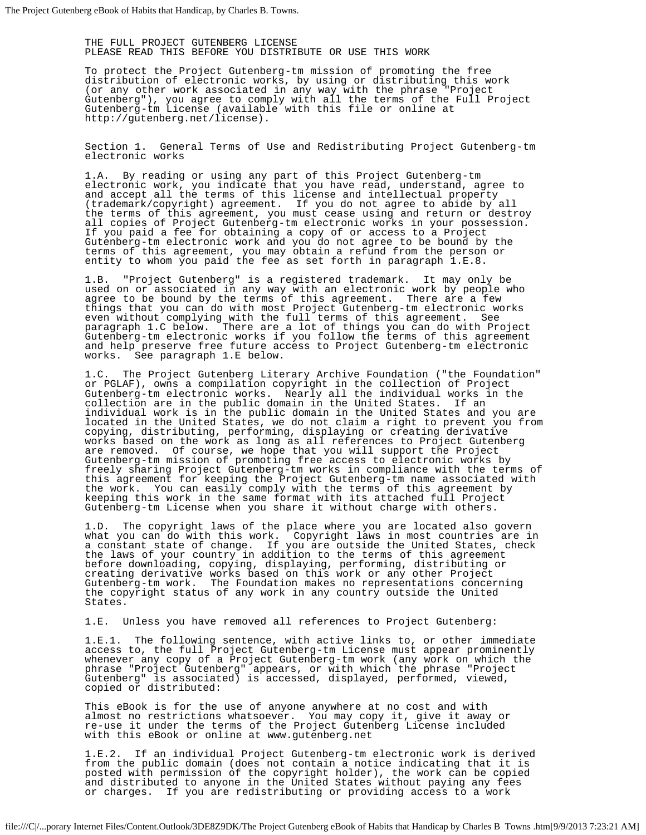THE FULL PROJECT GUTENBERG LICENSE PLEASE READ THIS BEFORE YOU DISTRIBUTE OR USE THIS WORK

To protect the Project Gutenberg-tm mission of promoting the free distribution of electronic works, by using or distributing this work (or any other work associated in any way with the phrase "Project Gutenberg"), you agree to comply with all the terms of the Full Project Gutenberg-tm License (available with this file or online at http://gutenberg.net/license).

Section 1. General Terms of Use and Redistributing Project Gutenberg-tm electronic works

1.A. By reading or using any part of this Project Gutenberg-tm electronic work, you indicate that you have read, understand, agree to and accept all the terms of this license and intellectual property (trademark/copyright) agreement. If you do not agree to abide by all the terms of this agreement, you must cease using and return or destroy all copies of Project Gutenberg-tm electronic works in your possession. If you paid a fee for obtaining a copy of or access to a Project Gutenberg-tm electronic work and you do not agree to be bound by the terms of this agreement, you may obtain a refund from the person or entity to whom you paid the fee as set forth in paragraph 1.E.8.

1.B. "Project Gutenberg" is a registered trademark. It may only be used on or associated in any way with an electronic work by people who agree to be bound by the terms of this agreement. There are a few things that you can do with most Project Gutenberg-tm electronic works even without complying with the full terms of this agreement. See paragraph 1.C below. There are a lot of things you can do with Project Gutenberg-tm electronic works if you follow the terms of this agreement and help preserve free future access to Project Gutenberg-tm electronic<br>works. See paragraph 1.E below. See paragraph 1.E below.

1.C. The Project Gutenberg Literary Archive Foundation ("the Foundation" or PGLAF), owns a compilation copyright in the collection of Project Gutenberg-tm electronic works. Nearly all the individual works in the collection are in the public domain in the United States. If an individual work is in the public domain in the United States and you are located in the United States, we do not claim a right to prevent you from copying, distributing, performing, displaying or creating derivative works based on the work as long as all references to Project Gutenberg are removed. Of course, we hope that you will support the Project Gutenberg-tm mission of promoting free access to electronic works by freely sharing Project Gutenberg-tm works in compliance with the terms of this agreement for keeping the Project Gutenberg-tm name associated with the work. You can easily comply with the terms of this agreement by keeping this work in the same format with its attached full Project Gutenberg-tm License when you share it without charge with others.

1.D. The copyright laws of the place where you are located also govern what you can do with this work. Copyright laws in most countries are in a constant state of change. If you are outside the United States, check the laws of your country in addition to the terms of this agreement before downloading, copying, displaying, performing, distributing or creating derivative works based on this work or any other Project Gutenberg-tm work. The Foundation makes no representations concerning the copyright status of any work in any country outside the United States.

1.E. Unless you have removed all references to Project Gutenberg:

1.E.1. The following sentence, with active links to, or other immediate access to, the full Project Gutenberg-tm License must appear prominently whenever any copy of a Project Gutenberg-tm work (any work on which the phrase "Project Gutenberg" appears, or with which the phrase "Project Gutenberg" is associated) is accessed, displayed, performed, viewed, copied or distributed:

This eBook is for the use of anyone anywhere at no cost and with almost no restrictions whatsoever. You may copy it, give it away or re-use it under the terms of the Project Gutenberg License included with this eBook or online at www.gutenberg.net

1.E.2. If an individual Project Gutenberg-tm electronic work is derived from the public domain (does not contain a notice indicating that it is posted with permission of the copyright holder), the work can be copied and distributed to anyone in the United States without paying any fees or charges. If you are redistributing or providing access to a work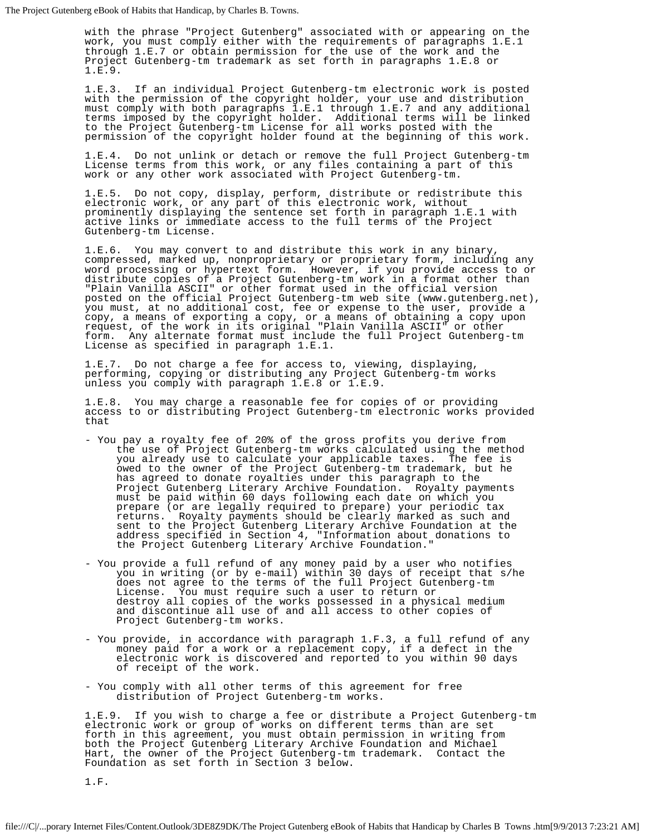with the phrase "Project Gutenberg" associated with or appearing on the work, you must comply either with the requirements of paragraphs 1.E.1 through 1.E.7 or obtain permission for the use of the work and the Project Gutenberg-tm trademark as set forth in paragraphs 1.E.8 or 1.E.9.

1.E.3. If an individual Project Gutenberg-tm electronic work is posted with the permission of the copyright holder, your use and distribution must comply with both paragraphs 1.E.1 through 1.E.7 and any additional terms imposed by the copyright holder. Additional terms will be linked to the Project Gutenberg-tm License for all works posted with the permission of the copyright holder found at the beginning of this work.

1.E.4. Do not unlink or detach or remove the full Project Gutenberg-tm License terms from this work, or any files containing a part of this work or any other work associated with Project Gutenberg-tm.

1.E.5. Do not copy, display, perform, distribute or redistribute this electronic work, or any part of this electronic work, without prominently displaying the sentence set forth in paragraph 1.E.1 with active links or immediate access to the full terms of the Project Gutenberg-tm License.

1.E.6. You may convert to and distribute this work in any binary, compressed, marked up, nonproprietary or proprietary form, including any word processing or hypertext form. However, if you provide access to or distribute copies of a Project Gutenberg-tm work in a format other than "Plain Vanilla ASCII" or other format used in the official version posted on the official Project Gutenberg-tm web site (www.gutenberg.net), you must, at no additional cost, fee or expense to the user, provide a copy, a means of exporting a copy, or a means of obtaining a copy upon request, of the work in its original "Plain Vanilla ASCII" or other form. Any alternate format must include the full Project Gutenberg-tm License as specified in paragraph 1.E.1.

1.E.7. Do not charge a fee for access to, viewing, displaying, performing, copying or distributing any Project Gutenberg-tm works unless you comply with paragraph 1.E.8 or 1.E.9.

1.E.8. You may charge a reasonable fee for copies of or providing access to or distributing Project Gutenberg-tm electronic works provided that

- You pay a royalty fee of 20% of the gross profits you derive from the use of Project Gutenberg-tm works calculated using the method you already use to calculate your applicable taxes. The fee is owed to the owner of the Project Gutenberg-tm trademark, but he has agreed to donate royalties under this paragraph to the Project Gutenberg Literary Archive Foundation. Royalty payments must be paid within 60 days following each date on which you prepare (or are legally required to prepare) your periodic tax returns. Royalty payments should be clearly marked as such and sent to the Project Gutenberg Literary Archive Foundation at the address specified in Section 4, "Information about donations to the Project Gutenberg Literary Archive Foundation."
- You provide a full refund of any money paid by a user who notifies you in writing (or by e-mail) within 30 days of receipt that s/he does not agree to the terms of the full Project Gutenberg-tm License. You must require such a user to return or destroy all copies of the works possessed in a physical medium and discontinue all use of and all access to other copies of Project Gutenberg-tm works.
- You provide, in accordance with paragraph 1.F.3, a full refund of any money paid for a work or a replacement copy, if a defect in the electronic work is discovered and reported to you within 90 days of receipt of the work.
- You comply with all other terms of this agreement for free distribution of Project Gutenberg-tm works.

1.E.9. If you wish to charge a fee or distribute a Project Gutenberg-tm electronic work or group of works on different terms than are set forth in this agreement, you must obtain permission in writing from both the Project Gutenberg Literary Archive Foundation and Michael Hart, the owner of the Project Gutenberg-tm trademark. Contact the Foundation as set forth in Section 3 below.

1.F.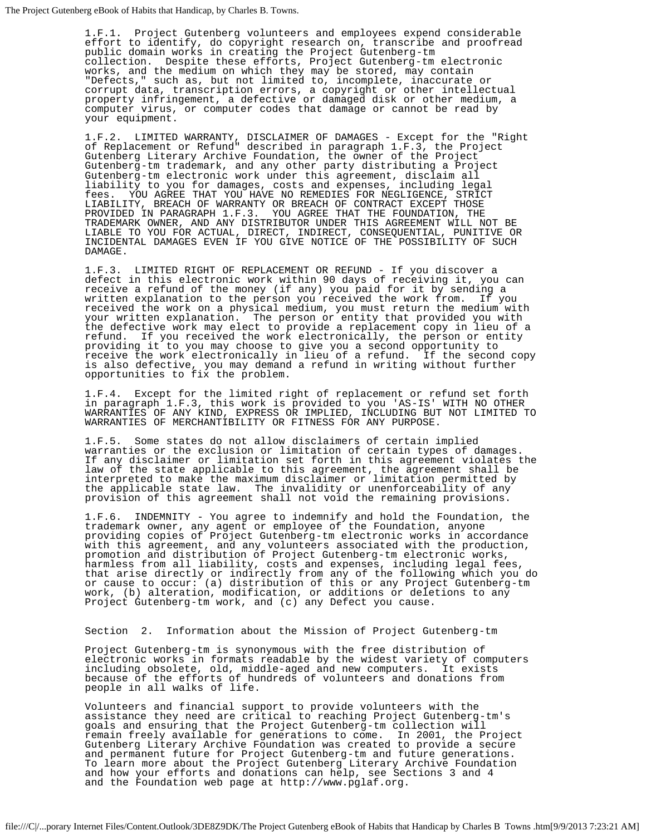1.F.1. Project Gutenberg volunteers and employees expend considerable effort to identify, do copyright research on, transcribe and proofread public domain works in creating the Project Gutenberg-tm collection. Despite these efforts, Project Gutenberg-tm electronic works, and the medium on which they may be stored, may contain "Defects," such as, but not limited to, incomplete, inaccurate or corrupt data, transcription errors, a copyright or other intellectual property infringement, a defective or damaged disk or other medium, a computer virus, or computer codes that damage or cannot be read by your equipment.

1.F.2. LIMITED WARRANTY, DISCLAIMER OF DAMAGES - Except for the "Right of Replacement or Refund" described in paragraph 1.F.3, the Project Gutenberg Literary Archive Foundation, the owner of the Project Gutenberg-tm trademark, and any other party distributing a Project Gutenberg-tm electronic work under this agreement, disclaim all liability to you for damages, costs and expenses, including legal fees. YOU AGREE THAT YOU HAVE NO REMEDIES FOR NEGLIGENCE, STRICT LIABILITY, BREACH OF WARRANTY OR BREACH OF CONTRACT EXCEPT THOSE PROVIDED IN PARAGRAPH 1.F.3. YOU AGREE THAT THE FOUNDATION, THE TRADEMARK OWNER, AND ANY DISTRIBUTOR UNDER THIS AGREEMENT WILL NOT BE LIABLE TO YOU FOR ACTUAL, DIRECT, INDIRECT, CONSEQUENTIAL, PUNITIVE OR INCIDENTAL DAMAGES EVEN IF YOU GIVE NOTICE OF THE POSSIBILITY OF SUCH DAMAGE.

1.F.3. LIMITED RIGHT OF REPLACEMENT OR REFUND - If you discover a defect in this electronic work within 90 days of receiving it, you can receive a refund of the money (if any) you paid for it by sending a written explanation to the person you received the work from. If you received the work on a physical medium, you must return the medium with your written explanation. The person or entity that provided you with the defective work may elect to provide a replacement copy in lieu of a refund. If you received the work electronically, the person or entity providing it to you may choose to give you a second opportunity to receive the work electronically in lieu of a refund. If the second copy is also defective, you may demand a refund in writing without further opportunities to fix the problem.

1.F.4. Except for the limited right of replacement or refund set forth in paragraph 1.F.3, this work is provided to you 'AS-IS' WITH NO OTHER WARRANTIES OF ANY KIND, EXPRESS OR IMPLIED, INCLUDING BUT NOT LIMITED TO WARRANTIES OF MERCHANTIBILITY OR FITNESS FOR ANY PURPOSE.

1.F.5. Some states do not allow disclaimers of certain implied warranties or the exclusion or limitation of certain types of damages. If any disclaimer or limitation set forth in this agreement violates the law of the state applicable to this agreement, the agreement shall be interpreted to make the maximum disclaimer or limitation permitted by the applicable state law. The invalidity or unenforceability of any provision of this agreement shall not void the remaining provisions.

1.F.6. INDEMNITY - You agree to indemnify and hold the Foundation, the trademark owner, any agent or employee of the Foundation, anyone providing copies of Project Gutenberg-tm electronic works in accordance with this agreement, and any volunteers associated with the production, promotion and distribution of Project Gutenberg-tm electronic works, harmless from all liability, costs and expenses, including legal fees, that arise directly or indirectly from any of the following which you do or cause to occur: (a) distribution of this or any Project Gutenberg-tm work, (b) alteration, modification, or additions or deletions to any Project Gutenberg-tm work, and (c) any Defect you cause.

Section 2. Information about the Mission of Project Gutenberg-tm

Project Gutenberg-tm is synonymous with the free distribution of electronic works in formats readable by the widest variety of computers including obsolete, old, middle-aged and new computers. It exists because of the efforts of hundreds of volunteers and donations from people in all walks of life.

Volunteers and financial support to provide volunteers with the assistance they need are critical to reaching Project Gutenberg-tm's goals and ensuring that the Project Gutenberg-tm collection will remain freely available for generations to come. In 2001, the Project Gutenberg Literary Archive Foundation was created to provide a secure and permanent future for Project Gutenberg-tm and future generations. To learn more about the Project Gutenberg Literary Archive Foundation and how your efforts and donations can help, see Sections 3 and 4 and the Foundation web page at http://www.pglaf.org.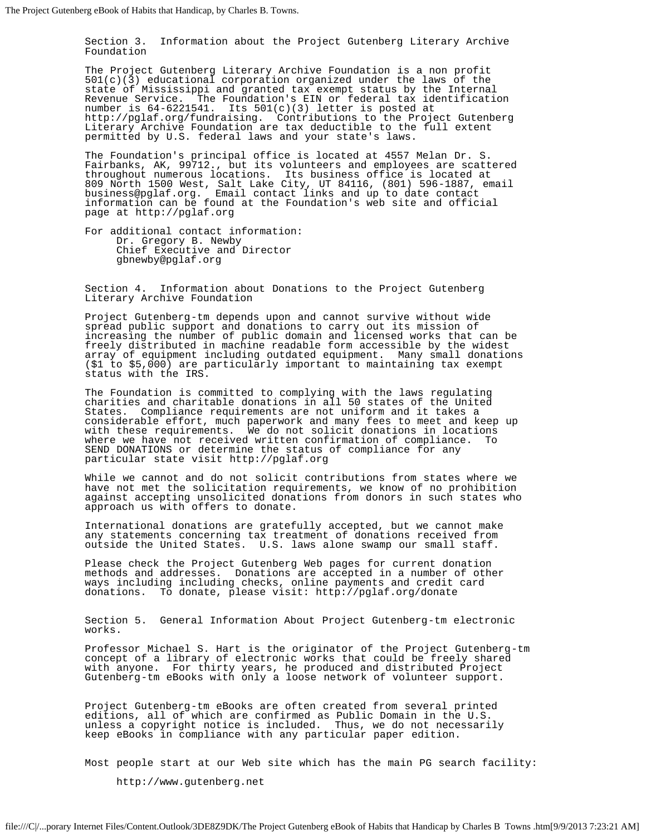Section 3. Information about the Project Gutenberg Literary Archive Foundation

The Project Gutenberg Literary Archive Foundation is a non profit  $501(c)(3)$  educational corporation organized under the laws of the state of Mississippi and granted tax exempt status by the Internal Revenue Service. The Foundation's EIN or federal tax identification number is  $64-6221541$ . Its  $501(c)(3)$  letter is posted at http://pglaf.org/fundraising. Contributions to the Project Gutenberg Literary Archive Foundation are tax deductible to the full extent permitted by U.S. federal laws and your state's laws.

The Foundation's principal office is located at 4557 Melan Dr. S. Fairbanks, AK, 99712., but its volunteers and employees are scattered throughout numerous locations. Its business office is located at 809 North 1500 West, Salt Lake City, UT 84116, (801) 596-1887, email business@pglaf.org. Email contact links and up to date contact information can be found at the Foundation's web site and official page at http://pglaf.org

For additional contact information: Dr. Gregory B. Newby Chief Executive and Director gbnewby@pglaf.org

Section 4. Information about Donations to the Project Gutenberg Literary Archive Foundation

Project Gutenberg-tm depends upon and cannot survive without wide spread public support and donations to carry out its mission of increasing the number of public domain and licensed works that can be freely distributed in machine readable form accessible by the widest array of equipment including outdated equipment. Many small donations (\$1 to \$5,000) are particularly important to maintaining tax exempt status with the IRS.

The Foundation is committed to complying with the laws regulating charities and charitable donations in all 50 states of the United States. Compliance requirements are not uniform and it takes a considerable effort, much paperwork and many fees to meet and keep up with these requirements. We do not solicit donations in locations where we have not received written confirmation of compliance. To SEND DONATIONS or determine the status of compliance for any particular state visit http://pglaf.org

While we cannot and do not solicit contributions from states where we have not met the solicitation requirements, we know of no prohibition against accepting unsolicited donations from donors in such states who approach us with offers to donate.

International donations are gratefully accepted, but we cannot make any statements concerning tax treatment of donations received from outside the United States. U.S. laws alone swamp our small staff.

Please check the Project Gutenberg Web pages for current donation methods and addresses. Donations are accepted in a number of other ways including including checks, online payments and credit card donations. To donate, please visit: http://pglaf.org/donate

Section 5. General Information About Project Gutenberg-tm electronic works.

Professor Michael S. Hart is the originator of the Project Gutenberg-tm concept of a library of electronic works that could be freely shared with anyone. For thirty years, he produced and distributed Project Gutenberg-tm eBooks with only a loose network of volunteer support.

Project Gutenberg-tm eBooks are often created from several printed editions, all of which are confirmed as Public Domain in the U.S. unless a copyright notice is included. Thus, we do not necessarily keep eBooks in compliance with any particular paper edition.

Most people start at our Web site which has the main PG search facility:

http://www.gutenberg.net